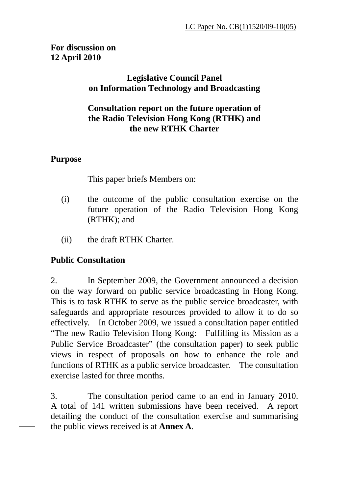# **For discussion on 12 April 2010**

# **Legislative Council Panel on Information Technology and Broadcasting**

## **Consultation report on the future operation of the Radio Television Hong Kong (RTHK) and the new RTHK Charter**

## **Purpose**

This paper briefs Members on:

- (i) the outcome of the public consultation exercise on the future operation of the Radio Television Hong Kong (RTHK); and
- (ii) the draft RTHK Charter.

# **Public Consultation**

2. In September 2009, the Government announced a decision on the way forward on public service broadcasting in Hong Kong. This is to task RTHK to serve as the public service broadcaster, with safeguards and appropriate resources provided to allow it to do so effectively. In October 2009, we issued a consultation paper entitled "The new Radio Television Hong Kong: Fulfilling its Mission as a Public Service Broadcaster" (the consultation paper) to seek public views in respect of proposals on how to enhance the role and functions of RTHK as a public service broadcaster. The consultation exercise lasted for three months.

3. The consultation period came to an end in January 2010. A total of 141 written submissions have been received. A report detailing the conduct of the consultation exercise and summarising the public views received is at **Annex A**.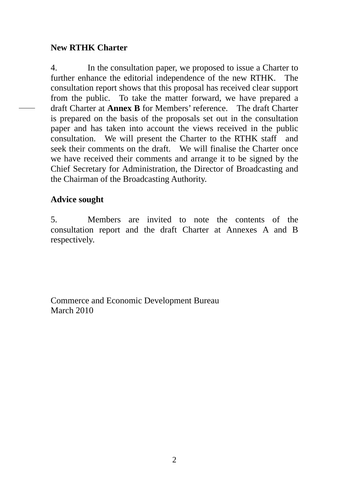#### **New RTHK Charter**

4. In the consultation paper, we proposed to issue a Charter to further enhance the editorial independence of the new RTHK. The consultation report shows that this proposal has received clear support from the public. To take the matter forward, we have prepared a draft Charter at **Annex B** for Members' reference. The draft Charter is prepared on the basis of the proposals set out in the consultation paper and has taken into account the views received in the public consultation. We will present the Charter to the RTHK staff and seek their comments on the draft. We will finalise the Charter once we have received their comments and arrange it to be signed by the Chief Secretary for Administration, the Director of Broadcasting and the Chairman of the Broadcasting Authority.

#### **Advice sought**

5. Members are invited to note the contents of the consultation report and the draft Charter at Annexes A and B respectively.

Commerce and Economic Development Bureau March 2010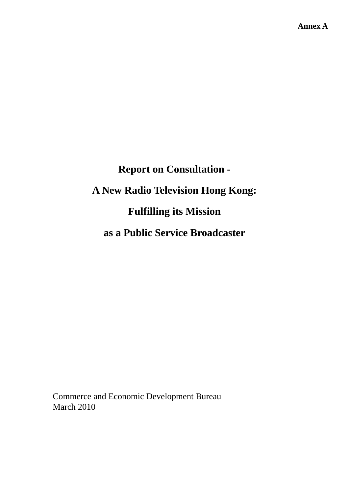# **Report on Consultation - A New Radio Television Hong Kong: Fulfilling its Mission as a Public Service Broadcaster**

Commerce and Economic Development Bureau March 2010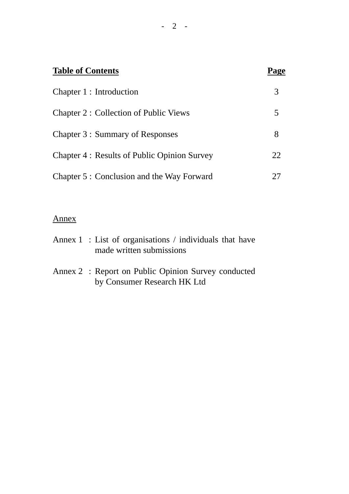| <b>Table of Contents</b>                           | Page |
|----------------------------------------------------|------|
| Chapter 1 : Introduction                           | 3    |
| <b>Chapter 2: Collection of Public Views</b>       | 5    |
| Chapter 3 : Summary of Responses                   | 8    |
| <b>Chapter 4: Results of Public Opinion Survey</b> | 22   |
| Chapter 5 : Conclusion and the Way Forward         |      |

# Annex

| Annex $1$ : List of organisations / individuals that have |
|-----------------------------------------------------------|
| made written submissions                                  |

Annex 2 : Report on Public Opinion Survey conducted by Consumer Research HK Ltd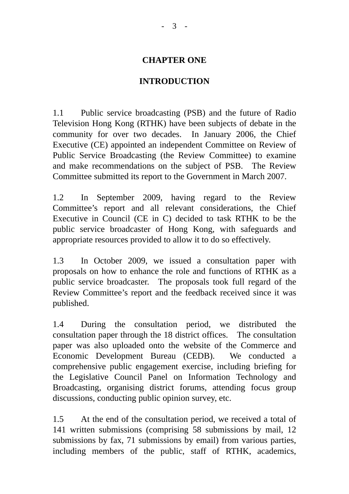#### **CHAPTER ONE**

#### **INTRODUCTION**

1.1 Public service broadcasting (PSB) and the future of Radio Television Hong Kong (RTHK) have been subjects of debate in the community for over two decades. In January 2006, the Chief Executive (CE) appointed an independent Committee on Review of Public Service Broadcasting (the Review Committee) to examine and make recommendations on the subject of PSB. The Review Committee submitted its report to the Government in March 2007.

1.2 In September 2009, having regard to the Review Committee's report and all relevant considerations, the Chief Executive in Council (CE in C) decided to task RTHK to be the public service broadcaster of Hong Kong, with safeguards and appropriate resources provided to allow it to do so effectively.

1.3 In October 2009, we issued a consultation paper with proposals on how to enhance the role and functions of RTHK as a public service broadcaster. The proposals took full regard of the Review Committee's report and the feedback received since it was published.

1.4 During the consultation period, we distributed the consultation paper through the 18 district offices. The consultation paper was also uploaded onto the website of the Commerce and Economic Development Bureau (CEDB). We conducted a comprehensive public engagement exercise, including briefing for the Legislative Council Panel on Information Technology and Broadcasting, organising district forums, attending focus group discussions, conducting public opinion survey, etc.

1.5 At the end of the consultation period, we received a total of 141 written submissions (comprising 58 submissions by mail, 12 submissions by fax, 71 submissions by email) from various parties, including members of the public, staff of RTHK, academics,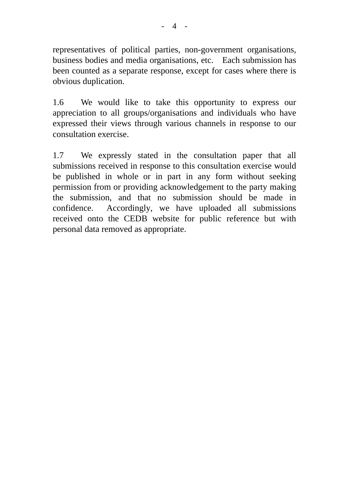representatives of political parties, non-government organisations, business bodies and media organisations, etc. Each submission has been counted as a separate response, except for cases where there is obvious duplication.

1.6 We would like to take this opportunity to express our appreciation to all groups/organisations and individuals who have expressed their views through various channels in response to our consultation exercise.

1.7 We expressly stated in the consultation paper that all submissions received in response to this consultation exercise would be published in whole or in part in any form without seeking permission from or providing acknowledgement to the party making the submission, and that no submission should be made in confidence. Accordingly, we have uploaded all submissions received onto the CEDB website for public reference but with personal data removed as appropriate.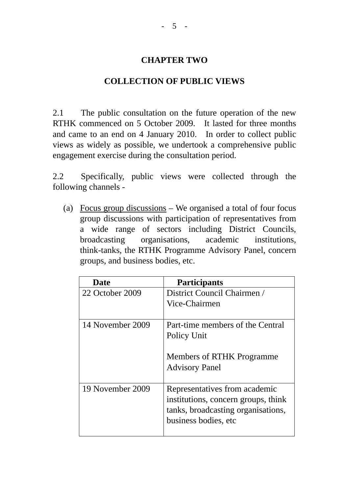## **CHAPTER TWO**

#### **COLLECTION OF PUBLIC VIEWS**

2.1 The public consultation on the future operation of the new RTHK commenced on 5 October 2009. It lasted for three months and came to an end on 4 January 2010. In order to collect public views as widely as possible, we undertook a comprehensive public engagement exercise during the consultation period.

2.2 Specifically, public views were collected through the following channels -

(a) Focus group discussions – We organised a total of four focus group discussions with participation of representatives from a wide range of sectors including District Councils, broadcasting organisations, academic institutions, think-tanks, the RTHK Programme Advisory Panel, concern groups, and business bodies, etc.

| <b>Date</b>      | <b>Participants</b>                                                                                                                 |
|------------------|-------------------------------------------------------------------------------------------------------------------------------------|
| 22 October 2009  | District Council Chairmen /<br>Vice-Chairmen                                                                                        |
| 14 November 2009 | Part-time members of the Central<br>Policy Unit<br>Members of RTHK Programme<br><b>Advisory Panel</b>                               |
| 19 November 2009 | Representatives from academic<br>institutions, concern groups, think<br>tanks, broadcasting organisations,<br>business bodies, etc. |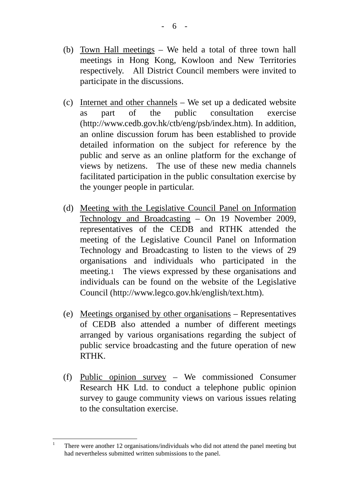- (b) Town Hall meetings We held a total of three town hall meetings in Hong Kong, Kowloon and New Territories respectively. All District Council members were invited to participate in the discussions.
- (c) Internet and other channels We set up a dedicated website as part of the public consultation exercise (http://www.cedb.gov.hk/ctb/eng/psb/index.htm). In addition, an online discussion forum has been established to provide detailed information on the subject for reference by the public and serve as an online platform for the exchange of views by netizens. The use of these new media channels facilitated participation in the public consultation exercise by the younger people in particular.
- (d) Meeting with the Legislative Council Panel on Information Technology and Broadcasting – On 19 November 2009, representatives of the CEDB and RTHK attended the meeting of the Legislative Council Panel on Information Technology and Broadcasting to listen to the views of 29 organisations and individuals who participated in the meeting.1 The views expressed by these organisations and individuals can be found on the website of the Legislative Council (http://www.legco.gov.hk/english/text.htm).
- (e) Meetings organised by other organisations Representatives of CEDB also attended a number of different meetings arranged by various organisations regarding the subject of public service broadcasting and the future operation of new RTHK.
- (f) Public opinion survey We commissioned Consumer Research HK Ltd. to conduct a telephone public opinion survey to gauge community views on various issues relating to the consultation exercise.

 $\frac{1}{1}$  There were another 12 organisations/individuals who did not attend the panel meeting but had nevertheless submitted written submissions to the panel.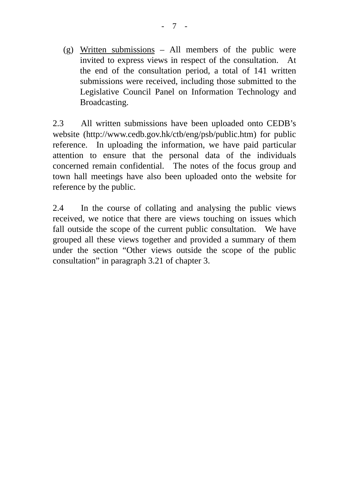(g) Written submissions – All members of the public were invited to express views in respect of the consultation. At the end of the consultation period, a total of 141 written submissions were received, including those submitted to the Legislative Council Panel on Information Technology and Broadcasting.

2.3 All written submissions have been uploaded onto CEDB's website (http://www.cedb.gov.hk/ctb/eng/psb/public.htm) for public reference. In uploading the information, we have paid particular attention to ensure that the personal data of the individuals concerned remain confidential. The notes of the focus group and town hall meetings have also been uploaded onto the website for reference by the public.

2.4 In the course of collating and analysing the public views received, we notice that there are views touching on issues which fall outside the scope of the current public consultation. We have grouped all these views together and provided a summary of them under the section "Other views outside the scope of the public consultation" in paragraph 3.21 of chapter 3.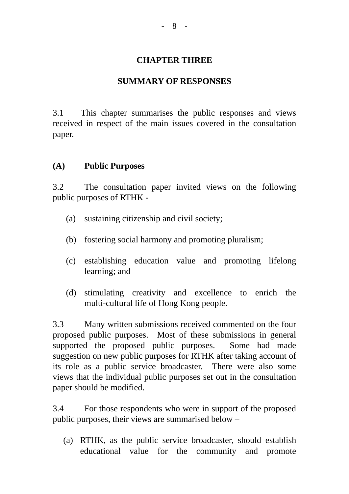#### **CHAPTER THREE**

#### **SUMMARY OF RESPONSES**

3.1 This chapter summarises the public responses and views received in respect of the main issues covered in the consultation paper.

#### **(A) Public Purposes**

3.2 The consultation paper invited views on the following public purposes of RTHK -

- (a) sustaining citizenship and civil society;
- (b) fostering social harmony and promoting pluralism;
- (c) establishing education value and promoting lifelong learning; and
- (d) stimulating creativity and excellence to enrich the multi-cultural life of Hong Kong people.

3.3 Many written submissions received commented on the four proposed public purposes. Most of these submissions in general supported the proposed public purposes. Some had made suggestion on new public purposes for RTHK after taking account of its role as a public service broadcaster. There were also some views that the individual public purposes set out in the consultation paper should be modified.

3.4 For those respondents who were in support of the proposed public purposes, their views are summarised below –

(a) RTHK, as the public service broadcaster, should establish educational value for the community and promote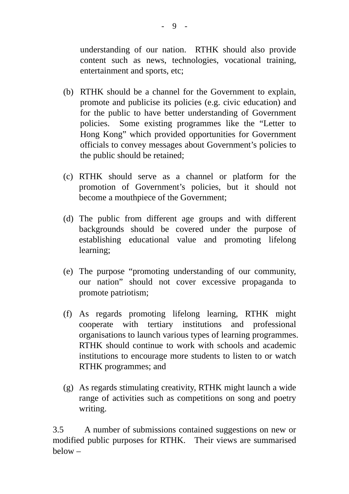understanding of our nation. RTHK should also provide content such as news, technologies, vocational training, entertainment and sports, etc;

- (b) RTHK should be a channel for the Government to explain, promote and publicise its policies (e.g. civic education) and for the public to have better understanding of Government policies. Some existing programmes like the "Letter to Hong Kong" which provided opportunities for Government officials to convey messages about Government's policies to the public should be retained;
- (c) RTHK should serve as a channel or platform for the promotion of Government's policies, but it should not become a mouthpiece of the Government;
- (d) The public from different age groups and with different backgrounds should be covered under the purpose of establishing educational value and promoting lifelong learning;
- (e) The purpose "promoting understanding of our community, our nation" should not cover excessive propaganda to promote patriotism;
- (f) As regards promoting lifelong learning, RTHK might cooperate with tertiary institutions and professional organisations to launch various types of learning programmes. RTHK should continue to work with schools and academic institutions to encourage more students to listen to or watch RTHK programmes; and
- (g) As regards stimulating creativity, RTHK might launch a wide range of activities such as competitions on song and poetry writing.

3.5 A number of submissions contained suggestions on new or modified public purposes for RTHK. Their views are summarised below –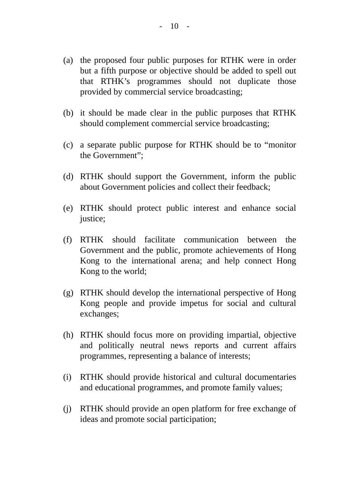- (a) the proposed four public purposes for RTHK were in order but a fifth purpose or objective should be added to spell out that RTHK's programmes should not duplicate those provided by commercial service broadcasting;
- (b) it should be made clear in the public purposes that RTHK should complement commercial service broadcasting;
- (c) a separate public purpose for RTHK should be to "monitor the Government";
- (d) RTHK should support the Government, inform the public about Government policies and collect their feedback;
- (e) RTHK should protect public interest and enhance social justice;
- (f) RTHK should facilitate communication between the Government and the public, promote achievements of Hong Kong to the international arena; and help connect Hong Kong to the world;
- (g) RTHK should develop the international perspective of Hong Kong people and provide impetus for social and cultural exchanges;
- (h) RTHK should focus more on providing impartial, objective and politically neutral news reports and current affairs programmes, representing a balance of interests;
- (i) RTHK should provide historical and cultural documentaries and educational programmes, and promote family values;
- (j) RTHK should provide an open platform for free exchange of ideas and promote social participation;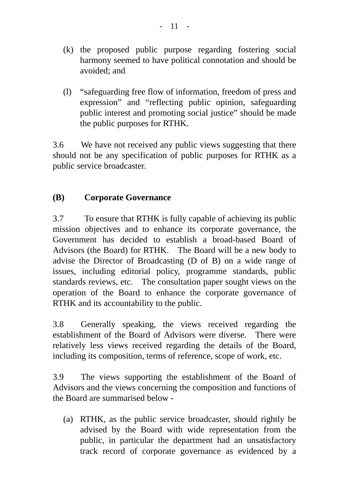- (k) the proposed public purpose regarding fostering social harmony seemed to have political connotation and should be avoided; and
- (l) "safeguarding free flow of information, freedom of press and expression" and "reflecting public opinion, safeguarding public interest and promoting social justice" should be made the public purposes for RTHK.

3.6 We have not received any public views suggesting that there should not be any specification of public purposes for RTHK as a public service broadcaster.

# **(B) Corporate Governance**

3.7 To ensure that RTHK is fully capable of achieving its public mission objectives and to enhance its corporate governance, the Government has decided to establish a broad-based Board of Advisors (the Board) for RTHK. The Board will be a new body to advise the Director of Broadcasting (D of B) on a wide range of issues, including editorial policy, programme standards, public standards reviews, etc. The consultation paper sought views on the operation of the Board to enhance the corporate governance of RTHK and its accountability to the public.

3.8 Generally speaking, the views received regarding the establishment of the Board of Advisors were diverse. There were relatively less views received regarding the details of the Board, including its composition, terms of reference, scope of work, etc.

3.9 The views supporting the establishment of the Board of Advisors and the views concerning the composition and functions of the Board are summarised below -

(a) RTHK, as the public service broadcaster, should rightly be advised by the Board with wide representation from the public, in particular the department had an unsatisfactory track record of corporate governance as evidenced by a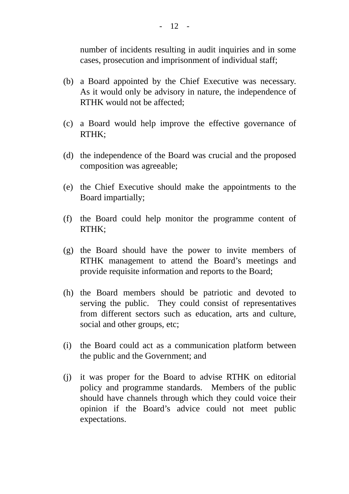number of incidents resulting in audit inquiries and in some cases, prosecution and imprisonment of individual staff;

- (b) a Board appointed by the Chief Executive was necessary. As it would only be advisory in nature, the independence of RTHK would not be affected;
- (c) a Board would help improve the effective governance of RTHK;
- (d) the independence of the Board was crucial and the proposed composition was agreeable;
- (e) the Chief Executive should make the appointments to the Board impartially;
- (f) the Board could help monitor the programme content of RTHK;
- (g) the Board should have the power to invite members of RTHK management to attend the Board's meetings and provide requisite information and reports to the Board;
- (h) the Board members should be patriotic and devoted to serving the public. They could consist of representatives from different sectors such as education, arts and culture, social and other groups, etc;
- (i) the Board could act as a communication platform between the public and the Government; and
- (j) it was proper for the Board to advise RTHK on editorial policy and programme standards. Members of the public should have channels through which they could voice their opinion if the Board's advice could not meet public expectations.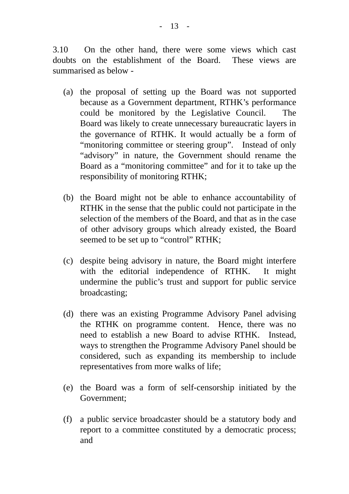3.10 On the other hand, there were some views which cast doubts on the establishment of the Board. These views are summarised as below -

- (a) the proposal of setting up the Board was not supported because as a Government department, RTHK's performance could be monitored by the Legislative Council. The Board was likely to create unnecessary bureaucratic layers in the governance of RTHK. It would actually be a form of "monitoring committee or steering group". Instead of only "advisory" in nature, the Government should rename the Board as a "monitoring committee" and for it to take up the responsibility of monitoring RTHK;
- (b) the Board might not be able to enhance accountability of RTHK in the sense that the public could not participate in the selection of the members of the Board, and that as in the case of other advisory groups which already existed, the Board seemed to be set up to "control" RTHK;
- (c) despite being advisory in nature, the Board might interfere with the editorial independence of RTHK. It might undermine the public's trust and support for public service broadcasting;
- (d) there was an existing Programme Advisory Panel advising the RTHK on programme content. Hence, there was no need to establish a new Board to advise RTHK. Instead, ways to strengthen the Programme Advisory Panel should be considered, such as expanding its membership to include representatives from more walks of life;
- (e) the Board was a form of self-censorship initiated by the Government;
- (f) a public service broadcaster should be a statutory body and report to a committee constituted by a democratic process; and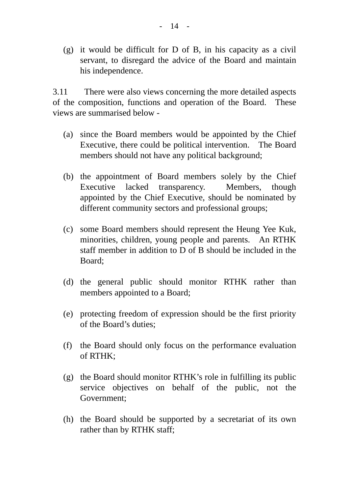(g) it would be difficult for D of B, in his capacity as a civil servant, to disregard the advice of the Board and maintain his independence.

3.11 There were also views concerning the more detailed aspects of the composition, functions and operation of the Board. These views are summarised below -

- (a) since the Board members would be appointed by the Chief Executive, there could be political intervention. The Board members should not have any political background;
- (b) the appointment of Board members solely by the Chief Executive lacked transparency. Members, though appointed by the Chief Executive, should be nominated by different community sectors and professional groups;
- (c) some Board members should represent the Heung Yee Kuk, minorities, children, young people and parents. An RTHK staff member in addition to D of B should be included in the Board;
- (d) the general public should monitor RTHK rather than members appointed to a Board;
- (e) protecting freedom of expression should be the first priority of the Board's duties;
- (f) the Board should only focus on the performance evaluation of RTHK;
- (g) the Board should monitor RTHK's role in fulfilling its public service objectives on behalf of the public, not the Government;
- (h) the Board should be supported by a secretariat of its own rather than by RTHK staff;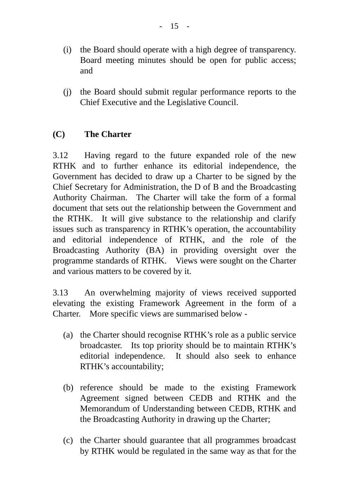- (i) the Board should operate with a high degree of transparency. Board meeting minutes should be open for public access; and
- (j) the Board should submit regular performance reports to the Chief Executive and the Legislative Council.

# **(C) The Charter**

3.12 Having regard to the future expanded role of the new RTHK and to further enhance its editorial independence, the Government has decided to draw up a Charter to be signed by the Chief Secretary for Administration, the D of B and the Broadcasting Authority Chairman. The Charter will take the form of a formal document that sets out the relationship between the Government and the RTHK. It will give substance to the relationship and clarify issues such as transparency in RTHK's operation, the accountability and editorial independence of RTHK, and the role of the Broadcasting Authority (BA) in providing oversight over the programme standards of RTHK. Views were sought on the Charter and various matters to be covered by it.

3.13 An overwhelming majority of views received supported elevating the existing Framework Agreement in the form of a Charter. More specific views are summarised below -

- (a) the Charter should recognise RTHK's role as a public service broadcaster. Its top priority should be to maintain RTHK's editorial independence. It should also seek to enhance RTHK's accountability;
- (b) reference should be made to the existing Framework Agreement signed between CEDB and RTHK and the Memorandum of Understanding between CEDB, RTHK and the Broadcasting Authority in drawing up the Charter;
- (c) the Charter should guarantee that all programmes broadcast by RTHK would be regulated in the same way as that for the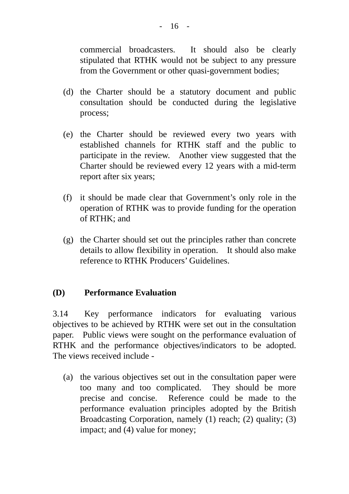commercial broadcasters. It should also be clearly stipulated that RTHK would not be subject to any pressure from the Government or other quasi-government bodies;

- (d) the Charter should be a statutory document and public consultation should be conducted during the legislative process;
- (e) the Charter should be reviewed every two years with established channels for RTHK staff and the public to participate in the review. Another view suggested that the Charter should be reviewed every 12 years with a mid-term report after six years;
- (f) it should be made clear that Government's only role in the operation of RTHK was to provide funding for the operation of RTHK; and
- (g) the Charter should set out the principles rather than concrete details to allow flexibility in operation. It should also make reference to RTHK Producers' Guidelines.

## **(D) Performance Evaluation**

3.14 Key performance indicators for evaluating various objectives to be achieved by RTHK were set out in the consultation paper. Public views were sought on the performance evaluation of RTHK and the performance objectives/indicators to be adopted. The views received include -

(a) the various objectives set out in the consultation paper were too many and too complicated. They should be more precise and concise. Reference could be made to the performance evaluation principles adopted by the British Broadcasting Corporation, namely (1) reach; (2) quality; (3) impact; and (4) value for money;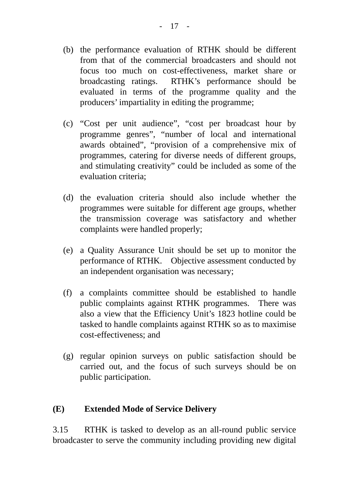- (b) the performance evaluation of RTHK should be different from that of the commercial broadcasters and should not focus too much on cost-effectiveness, market share or broadcasting ratings. RTHK's performance should be evaluated in terms of the programme quality and the producers' impartiality in editing the programme;
- (c) "Cost per unit audience", "cost per broadcast hour by programme genres", "number of local and international awards obtained", "provision of a comprehensive mix of programmes, catering for diverse needs of different groups, and stimulating creativity" could be included as some of the evaluation criteria;
- (d) the evaluation criteria should also include whether the programmes were suitable for different age groups, whether the transmission coverage was satisfactory and whether complaints were handled properly;
- (e) a Quality Assurance Unit should be set up to monitor the performance of RTHK. Objective assessment conducted by an independent organisation was necessary;
- (f) a complaints committee should be established to handle public complaints against RTHK programmes. There was also a view that the Efficiency Unit's 1823 hotline could be tasked to handle complaints against RTHK so as to maximise cost-effectiveness; and
- (g) regular opinion surveys on public satisfaction should be carried out, and the focus of such surveys should be on public participation.

## **(E) Extended Mode of Service Delivery**

3.15 RTHK is tasked to develop as an all-round public service broadcaster to serve the community including providing new digital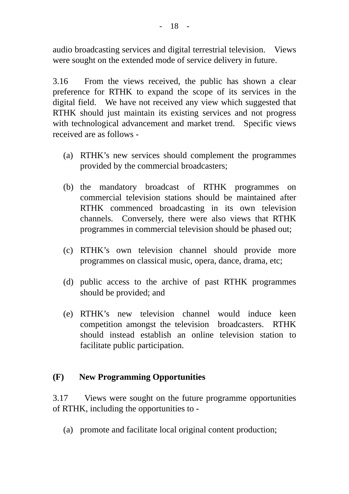audio broadcasting services and digital terrestrial television. Views were sought on the extended mode of service delivery in future.

3.16 From the views received, the public has shown a clear preference for RTHK to expand the scope of its services in the digital field. We have not received any view which suggested that RTHK should just maintain its existing services and not progress with technological advancement and market trend. Specific views received are as follows -

- (a) RTHK's new services should complement the programmes provided by the commercial broadcasters;
- (b) the mandatory broadcast of RTHK programmes on commercial television stations should be maintained after RTHK commenced broadcasting in its own television channels. Conversely, there were also views that RTHK programmes in commercial television should be phased out;
- (c) RTHK's own television channel should provide more programmes on classical music, opera, dance, drama, etc;
- (d) public access to the archive of past RTHK programmes should be provided; and
- (e) RTHK's new television channel would induce keen competition amongst the television broadcasters. RTHK should instead establish an online television station to facilitate public participation.

## **(F) New Programming Opportunities**

3.17 Views were sought on the future programme opportunities of RTHK, including the opportunities to -

(a) promote and facilitate local original content production;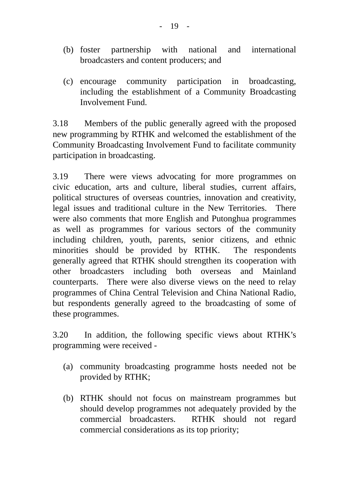- (b) foster partnership with national and international broadcasters and content producers; and
- (c) encourage community participation in broadcasting, including the establishment of a Community Broadcasting Involvement Fund.

3.18 Members of the public generally agreed with the proposed new programming by RTHK and welcomed the establishment of the Community Broadcasting Involvement Fund to facilitate community participation in broadcasting.

3.19 There were views advocating for more programmes on civic education, arts and culture, liberal studies, current affairs, political structures of overseas countries, innovation and creativity, legal issues and traditional culture in the New Territories. There were also comments that more English and Putonghua programmes as well as programmes for various sectors of the community including children, youth, parents, senior citizens, and ethnic minorities should be provided by RTHK. The respondents generally agreed that RTHK should strengthen its cooperation with other broadcasters including both overseas and Mainland counterparts. There were also diverse views on the need to relay programmes of China Central Television and China National Radio, but respondents generally agreed to the broadcasting of some of these programmes.

3.20 In addition, the following specific views about RTHK's programming were received -

- (a) community broadcasting programme hosts needed not be provided by RTHK;
- (b) RTHK should not focus on mainstream programmes but should develop programmes not adequately provided by the commercial broadcasters. RTHK should not regard commercial considerations as its top priority;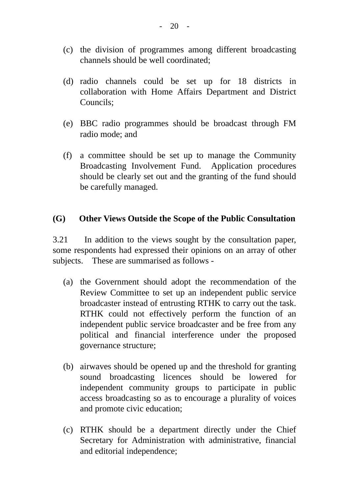- (c) the division of programmes among different broadcasting channels should be well coordinated;
- (d) radio channels could be set up for 18 districts in collaboration with Home Affairs Department and District Councils;
- (e) BBC radio programmes should be broadcast through FM radio mode; and
- (f) a committee should be set up to manage the Community Broadcasting Involvement Fund. Application procedures should be clearly set out and the granting of the fund should be carefully managed.

#### **(G) Other Views Outside the Scope of the Public Consultation**

3.21 In addition to the views sought by the consultation paper, some respondents had expressed their opinions on an array of other subjects. These are summarised as follows -

- (a) the Government should adopt the recommendation of the Review Committee to set up an independent public service broadcaster instead of entrusting RTHK to carry out the task. RTHK could not effectively perform the function of an independent public service broadcaster and be free from any political and financial interference under the proposed governance structure;
- (b) airwaves should be opened up and the threshold for granting sound broadcasting licences should be lowered for independent community groups to participate in public access broadcasting so as to encourage a plurality of voices and promote civic education;
- (c) RTHK should be a department directly under the Chief Secretary for Administration with administrative, financial and editorial independence;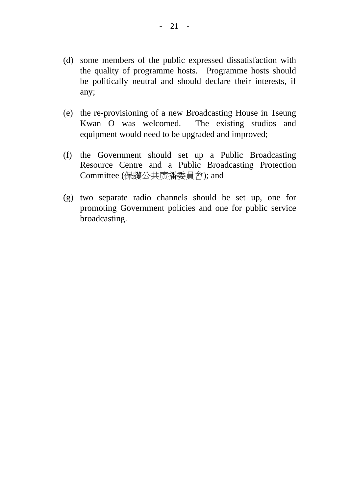- (d) some members of the public expressed dissatisfaction with the quality of programme hosts. Programme hosts should be politically neutral and should declare their interests, if any;
- (e) the re-provisioning of a new Broadcasting House in Tseung Kwan O was welcomed. The existing studios and equipment would need to be upgraded and improved;
- (f) the Government should set up a Public Broadcasting Resource Centre and a Public Broadcasting Protection Committee (保護公共廣播委員會); and
- (g) two separate radio channels should be set up, one for promoting Government policies and one for public service broadcasting.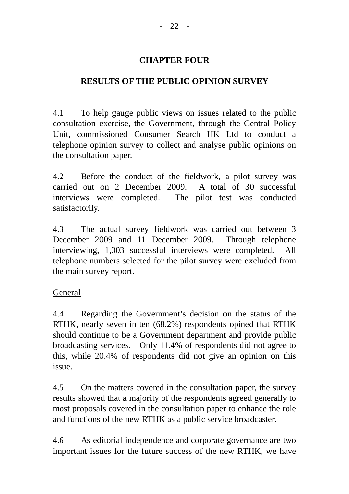## **CHAPTER FOUR**

# **RESULTS OF THE PUBLIC OPINION SURVEY**

4.1 To help gauge public views on issues related to the public consultation exercise, the Government, through the Central Policy Unit, commissioned Consumer Search HK Ltd to conduct a telephone opinion survey to collect and analyse public opinions on the consultation paper.

4.2 Before the conduct of the fieldwork, a pilot survey was carried out on 2 December 2009. A total of 30 successful interviews were completed. The pilot test was conducted satisfactorily.

4.3 The actual survey fieldwork was carried out between 3 December 2009 and 11 December 2009. Through telephone interviewing, 1,003 successful interviews were completed. All telephone numbers selected for the pilot survey were excluded from the main survey report.

## General

4.4 Regarding the Government's decision on the status of the RTHK, nearly seven in ten (68.2%) respondents opined that RTHK should continue to be a Government department and provide public broadcasting services. Only 11.4% of respondents did not agree to this, while 20.4% of respondents did not give an opinion on this issue.

4.5 On the matters covered in the consultation paper, the survey results showed that a majority of the respondents agreed generally to most proposals covered in the consultation paper to enhance the role and functions of the new RTHK as a public service broadcaster.

4.6 As editorial independence and corporate governance are two important issues for the future success of the new RTHK, we have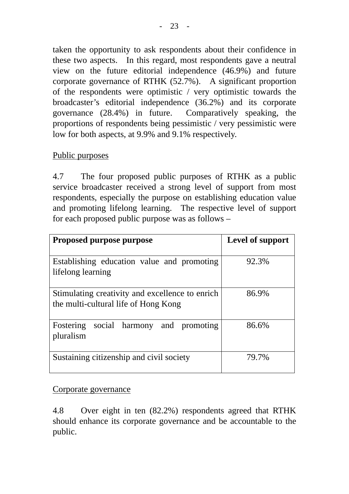taken the opportunity to ask respondents about their confidence in these two aspects. In this regard, most respondents gave a neutral view on the future editorial independence (46.9%) and future corporate governance of RTHK (52.7%). A significant proportion of the respondents were optimistic / very optimistic towards the broadcaster's editorial independence (36.2%) and its corporate governance (28.4%) in future. Comparatively speaking, the proportions of respondents being pessimistic / very pessimistic were low for both aspects, at 9.9% and 9.1% respectively.

## Public purposes

4.7 The four proposed public purposes of RTHK as a public service broadcaster received a strong level of support from most respondents, especially the purpose on establishing education value and promoting lifelong learning. The respective level of support for each proposed public purpose was as follows –

| <b>Proposed purpose purpose</b>                                                         | Level of support |
|-----------------------------------------------------------------------------------------|------------------|
| Establishing education value and promoting<br>lifelong learning                         | 92.3%            |
| Stimulating creativity and excellence to enrich<br>the multi-cultural life of Hong Kong | 86.9%            |
| social harmony and promoting<br>Fostering<br>pluralism                                  | 86.6%            |
| Sustaining citizenship and civil society                                                | 79.7%            |

Corporate governance

4.8 Over eight in ten (82.2%) respondents agreed that RTHK should enhance its corporate governance and be accountable to the public.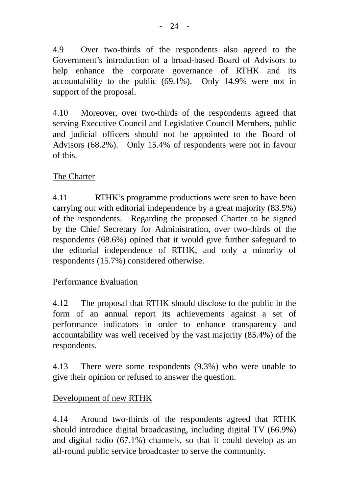4.9 Over two-thirds of the respondents also agreed to the Government's introduction of a broad-based Board of Advisors to help enhance the corporate governance of RTHK and its accountability to the public (69.1%). Only 14.9% were not in support of the proposal.

4.10 Moreover, over two-thirds of the respondents agreed that serving Executive Council and Legislative Council Members, public and judicial officers should not be appointed to the Board of Advisors (68.2%). Only 15.4% of respondents were not in favour of this.

# The Charter

4.11 RTHK's programme productions were seen to have been carrying out with editorial independence by a great majority (83.5%) of the respondents. Regarding the proposed Charter to be signed by the Chief Secretary for Administration, over two-thirds of the respondents (68.6%) opined that it would give further safeguard to the editorial independence of RTHK, and only a minority of respondents (15.7%) considered otherwise.

## Performance Evaluation

4.12 The proposal that RTHK should disclose to the public in the form of an annual report its achievements against a set of performance indicators in order to enhance transparency and accountability was well received by the vast majority (85.4%) of the respondents.

4.13 There were some respondents (9.3%) who were unable to give their opinion or refused to answer the question.

## Development of new RTHK

4.14 Around two-thirds of the respondents agreed that RTHK should introduce digital broadcasting, including digital TV (66.9%) and digital radio (67.1%) channels, so that it could develop as an all-round public service broadcaster to serve the community.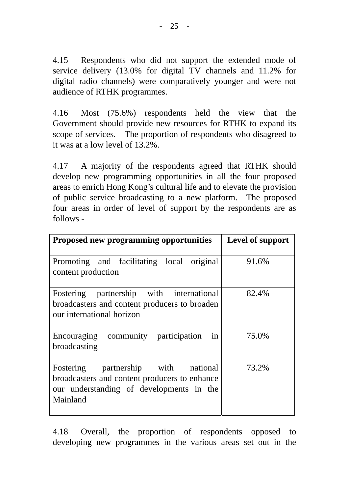4.15 Respondents who did not support the extended mode of service delivery (13.0% for digital TV channels and 11.2% for digital radio channels) were comparatively younger and were not audience of RTHK programmes.

4.16 Most (75.6%) respondents held the view that the Government should provide new resources for RTHK to expand its scope of services. The proportion of respondents who disagreed to it was at a low level of 13.2%.

4.17 A majority of the respondents agreed that RTHK should develop new programming opportunities in all the four proposed areas to enrich Hong Kong's cultural life and to elevate the provision of public service broadcasting to a new platform. The proposed four areas in order of level of support by the respondents are as follows -

| <b>Proposed new programming opportunities</b>                                                                                                      | Level of support |
|----------------------------------------------------------------------------------------------------------------------------------------------------|------------------|
| Promoting and facilitating local original<br>content production                                                                                    | 91.6%            |
| Fostering partnership with international<br>broadcasters and content producers to broaden<br>our international horizon                             | 82.4%            |
| in<br>Encouraging community participation<br>broadcasting                                                                                          | 75.0%            |
| partnership with<br>national<br>Fostering<br>broadcasters and content producers to enhance<br>our understanding of developments in the<br>Mainland | 73.2%            |

4.18 Overall, the proportion of respondents opposed to developing new programmes in the various areas set out in the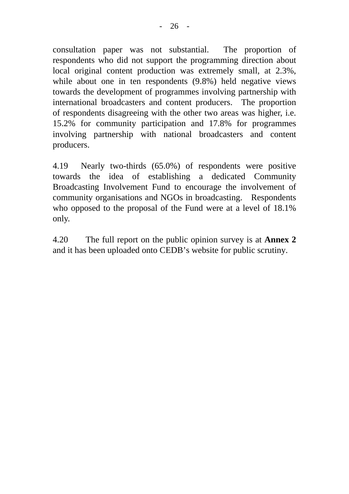consultation paper was not substantial. The proportion of respondents who did not support the programming direction about local original content production was extremely small, at 2.3%, while about one in ten respondents (9.8%) held negative views towards the development of programmes involving partnership with international broadcasters and content producers. The proportion of respondents disagreeing with the other two areas was higher, i.e. 15.2% for community participation and 17.8% for programmes involving partnership with national broadcasters and content producers.

4.19 Nearly two-thirds (65.0%) of respondents were positive towards the idea of establishing a dedicated Community Broadcasting Involvement Fund to encourage the involvement of community organisations and NGOs in broadcasting. Respondents who opposed to the proposal of the Fund were at a level of 18.1% only.

4.20 The full report on the public opinion survey is at **Annex 2** and it has been uploaded onto CEDB's website for public scrutiny.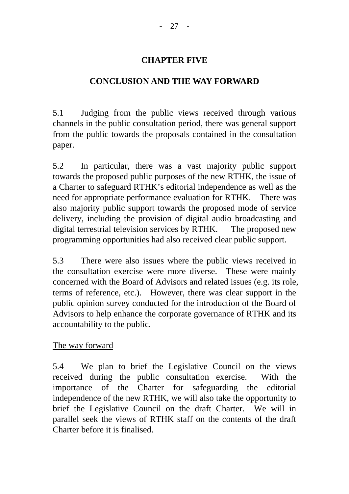## **CHAPTER FIVE**

# **CONCLUSION AND THE WAY FORWARD**

5.1 Judging from the public views received through various channels in the public consultation period, there was general support from the public towards the proposals contained in the consultation paper.

5.2 In particular, there was a vast majority public support towards the proposed public purposes of the new RTHK, the issue of a Charter to safeguard RTHK's editorial independence as well as the need for appropriate performance evaluation for RTHK. There was also majority public support towards the proposed mode of service delivery, including the provision of digital audio broadcasting and digital terrestrial television services by RTHK. The proposed new programming opportunities had also received clear public support.

5.3 There were also issues where the public views received in the consultation exercise were more diverse. These were mainly concerned with the Board of Advisors and related issues (e.g. its role, terms of reference, etc.). However, there was clear support in the public opinion survey conducted for the introduction of the Board of Advisors to help enhance the corporate governance of RTHK and its accountability to the public.

## The way forward

5.4 We plan to brief the Legislative Council on the views received during the public consultation exercise. With the importance of the Charter for safeguarding the editorial independence of the new RTHK, we will also take the opportunity to brief the Legislative Council on the draft Charter. We will in parallel seek the views of RTHK staff on the contents of the draft Charter before it is finalised.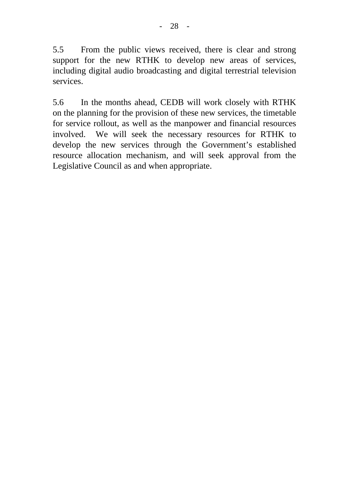5.5 From the public views received, there is clear and strong support for the new RTHK to develop new areas of services, including digital audio broadcasting and digital terrestrial television services.

5.6 In the months ahead, CEDB will work closely with RTHK on the planning for the provision of these new services, the timetable for service rollout, as well as the manpower and financial resources involved. We will seek the necessary resources for RTHK to develop the new services through the Government's established resource allocation mechanism, and will seek approval from the Legislative Council as and when appropriate.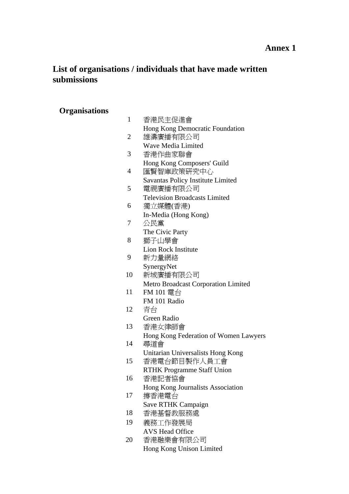#### **Annex 1**

# **List of organisations / individuals that have made written submissions**

# **Organisations**

| $\mathbf{1}$ | 香港民主促進會                               |
|--------------|---------------------------------------|
|              | Hong Kong Democratic Foundation       |
| 2            | 雄濤廣播有限公司                              |
|              | <b>Wave Media Limited</b>             |
| 3            | 香港作曲家聯會                               |
|              | Hong Kong Composers' Guild            |
| 4            | 匯賢智庫政策研究中心                            |
|              | Savantas Policy Institute Limited     |
| 5            | 電視廣播有限公司                              |
|              | <b>Television Broadcasts Limited</b>  |
| 6            | 獨立媒體(香港)                              |
|              | In-Media (Hong Kong)                  |
| 7            | 公民黨                                   |
|              | The Civic Party                       |
| 8            | 獅子山學會                                 |
|              | <b>Lion Rock Institute</b>            |
| 9            | 新力量網絡                                 |
|              | SynergyNet                            |
| 10           | 新城廣播有限公司                              |
|              | Metro Broadcast Corporation Limited   |
| 11           | FM 101 電台                             |
|              | FM 101 Radio                          |
| 12           | 青台                                    |
|              | Green Radio                           |
| 13           | 香港女律師會                                |
|              | Hong Kong Federation of Women Lawyers |
| 14           | 尋道會                                   |
|              | Unitarian Universalists Hong Kong     |
| 15           | 香港電台節目製作人員工會                          |
|              | <b>RTHK Programme Staff Union</b>     |
| 16           | 香港記者協會                                |
|              | Hong Kong Journalists Association     |
| 17           | 撐香港電台                                 |
|              | Save RTHK Campaign                    |
| 18           | 香港基督教服務處                              |
| 19           | 義務工作發展局                               |
|              | <b>AVS Head Office</b>                |
| 20           | 香港融樂會有限公司                             |
|              | Hong Kong Unison Limited              |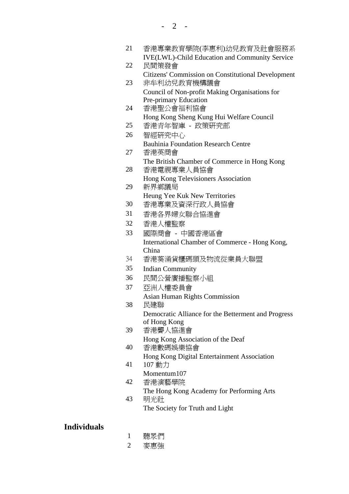| 21 | 香港專業教育學院(李惠利)幼兒教育及社會服務系<br><b>IVE(LWL)-Child Education and Community Service</b> |
|----|----------------------------------------------------------------------------------|
| 22 | 民間策發會                                                                            |
|    | <b>Citizens' Commission on Constitutional Development</b>                        |
| 23 | 非牟利幼兒教育機構議會                                                                      |
|    | Council of Non-profit Making Organisations for                                   |
|    | Pre-primary Education                                                            |
| 24 | 香港聖公會福利協會                                                                        |
|    | Hong Kong Sheng Kung Hui Welfare Council                                         |
| 25 | 香港青年智庫 - 政策研究部                                                                   |
| 26 | 智經研究中心                                                                           |
|    | <b>Bauhinia Foundation Research Centre</b>                                       |
| 27 | 香港英商會                                                                            |
|    | The British Chamber of Commerce in Hong Kong                                     |
| 28 | 香港電視專業人員協會                                                                       |
|    | Hong Kong Televisioners Association                                              |
| 29 | 新界鄉議局                                                                            |
|    | Heung Yee Kuk New Territories                                                    |
| 30 | 香港專業及資深行政人員協會                                                                    |
| 31 | 香港各界婦女聯合協進會                                                                      |
| 32 | 香港人權監察                                                                           |
| 33 | 國際商會 - 中國香港區會                                                                    |
|    | International Chamber of Commerce - Hong Kong,                                   |
|    | China                                                                            |
| 34 | 香港葵涌貨櫃碼頭及物流從業員大聯盟                                                                |
| 35 | <b>Indian Community</b>                                                          |
| 36 | 民間公營廣播監察小組                                                                       |
| 37 | 亞洲人權委員會                                                                          |
|    | <b>Asian Human Rights Commission</b>                                             |
| 38 | 民建聯                                                                              |
|    | Democratic Alliance for the Betterment and Progress                              |
|    | of Hong Kong                                                                     |
| 39 | 香港聾人協進會                                                                          |
|    | Hong Kong Association of the Deaf                                                |
| 40 | 香港數碼娛樂協會                                                                         |
|    | Hong Kong Digital Entertainment Association                                      |
| 41 | 107 動力                                                                           |
|    | Momentum107                                                                      |
| 42 | 香港演藝學院                                                                           |
|    | The Hong Kong Academy for Performing Arts                                        |
| 43 | 明光社                                                                              |
|    | The Society for Truth and Light                                                  |
|    |                                                                                  |

## **Individuals**

- 1 聽眾們
- 2 麥惠強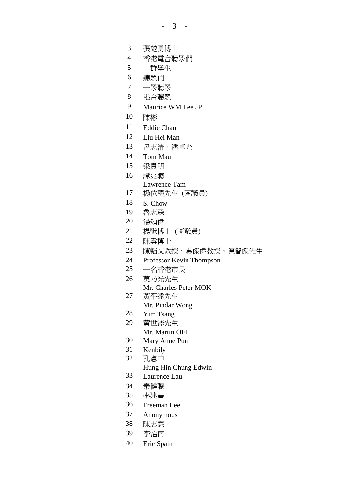- 3 -

- 張楚勇博士
- 香港電台聽眾們
- 一群學生
- 聽眾們
- 一眾聽眾
- 港台聽眾
- Maurice WM Lee JP
- 陳彬
- Eddie Chan
- Liu Hei Man
- 呂志清、潘卓光
- Tom Mau
- 梁貴明
- 譚兆聰
	- Lawrence Tam
- 楊位醒先生 (區議員)
- S. Chow
- 魯志森
- 湯頌偉
- 楊默博士 (區議員)
- 陳雲博士
- 陳轁文教授、馬傑偉教授、陳智傑先生
- Professor Kevin Thompson
- 一名香港市民
- 莫乃光先生
	- Mr. Charles Peter MOK
- 黃平達先生
	- Mr. Pindar Wong
- Yim Tsang
- 黃世澤先生 Mr. Martin OEI
- Mary Anne Pun
- Kenbily
- 孔憲中
	- Hung Hin Chung Edwin
- Laurence Lau
- 秦健聰
- 李建華
- Freeman Lee
- Anonymous
- 陳志慧
- 李治南
- Eric Spain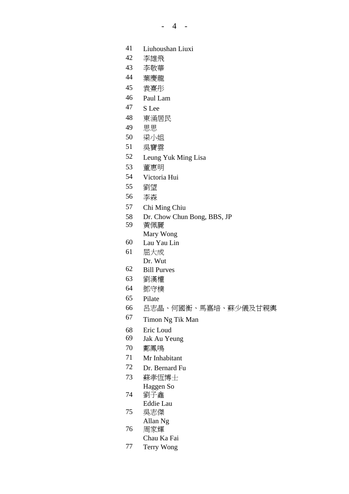- Liuhoushan Liuxi
- 李雄飛
- 李敬華
- 葉慶龍
- 袁熹彤
- Paul Lam
- S Lee
- 東涌居民
- 思思
- 梁小姐
- 吳寶雲
- Leung Yuk Ming Lisa
- 董惠明
- Victoria Hui
- 劉望
- 李森
- Chi Ming Chiu
- Dr. Chow Chun Bong, BBS, JP
- 黃佩麗 Mary Wong
- Lau Yau Lin
- 屈大成 Dr. Wut
- Bill Purves
- 劉漢權
- 鄧守樸
- Pilate
- 呂志晶、何國衡、馬嘉培、蘇少儀及甘親輿
- Timon Ng Tik Man
- Eric Loud
- Jak Au Yeung
- 鄺鳳鳴
- Mr Inhabitant
- Dr. Bernard Fu
- 蘇孝恆博士 Haggen So
- 劉子鑫
- Eddie Lau
- 吳志傑
- Allan Ng 周家輝
	- Chau Ka Fai
- Terry Wong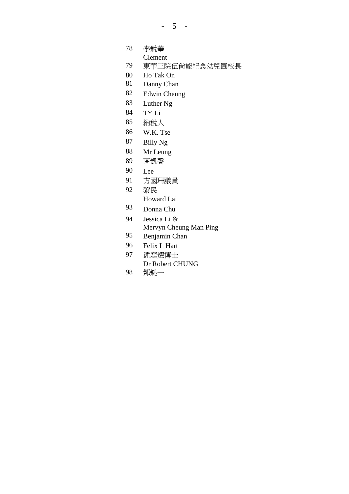- 5 -

李銳華

Clement

- 東華三院伍尚能紀念幼兒園校長
- Ho Tak On
- Danny Chan
- Edwin Cheung
- Luther Ng
- TY Li
- 納稅人
- W.K. Tse
- Billy Ng
- Mr Leung
- 區凱聲
- Lee
- 方國珊議員
- 黎民
	- Howard Lai
- Donna Chu
- Jessica Li & Mervyn Cheung Man Ping
- Benjamin Chan
- Felix L Hart
- 鍾庭耀博士 Dr Robert CHUNG
- 鄧鍵一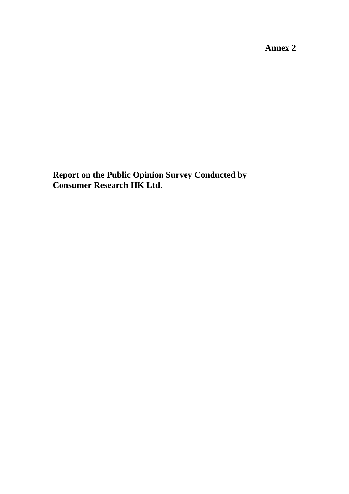**Annex 2** 

**Report on the Public Opinion Survey Conducted by Consumer Research HK Ltd.**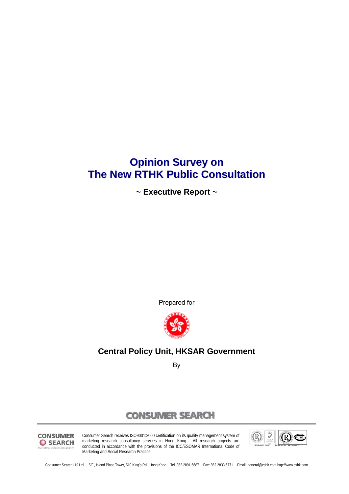# **Opinion Survey on The New RTHK Public Consultation**

**~ Executive Report ~** 

Prepared for



## **Central Policy Unit, HKSAR Government**

By

## **CONSUMER SEARCH**



Consumer Search receives ISO9001:2000 certification on its quality management system of marketing research consultancy services in Hong Kong. All research projects are conducted in accordance with the provisions of the ICC/ESOMAR International Code of Marketing and Social Research Practice.



Consumer Search HK Ltd. 5/F., Island Place Tower, 510 King's Rd., Hong Kong Tel: 852 2891 6687 Fax: 852 2833 6771 Email: general@cshk.com http://www.cshk.com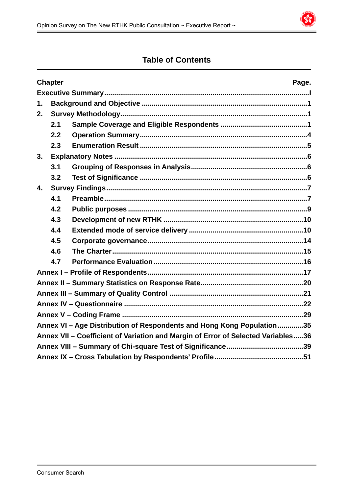

## **Table of Contents**

|    | <b>Chapter</b> | Page.                                                                            |
|----|----------------|----------------------------------------------------------------------------------|
|    |                |                                                                                  |
| 1. |                |                                                                                  |
| 2. |                |                                                                                  |
|    | 2.1            |                                                                                  |
|    | 2.2            |                                                                                  |
|    | 2.3            |                                                                                  |
| 3. |                |                                                                                  |
|    | 3.1            |                                                                                  |
|    | 3.2            |                                                                                  |
| 4. |                |                                                                                  |
|    | 4.1            |                                                                                  |
|    | 4.2            |                                                                                  |
|    | 4.3            |                                                                                  |
|    | 4.4            |                                                                                  |
|    | 4.5            |                                                                                  |
|    | 4.6            |                                                                                  |
|    | 4.7            |                                                                                  |
|    |                |                                                                                  |
|    |                |                                                                                  |
|    |                |                                                                                  |
|    |                |                                                                                  |
|    |                |                                                                                  |
|    |                | Annex VI - Age Distribution of Respondents and Hong Kong Population35            |
|    |                | Annex VII - Coefficient of Variation and Margin of Error of Selected Variables36 |
|    |                |                                                                                  |
|    |                |                                                                                  |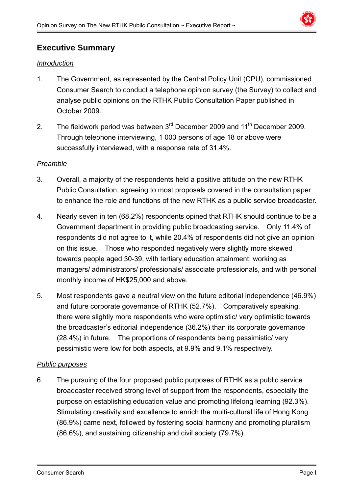

## **Executive Summary**

#### *Introduction*

- 1. The Government, as represented by the Central Policy Unit (CPU), commissioned Consumer Search to conduct a telephone opinion survey (the Survey) to collect and analyse public opinions on the RTHK Public Consultation Paper published in October 2009.
- 2. The fieldwork period was between  $3<sup>rd</sup>$  December 2009 and  $11<sup>th</sup>$  December 2009. Through telephone interviewing, 1 003 persons of age 18 or above were successfully interviewed, with a response rate of 31.4%.

#### *Preamble*

- 3. Overall, a majority of the respondents held a positive attitude on the new RTHK Public Consultation, agreeing to most proposals covered in the consultation paper to enhance the role and functions of the new RTHK as a public service broadcaster.
- 4. Nearly seven in ten (68.2%) respondents opined that RTHK should continue to be a Government department in providing public broadcasting service. Only 11.4% of respondents did not agree to it, while 20.4% of respondents did not give an opinion on this issue. Those who responded negatively were slightly more skewed towards people aged 30-39, with tertiary education attainment, working as managers/ administrators/ professionals/ associate professionals, and with personal monthly income of HK\$25,000 and above.
- 5. Most respondents gave a neutral view on the future editorial independence (46.9%) and future corporate governance of RTHK (52.7%). Comparatively speaking, there were slightly more respondents who were optimistic/ very optimistic towards the broadcaster's editorial independence (36.2%) than its corporate governance (28.4%) in future. The proportions of respondents being pessimistic/ very pessimistic were low for both aspects, at 9.9% and 9.1% respectively.

#### *Public purposes*

6. The pursuing of the four proposed public purposes of RTHK as a public service broadcaster received strong level of support from the respondents, especially the purpose on establishing education value and promoting lifelong learning (92.3%). Stimulating creativity and excellence to enrich the multi-cultural life of Hong Kong (86.9%) came next, followed by fostering social harmony and promoting pluralism (86.6%), and sustaining citizenship and civil society (79.7%).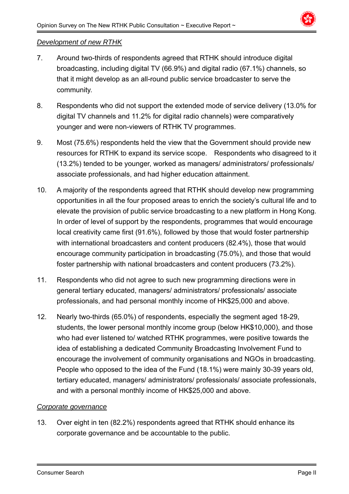

#### *Development of new RTHK*

- 7. Around two-thirds of respondents agreed that RTHK should introduce digital broadcasting, including digital TV (66.9%) and digital radio (67.1%) channels, so that it might develop as an all-round public service broadcaster to serve the community.
- 8. Respondents who did not support the extended mode of service delivery (13.0% for digital TV channels and 11.2% for digital radio channels) were comparatively younger and were non-viewers of RTHK TV programmes.
- 9. Most (75.6%) respondents held the view that the Government should provide new resources for RTHK to expand its service scope. Respondents who disagreed to it (13.2%) tended to be younger, worked as managers/ administrators/ professionals/ associate professionals, and had higher education attainment.
- 10. A majority of the respondents agreed that RTHK should develop new programming opportunities in all the four proposed areas to enrich the society's cultural life and to elevate the provision of public service broadcasting to a new platform in Hong Kong. In order of level of support by the respondents, programmes that would encourage local creativity came first (91.6%), followed by those that would foster partnership with international broadcasters and content producers (82.4%), those that would encourage community participation in broadcasting (75.0%), and those that would foster partnership with national broadcasters and content producers (73.2%).
- 11. Respondents who did not agree to such new programming directions were in general tertiary educated, managers/ administrators/ professionals/ associate professionals, and had personal monthly income of HK\$25,000 and above.
- 12. Nearly two-thirds (65.0%) of respondents, especially the segment aged 18-29, students, the lower personal monthly income group (below HK\$10,000), and those who had ever listened to/ watched RTHK programmes, were positive towards the idea of establishing a dedicated Community Broadcasting Involvement Fund to encourage the involvement of community organisations and NGOs in broadcasting. People who opposed to the idea of the Fund (18.1%) were mainly 30-39 years old, tertiary educated, managers/ administrators/ professionals/ associate professionals, and with a personal monthly income of HK\$25,000 and above.

#### *Corporate governance*

13. Over eight in ten (82.2%) respondents agreed that RTHK should enhance its corporate governance and be accountable to the public.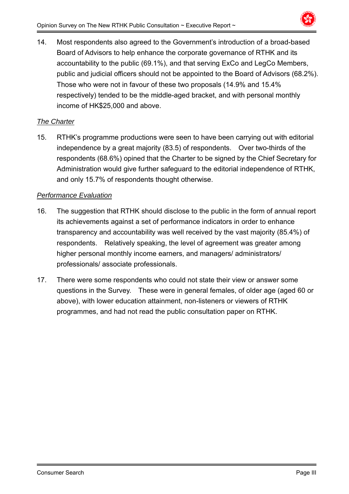

14. Most respondents also agreed to the Government's introduction of a broad-based Board of Advisors to help enhance the corporate governance of RTHK and its accountability to the public (69.1%), and that serving ExCo and LegCo Members, public and judicial officers should not be appointed to the Board of Advisors (68.2%). Those who were not in favour of these two proposals (14.9% and 15.4% respectively) tended to be the middle-aged bracket, and with personal monthly income of HK\$25,000 and above.

## *The Charter*

15. RTHK's programme productions were seen to have been carrying out with editorial independence by a great majority (83.5) of respondents. Over two-thirds of the respondents (68.6%) opined that the Charter to be signed by the Chief Secretary for Administration would give further safeguard to the editorial independence of RTHK, and only 15.7% of respondents thought otherwise.

## *Performance Evaluation*

- 16. The suggestion that RTHK should disclose to the public in the form of annual report its achievements against a set of performance indicators in order to enhance transparency and accountability was well received by the vast majority (85.4%) of respondents. Relatively speaking, the level of agreement was greater among higher personal monthly income earners, and managers/ administrators/ professionals/ associate professionals.
- 17. There were some respondents who could not state their view or answer some questions in the Survey. These were in general females, of older age (aged 60 or above), with lower education attainment, non-listeners or viewers of RTHK programmes, and had not read the public consultation paper on RTHK.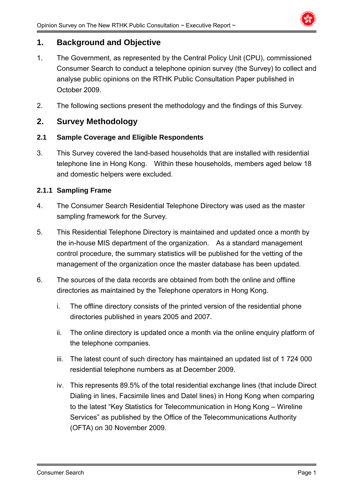

## **1. Background and Objective**

- 1. The Government, as represented by the Central Policy Unit (CPU), commissioned Consumer Search to conduct a telephone opinion survey (the Survey) to collect and analyse public opinions on the RTHK Public Consultation Paper published in October 2009.
- 2. The following sections present the methodology and the findings of this Survey.

## **2. Survey Methodology**

#### **2.1 Sample Coverage and Eligible Respondents**

3. This Survey covered the land-based households that are installed with residential telephone line in Hong Kong. Within these households, members aged below 18 and domestic helpers were excluded.

#### **2.1.1 Sampling Frame**

- 4. The Consumer Search Residential Telephone Directory was used as the master sampling framework for the Survey.
- 5. This Residential Telephone Directory is maintained and updated once a month by the in-house MIS department of the organization. As a standard management control procedure, the summary statistics will be published for the vetting of the management of the organization once the master database has been updated.
- 6. The sources of the data records are obtained from both the online and offline directories as maintained by the Telephone operators in Hong Kong.
	- i. The offline directory consists of the printed version of the residential phone directories published in years 2005 and 2007.
	- ii. The online directory is updated once a month via the online enquiry platform of the telephone companies.
	- iii. The latest count of such directory has maintained an updated list of 1 724 000 residential telephone numbers as at December 2009.
	- iv. This represents 89.5% of the total residential exchange lines (that include Direct Dialing in lines, Facsimile lines and Datel lines) in Hong Kong when comparing to the latest "Key Statistics for Telecommunication in Hong Kong – Wireline Services" as published by the Office of the Telecommunications Authority (OFTA) on 30 November 2009.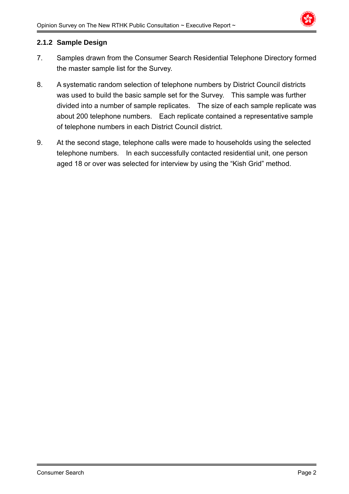

#### **2.1.2 Sample Design**

- 7. Samples drawn from the Consumer Search Residential Telephone Directory formed the master sample list for the Survey.
- 8. A systematic random selection of telephone numbers by District Council districts was used to build the basic sample set for the Survey. This sample was further divided into a number of sample replicates. The size of each sample replicate was about 200 telephone numbers. Each replicate contained a representative sample of telephone numbers in each District Council district.
- 9. At the second stage, telephone calls were made to households using the selected telephone numbers. In each successfully contacted residential unit, one person aged 18 or over was selected for interview by using the "Kish Grid" method.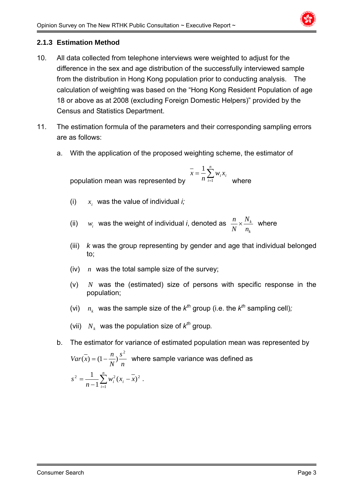

## **2.1.3 Estimation Method**

- 10. All data collected from telephone interviews were weighted to adjust for the difference in the sex and age distribution of the successfully interviewed sample from the distribution in Hong Kong population prior to conducting analysis. The calculation of weighting was based on the "Hong Kong Resident Population of age 18 or above as at 2008 (excluding Foreign Domestic Helpers)" provided by the Census and Statistics Department.
- 11. The estimation formula of the parameters and their corresponding sampling errors are as follows:
	- a. With the application of the proposed weighting scheme, the estimator of

population mean was represented by  $\overline{x} = \frac{1}{n} \sum_{i=1}^{n}$ *n i*  $\frac{1}{n} \sum_{i=1}^{n} w_i x_i$ *x* 1 1 where

(i)  $x_i$  was the value of individual *i*;

(ii)  $w_i$  was the weight of individual *i*, denoted as *k k n N N*  $\frac{n}{\sum x}$  where

- (iii) *k* was the group representing by gender and age that individual belonged to;
- (iv) *n* was the total sample size of the survey;
- (v) *N* was the (estimated) size of persons with specific response in the population;
- (vi)  $n_k$  was the sample size of the  $k^{th}$  group (i.e. the  $k^{th}$  sampling cell);
- (vii)  $N_k$  was the population size of  $k^{th}$  group.
- b. The estimator for variance of estimated population mean was represented by

*n s N*  $Var(x) = (1 - \frac{n}{x}) \frac{s^2}{x^2}$  $(x) = (1 - \frac{\pi}{x})^{\frac{3}{2}}$  where sample variance was defined as  $=\frac{1}{n-1}\sum_{i=1}^{n}w_i^2(x_i$ *n i*  $\frac{1}{n-1}\sum_{i=1}^{n}w_i^2(x_i-x_i)$ *s*  $2^2 = \frac{1}{n-1} \sum_{i=1}^n w_i^2 (x_i - \overline{x})^2$ .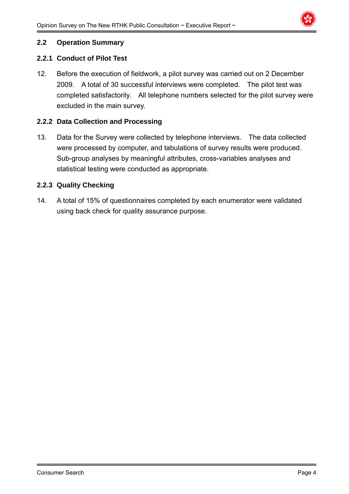

#### **2.2 Operation Summary**

#### **2.2.1 Conduct of Pilot Test**

12. Before the execution of fieldwork, a pilot survey was carried out on 2 December 2009. A total of 30 successful interviews were completed. The pilot test was completed satisfactorily. All telephone numbers selected for the pilot survey were excluded in the main survey.

#### **2.2.2 Data Collection and Processing**

13. Data for the Survey were collected by telephone interviews. The data collected were processed by computer, and tabulations of survey results were produced. Sub-group analyses by meaningful attributes, cross-variables analyses and statistical testing were conducted as appropriate.

#### **2.2.3 Quality Checking**

14. A total of 15% of questionnaires completed by each enumerator were validated using back check for quality assurance purpose.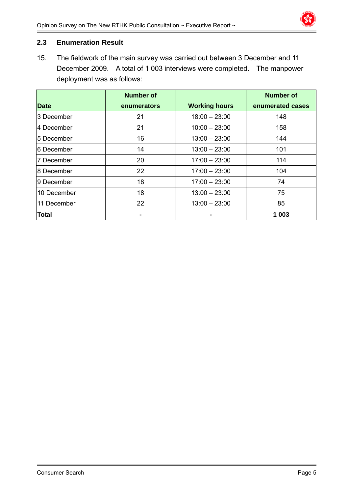#### **2.3 Enumeration Result**

15. The fieldwork of the main survey was carried out between 3 December and 11 December 2009. A total of 1 003 interviews were completed. The manpower deployment was as follows:

|              | <b>Number of</b> |                      | <b>Number of</b> |
|--------------|------------------|----------------------|------------------|
| <b>Date</b>  | enumerators      | <b>Working hours</b> | enumerated cases |
| 3 December   | 21               | $18:00 - 23:00$      | 148              |
| 4 December   | 21               | $10:00 - 23:00$      | 158              |
| 5 December   | 16               | $13:00 - 23:00$      | 144              |
| l6 December  | 14               | $13:00 - 23:00$      | 101              |
| 7 December   | 20               | $17:00 - 23:00$      | 114              |
| 8 December   | 22               | $17:00 - 23:00$      | 104              |
| l9 December  | 18               | $17:00 - 23:00$      | 74               |
| 10 December  | 18               | $13:00 - 23:00$      | 75               |
| 11 December  | 22               | $13:00 - 23:00$      | 85               |
| <b>Total</b> |                  |                      | 1 003            |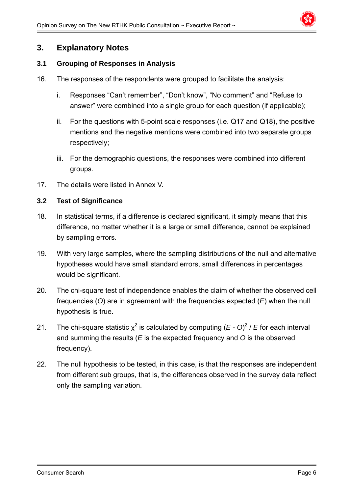

## **3. Explanatory Notes**

#### **3.1 Grouping of Responses in Analysis**

- 16. The responses of the respondents were grouped to facilitate the analysis:
	- i. Responses "Can't remember", "Don't know", "No comment" and "Refuse to answer" were combined into a single group for each question (if applicable);
	- ii. For the questions with 5-point scale responses (i.e. Q17 and Q18), the positive mentions and the negative mentions were combined into two separate groups respectively;
	- iii. For the demographic questions, the responses were combined into different groups.
- 17. The details were listed in Annex V.

#### **3.2 Test of Significance**

- 18. In statistical terms, if a difference is declared significant, it simply means that this difference, no matter whether it is a large or small difference, cannot be explained by sampling errors.
- 19. With very large samples, where the sampling distributions of the null and alternative hypotheses would have small standard errors, small differences in percentages would be significant.
- 20. The chi-square test of independence enables the claim of whether the observed cell frequencies (*O*) are in agreement with the frequencies expected (*E*) when the null hypothesis is true.
- 21. The chi-square statistic  $\chi^2$  is calculated by computing  $(E O)^2 / E$  for each interval and summing the results (*E* is the expected frequency and *O* is the observed frequency).
- 22. The null hypothesis to be tested, in this case, is that the responses are independent from different sub groups, that is, the differences observed in the survey data reflect only the sampling variation.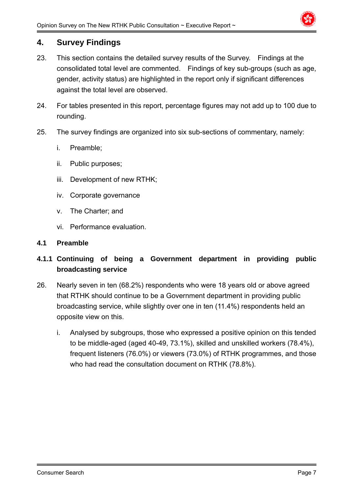

## **4. Survey Findings**

- 23. This section contains the detailed survey results of the Survey. Findings at the consolidated total level are commented. Findings of key sub-groups (such as age, gender, activity status) are highlighted in the report only if significant differences against the total level are observed.
- 24. For tables presented in this report, percentage figures may not add up to 100 due to rounding.
- 25. The survey findings are organized into six sub-sections of commentary, namely:
	- i. Preamble;
	- ii. Public purposes;
	- iii. Development of new RTHK;
	- iv. Corporate governance
	- v. The Charter; and
	- vi. Performance evaluation.

#### **4.1 Preamble**

## **4.1.1 Continuing of being a Government department in providing public broadcasting service**

- 26. Nearly seven in ten (68.2%) respondents who were 18 years old or above agreed that RTHK should continue to be a Government department in providing public broadcasting service, while slightly over one in ten (11.4%) respondents held an opposite view on this.
	- i. Analysed by subgroups, those who expressed a positive opinion on this tended to be middle-aged (aged 40-49, 73.1%), skilled and unskilled workers (78.4%), frequent listeners (76.0%) or viewers (73.0%) of RTHK programmes, and those who had read the consultation document on RTHK (78.8%).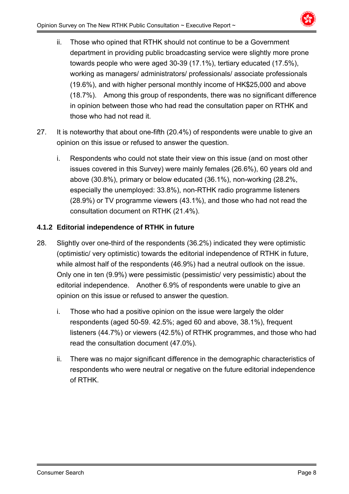

- ii. Those who opined that RTHK should not continue to be a Government department in providing public broadcasting service were slightly more prone towards people who were aged 30-39 (17.1%), tertiary educated (17.5%), working as managers/ administrators/ professionals/ associate professionals (19.6%), and with higher personal monthly income of HK\$25,000 and above (18.7%). Among this group of respondents, there was no significant difference in opinion between those who had read the consultation paper on RTHK and those who had not read it.
- 27. It is noteworthy that about one-fifth (20.4%) of respondents were unable to give an opinion on this issue or refused to answer the question.
	- i. Respondents who could not state their view on this issue (and on most other issues covered in this Survey) were mainly females (26.6%), 60 years old and above (30.8%), primary or below educated (36.1%), non-working (28.2%, especially the unemployed: 33.8%), non-RTHK radio programme listeners (28.9%) or TV programme viewers (43.1%), and those who had not read the consultation document on RTHK (21.4%).

## **4.1.2 Editorial independence of RTHK in future**

- 28. Slightly over one-third of the respondents (36.2%) indicated they were optimistic (optimistic/ very optimistic) towards the editorial independence of RTHK in future, while almost half of the respondents (46.9%) had a neutral outlook on the issue. Only one in ten (9.9%) were pessimistic (pessimistic/ very pessimistic) about the editorial independence. Another 6.9% of respondents were unable to give an opinion on this issue or refused to answer the question.
	- i. Those who had a positive opinion on the issue were largely the older respondents (aged 50-59. 42.5%; aged 60 and above, 38.1%), frequent listeners (44.7%) or viewers (42.5%) of RTHK programmes, and those who had read the consultation document (47.0%).
	- ii. There was no major significant difference in the demographic characteristics of respondents who were neutral or negative on the future editorial independence of RTHK.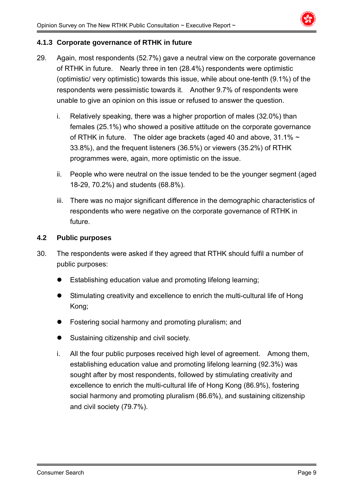

## **4.1.3 Corporate governance of RTHK in future**

- 29. Again, most respondents (52.7%) gave a neutral view on the corporate governance of RTHK in future. Nearly three in ten (28.4%) respondents were optimistic (optimistic/ very optimistic) towards this issue, while about one-tenth (9.1%) of the respondents were pessimistic towards it. Another 9.7% of respondents were unable to give an opinion on this issue or refused to answer the question.
	- i. Relatively speaking, there was a higher proportion of males (32.0%) than females (25.1%) who showed a positive attitude on the corporate governance of RTHK in future. The older age brackets (aged 40 and above,  $31.1\% \sim$ 33.8%), and the frequent listeners (36.5%) or viewers (35.2%) of RTHK programmes were, again, more optimistic on the issue.
	- ii. People who were neutral on the issue tended to be the younger segment (aged 18-29, 70.2%) and students (68.8%).
	- iii. There was no major significant difference in the demographic characteristics of respondents who were negative on the corporate governance of RTHK in future.

#### **4.2 Public purposes**

- 30. The respondents were asked if they agreed that RTHK should fulfil a number of public purposes:
	- Establishing education value and promoting lifelong learning;
	- Stimulating creativity and excellence to enrich the multi-cultural life of Hong Kong;
	- Fostering social harmony and promoting pluralism; and
	- Sustaining citizenship and civil society.
	- i. All the four public purposes received high level of agreement. Among them, establishing education value and promoting lifelong learning (92.3%) was sought after by most respondents, followed by stimulating creativity and excellence to enrich the multi-cultural life of Hong Kong (86.9%), fostering social harmony and promoting pluralism (86.6%), and sustaining citizenship and civil society (79.7%).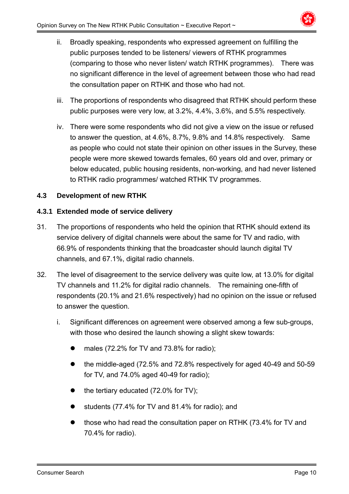

- ii. Broadly speaking, respondents who expressed agreement on fulfilling the public purposes tended to be listeners/ viewers of RTHK programmes (comparing to those who never listen/ watch RTHK programmes). There was no significant difference in the level of agreement between those who had read the consultation paper on RTHK and those who had not.
- iii. The proportions of respondents who disagreed that RTHK should perform these public purposes were very low, at 3.2%, 4.4%, 3.6%, and 5.5% respectively.
- iv. There were some respondents who did not give a view on the issue or refused to answer the question, at 4.6%, 8.7%, 9.8% and 14.8% respectively. Same as people who could not state their opinion on other issues in the Survey, these people were more skewed towards females, 60 years old and over, primary or below educated, public housing residents, non-working, and had never listened to RTHK radio programmes/ watched RTHK TV programmes.

## **4.3 Development of new RTHK**

#### **4.3.1 Extended mode of service delivery**

- 31. The proportions of respondents who held the opinion that RTHK should extend its service delivery of digital channels were about the same for TV and radio, with 66.9% of respondents thinking that the broadcaster should launch digital TV channels, and 67.1%, digital radio channels.
- 32. The level of disagreement to the service delivery was quite low, at 13.0% for digital TV channels and 11.2% for digital radio channels. The remaining one-fifth of respondents (20.1% and 21.6% respectively) had no opinion on the issue or refused to answer the question.
	- i. Significant differences on agreement were observed among a few sub-groups, with those who desired the launch showing a slight skew towards:
		- males (72.2% for TV and 73.8% for radio);
		- the middle-aged (72.5% and 72.8% respectively for aged 40-49 and 50-59 for TV, and 74.0% aged 40-49 for radio);
		- the tertiary educated (72.0% for TV);
		- students (77.4% for TV and 81.4% for radio); and
		- those who had read the consultation paper on RTHK (73.4% for TV and 70.4% for radio).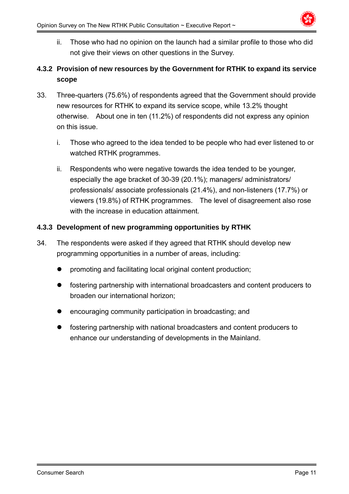

ii. Those who had no opinion on the launch had a similar profile to those who did not give their views on other questions in the Survey.

## **4.3.2 Provision of new resources by the Government for RTHK to expand its service scope**

- 33. Three-quarters (75.6%) of respondents agreed that the Government should provide new resources for RTHK to expand its service scope, while 13.2% thought otherwise. About one in ten (11.2%) of respondents did not express any opinion on this issue.
	- i. Those who agreed to the idea tended to be people who had ever listened to or watched RTHK programmes.
	- ii. Respondents who were negative towards the idea tended to be younger, especially the age bracket of 30-39 (20.1%); managers/ administrators/ professionals/ associate professionals (21.4%), and non-listeners (17.7%) or viewers (19.8%) of RTHK programmes. The level of disagreement also rose with the increase in education attainment.

## **4.3.3 Development of new programming opportunities by RTHK**

- 34. The respondents were asked if they agreed that RTHK should develop new programming opportunities in a number of areas, including:
	- promoting and facilitating local original content production;
	- fostering partnership with international broadcasters and content producers to broaden our international horizon;
	- encouraging community participation in broadcasting; and
	- fostering partnership with national broadcasters and content producers to enhance our understanding of developments in the Mainland.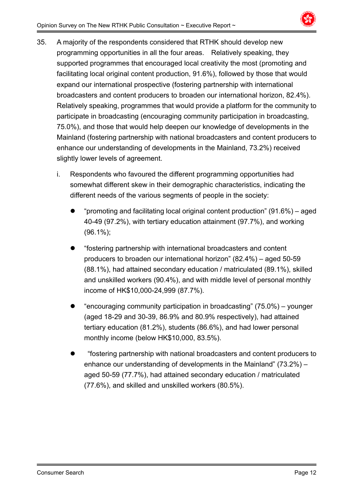

- 35. A majority of the respondents considered that RTHK should develop new programming opportunities in all the four areas. Relatively speaking, they supported programmes that encouraged local creativity the most (promoting and facilitating local original content production, 91.6%), followed by those that would expand our international prospective (fostering partnership with international broadcasters and content producers to broaden our international horizon, 82.4%). Relatively speaking, programmes that would provide a platform for the community to participate in broadcasting (encouraging community participation in broadcasting, 75.0%), and those that would help deepen our knowledge of developments in the Mainland (fostering partnership with national broadcasters and content producers to enhance our understanding of developments in the Mainland, 73.2%) received slightly lower levels of agreement.
	- i. Respondents who favoured the different programming opportunities had somewhat different skew in their demographic characteristics, indicating the different needs of the various segments of people in the society:
		- "promoting and facilitating local original content production" (91.6%) aged 40-49 (97.2%), with tertiary education attainment (97.7%), and working (96.1%);
		- "fostering partnership with international broadcasters and content producers to broaden our international horizon" (82.4%) – aged 50-59 (88.1%), had attained secondary education / matriculated (89.1%), skilled and unskilled workers (90.4%), and with middle level of personal monthly income of HK\$10,000-24,999 (87.7%).
		- "encouraging community participation in broadcasting" (75.0%) younger (aged 18-29 and 30-39, 86.9% and 80.9% respectively), had attained tertiary education (81.2%), students (86.6%), and had lower personal monthly income (below HK\$10,000, 83.5%).
		- "fostering partnership with national broadcasters and content producers to enhance our understanding of developments in the Mainland" (73.2%) – aged 50-59 (77.7%), had attained secondary education / matriculated (77.6%), and skilled and unskilled workers (80.5%).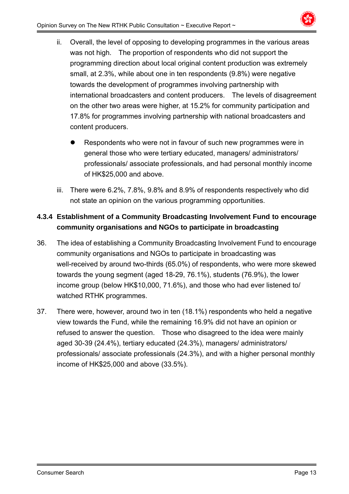

- ii. Overall, the level of opposing to developing programmes in the various areas was not high. The proportion of respondents who did not support the programming direction about local original content production was extremely small, at 2.3%, while about one in ten respondents (9.8%) were negative towards the development of programmes involving partnership with international broadcasters and content producers. The levels of disagreement on the other two areas were higher, at 15.2% for community participation and 17.8% for programmes involving partnership with national broadcasters and content producers.
	- Respondents who were not in favour of such new programmes were in general those who were tertiary educated, managers/ administrators/ professionals/ associate professionals, and had personal monthly income of HK\$25,000 and above.
- iii. There were 6.2%, 7.8%, 9.8% and 8.9% of respondents respectively who did not state an opinion on the various programming opportunities.

## **4.3.4 Establishment of a Community Broadcasting Involvement Fund to encourage community organisations and NGOs to participate in broadcasting**

- 36. The idea of establishing a Community Broadcasting Involvement Fund to encourage community organisations and NGOs to participate in broadcasting was well-received by around two-thirds (65.0%) of respondents, who were more skewed towards the young segment (aged 18-29, 76.1%), students (76.9%), the lower income group (below HK\$10,000, 71.6%), and those who had ever listened to/ watched RTHK programmes.
- 37. There were, however, around two in ten (18.1%) respondents who held a negative view towards the Fund, while the remaining 16.9% did not have an opinion or refused to answer the question. Those who disagreed to the idea were mainly aged 30-39 (24.4%), tertiary educated (24.3%), managers/ administrators/ professionals/ associate professionals (24.3%), and with a higher personal monthly income of HK\$25,000 and above (33.5%).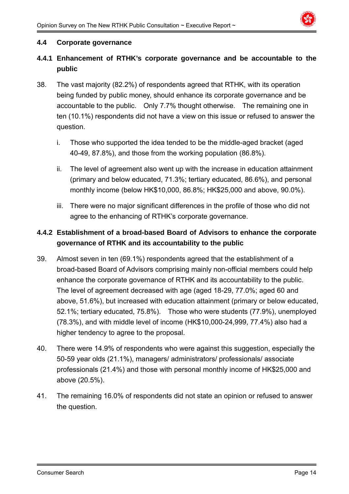

#### **4.4 Corporate governance**

## **4.4.1 Enhancement of RTHK's corporate governance and be accountable to the public**

- 38. The vast majority (82.2%) of respondents agreed that RTHK, with its operation being funded by public money, should enhance its corporate governance and be accountable to the public. Only 7.7% thought otherwise. The remaining one in ten (10.1%) respondents did not have a view on this issue or refused to answer the question.
	- i. Those who supported the idea tended to be the middle-aged bracket (aged 40-49, 87.8%), and those from the working population (86.8%).
	- ii. The level of agreement also went up with the increase in education attainment (primary and below educated, 71.3%; tertiary educated, 86.6%), and personal monthly income (below HK\$10,000, 86.8%; HK\$25,000 and above, 90.0%).
	- iii. There were no major significant differences in the profile of those who did not agree to the enhancing of RTHK's corporate governance.

## **4.4.2 Establishment of a broad-based Board of Advisors to enhance the corporate governance of RTHK and its accountability to the public**

- 39. Almost seven in ten (69.1%) respondents agreed that the establishment of a broad-based Board of Advisors comprising mainly non-official members could help enhance the corporate governance of RTHK and its accountability to the public. The level of agreement decreased with age (aged 18-29, 77.0%; aged 60 and above, 51.6%), but increased with education attainment (primary or below educated, 52.1%; tertiary educated, 75.8%). Those who were students (77.9%), unemployed (78.3%), and with middle level of income (HK\$10,000-24,999, 77.4%) also had a higher tendency to agree to the proposal.
- 40. There were 14.9% of respondents who were against this suggestion, especially the 50-59 year olds (21.1%), managers/ administrators/ professionals/ associate professionals (21.4%) and those with personal monthly income of HK\$25,000 and above (20.5%).
- 41. The remaining 16.0% of respondents did not state an opinion or refused to answer the question.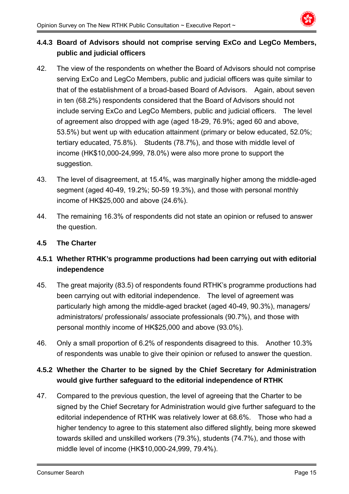

## **4.4.3 Board of Advisors should not comprise serving ExCo and LegCo Members, public and judicial officers**

- 42. The view of the respondents on whether the Board of Advisors should not comprise serving ExCo and LegCo Members, public and judicial officers was quite similar to that of the establishment of a broad-based Board of Advisors. Again, about seven in ten (68.2%) respondents considered that the Board of Advisors should not include serving ExCo and LegCo Members, public and judicial officers. The level of agreement also dropped with age (aged 18-29, 76.9%; aged 60 and above, 53.5%) but went up with education attainment (primary or below educated, 52.0%; tertiary educated, 75.8%). Students (78.7%), and those with middle level of income (HK\$10,000-24,999, 78.0%) were also more prone to support the suggestion.
- 43. The level of disagreement, at 15.4%, was marginally higher among the middle-aged segment (aged 40-49, 19.2%; 50-59 19.3%), and those with personal monthly income of HK\$25,000 and above (24.6%).
- 44. The remaining 16.3% of respondents did not state an opinion or refused to answer the question.

#### **4.5 The Charter**

## **4.5.1 Whether RTHK's programme productions had been carrying out with editorial independence**

- 45. The great majority (83.5) of respondents found RTHK's programme productions had been carrying out with editorial independence. The level of agreement was particularly high among the middle-aged bracket (aged 40-49, 90.3%), managers/ administrators/ professionals/ associate professionals (90.7%), and those with personal monthly income of HK\$25,000 and above (93.0%).
- 46. Only a small proportion of 6.2% of respondents disagreed to this. Another 10.3% of respondents was unable to give their opinion or refused to answer the question.

## **4.5.2 Whether the Charter to be signed by the Chief Secretary for Administration would give further safeguard to the editorial independence of RTHK**

47. Compared to the previous question, the level of agreeing that the Charter to be signed by the Chief Secretary for Administration would give further safeguard to the editorial independence of RTHK was relatively lower at 68.6%. Those who had a higher tendency to agree to this statement also differed slightly, being more skewed towards skilled and unskilled workers (79.3%), students (74.7%), and those with middle level of income (HK\$10,000-24,999, 79.4%).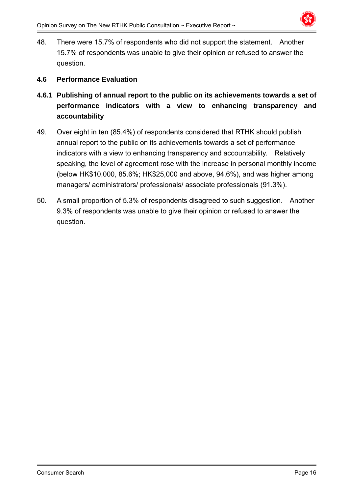

48. There were 15.7% of respondents who did not support the statement. Another 15.7% of respondents was unable to give their opinion or refused to answer the question.

#### **4.6 Performance Evaluation**

- **4.6.1 Publishing of annual report to the public on its achievements towards a set of performance indicators with a view to enhancing transparency and accountability**
- 49. Over eight in ten (85.4%) of respondents considered that RTHK should publish annual report to the public on its achievements towards a set of performance indicators with a view to enhancing transparency and accountability. Relatively speaking, the level of agreement rose with the increase in personal monthly income (below HK\$10,000, 85.6%; HK\$25,000 and above, 94.6%), and was higher among managers/ administrators/ professionals/ associate professionals (91.3%).
- 50. A small proportion of 5.3% of respondents disagreed to such suggestion. Another 9.3% of respondents was unable to give their opinion or refused to answer the question.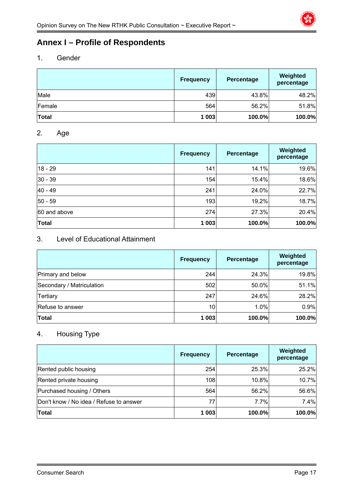

## **Annex I – Profile of Respondents**

#### 1. Gender

|              | <b>Frequency</b> | Percentage | Weighted<br>percentage |
|--------------|------------------|------------|------------------------|
| Male         | 439              | 43.8%      | 48.2%                  |
| Female       | 564              | 56.2%      | 51.8%                  |
| <b>Total</b> | 1 003            | 100.0%     | 100.0%                 |

#### 2. Age

|              | <b>Frequency</b> | Percentage | Weighted<br>percentage |
|--------------|------------------|------------|------------------------|
| $18 - 29$    | 141              | 14.1%      | 19.6%                  |
| $30 - 39$    | 154              | 15.4%      | 18.6%                  |
| 40 - 49      | 241              | 24.0%      | 22.7%                  |
| $50 - 59$    | 193              | 19.2%      | 18.7%                  |
| 60 and above | 274              | 27.3%      | 20.4%                  |
| Total        | 1 003            | 100.0%     | 100.0%                 |

## 3. Level of Educational Attainment

|                           | <b>Frequency</b> | Percentage | Weighted<br>percentage |
|---------------------------|------------------|------------|------------------------|
| Primary and below         | 244              | 24.3%      | 19.8%                  |
| Secondary / Matriculation | 502              | 50.0%      | 51.1%                  |
| Tertiary                  | 247              | 24.6%      | 28.2%                  |
| Refuse to answer          | 10               | 1.0%       | 0.9%                   |
| <b>Total</b>              | 1 003            | 100.0%     | 100.0%                 |

## 4. Housing Type

|                                         | <b>Frequency</b> | Percentage | Weighted<br>percentage |
|-----------------------------------------|------------------|------------|------------------------|
| Rented public housing                   | 254              | 25.3%      | 25.2%                  |
| Rented private housing                  | 108              | 10.8%      | 10.7%                  |
| Purchased housing / Others              | 564              | 56.2%      | 56.6%                  |
| Don't know / No idea / Refuse to answer | 77               | 7.7%       | 7.4%                   |
| <b>Total</b>                            | 1 003            | 100.0%     | 100.0%                 |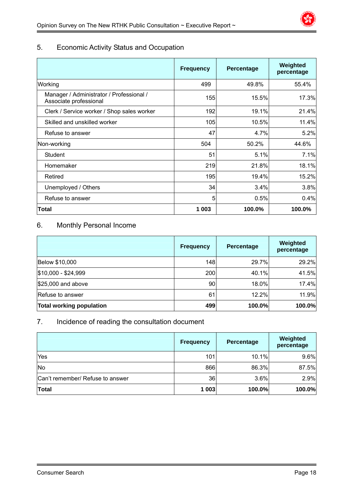

## 5. Economic Activity Status and Occupation

|                                                                    | <b>Frequency</b> | Percentage | Weighted<br>percentage |
|--------------------------------------------------------------------|------------------|------------|------------------------|
| Working                                                            | 499              | 49.8%      | 55.4%                  |
| Manager / Administrator / Professional /<br>Associate professional | 155              | 15.5%l     | 17.3%                  |
| Clerk / Service worker / Shop sales worker                         | 192              | 19.1%      | 21.4%                  |
| Skilled and unskilled worker                                       | 105              | 10.5%      | 11.4%                  |
| Refuse to answer                                                   | 47               | 4.7%       | 5.2%                   |
| Non-working                                                        | 504              | 50.2%      | 44.6%                  |
| Student                                                            | 51               | 5.1%       | 7.1%                   |
| Homemaker                                                          | 219              | 21.8%      | 18.1%                  |
| Retired                                                            | 195              | 19.4%      | 15.2%                  |
| Unemployed / Others                                                | 34               | 3.4%       | 3.8%                   |
| Refuse to answer                                                   | 5                | 0.5%       | 0.4%                   |
| Total                                                              | 1 0 0 3          | 100.0%     | 100.0%                 |

## 6. Monthly Personal Income

|                                 | <b>Frequency</b> | Percentage | Weighted<br>percentage |
|---------------------------------|------------------|------------|------------------------|
| Below \$10,000                  | 148              | 29.7%      | 29.2%                  |
| $$10,000 - $24,999$             | 200              | 40.1%      | 41.5%                  |
| $$25,000$ and above             | 90               | 18.0%      | 17.4%                  |
| Refuse to answer                | 61               | 12.2%      | 11.9%                  |
| <b>Total working population</b> | 499              | 100.0%     | 100.0%                 |

#### 7. Incidence of reading the consultation document

|                                  | Frequency | Percentage | Weighted<br>percentage |
|----------------------------------|-----------|------------|------------------------|
| Yes                              | 101       | 10.1%      | 9.6%                   |
| No                               | 866       | 86.3%      | 87.5%                  |
| Can't remember/ Refuse to answer | 36        | 3.6%       | 2.9%                   |
| <b>Total</b>                     | 1 0 0 3   | 100.0%     | 100.0%                 |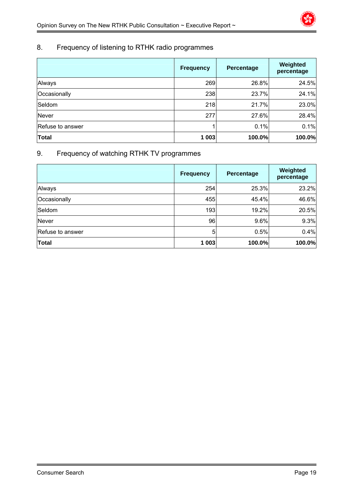## 8. Frequency of listening to RTHK radio programmes

|                  | <b>Frequency</b> | Percentage | Weighted<br>percentage |
|------------------|------------------|------------|------------------------|
| Always           | 269              | 26.8%      | 24.5%                  |
| Occasionally     | 238              | 23.7%      | 24.1%                  |
| Seldom           | 218              | 21.7%      | 23.0%                  |
| Never            | 277              | 27.6%      | 28.4%                  |
| Refuse to answer |                  | 0.1%       | 0.1%                   |
| <b>Total</b>     | 1 003            | 100.0%     | 100.0%                 |

## 9. Frequency of watching RTHK TV programmes

|                  | <b>Frequency</b> | Percentage | Weighted<br>percentage |
|------------------|------------------|------------|------------------------|
| Always           | 254              | 25.3%      | 23.2%                  |
| Occasionally     | 455              | 45.4%      | 46.6%                  |
| Seldom           | 193              | 19.2%      | 20.5%                  |
| Never            | 96               | 9.6%       | 9.3%                   |
| Refuse to answer | 5                | 0.5%       | 0.4%                   |
| <b>Total</b>     | 1 0 0 3          | 100.0%     | 100.0%                 |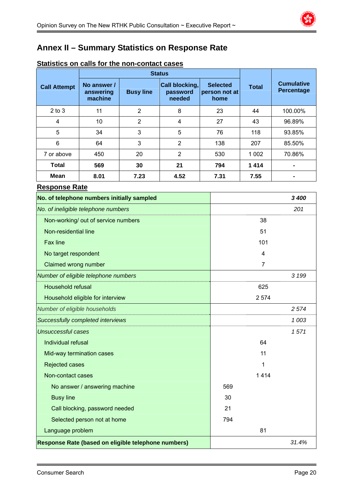

# **Annex II – Summary Statistics on Response Rate**

|                                                     |                                     |                  | <b>Status</b>                               |                                          |                |                                 |  |
|-----------------------------------------------------|-------------------------------------|------------------|---------------------------------------------|------------------------------------------|----------------|---------------------------------|--|
| <b>Call Attempt</b>                                 | No answer /<br>answering<br>machine | <b>Busy line</b> | <b>Call blocking,</b><br>password<br>needed | <b>Selected</b><br>person not at<br>home | <b>Total</b>   | <b>Cumulative</b><br>Percentage |  |
| $2$ to $3$                                          | 11                                  | $\overline{2}$   | 8                                           | 23                                       | 44             | 100.00%                         |  |
| 4                                                   | 10                                  | $\overline{2}$   | 4                                           | 27                                       | 43             | 96.89%                          |  |
| 5                                                   | 34                                  | 3                | 5                                           | 76                                       | 118            | 93.85%                          |  |
| 6                                                   | 64                                  | 3                | $\overline{2}$                              | 138                                      | 207            | 85.50%                          |  |
| 7 or above                                          | 450                                 | 20               | $\overline{2}$                              | 530                                      | 1 0 0 2        | 70.86%                          |  |
| <b>Total</b>                                        | 569                                 | 30               | 21                                          | 794                                      | 1414           | $\blacksquare$                  |  |
| <b>Mean</b>                                         | 8.01                                | 7.23             | 4.52                                        | 7.31                                     | 7.55           | $\blacksquare$                  |  |
| <b>Response Rate</b>                                |                                     |                  |                                             |                                          |                |                                 |  |
| No. of telephone numbers initially sampled          |                                     |                  |                                             |                                          |                | 3 400                           |  |
| No. of ineligible telephone numbers                 |                                     |                  |                                             |                                          |                | 201                             |  |
|                                                     | Non-working/ out of service numbers |                  |                                             |                                          | 38             |                                 |  |
| Non-residential line                                |                                     |                  |                                             |                                          | 51             |                                 |  |
| <b>Fax line</b>                                     |                                     |                  |                                             |                                          | 101            |                                 |  |
| No target respondent                                |                                     |                  |                                             |                                          | 4              |                                 |  |
| Claimed wrong number                                |                                     |                  |                                             |                                          | $\overline{7}$ |                                 |  |
| Number of eligible telephone numbers                |                                     |                  |                                             |                                          |                | 3 1 9 9                         |  |
| Household refusal                                   |                                     |                  |                                             |                                          | 625            |                                 |  |
|                                                     | Household eligible for interview    |                  |                                             |                                          | 2 5 7 4        |                                 |  |
| Number of eligible households                       |                                     |                  |                                             |                                          |                | 2 5 7 4                         |  |
|                                                     | Successfully completed interviews   |                  |                                             |                                          |                | 1 003                           |  |
| <b>Unsuccessful cases</b>                           |                                     |                  |                                             |                                          |                | 1571                            |  |
| Individual refusal                                  |                                     |                  |                                             |                                          | 64             |                                 |  |
|                                                     | Mid-way termination cases           |                  |                                             |                                          | 11             |                                 |  |
| Rejected cases                                      |                                     |                  |                                             |                                          | 1              |                                 |  |
| Non-contact cases                                   |                                     |                  |                                             |                                          | 1414           |                                 |  |
|                                                     | No answer / answering machine       |                  |                                             |                                          |                |                                 |  |
| <b>Busy line</b>                                    |                                     |                  |                                             | 30                                       |                |                                 |  |
| Call blocking, password needed                      |                                     |                  |                                             | 21                                       |                |                                 |  |
| Selected person not at home                         | 794                                 |                  |                                             |                                          |                |                                 |  |
|                                                     | Language problem                    |                  |                                             |                                          |                |                                 |  |
| Response Rate (based on eligible telephone numbers) |                                     |                  |                                             |                                          |                | 31.4%                           |  |

## **Statistics on calls for the non-contact cases**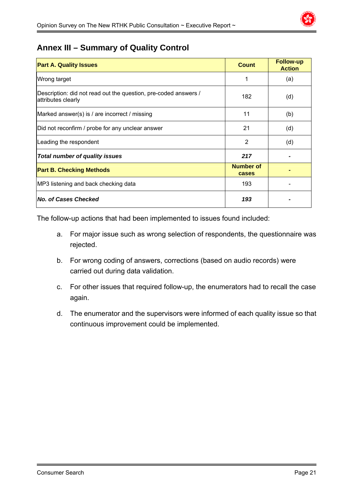

## **Annex III – Summary of Quality Control**

| <b>Part A. Quality Issues</b>                                                         | <b>Count</b>              | <b>Follow-up</b><br><b>Action</b> |
|---------------------------------------------------------------------------------------|---------------------------|-----------------------------------|
| Wrong target                                                                          | 1                         | (a)                               |
| Description: did not read out the question, pre-coded answers /<br>attributes clearly | 182                       | (d)                               |
| Marked answer(s) is / are incorrect / missing                                         | 11                        | (b)                               |
| Did not reconfirm / probe for any unclear answer                                      | 21                        | (d)                               |
| Leading the respondent                                                                | 2                         | (d)                               |
| <b>Total number of quality issues</b>                                                 | 217                       |                                   |
| <b>Part B. Checking Methods</b>                                                       | <b>Number of</b><br>cases |                                   |
| MP3 listening and back checking data                                                  | 193                       |                                   |
| <b>No. of Cases Checked</b>                                                           | 193                       |                                   |

The follow-up actions that had been implemented to issues found included:

- a. For major issue such as wrong selection of respondents, the questionnaire was rejected.
- b. For wrong coding of answers, corrections (based on audio records) were carried out during data validation.
- c. For other issues that required follow-up, the enumerators had to recall the case again.
- d. The enumerator and the supervisors were informed of each quality issue so that continuous improvement could be implemented.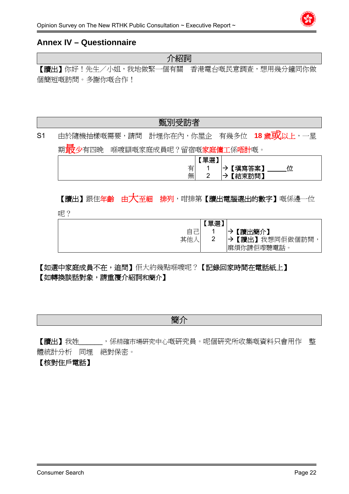

## **Annex IV – Questionnaire**

| 儿 不宜行出                                   |  |
|------------------------------------------|--|
| 【讀出】你好!先生/小姐,我地做緊一個有關 香港電台嘅民意調查,想用幾分鐘同你做 |  |
| 個簡短嘅訪問。多謝你嘅合作!                           |  |

介紹詞

甄別受訪者

S1 由於隨機抽樣嘅需要,請問 計埋你在內,你屋企 有幾多位 18 歲**或以上**,一星 期<mark>最</mark>少有四晚 喺喥瞓嘅家庭成員呢?留宿嘅**家庭傭工**係唔計嘅。

|                   | ,單選" |                       |
|-------------------|------|-----------------------|
| __<br>_<br>−<br>. |      | *****<br>填舄<br>答圣     |
| 無                 | ∽    | (訪問)<br>œ<br>$=$<br>- |

## 【讀出】跟住年齡 由大至細 排列,咁排第【讀出電腦選出的數字】嘅係邊一位

呢?

|         | 單選 |                 |
|---------|----|-----------------|
| __<br>– |    | 【讀出簡介】          |
| 其他      | ⌒  | 讀出】<br>我想同佢做個訪問 |
|         |    | 麻煩你請佢嚟聽電話       |

【如選中家庭成員不在,追問】佢大約幾點喺喥呢?【記錄回家時間在電話紙上】 【如轉換談話對象,請重覆介紹詞和簡介】

簡介

【讀出】我姓\_\_\_\_\_\_,係精確市場研究中心嘅研究員。呢個研究所收集嘅資料只會用作 整 體統計分析 同埋 絕對保密。

## 【核對住戶電話】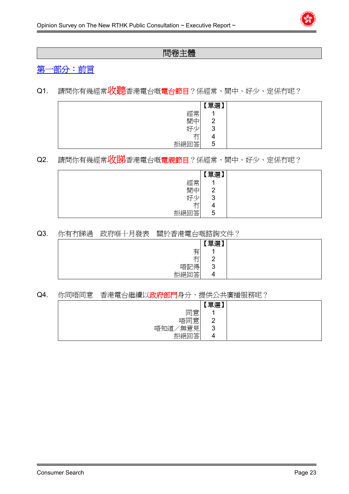

## 問卷主體

## 第一部分:前言

Q1. 請問你有幾經常收聽香港電台嘅電台節目?係經常、間中、好少、定係冇呢?

|                                      | 單選】    |  |
|--------------------------------------|--------|--|
| 經常                                   | A      |  |
| 間中                                   | റ<br>∼ |  |
| 好<br>Λ.<br>ر.                        | 2<br>◡ |  |
| $\overline{\phantom{0}}$<br>∸<br>. . | 4      |  |
| 拒絕回答                                 | 5      |  |

## Q2. 請問你有幾經常收<mark>脱</mark>香港電台嘅電視節目?係經常、間中、好少、定係冇呢?

|          | 單選】<br>►        |  |
|----------|-----------------|--|
| 經常       | A               |  |
| 間中       | $\sqrt{2}$<br>∼ |  |
| 好少       | ാ<br>ັ          |  |
| 右<br>ı J | 4               |  |
| 拒絕回答     | 5               |  |

#### Q3. 你有冇睇過 政府喺十月發表 關於香港電台嘅諮詢文件?

|                                      | 軍選】           |  |
|--------------------------------------|---------------|--|
| 有                                    |               |  |
| $\overline{\phantom{0}}$<br>∸<br>. . | C<br><u>_</u> |  |
| 唔記得                                  | ാ<br>◡        |  |
| 拒絕回答                                 | 4             |  |

#### Q4. 你同唔同意 香港電台繼續以政府部門身分,提供公共廣播服務呢?

|            | 「單選】            |
|------------|-----------------|
| 同意         |                 |
| 唔同意        | $\sqrt{2}$<br>∠ |
| 無意見<br>唔知道 | 3               |
| 拒絕回答       | 4               |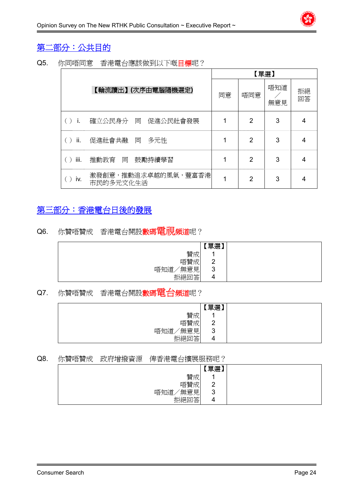# 第二部分:公共目的

Q5. 你同唔同意 香港電台應該做到以下嘅目標呢?

|      |                                  |    | 【單選】 |            |          |
|------|----------------------------------|----|------|------------|----------|
|      | 【輪流讀出】 (次序由電腦隨機選定)               | 同意 | 唔同意  | 唔知道<br>無意見 | 拒絕<br>回答 |
| -i.  | 確立公民身分 同 促進公民社會發展                |    | 2    | 3          | 4        |
| ii.  | 促進社會共融 同<br>多元性                  | 1  | 2    | 3          | 4        |
| iii. | 推動教育 同 鼓勵持續學習                    | 1  | 2    | 3          | 4        |
| İV.  | 激發創意,推動追求卓越的風氣,豐富香港<br>市民的多元文化生活 | 1  | 2    | 3          | 4        |

## 第三部分:香港電台日後的發展

Q6. 你贊唔贊成 香港電台開設數碼電視頻道呢?

|                | 「單選」          |
|----------------|---------------|
| 贊成             |               |
| 唔贊成            | ◠<br><u>_</u> |
| 無意見<br>唔知道     | 3             |
| 고答<br> 紹同<br>⊢ | 4             |

## Q7. 你贊唔贊成 香港電台開設數碼電台頻道呢?

|             | 單選)           |
|-------------|---------------|
| 贊成          |               |
| 唔贊成         | ╭<br><u>_</u> |
| '無意見<br>唔知道 | 3             |
| 拒絕回答        | ┱             |

#### Q8. 你贊唔贊成 政府增撥資源 俾香港電台擴展服務呢?

|              | 單選)           |
|--------------|---------------|
| 贊成           |               |
| 唔贊成          | ີ<br><u>_</u> |
| '無意見 <br>唔知道 | ◠<br>J        |
| 拒絕回答<br>⊢    |               |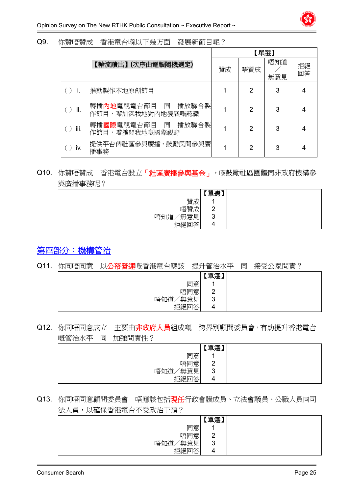| Q9. | 你贊唔贊成 | 香港電台喺以下幾方面 | 發展新節目呢? |
|-----|-------|------------|---------|
|     |       |            |         |

|      |                                            | 【單選】 |     |            |          |
|------|--------------------------------------------|------|-----|------------|----------|
|      | 【輪流讀出】(次序由電腦隨機選定)                          | 贊成   | 唔贊成 | 唔知道<br>無意見 | 拒絕<br>回答 |
|      | 推動製作本地原創節目                                 |      | 2   | 3          | 4        |
| ii.  | 轉播內地電視電台節目 同<br>播放聯合製<br>作節目,嚟加深我地對內地發展嘅認識 |      | 2   | 3          | 4        |
| iii. | 轉播國際電視電台節目 同<br>播放聯合製<br>作節目,嚟擴闊我地嘅國際視野    |      | 2   | 3          | 4        |
| iv.  | 提供平台俾社區參與廣播,鼓勵民間參與廣<br>播事務                 |      | 2   | 3          | 4        |

## Q10. 你贊唔贊成 香港電台設立「社區廣播參與基金」,嚟鼓勵社區團體同非政府機構參 與廣播事務呢?

|            | 軍選】           |
|------------|---------------|
| 贊成         |               |
| 唔贊成        | c<br><u>_</u> |
| 無意見<br>唔知道 | 3             |
| 拒絕回答       | 4             |

## 第四部分:機構管治

#### Q11. 你同唔同意 以公帑營運嘅香港電台應該 提升管治水平 同 接受公眾問責?

|              | 【單選】               |
|--------------|--------------------|
| 同意           | $\overline{A}$     |
| 唔同意          | $\sim$<br><u>_</u> |
| ′無意見 <br>唔知道 | ാ<br>J             |
| 拒絕回答         | 4                  |

## Q12. 你同唔同意成立 主要由非政府人員組成嘅 跨界別顧問委員會,有助提升香港電台 嘅管治水平 同 加強問責性?

|              | 單選】                |  |
|--------------|--------------------|--|
| 同意           |                    |  |
| 唔同意          | $\sim$<br><u>_</u> |  |
| '無意見 <br>唔知道 | $\sim$<br>≺<br>J   |  |
| 拒絕回答         | 4                  |  |

## Q13. 你同唔同意顧問委員會 唔應該包括現任行政會議成員、立法會議員、公職人員同司 法人員,以確保香港電台不受政治干預?

|                                  | 軍選】           |
|----------------------------------|---------------|
| 同意                               |               |
| 唔同意                              | c<br><u>_</u> |
| 無意見<br>唔知道                       | 3             |
| $\rightarrow$ AX<br>拒絕<br>合<br>⊢ | 4             |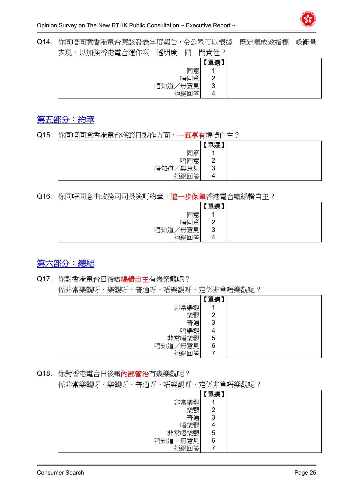Q14. 你同唔同意香港電台應該發表年度報告,令公眾可以根據 既定嘅成效指標 嚟衡量 主用, NHm跆禾洪電ム溜佐廊 添明度 同 明書性?

| 旧貝上: |                     |
|------|---------------------|
| 單選)  |                     |
|      |                     |
|      |                     |
| 3    |                     |
| 4    |                     |
| 同意   | 唔同意<br>'無意見<br>拒絕回答 |

## 第五部分:約章

Q15. 你同唔同意香港電台喺節目製作方面,一直享有編輯自主?

|                | 「單選】   |
|----------------|--------|
| 同意             |        |
| 唔同意            | ◠<br>- |
| 無意見<br>唔知道     | o<br>ັ |
| ሉሎ<br>1杀丘<br>⇔ | 4      |

Q16. 你同唔同意由政務司司長簽訂約章, 進一步保障香港電台嘅編輯自主?

|              | 「單選」            |
|--------------|-----------------|
| 同意           |                 |
| 唔同意          | ີ<br>∼          |
| '無意見 <br>唔知道 | $\sqrt{2}$<br>◡ |
| 拒絕回答         | 4               |

## 第六部分:總結

## Q17. 你對香港電台日後嘅編輯自主有幾樂觀呢?

係非常樂觀呀、樂觀呀、普通呀、唔樂觀呀、定係非常唔樂觀呢?

|            | 單選) |
|------------|-----|
| 非常樂觀       |     |
| 樂觀         | 2   |
| 普通         | 3   |
| 唔樂觀        | 4   |
| 非常唔樂觀      | 5   |
| 無意見<br>唔知道 | 6   |
| 拒絕回答       |     |

Q18. 你對香港電台日後嘅內部管治有幾樂觀呢?

係非常樂觀呀、樂觀呀、普通呀、唔樂觀呀、定係非常唔樂觀呢?

|            | 【單選】 |
|------------|------|
| 非常樂觀       |      |
| 樂觀         | 2    |
| 普通         | 3    |
| 唔樂觀        | 4    |
| 非常唔樂觀      | 5    |
| 無意見<br>唔知道 | 6    |
| 拒絕回答       |      |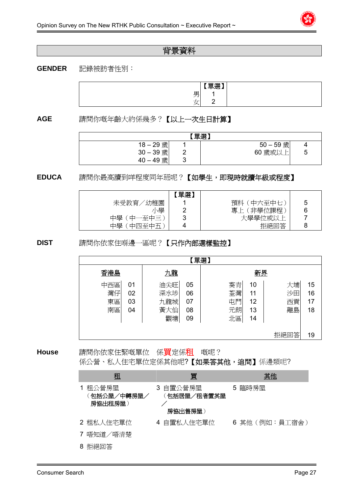## 背景資料

#### **GENDER** 記錄被訪者性別:

|   | 開滿] |  |
|---|-----|--|
| ┯ |     |  |
| - |     |  |

**AGE** 請問你嘅年齡大約係幾多?【以上一次生日計算】

| 【單選】        |  |             |   |  |
|-------------|--|-------------|---|--|
| 18-29歲      |  | $50 - 59$ 歲 |   |  |
| $30 - 39$ 歲 |  | 60 歲或以上     | ა |  |
| 40-49歲      |  |             |   |  |

**EDUCA** 請問你最高讀到咩程度同年班呢?【如學生,即現時就讀年級或程度】

|               | 單選) |               |   |
|---------------|-----|---------------|---|
| ′幼稚園<br>未受教育  |     | 〔中六至中七〕<br>預科 | 5 |
| 粵             |     | 非學位課程<br>專上   | 6 |
| 中學<br>「中一至中三」 | w   | 大學學位或以上       |   |
| 中學<br>中四至中五   |     | 拒絕回答          |   |

**DIST** 請問你依家住喺邊一區呢?【只作內部選樣監控】

| 【單選】 |    |     |    |    |    |      |    |
|------|----|-----|----|----|----|------|----|
| 香港島  |    | 九龍  |    | 新界 |    |      |    |
| 中西區  | 01 | 油尖旺 | 05 | 葵青 | 10 | 大埔   | 15 |
| 灣仔   | 02 | 深水埗 | 06 | 荃灣 | 11 | 沙田   | 16 |
| 東區   | 03 | 九龍城 | 07 | 屯門 | 12 | 西貢   | 17 |
| 南區   | 04 | 黃大仙 | 08 | 元朗 | 13 | 離島   | 18 |
|      |    | 觀塘  | 09 | 北區 | 14 |      |    |
|      |    |     |    |    |    |      |    |
|      |    |     |    |    |    | 拒絕回答 | 19 |

**House** 請問你依家住緊嘅單位 係買定係租 嘅呢? 係公營、私人住宅單位定係其他呢?【如果答其他,追問】係邊類呢?

|   | 租                                 | 買                                  | 其他             |
|---|-----------------------------------|------------------------------------|----------------|
|   | 1 租公營房屋<br>〔包括公屋/中轉房屋/<br>房協出租房屋) | 3 自置公營房屋<br>(包括居屋/租者置其屋<br>房協出售房屋) | 5 臨時房屋         |
|   | 2 租私人住宅單位                         | 4 自置私人住宅單位                         | 6 其他 (例如:員工宿舍) |
|   | 7 唔知道/唔清楚                         |                                    |                |
| 8 | 拒絕回答                              |                                    |                |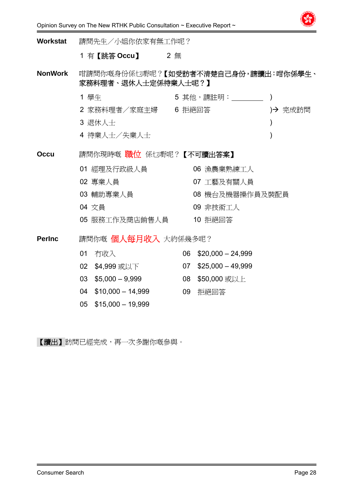

| <b>Workstat</b> | 請問先生/小姐你依家有無工作呢? |                         |    |                                     |               |
|-----------------|------------------|-------------------------|----|-------------------------------------|---------------|
|                 |                  | 1 有【跳答 Occu】 2 無        |    |                                     |               |
| <b>NonWork</b>  |                  | 家務料理者、退休人士定係待業人士呢?】     |    | 咁請問你嘅身份係乜嘢呢?【如受訪者不清楚自己身份,請讀出:咁你係學生、 |               |
|                 | 1 學生             |                         |    |                                     |               |
|                 |                  |                         |    | 2 家務料理者/家庭主婦   6 拒絕回答               | → 完成訪問        |
|                 | 3 退休人士           |                         |    |                                     | $\mathcal{Y}$ |
|                 |                  | 4 待業人士/失業人士             |    |                                     | $\mathcal{E}$ |
| <b>Occu</b>     |                  | 請問你現時嘅 職位 係乜嘢呢?【不可讀出答案】 |    |                                     |               |
|                 |                  | 01 經理及行政級人員             |    | 06 漁農業熟練工人                          |               |
|                 | 02 專業人員          |                         |    | 07 工藝及有關人員                          |               |
|                 |                  | 03 輔助專業人員               |    | 08 機台及機器操作員及裝配員                     |               |
|                 | 04 文員            |                         |    | 09 非技術工人                            |               |
|                 |                  | 05 服務工作及商店銷售人員          |    | 10 拒絕回答                             |               |
| <b>PerInc</b>   |                  | 請問你嘅 個人每月收入 大約係幾多呢?     |    |                                     |               |
|                 | 01               | 冇收入                     | 06 | $$20,000 - 24,999$                  |               |
|                 | 02 <sub>o</sub>  | \$4,999 或以下 しんしょう しんしょう |    | $07$ \$25,000 - 49,999              |               |
|                 | 03               | $$5,000 - 9,999$        |    | 08 \$50,000 或以上                     |               |
|                 | 04               | $$10,000 - 14,999$      | 09 | 拒絕回答                                |               |
|                 | 05               | $$15,000 - 19,999$      |    |                                     |               |

【讀出】訪問已經完成,再一次多謝你嘅參與。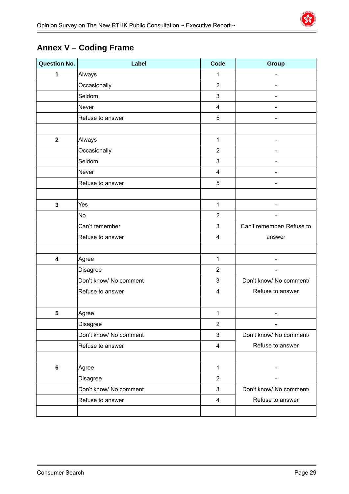# **Annex V – Coding Frame**

| <b>Question No.</b>     | Label                  | Code                      | <b>Group</b>                 |
|-------------------------|------------------------|---------------------------|------------------------------|
| 1                       | Always                 | 1                         |                              |
|                         | Occasionally           | $\overline{2}$            |                              |
|                         | Seldom                 | 3                         |                              |
|                         | Never                  | $\overline{\mathbf{4}}$   |                              |
|                         | Refuse to answer       | 5                         |                              |
|                         |                        |                           |                              |
| $\overline{\mathbf{2}}$ | Always                 | $\mathbf{1}$              |                              |
|                         | Occasionally           | $\overline{2}$            |                              |
|                         | Seldom                 | $\mathbf{3}$              |                              |
|                         | Never                  | $\overline{\mathbf{4}}$   |                              |
|                         | Refuse to answer       | 5                         |                              |
|                         |                        |                           |                              |
| 3                       | Yes                    | $\mathbf{1}$              |                              |
|                         | <b>No</b>              | $\overline{2}$            |                              |
|                         | Can't remember         | $\sqrt{3}$                | Can't remember/ Refuse to    |
|                         | Refuse to answer       | $\overline{\mathbf{4}}$   | answer                       |
|                         |                        |                           |                              |
| $\overline{\mathbf{4}}$ | Agree                  | $\mathbf{1}$              |                              |
|                         | Disagree               | $\overline{2}$            |                              |
|                         | Don't know/ No comment | $\ensuremath{\mathsf{3}}$ | Don't know/ No comment/      |
|                         | Refuse to answer       | $\overline{\mathbf{4}}$   | Refuse to answer             |
|                         |                        |                           |                              |
| $5\phantom{.0}$         | Agree                  | 1                         | $\qquad \qquad \blacksquare$ |
|                         | <b>Disagree</b>        | $\overline{2}$            |                              |
|                         | Don't know/ No comment | $\mathbf 3$               | Don't know/ No comment/      |
|                         | Refuse to answer       | $\overline{\mathbf{4}}$   | Refuse to answer             |
|                         |                        |                           |                              |
| $\bf 6$                 | Agree                  | $\mathbf{1}$              | $\overline{\phantom{a}}$     |
|                         | <b>Disagree</b>        | $\overline{2}$            |                              |
|                         | Don't know/ No comment | $\mathsf 3$               | Don't know/ No comment/      |
|                         | Refuse to answer       | $\overline{4}$            | Refuse to answer             |
|                         |                        |                           |                              |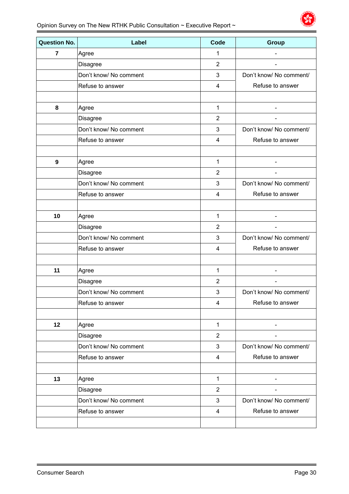| <b>Question No.</b> | Label                  | <b>Code</b>    | Group                   |
|---------------------|------------------------|----------------|-------------------------|
| $\overline{7}$      | Agree                  | 1              |                         |
|                     | <b>Disagree</b>        | $\overline{2}$ |                         |
|                     | Don't know/ No comment | 3              | Don't know/ No comment/ |
|                     | Refuse to answer       | 4              | Refuse to answer        |
|                     |                        |                |                         |
| 8                   | Agree                  | 1              |                         |
|                     | Disagree               | $\overline{2}$ |                         |
|                     | Don't know/ No comment | 3              | Don't know/ No comment/ |
|                     | Refuse to answer       | 4              | Refuse to answer        |
|                     |                        |                |                         |
| 9                   | Agree                  | $\mathbf{1}$   |                         |
|                     | Disagree               | $\overline{2}$ |                         |
|                     | Don't know/ No comment | 3              | Don't know/ No comment/ |
|                     | Refuse to answer       | 4              | Refuse to answer        |
|                     |                        |                |                         |
| 10                  | Agree                  | 1              |                         |
|                     | Disagree               | $\overline{2}$ |                         |
|                     | Don't know/ No comment | 3              | Don't know/ No comment/ |
|                     | Refuse to answer       | 4              | Refuse to answer        |
|                     |                        |                |                         |
| 11                  | Agree                  | 1              |                         |
|                     | Disagree               | $\overline{2}$ |                         |
|                     | Don't know/ No comment | 3              | Don't know/ No comment/ |
|                     | Refuse to answer       | 4              | Refuse to answer        |
|                     |                        |                |                         |
| 12                  | Agree                  | $\mathbf{1}$   |                         |
|                     | <b>Disagree</b>        | $\overline{2}$ |                         |
|                     | Don't know/ No comment | 3              | Don't know/ No comment/ |
|                     | Refuse to answer       | 4              | Refuse to answer        |
|                     |                        |                |                         |
| 13                  | Agree                  | $\mathbf{1}$   |                         |
|                     | <b>Disagree</b>        | $\overline{2}$ |                         |
|                     | Don't know/ No comment | 3              | Don't know/ No comment/ |
|                     | Refuse to answer       | 4              | Refuse to answer        |
|                     |                        |                |                         |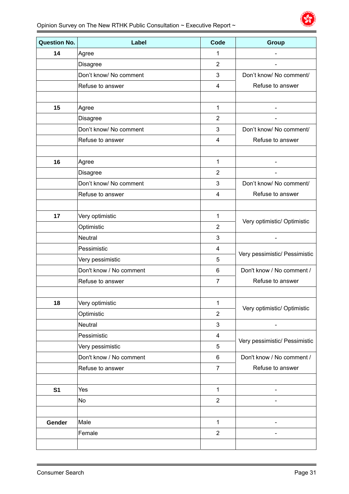| <b>Question No.</b> | Label                   | Code             | <b>Group</b>                  |
|---------------------|-------------------------|------------------|-------------------------------|
| 14                  | Agree                   | 1                |                               |
|                     | Disagree                | $\overline{2}$   |                               |
|                     | Don't know/ No comment  | 3                | Don't know/ No comment/       |
|                     | Refuse to answer        | 4                | Refuse to answer              |
|                     |                         |                  |                               |
| 15                  | Agree                   | 1                |                               |
|                     | Disagree                | $\overline{2}$   |                               |
|                     | Don't know/ No comment  | 3                | Don't know/ No comment/       |
|                     | Refuse to answer        | 4                | Refuse to answer              |
|                     |                         |                  |                               |
| 16                  | Agree                   | 1                |                               |
|                     | <b>Disagree</b>         | $\overline{2}$   |                               |
|                     | Don't know/ No comment  | 3                | Don't know/ No comment/       |
|                     | Refuse to answer        | 4                | Refuse to answer              |
|                     |                         |                  |                               |
| 17                  | Very optimistic         | 1                | Very optimistic/ Optimistic   |
|                     | Optimistic              | $\overline{2}$   |                               |
|                     | <b>Neutral</b>          | 3                |                               |
|                     | Pessimistic             | 4                | Very pessimistic/ Pessimistic |
|                     | Very pessimistic        | 5                |                               |
|                     | Don't know / No comment | 6                | Don't know / No comment /     |
|                     | Refuse to answer        | $\overline{7}$   | Refuse to answer              |
| 18                  |                         | $\mathbf{1}$     |                               |
|                     | Very optimistic         | $\overline{2}$   | Very optimistic/ Optimistic   |
|                     | Optimistic<br>Neutral   |                  |                               |
|                     |                         | 3                |                               |
|                     | Pessimistic             | 4<br>5           | Very pessimistic/ Pessimistic |
|                     | Very pessimistic        |                  |                               |
|                     | Don't know / No comment | 6                | Don't know / No comment /     |
|                     | Refuse to answer        | $\overline{7}$   | Refuse to answer              |
| S <sub>1</sub>      | Yes                     | $\mathbf{1}$     |                               |
|                     | No                      | $\mathbf{2}$     |                               |
|                     |                         |                  |                               |
| Gender              | Male                    | $\mathbf{1}$     |                               |
|                     | Female                  | $\boldsymbol{2}$ |                               |
|                     |                         |                  |                               |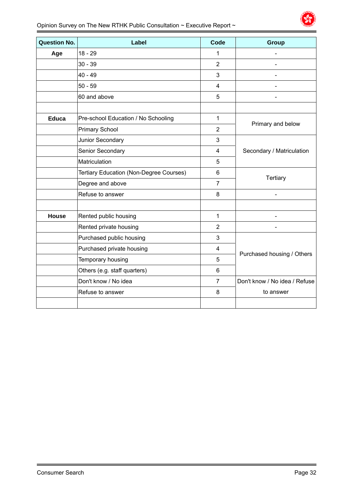

| <b>Question No.</b> | Label                                          | <b>Code</b>    | Group                         |
|---------------------|------------------------------------------------|----------------|-------------------------------|
| Age                 | $18 - 29$                                      | 1              |                               |
|                     | $30 - 39$                                      | $\overline{2}$ |                               |
|                     | $40 - 49$                                      | 3              |                               |
|                     | $50 - 59$                                      | $\overline{4}$ |                               |
|                     | 60 and above                                   | 5              |                               |
|                     |                                                |                |                               |
| <b>Educa</b>        | Pre-school Education / No Schooling            | $\mathbf{1}$   | Primary and below             |
|                     | <b>Primary School</b>                          | $\overline{2}$ |                               |
|                     | Junior Secondary                               | 3              |                               |
|                     | Senior Secondary                               | 4              | Secondary / Matriculation     |
|                     | Matriculation                                  | 5              |                               |
|                     | <b>Tertiary Education (Non-Degree Courses)</b> | $6\phantom{1}$ | <b>Tertiary</b>               |
|                     | Degree and above                               | $\overline{7}$ |                               |
|                     | Refuse to answer                               | 8              |                               |
|                     |                                                |                |                               |
| <b>House</b>        | Rented public housing                          | $\mathbf{1}$   |                               |
|                     | Rented private housing                         | $\overline{2}$ |                               |
|                     | Purchased public housing                       | 3              |                               |
|                     | Purchased private housing                      | 4              | Purchased housing / Others    |
|                     | Temporary housing                              | 5              |                               |
|                     | Others (e.g. staff quarters)                   | 6              |                               |
|                     | Don't know / No idea                           | $\overline{7}$ | Don't know / No idea / Refuse |
|                     | Refuse to answer                               | 8              | to answer                     |
|                     |                                                |                |                               |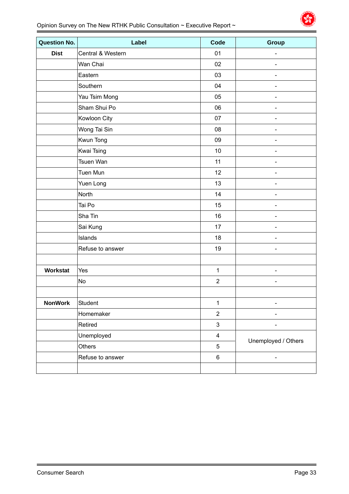| <b>Question No.</b> | Label             | Code                    | <b>Group</b>                 |
|---------------------|-------------------|-------------------------|------------------------------|
| <b>Dist</b>         | Central & Western | 01                      |                              |
|                     | Wan Chai          | 02                      | $\qquad \qquad \blacksquare$ |
|                     | Eastern           | 03                      | $\overline{\phantom{0}}$     |
|                     | Southern          | 04                      | $\qquad \qquad \blacksquare$ |
|                     | Yau Tsim Mong     | 05                      |                              |
|                     | Sham Shui Po      | 06                      |                              |
|                     | Kowloon City      | 07                      |                              |
|                     | Wong Tai Sin      | 08                      |                              |
|                     | Kwun Tong         | 09                      |                              |
|                     | <b>Kwai Tsing</b> | 10                      |                              |
|                     | Tsuen Wan         | 11                      | $\overline{\phantom{0}}$     |
|                     | Tuen Mun          | 12                      |                              |
|                     | Yuen Long         | 13                      | $\qquad \qquad \blacksquare$ |
|                     | North             | 14                      |                              |
|                     | Tai Po            | 15                      | $\overline{\phantom{0}}$     |
|                     | Sha Tin           | 16                      |                              |
|                     | Sai Kung          | 17                      |                              |
|                     | Islands           | 18                      |                              |
|                     | Refuse to answer  | 19                      |                              |
|                     |                   |                         |                              |
| <b>Workstat</b>     | Yes               | $\mathbf{1}$            |                              |
|                     | <b>No</b>         | $\overline{2}$          | ÷,                           |
|                     |                   |                         |                              |
| <b>NonWork</b>      | Student           | $\mathbf{1}$            |                              |
|                     | Homemaker         | $\sqrt{2}$              |                              |
|                     | Retired           | 3                       |                              |
|                     | Unemployed        | $\overline{\mathbf{4}}$ | Unemployed / Others          |
|                     | <b>Others</b>     | 5                       |                              |
|                     | Refuse to answer  | $\,6\,$                 | $\qquad \qquad \blacksquare$ |
|                     |                   |                         |                              |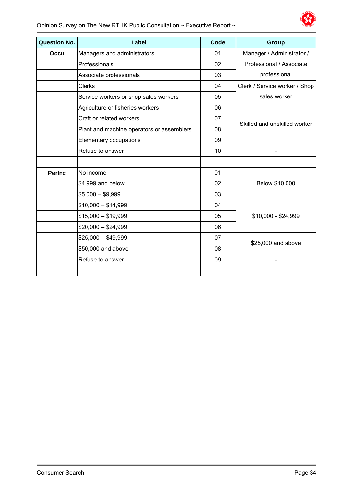

| <b>Question No.</b> | Label                                     | Code | Group                         |
|---------------------|-------------------------------------------|------|-------------------------------|
| Occu                | Managers and administrators               | 01   | Manager / Administrator /     |
|                     | Professionals                             | 02   | Professional / Associate      |
|                     | Associate professionals                   | 03   | professional                  |
|                     | <b>Clerks</b>                             | 04   | Clerk / Service worker / Shop |
|                     | Service workers or shop sales workers     | 05   | sales worker                  |
|                     | Agriculture or fisheries workers          | 06   |                               |
|                     | Craft or related workers                  | 07   | Skilled and unskilled worker  |
|                     | Plant and machine operators or assemblers | 08   |                               |
|                     | Elementary occupations                    | 09   |                               |
|                     | Refuse to answer                          | 10   |                               |
|                     |                                           |      |                               |
| <b>Perinc</b>       | No income                                 | 01   |                               |
|                     | \$4,999 and below                         | 02   | Below \$10,000                |
|                     | $$5,000 - $9,999$                         | 03   |                               |
|                     | $$10,000 - $14,999$                       | 04   |                               |
|                     | $$15,000 - $19,999$                       | 05   | \$10,000 - \$24,999           |
|                     | $$20,000 - $24,999$                       | 06   |                               |
|                     | $$25,000 - $49,999$                       | 07   | \$25,000 and above            |
|                     | \$50,000 and above                        | 08   |                               |
|                     | Refuse to answer                          | 09   |                               |
|                     |                                           |      |                               |
|                     |                                           |      |                               |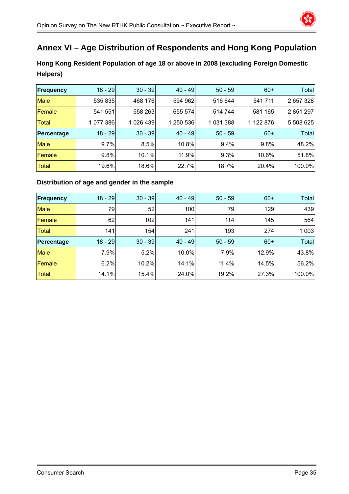

# **Annex VI – Age Distribution of Respondents and Hong Kong Population**

**Hong Kong Resident Population of age 18 or above in 2008 (excluding Foreign Domestic Helpers)** 

| <b>Frequency</b> | $18 - 29$ | $30 - 39$ | $40 - 49$ | $50 - 59$ | $60+$     | Total        |
|------------------|-----------|-----------|-----------|-----------|-----------|--------------|
| <b>Male</b>      | 535 835   | 468 176   | 594 962   | 516 644   | 541 711   | 2 657 328    |
| Female           | 541 551   | 558 263   | 655 574   | 514 744   | 581 165   | 2 851 297    |
| <b>Total</b>     | 1 077 386 | 1 026 439 | 1 250 536 | 1 031 388 | 1 122 876 | 5 508 625    |
| Percentage       | 18 - 29   | $30 - 39$ | $40 - 49$ | $50 - 59$ | $60+$     | <b>Total</b> |
| <b>Male</b>      | 9.7%      | 8.5%      | 10.8%     | 9.4%      | 9.8%      | 48.2%        |
| Female           | 9.8%      | 10.1%     | 11.9%     | 9.3%      | 10.6%     | 51.8%        |
| <b>Total</b>     | 19.6%     | 18.6%     | 22.7%     | 18.7%     | 20.4%     | 100.0%       |

#### **Distribution of age and gender in the sample**

| <b>Frequency</b> | $18 - 29$ | $30 - 39$ | $40 - 49$ | $50 - 59$ | $60+$ | Total   |
|------------------|-----------|-----------|-----------|-----------|-------|---------|
| <b>Male</b>      | 79        | 52        | 100       | 79        | 129   | 439     |
| Female           | 62        | 102       | 141       | 114       | 145   | 564     |
| <b>Total</b>     | 141       | 154       | 241       | 193       | 274   | 1 0 0 3 |
| Percentage       | $18 - 29$ | $30 - 39$ | $40 - 49$ | $50 - 59$ | $60+$ | Total   |
| <b>Male</b>      | 7.9%      | 5.2%      | 10.0%     | 7.9%      | 12.9% | 43.8%   |
| Female           | 6.2%      | 10.2%     | 14.1%     | 11.4%     | 14.5% | 56.2%   |
| <b>Total</b>     | 14.1%     | 15.4%     | 24.0%     | 19.2%     | 27.3% | 100.0%  |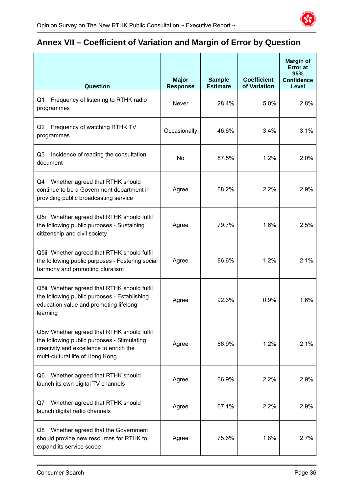

# **Annex VII – Coefficient of Variation and Margin of Error by Question**

| <b>Question</b>                                                                                                                                                           | <b>Major</b><br><b>Response</b> | <b>Sample</b><br><b>Estimate</b> | <b>Coefficient</b><br>of Variation | <b>Margin of</b><br><b>Error</b> at<br>95%<br><b>Confidence</b><br>Level |
|---------------------------------------------------------------------------------------------------------------------------------------------------------------------------|---------------------------------|----------------------------------|------------------------------------|--------------------------------------------------------------------------|
| Frequency of listening to RTHK radio<br>Q1<br>programmes                                                                                                                  | <b>Never</b>                    | 28.4%                            | 5.0%                               | 2.8%                                                                     |
| Q2<br>Frequency of watching RTHK TV<br>programmes                                                                                                                         | Occasionally                    | 46.6%                            | 3.4%                               | 3.1%                                                                     |
| Q3<br>Incidence of reading the consultation<br>document                                                                                                                   | <b>No</b>                       | 87.5%                            | 1.2%                               | 2.0%                                                                     |
| Whether agreed that RTHK should<br>Q4<br>continue to be a Government department in<br>providing public broadcasting service                                               | Agree                           | 68.2%                            | 2.2%                               | 2.9%                                                                     |
| Q5i Whether agreed that RTHK should fulfil<br>the following public purposes - Sustaining<br>citizenship and civil society                                                 | Agree                           | 79.7%                            | 1.6%                               | 2.5%                                                                     |
| Q5ii Whether agreed that RTHK should fulfil<br>the following public purposes - Fostering social<br>harmony and promoting pluralism                                        | Agree                           | 86.6%                            | 1.2%                               | 2.1%                                                                     |
| Q5iii Whether agreed that RTHK should fulfil<br>the following public purposes - Establishing<br>education value and promoting lifelong<br>learning                        | Agree                           | 92.3%                            | 0.9%                               | 1.6%                                                                     |
| Q5iv Whether agreed that RTHK should fulfil<br>the following public purposes - Stimulating<br>creativity and excellence to enrich the<br>multi-cultural life of Hong Kong | Agree                           | 86.9%                            | 1.2%                               | 2.1%                                                                     |
| Whether agreed that RTHK should<br>Q6<br>launch its own digital TV channels                                                                                               | Agree                           | 66.9%                            | 2.2%                               | 2.9%                                                                     |
| Whether agreed that RTHK should<br>Q7<br>launch digital radio channels                                                                                                    | Agree                           | 67.1%                            | 2.2%                               | 2.9%                                                                     |
| Whether agreed that the Government<br>Q8<br>should provide new resources for RTHK to<br>expand its service scope                                                          | Agree                           | 75.6%                            | 1.8%                               | 2.7%                                                                     |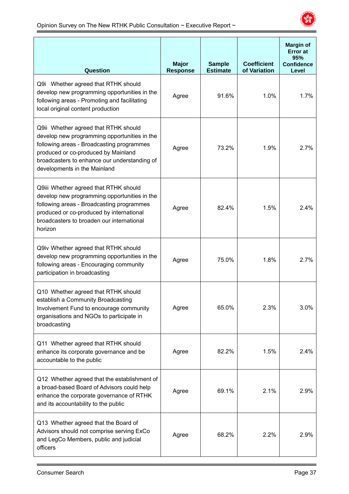

| Question                                                                                                                                                                                                                                                 | <b>Major</b><br><b>Response</b> | <b>Sample</b><br><b>Estimate</b> | <b>Coefficient</b><br>of Variation | <b>Margin of</b><br><b>Error</b> at<br>95%<br><b>Confidence</b><br>Level |
|----------------------------------------------------------------------------------------------------------------------------------------------------------------------------------------------------------------------------------------------------------|---------------------------------|----------------------------------|------------------------------------|--------------------------------------------------------------------------|
| Q9i Whether agreed that RTHK should<br>develop new programming opportunities in the<br>following areas - Promoting and facilitating<br>local original content production                                                                                 | Agree                           | 91.6%                            | 1.0%                               | 1.7%                                                                     |
| Q9ii Whether agreed that RTHK should<br>develop new programming opportunities in the<br>following areas - Broadcasting programmes<br>produced or co-produced by Mainland<br>broadcasters to enhance our understanding of<br>developments in the Mainland | Agree                           | 73.2%                            | 1.9%                               | 2.7%                                                                     |
| Q9iii Whether agreed that RTHK should<br>develop new programming opportunities in the<br>following areas - Broadcasting programmes<br>produced or co-produced by international<br>broadcasters to broaden our international<br>horizon                   | Agree                           | 82.4%                            | 1.5%                               | 2.4%                                                                     |
| Q9iv Whether agreed that RTHK should<br>develop new programming opportunities in the<br>following areas - Encouraging community<br>participation in broadcasting                                                                                         | Agree                           | 75.0%                            | 1.8%                               | 2.7%                                                                     |
| Q10 Whether agreed that RTHK should<br>establish a Community Broadcasting<br>Involvement Fund to encourage community<br>organisations and NGOs to participate in<br>broadcasting                                                                         | Agree                           | 65.0%                            | 2.3%                               | 3.0%                                                                     |
| Q11 Whether agreed that RTHK should<br>enhance its corporate governance and be<br>accountable to the public                                                                                                                                              | Agree                           | 82.2%                            | 1.5%                               | 2.4%                                                                     |
| Q12 Whether agreed that the establishment of<br>a broad-based Board of Advisors could help<br>enhance the corporate governance of RTHK<br>and its accountability to the public                                                                           | Agree                           | 69.1%                            | 2.1%                               | 2.9%                                                                     |
| Q13 Whether agreed that the Board of<br>Advisors should not comprise serving ExCo<br>and LegCo Members, public and judicial<br>officers                                                                                                                  | Agree                           | 68.2%                            | 2.2%                               | 2.9%                                                                     |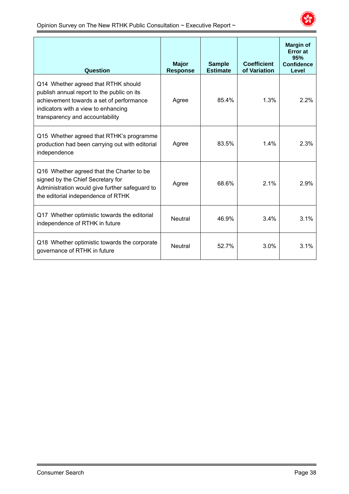

| Question                                                                                                                                                                                                | <b>Major</b><br><b>Response</b> | <b>Sample</b><br><b>Estimate</b> | <b>Coefficient</b><br>of Variation | <b>Margin of</b><br><b>Error</b> at<br>95%<br><b>Confidence</b><br>Level |
|---------------------------------------------------------------------------------------------------------------------------------------------------------------------------------------------------------|---------------------------------|----------------------------------|------------------------------------|--------------------------------------------------------------------------|
| Q14 Whether agreed that RTHK should<br>publish annual report to the public on its<br>achievement towards a set of performance<br>indicators with a view to enhancing<br>transparency and accountability | Agree                           | 85.4%                            | 1.3%                               | 2.2%                                                                     |
| Q15 Whether agreed that RTHK's programme<br>production had been carrying out with editorial<br>independence                                                                                             | Agree                           | 83.5%                            | 1.4%                               | 2.3%                                                                     |
| Q16 Whether agreed that the Charter to be<br>signed by the Chief Secretary for<br>Administration would give further safeguard to<br>the editorial independence of RTHK                                  | Agree                           | 68.6%                            | 2.1%                               | 2.9%                                                                     |
| Q17 Whether optimistic towards the editorial<br>independence of RTHK in future                                                                                                                          | <b>Neutral</b>                  | 46.9%                            | 3.4%                               | 3.1%                                                                     |
| Q18 Whether optimistic towards the corporate<br>governance of RTHK in future                                                                                                                            | <b>Neutral</b>                  | 52.7%                            | 3.0%                               | 3.1%                                                                     |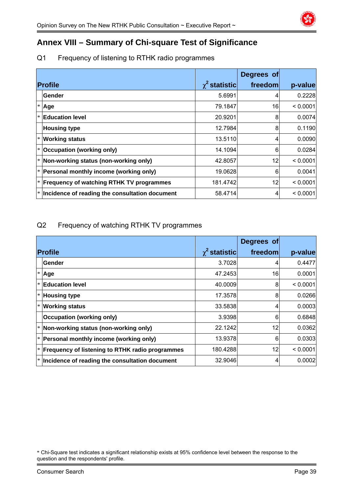

# **Annex VIII – Summary of Chi-square Test of Significance**

### Q1 Frequency of listening to RTHK radio programmes

|                                                 |                    | Degrees of |          |
|-------------------------------------------------|--------------------|------------|----------|
| <b>Profile</b>                                  | $\chi^2$ statistic | freedom    | p-value  |
| Gender                                          | 5.6991             | 4          | 0.2228   |
| Age                                             | 79.1847            | 16         | < 0.0001 |
| <b>Education level</b>                          | 20.9201            | 8          | 0.0074   |
| <b>Housing type</b>                             | 12.7984            | 8          | 0.1190   |
| <b>Working status</b>                           | 13.5110            | 4          | 0.0090   |
| <b>Occupation (working only)</b>                | 14.1094            | 6          | 0.0284   |
| Non-working status (non-working only)           | 42.8057            | 12         | < 0.0001 |
| Personal monthly income (working only)          | 19.0628            | 6          | 0.0041   |
| <b>Frequency of watching RTHK TV programmes</b> | 181.4742           | 12         | < 0.0001 |
| Incidence of reading the consultation document  | 58.4714            | 4          | < 0.0001 |

### Q2 Frequency of watching RTHK TV programmes

|                                                 |                      | Degrees of |          |
|-------------------------------------------------|----------------------|------------|----------|
| <b>Profile</b>                                  | $\gamma^2$ statistic | freedom    | p-value  |
| Gender                                          | 3.7028               | 4          | 0.4477   |
| Age                                             | 47.2453              | 16         | 0.0001   |
| <b>Education level</b>                          | 40.0009              | 8          | < 0.0001 |
| <b>Housing type</b>                             | 17.3578              | 8          | 0.0266   |
| <b>Working status</b>                           | 33.5838              | 4.         | 0.0003   |
| <b>Occupation (working only)</b>                | 3.9398               | 6          | 0.6848   |
| Non-working status (non-working only)           | 22.1242              | 12         | 0.0362   |
| Personal monthly income (working only)          | 13.9378              | 6          | 0.0303   |
| Frequency of listening to RTHK radio programmes | 180.4288             | 12         | < 0.0001 |
| Incidence of reading the consultation document  | 32.9046              | 4          | 0.0002   |

<sup>\*</sup> Chi-Square test indicates a significant relationship exists at 95% confidence level between the response to the question and the respondents' profile.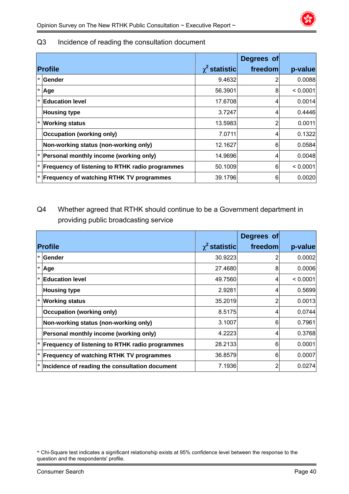### Q3 Incidence of reading the consultation document

|        |                                                        |                    | Degrees of |          |
|--------|--------------------------------------------------------|--------------------|------------|----------|
|        | <b>Profile</b>                                         | $\chi^2$ statistic | freedom    | p-value  |
|        | l* lGender                                             | 9.4632             |            | 0.0088   |
|        | $*$ Age                                                | 56.3901            | 8          | < 0.0001 |
| $\ast$ | <b>Education level</b>                                 | 17.6708            | 4          | 0.0014   |
|        | <b>Housing type</b>                                    | 3.7247             | 4          | 0.4446   |
|        | <b>Working status</b>                                  | 13.5983            | 2          | 0.0011   |
|        | <b>Occupation (working only)</b>                       | 7.0711             | 4          | 0.1322   |
|        | Non-working status (non-working only)                  | 12.1627            | 6          | 0.0584   |
|        | Personal monthly income (working only)                 | 14.9696            | 4          | 0.0048   |
|        | <b>Frequency of listening to RTHK radio programmes</b> | 50.1009            | 6          | < 0.0001 |
|        | <b>Frequency of watching RTHK TV programmes</b>        | 39.1796            | 6          | 0.0020   |

# Q4 Whether agreed that RTHK should continue to be a Government department in providing public broadcasting service

|                                                 |                    | Degrees of |          |
|-------------------------------------------------|--------------------|------------|----------|
| <b>Profile</b>                                  | $\chi^2$ statistic | freedom    | p-value  |
| <b>Gender</b>                                   | 30.9223            |            | 0.0002   |
| Age                                             | 27.4680            | 8          | 0.0006   |
| <b>Education level</b>                          | 49.7560            | 4          | < 0.0001 |
| <b>Housing type</b>                             | 2.9281             | 4          | 0.5699   |
| <b>Working status</b>                           | 35.2019            | 2          | 0.0013   |
| <b>Occupation (working only)</b>                | 8.5175             | 4          | 0.0744   |
| Non-working status (non-working only)           | 3.1007             | 6          | 0.7961   |
| Personal monthly income (working only)          | 4.2223             | 4          | 0.3768   |
| Frequency of listening to RTHK radio programmes | 28.2133            | 6          | 0.0001   |
| <b>Frequency of watching RTHK TV programmes</b> | 36.8579            | 6          | 0.0007   |
| Incidence of reading the consultation document  | 7.1936             | 2          | 0.0274   |

<sup>\*</sup> Chi-Square test indicates a significant relationship exists at 95% confidence level between the response to the question and the respondents' profile.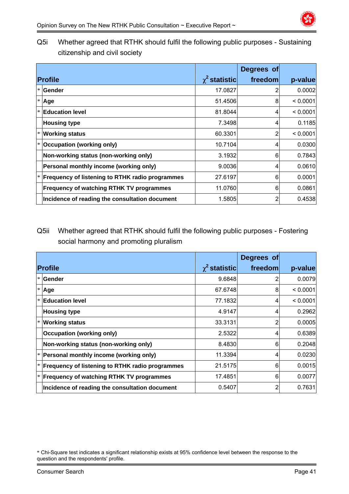Q5i Whether agreed that RTHK should fulfil the following public purposes - Sustaining citizenship and civil society

|        |                                                        |                    | Degrees of |          |
|--------|--------------------------------------------------------|--------------------|------------|----------|
|        | <b>Profile</b>                                         | $\chi^2$ statistic | freedom    | p-value  |
|        | Gender                                                 | 17.0827            |            | 0.0002   |
| $\ast$ | Age                                                    | 51.4506            | 8          | < 0.0001 |
|        | <b>Education level</b>                                 | 81.8044            | 4          | < 0.0001 |
|        | <b>Housing type</b>                                    | 7.3498             | 4          | 0.1185   |
|        | <b>Working status</b>                                  | 60.3301            | 2          | < 0.0001 |
|        | Occupation (working only)                              | 10.7104            | 4          | 0.0300   |
|        | Non-working status (non-working only)                  | 3.1932             | 6          | 0.7843   |
|        | Personal monthly income (working only)                 | 9.0036             | 4          | 0.0610   |
|        | <b>Frequency of listening to RTHK radio programmes</b> | 27.6197            | 6          | 0.0001   |
|        | <b>Frequency of watching RTHK TV programmes</b>        | 11.0760            | 6          | 0.0861   |
|        | Incidence of reading the consultation document         | 1.5805             | 2          | 0.4538   |

Q5ii Whether agreed that RTHK should fulfil the following public purposes - Fostering social harmony and promoting pluralism

|                                                        |                    | Degrees of |          |
|--------------------------------------------------------|--------------------|------------|----------|
| <b>Profile</b>                                         | $\chi^2$ statistic | freedom    | p-value  |
| <b>Sender</b>                                          | 9.6848             |            | 0.0079   |
| Age                                                    | 67.6748            | 8          | < 0.0001 |
| <b>Education level</b>                                 | 77.1832            | 4          | < 0.0001 |
| <b>Housing type</b>                                    | 4.9147             | 4          | 0.2962   |
| <b>Working status</b>                                  | 33.3131            | 2          | 0.0005   |
| <b>Occupation (working only)</b>                       | 2.5322             | 4          | 0.6389   |
| Non-working status (non-working only)                  | 8.4830             | 6          | 0.2048   |
| Personal monthly income (working only)                 | 11.3394            | 4          | 0.0230   |
| <b>Frequency of listening to RTHK radio programmes</b> | 21.5175            | 6          | 0.0015   |
| <b>Frequency of watching RTHK TV programmes</b>        | 17.4851            | 6          | 0.0077   |
| Incidence of reading the consultation document         | 0.5407             | 2          | 0.7631   |

<sup>\*</sup> Chi-Square test indicates a significant relationship exists at 95% confidence level between the response to the question and the respondents' profile.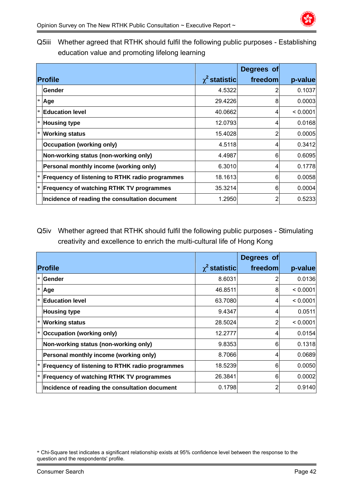

Q5iii Whether agreed that RTHK should fulfil the following public purposes - Establishing education value and promoting lifelong learning

|        |                                                        |                    | Degrees of |          |
|--------|--------------------------------------------------------|--------------------|------------|----------|
|        | <b>Profile</b>                                         | $\chi^2$ statistic | freedom    | p-value  |
|        | Gender                                                 | 4.5322             | 2          | 0.1037   |
| $\ast$ | Age                                                    | 29.4226            | 8          | 0.0003   |
|        | <b>Education level</b>                                 | 40.0662            | 4          | < 0.0001 |
|        | <b>Housing type</b>                                    | 12.0793            | 4          | 0.0168   |
|        | * Working status                                       | 15.4028            | 2          | 0.0005   |
|        | <b>Occupation (working only)</b>                       | 4.5118             | 4          | 0.3412   |
|        | Non-working status (non-working only)                  | 4.4987             | 6          | 0.6095   |
|        | Personal monthly income (working only)                 | 6.3010             | 4          | 0.1778   |
|        | <b>Frequency of listening to RTHK radio programmes</b> | 18.1613            | 6          | 0.0058   |
|        | <b>Frequency of watching RTHK TV programmes</b>        | 35.3214            | 6          | 0.0004   |
|        | Incidence of reading the consultation document         | 1.2950             | 2          | 0.5233   |

Q5iv Whether agreed that RTHK should fulfil the following public purposes - Stimulating creativity and excellence to enrich the multi-cultural life of Hong Kong

|        |                                                        |                    | Degrees of     |          |
|--------|--------------------------------------------------------|--------------------|----------------|----------|
|        | <b>Profile</b>                                         | $\chi^2$ statistic | freedom        | p-value  |
| $\ast$ | <b>Gender</b>                                          | 8.6031             |                | 0.0136   |
| $\ast$ | Age                                                    | 46.8511            | 8              | < 0.0001 |
| $\ast$ | <b>Education level</b>                                 | 63.7080            | 4              | < 0.0001 |
|        | <b>Housing type</b>                                    | 9.4347             | 4              | 0.0511   |
| $\ast$ | <b>Working status</b>                                  | 28.5024            | 2              | < 0.0001 |
| $\ast$ | <b>Occupation (working only)</b>                       | 12.2777            | 4              | 0.0154   |
|        | Non-working status (non-working only)                  | 9.8353             | 6              | 0.1318   |
|        | Personal monthly income (working only)                 | 8.7066             | $\overline{4}$ | 0.0689   |
|        | <b>Frequency of listening to RTHK radio programmes</b> | 18.5239            | 6              | 0.0050   |
|        | <b>Frequency of watching RTHK TV programmes</b>        | 26.3841            | 6              | 0.0002   |
|        | Incidence of reading the consultation document         | 0.1798             | 2              | 0.9140   |

<sup>\*</sup> Chi-Square test indicates a significant relationship exists at 95% confidence level between the response to the question and the respondents' profile.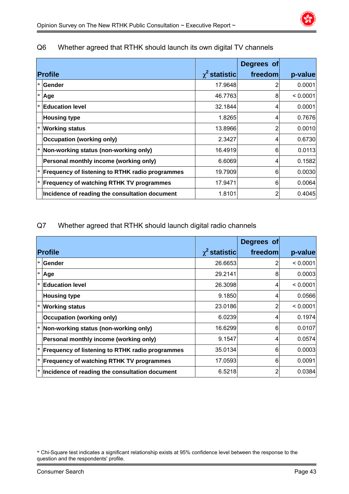| Q6 |  | Whether agreed that RTHK should launch its own digital TV channels |
|----|--|--------------------------------------------------------------------|
|----|--|--------------------------------------------------------------------|

|        |                                                 |                    | Degrees of |          |
|--------|-------------------------------------------------|--------------------|------------|----------|
|        | <b>Profile</b>                                  | $\chi^2$ statistic | freedom    | p-value  |
|        | <b>Sender</b>                                   | 17.9648            |            | 0.0001   |
| $\ast$ | Age                                             | 46.7763            | 8          | < 0.0001 |
|        | $ \ast $ Education level                        | 32.1844            | 4          | 0.0001   |
|        | <b>Housing type</b>                             | 1.8265             | 4          | 0.7676   |
|        | <b>Working status</b>                           | 13.8966            | 2          | 0.0010   |
|        | <b>Occupation (working only)</b>                | 2.3427             | 4          | 0.6730   |
|        | Non-working status (non-working only)           | 16.4919            | 6          | 0.0113   |
|        | Personal monthly income (working only)          | 6.6069             | 4          | 0.1582   |
|        | Frequency of listening to RTHK radio programmes | 19.7909            | 6          | 0.0030   |
|        | <b>Frequency of watching RTHK TV programmes</b> | 17.9471            | 6          | 0.0064   |
|        | Incidence of reading the consultation document  | 1.8101             | 2          | 0.4045   |

Q7 Whether agreed that RTHK should launch digital radio channels

|        |                                                        |                    | Degrees of |          |
|--------|--------------------------------------------------------|--------------------|------------|----------|
|        | Profile                                                | $\chi^2$ statistic | freedom    | p-value  |
|        | <b>Gender</b>                                          | 26.6653            | 2          | < 0.0001 |
|        | $*$ Age                                                | 29.2141            | 8          | 0.0003   |
| $\ast$ | <b>Education level</b>                                 | 26.3098            | 4          | < 0.0001 |
|        | <b>Housing type</b>                                    | 9.1850             | 4          | 0.0566   |
|        | $\vert$ * Working status                               | 23.0186            | 2          | < 0.0001 |
|        | <b>Occupation (working only)</b>                       | 6.0239             | 4          | 0.1974   |
|        | Non-working status (non-working only)                  | 16.6299            | 6          | 0.0107   |
|        | Personal monthly income (working only)                 | 9.1547             | 4          | 0.0574   |
|        | <b>Frequency of listening to RTHK radio programmes</b> | 35.0134            | 6          | 0.0003   |
|        | <b>Frequency of watching RTHK TV programmes</b>        | 17.0593            | 6          | 0.0091   |
|        | $ * $ lncidence of reading the consultation document   | 6.5218             | 2          | 0.0384   |

<sup>\*</sup> Chi-Square test indicates a significant relationship exists at 95% confidence level between the response to the question and the respondents' profile.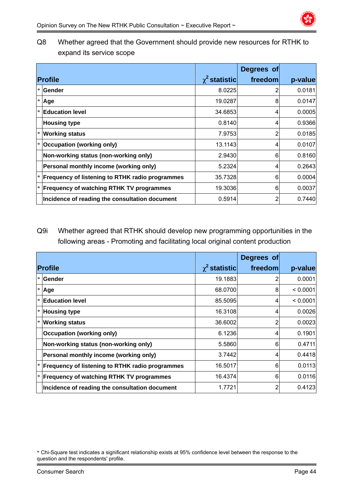Q8 Whether agreed that the Government should provide new resources for RTHK to expand its service scope

|                                                 |                    | Degrees of |         |
|-------------------------------------------------|--------------------|------------|---------|
| <b>Profile</b>                                  | $\chi^2$ statistic | freedom    | p-value |
| * Gender                                        | 8.0225             | 2          | 0.0181  |
| $ * $ Age                                       | 19.0287            | 8          | 0.0147  |
| <b>Education level</b>                          | 34.6853            | 4          | 0.0005  |
| <b>Housing type</b>                             | 0.8140             | 4          | 0.9366  |
| $\left  \cdot \right $ Working status           | 7.9753             | 2          | 0.0185  |
| * Occupation (working only)                     | 13.1143            | 4          | 0.0107  |
| Non-working status (non-working only)           | 2.9430             | 6          | 0.8160  |
| Personal monthly income (working only)          | 5.2324             | 4          | 0.2643  |
| Frequency of listening to RTHK radio programmes | 35.7328            | 6          | 0.0004  |
| <b>Frequency of watching RTHK TV programmes</b> | 19.3036            | 6          | 0.0037  |
| Incidence of reading the consultation document  | 0.5914             | 2          | 0.7440  |

Q9i Whether agreed that RTHK should develop new programming opportunities in the following areas - Promoting and facilitating local original content production

|        |                                                        |                    | Degrees of |          |
|--------|--------------------------------------------------------|--------------------|------------|----------|
|        | <b>Profile</b>                                         | $\chi^2$ statistic | freedom    | p-value  |
|        | * Gender                                               | 19.1883            | 2          | 0.0001   |
|        | $*$ Age                                                | 68.0700            | 8          | < 0.0001 |
| $\ast$ | <b>Education level</b>                                 | 85.5095            | 4          | < 0.0001 |
|        | <b>Housing type</b>                                    | 16.3108            | 4          | 0.0026   |
|        | <b>Working status</b>                                  | 36,6002            | 2          | 0.0023   |
|        | <b>Occupation (working only)</b>                       | 6.1236             | 4          | 0.1901   |
|        | Non-working status (non-working only)                  | 5.5860             | 6          | 0.4711   |
|        | Personal monthly income (working only)                 | 3.7442             | 4          | 0.4418   |
|        | <b>Frequency of listening to RTHK radio programmes</b> | 16.5017            | 6          | 0.0113   |
|        | $*$ Frequency of watching RTHK TV programmes           | 16.4374            | 6          | 0.0116   |
|        | Incidence of reading the consultation document         | 1.7721             | 2          | 0.4123   |

<sup>\*</sup> Chi-Square test indicates a significant relationship exists at 95% confidence level between the response to the question and the respondents' profile.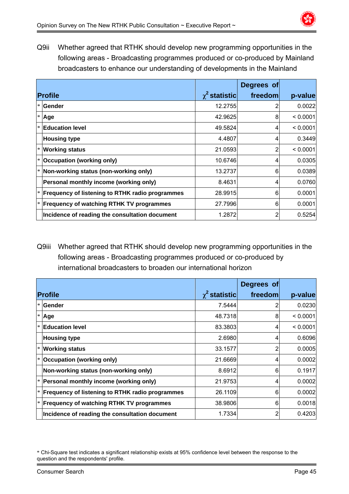

Q9ii Whether agreed that RTHK should develop new programming opportunities in the following areas - Broadcasting programmes produced or co-produced by Mainland broadcasters to enhance our understanding of developments in the Mainland

|                                                        |                    | Degrees of |          |
|--------------------------------------------------------|--------------------|------------|----------|
| Profile                                                | $\chi^2$ statistic | freedom    | p-value  |
| * Gender                                               | 12.2755            | 2          | 0.0022   |
| $*$ Age                                                | 42.9625            | 8          | < 0.0001 |
| $\mathsf{I}^*$ $\mathsf{E}$ ducation level             | 49.5824            | 4          | < 0.0001 |
| <b>Housing type</b>                                    | 4.4807             | 4          | 0.3449   |
| <b>Working status</b>                                  | 21.0593            | 2          | < 0.0001 |
| Occupation (working only)                              | 10.6746            | 4          | 0.0305   |
| Non-working status (non-working only)                  | 13.2737            | 6          | 0.0389   |
| Personal monthly income (working only)                 | 8.4631             | 4          | 0.0760   |
| <b>Frequency of listening to RTHK radio programmes</b> | 28.9915            | 6          | 0.0001   |
| $*$ Frequency of watching RTHK TV programmes           | 27.7996            | 6          | 0.0001   |
| Incidence of reading the consultation document         | 1.2872             | 2          | 0.5254   |

Q9iii Whether agreed that RTHK should develop new programming opportunities in the following areas - Broadcasting programmes produced or co-produced by international broadcasters to broaden our international horizon

|   |                                                        |                    | Degrees of     |          |
|---|--------------------------------------------------------|--------------------|----------------|----------|
|   | <b>Profile</b>                                         | $\chi^2$ statistic | freedom        | p-value  |
|   | <b>Sender</b>                                          | 7.5444             |                | 0.0230   |
| ∗ | Age                                                    | 48.7318            | 8              | < 0.0001 |
|   | <b>Education level</b>                                 | 83.3803            | 4              | < 0.0001 |
|   | <b>Housing type</b>                                    | 2.6980             | 4              | 0.6096   |
|   | $*$ Working status                                     | 33.1577            | 2              | 0.0005   |
|   | Occupation (working only)                              | 21.6669            | 4              | 0.0002   |
|   | Non-working status (non-working only)                  | 8.6912             | 6              | 0.1917   |
|   | Personal monthly income (working only)                 | 21.9753            | $\overline{4}$ | 0.0002   |
|   | <b>Frequency of listening to RTHK radio programmes</b> | 26.1109            | 6              | 0.0002   |
|   | <b>Frequency of watching RTHK TV programmes</b>        | 38.9806            | 6              | 0.0018   |
|   | Incidence of reading the consultation document         | 1.7334             | 2              | 0.4203   |

<sup>\*</sup> Chi-Square test indicates a significant relationship exists at 95% confidence level between the response to the question and the respondents' profile.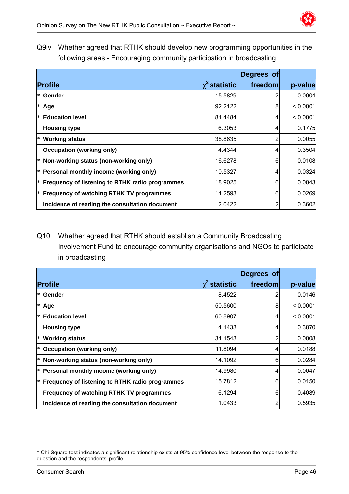

Q9iv Whether agreed that RTHK should develop new programming opportunities in the following areas - Encouraging community participation in broadcasting

|                                                 |                    | Degrees of |          |
|-------------------------------------------------|--------------------|------------|----------|
| <b>Profile</b>                                  | $\chi^2$ statistic | freedom    | p-value  |
| <b>Sender</b>                                   | 15.5829            |            | 0.0004   |
| Age                                             | 92.2122            | 8          | < 0.0001 |
| <b>Education level</b>                          | 81.4484            | 4          | < 0.0001 |
| <b>Housing type</b>                             | 6.3053             | 4          | 0.1775   |
| $\mathbf{v}$ Working status                     | 38.8635            |            | 0.0055   |
| <b>Occupation (working only)</b>                | 4.4344             | 4          | 0.3504   |
| Non-working status (non-working only)           | 16.6278            | 6          | 0.0108   |
| Personal monthly income (working only)          | 10.5327            | 4          | 0.0324   |
| Frequency of listening to RTHK radio programmes | 18.9025            | 6          | 0.0043   |
| <b>Frequency of watching RTHK TV programmes</b> | 14.2593            | 6          | 0.0269   |
| Incidence of reading the consultation document  | 2.0422             | 2          | 0.3602   |

# Q10 Whether agreed that RTHK should establish a Community Broadcasting Involvement Fund to encourage community organisations and NGOs to participate in broadcasting

|        |                                                        |                    | Degrees of |          |
|--------|--------------------------------------------------------|--------------------|------------|----------|
|        | Profile                                                | $\chi^2$ statistic | freedom    | p-value  |
|        | <b>Sender</b>                                          | 8.4522             |            | 0.0146   |
|        | $*$ Age                                                | 50.5600            | 8          | < 0.0001 |
| $\ast$ | <b>Education level</b>                                 | 60.8907            | 4          | < 0.0001 |
|        | <b>Housing type</b>                                    | 4.1433             | 4          | 0.3870   |
|        | $\vert$ * Working status                               | 34.1543            |            | 0.0008   |
|        | <b>Occupation (working only)</b>                       | 11.8094            | 4          | 0.0188   |
|        | Non-working status (non-working only)                  | 14.1092            | 6          | 0.0284   |
|        | Personal monthly income (working only)                 | 14.9980            | 4          | 0.0047   |
|        | <b>Frequency of listening to RTHK radio programmes</b> | 15.7812            | 6          | 0.0150   |
|        | <b>Frequency of watching RTHK TV programmes</b>        | 6.1294             | 6          | 0.4089   |
|        | Incidence of reading the consultation document         | 1.0433             | 2          | 0.5935   |

<sup>\*</sup> Chi-Square test indicates a significant relationship exists at 95% confidence level between the response to the question and the respondents' profile.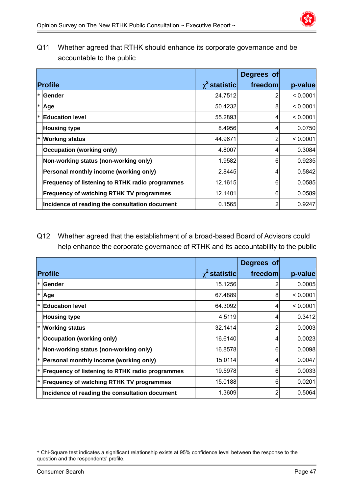Q11 Whether agreed that RTHK should enhance its corporate governance and be accountable to the public

|                                                 |                    | Degrees of |          |
|-------------------------------------------------|--------------------|------------|----------|
| <b>Profile</b>                                  | $\chi^2$ statistic | freedom    | p-value  |
| <b>Sender</b>                                   | 24.7512            |            | < 0.0001 |
| Age                                             | 50.4232            | 8          | < 0.0001 |
| <b>Education level</b>                          | 55.2893            | 4          | < 0.0001 |
| <b>Housing type</b>                             | 8.4956             | 4          | 0.0750   |
| $\mathbf{v}$ Working status                     | 44.9671            | 2          | < 0.0001 |
| <b>Occupation (working only)</b>                | 4.8007             | 4          | 0.3084   |
| Non-working status (non-working only)           | 1.9582             | 6          | 0.9235   |
| Personal monthly income (working only)          | 2.8445             | 4          | 0.5842   |
| Frequency of listening to RTHK radio programmes | 12.1615            | 6          | 0.0585   |
| <b>Frequency of watching RTHK TV programmes</b> | 12.1401            | 6          | 0.0589   |
| Incidence of reading the consultation document  | 0.1565             | 2          | 0.9247   |

### Q12 Whether agreed that the establishment of a broad-based Board of Advisors could help enhance the corporate governance of RTHK and its accountability to the public

|        |                                                        |                    | Degrees of |          |
|--------|--------------------------------------------------------|--------------------|------------|----------|
|        | <b>Profile</b>                                         | $\chi^2$ statistic | freedom    | p-value  |
|        | <b>Sender</b>                                          | 15.1256            |            | 0.0005   |
| $\ast$ | Age                                                    | 67.4889            | 8          | < 0.0001 |
| $\ast$ | <b>Education level</b>                                 | 64.3092            | 4          | < 0.0001 |
|        | <b>Housing type</b>                                    | 4.5119             | 4          | 0.3412   |
|        | <b>Working status</b>                                  | 32.1414            | 2          | 0.0003   |
|        | <b>Occupation (working only)</b>                       | 16.6140            | 4          | 0.0023   |
| $\ast$ | Non-working status (non-working only)                  | 16.8578            | 6          | 0.0098   |
|        | Personal monthly income (working only)                 | 15.0114            | 4          | 0.0047   |
|        | <b>Frequency of listening to RTHK radio programmes</b> | 19.5978            | 6          | 0.0033   |
|        | $ * $ Frequency of watching RTHK TV programmes         | 15.0188            | 6          | 0.0201   |
|        | Incidence of reading the consultation document         | 1.3609             | 2          | 0.5064   |

<sup>\*</sup> Chi-Square test indicates a significant relationship exists at 95% confidence level between the response to the question and the respondents' profile.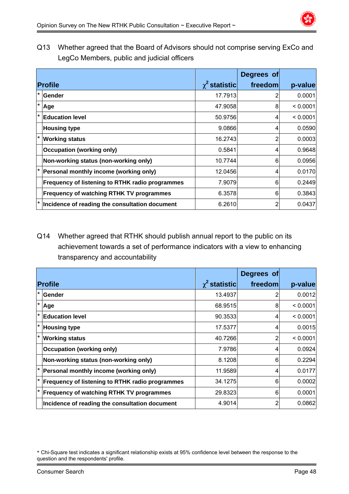Q13 Whether agreed that the Board of Advisors should not comprise serving ExCo and LegCo Members, public and judicial officers

|         |                                                        |                    | Degrees of |          |
|---------|--------------------------------------------------------|--------------------|------------|----------|
|         | <b>Profile</b>                                         | $\chi^2$ statistic | freedom    | p-value  |
| $\star$ | <b>Gender</b>                                          | 17.7913            | 2          | 0.0001   |
| $\star$ | Age                                                    | 47.9058            | 8          | < 0.0001 |
| ١*      | <b>Education level</b>                                 | 50.9756            | 4          | < 0.0001 |
|         | <b>Housing type</b>                                    | 9.0866             | 4          | 0.0590   |
|         | <b>Working status</b>                                  | 16.2743            | 2          | 0.0003   |
|         | <b>Occupation (working only)</b>                       | 0.5841             | 4          | 0.9648   |
|         | Non-working status (non-working only)                  | 10.7744            | 6          | 0.0956   |
|         | Personal monthly income (working only)                 | 12.0456            | 4          | 0.0170   |
|         | <b>Frequency of listening to RTHK radio programmes</b> | 7.9079             | 6          | 0.2449   |
|         | <b>Frequency of watching RTHK TV programmes</b>        | 6.3578             | 6          | 0.3843   |
| l *     | Incidence of reading the consultation document         | 6.2610             | 2          | 0.0437   |

Q14 Whether agreed that RTHK should publish annual report to the public on its achievement towards a set of performance indicators with a view to enhancing transparency and accountability

|         |                                                 |                    | Degrees of     |          |
|---------|-------------------------------------------------|--------------------|----------------|----------|
|         | <b>Profile</b>                                  | $\chi^2$ statistic | freedom        | p-value  |
| $\star$ | Gender                                          | 13.4937            | 2              | 0.0012   |
| l*      | Age                                             | 68.9515            | 8              | < 0.0001 |
| I∗      | <b>Education level</b>                          | 90.3533            | $\overline{4}$ | < 0.0001 |
| I∗      | <b>Housing type</b>                             | 17.5377            | 4              | 0.0015   |
| l*      | <b>Working status</b>                           | 40.7266            | 2              | < 0.0001 |
|         | <b>Occupation (working only)</b>                | 7.9786             | 4              | 0.0924   |
|         | Non-working status (non-working only)           | 8.1208             | 6              | 0.2294   |
|         | Personal monthly income (working only)          | 11.9589            | 4              | 0.0177   |
|         | Frequency of listening to RTHK radio programmes | 34.1275            | 6              | 0.0002   |
|         | <b>Frequency of watching RTHK TV programmes</b> | 29.8323            | 6              | 0.0001   |
|         | Incidence of reading the consultation document  | 4.9014             | 2              | 0.0862   |

<sup>\*</sup> Chi-Square test indicates a significant relationship exists at 95% confidence level between the response to the question and the respondents' profile.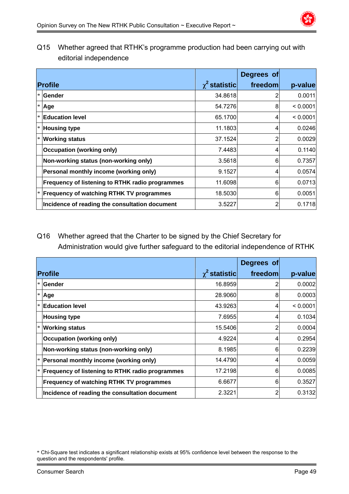

Q15 Whether agreed that RTHK's programme production had been carrying out with editorial independence

|                                                        |                    | Degrees of |          |
|--------------------------------------------------------|--------------------|------------|----------|
| <b>Profile</b>                                         | $\chi^2$ statistic | freedom    | p-value  |
| <b>Sender</b>                                          | 34.8618            |            | 0.0011   |
| Age                                                    | 54.7276            | 8          | < 0.0001 |
| <b>Education level</b>                                 | 65.1700            | 4          | < 0.0001 |
| <b>Housing type</b>                                    | 11.1803            | 4          | 0.0246   |
| <b>Working status</b>                                  | 37.1524            | 2          | 0.0029   |
| <b>Occupation (working only)</b>                       | 7.4483             | 4          | 0.1140   |
| Non-working status (non-working only)                  | 3.5618             | 6          | 0.7357   |
| Personal monthly income (working only)                 | 9.1527             | 4          | 0.0574   |
| <b>Frequency of listening to RTHK radio programmes</b> | 11.6098            | 6          | 0.0713   |
| <b>Frequency of watching RTHK TV programmes</b>        | 18.5030            | 6          | 0.0051   |
| Incidence of reading the consultation document         | 3.5227             | 2          | 0.1718   |

### Q16 Whether agreed that the Charter to be signed by the Chief Secretary for Administration would give further safeguard to the editorial independence of RTHK

|        |                                                        |                    | Degrees of |          |
|--------|--------------------------------------------------------|--------------------|------------|----------|
|        | <b>Profile</b>                                         | $\chi^2$ statistic | freedom    | p-value  |
|        | l* lGender                                             | 16.8959            |            | 0.0002   |
| $\ast$ | Age                                                    | 28,9060            | 8          | 0.0003   |
| $\ast$ | <b>Education level</b>                                 | 43.9263            | 4          | < 0.0001 |
|        | <b>Housing type</b>                                    | 7.6955             | 4          | 0.1034   |
|        | <b>Working status</b>                                  | 15.5406            | 2          | 0.0004   |
|        | <b>Occupation (working only)</b>                       | 4.9224             | 4          | 0.2954   |
|        | Non-working status (non-working only)                  | 8.1985             | 6          | 0.2239   |
|        | Personal monthly income (working only)                 | 14.4790            | 4          | 0.0059   |
|        | <b>Frequency of listening to RTHK radio programmes</b> | 17.2198            | 6          | 0.0085   |
|        | <b>Frequency of watching RTHK TV programmes</b>        | 6.6677             | 6          | 0.3527   |
|        | Incidence of reading the consultation document         | 2.3221             | 2          | 0.3132   |

<sup>\*</sup> Chi-Square test indicates a significant relationship exists at 95% confidence level between the response to the question and the respondents' profile.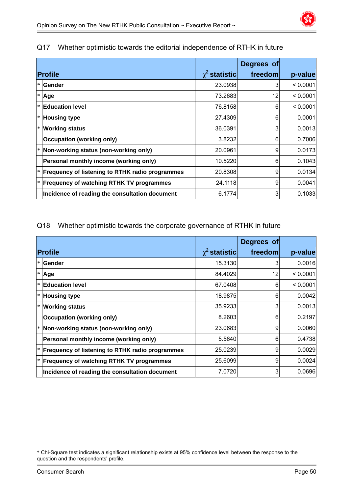|        |                                                        |                    | Degrees of |          |
|--------|--------------------------------------------------------|--------------------|------------|----------|
|        | <b>Profile</b>                                         | $\chi^2$ statistic | freedom    | p-value  |
| $\ast$ | <b>Gender</b>                                          | 23.0938            | 3          | < 0.0001 |
| $\ast$ | Age                                                    | 73.2683            | 12         | < 0.0001 |
| $\ast$ | <b>Education level</b>                                 | 76.8158            | 6          | < 0.0001 |
|        | $ * $ Housing type                                     | 27.4309            | 6          | 0.0001   |
| $\ast$ | <b>Working status</b>                                  | 36.0391            | 3          | 0.0013   |
|        | <b>Occupation (working only)</b>                       | 3.8232             | 6          | 0.7006   |
|        | $\vert$ * Non-working status (non-working only)        | 20.0961            | 9          | 0.0173   |
|        | Personal monthly income (working only)                 | 10.5220            | 6          | 0.1043   |
|        | <b>Frequency of listening to RTHK radio programmes</b> | 20.8308            | 9          | 0.0134   |
|        | $ * $ Frequency of watching RTHK TV programmes         | 24.1118            | 9          | 0.0041   |
|        | Incidence of reading the consultation document         | 6.1774             | 3          | 0.1033   |

### Q17 Whether optimistic towards the editorial independence of RTHK in future

### Q18 Whether optimistic towards the corporate governance of RTHK in future

|                                                        |                      | Degrees of |          |
|--------------------------------------------------------|----------------------|------------|----------|
| <b>Profile</b>                                         | $\gamma^2$ statistic | freedom    | p-value  |
| Gender                                                 | 15.3130              | 3          | 0.0016   |
| ∣* ∣Age                                                | 84.4029              | 12         | < 0.0001 |
| <b>Education level</b>                                 | 67.0408              | 6          | < 0.0001 |
| <b>Housing type</b>                                    | 18.9875              | 6          | 0.0042   |
| <b>X</b> Working status                                | 35.9233              | 3          | 0.0013   |
| <b>Occupation (working only)</b>                       | 8.2603               | 6          | 0.2197   |
| Non-working status (non-working only)                  | 23.0683              | 9          | 0.0060   |
| Personal monthly income (working only)                 | 5.5640               | 6          | 0.4738   |
| <b>Frequency of listening to RTHK radio programmes</b> | 25.0239              | 9          | 0.0029   |
| <b>Frequency of watching RTHK TV programmes</b>        | 25.6099              | 9          | 0.0024   |
| Incidence of reading the consultation document         | 7.0720               | 3          | 0.0696   |

<sup>\*</sup> Chi-Square test indicates a significant relationship exists at 95% confidence level between the response to the question and the respondents' profile.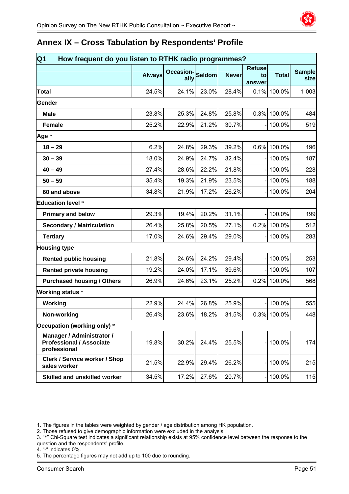

### **Annex IX – Cross Tabulation by Respondents' Profile**

| Q <sub>1</sub><br>How frequent do you listen to RTHK radio programmes?       |               |                          |               |              |                               |              |                       |
|------------------------------------------------------------------------------|---------------|--------------------------|---------------|--------------|-------------------------------|--------------|-----------------------|
|                                                                              | <b>Always</b> | <b>Occasion-</b><br>ally | <b>Seldom</b> | <b>Never</b> | <b>Refuse</b><br>to<br>answer | <b>Total</b> | <b>Sample</b><br>size |
| <b>Total</b>                                                                 | 24.5%         | 24.1%                    | 23.0%         | 28.4%        |                               | 0.1% 100.0%  | 1 0 0 3               |
| Gender                                                                       |               |                          |               |              |                               |              |                       |
| <b>Male</b>                                                                  | 23.8%         | 25.3%                    | 24.8%         | 25.8%        | 0.3%                          | 100.0%       | 484                   |
| <b>Female</b>                                                                | 25.2%         | 22.9%                    | 21.2%         | 30.7%        |                               | 100.0%       | 519                   |
| Age *                                                                        |               |                          |               |              |                               |              |                       |
| $18 - 29$                                                                    | 6.2%          | 24.8%                    | 29.3%         | 39.2%        | 0.6%                          | 100.0%       | 196                   |
| $30 - 39$                                                                    | 18.0%         | 24.9%                    | 24.7%         | 32.4%        |                               | 100.0%       | 187                   |
| $40 - 49$                                                                    | 27.4%         | 28.6%                    | 22.2%         | 21.8%        |                               | 100.0%       | 228                   |
| $50 - 59$                                                                    | 35.4%         | 19.3%                    | 21.9%         | 23.5%        |                               | 100.0%       | 188                   |
| 60 and above                                                                 | 34.8%         | 21.9%                    | 17.2%         | 26.2%        |                               | 100.0%       | 204                   |
| <b>Education level *</b>                                                     |               |                          |               |              |                               |              |                       |
| <b>Primary and below</b>                                                     | 29.3%         | 19.4%                    | 20.2%         | 31.1%        |                               | 100.0%       | 199                   |
| <b>Secondary / Matriculation</b>                                             | 26.4%         | 25.8%                    | 20.5%         | 27.1%        | 0.2%                          | 100.0%       | 512                   |
| <b>Tertiary</b>                                                              | 17.0%         | 24.6%                    | 29.4%         | 29.0%        |                               | 100.0%       | 283                   |
| <b>Housing type</b>                                                          |               |                          |               |              |                               |              |                       |
| <b>Rented public housing</b>                                                 | 21.8%         | 24.6%                    | 24.2%         | 29.4%        |                               | 100.0%       | 253                   |
| <b>Rented private housing</b>                                                | 19.2%         | 24.0%                    | 17.1%         | 39.6%        |                               | 100.0%       | 107                   |
| <b>Purchased housing / Others</b>                                            | 26.9%         | 24.6%                    | 23.1%         | 25.2%        | 0.2%                          | 100.0%       | 568                   |
| <b>Working status *</b>                                                      |               |                          |               |              |                               |              |                       |
| Working                                                                      | 22.9%         | 24.4%                    | 26.8%         | 25.9%        |                               | 100.0%       | 555                   |
| Non-working                                                                  | 26.4%         | 23.6%                    | 18.2%         | 31.5%        |                               | 0.3% 100.0%  | 448                   |
| Occupation (working only) *                                                  |               |                          |               |              |                               |              |                       |
| Manager / Administrator /<br><b>Professional / Associate</b><br>professional | 19.8%         | 30.2%                    | 24.4%         | 25.5%        |                               | 100.0%       | 174                   |
| <b>Clerk / Service worker / Shop</b><br>sales worker                         | 21.5%         | 22.9%                    | 29.4%         | 26.2%        |                               | 100.0%       | 215                   |
| <b>Skilled and unskilled worker</b>                                          | 34.5%         | 17.2%                    | 27.6%         | 20.7%        |                               | 100.0%       | 115                   |

1. The figures in the tables were weighted by gender / age distribution among HK population.

2. Those refused to give demographic information were excluded in the analysis.

- 3. "\*" Chi-Square test indicates a significant relationship exists at 95% confidence level between the response to the question and the respondents' profile.
- 4. "-" indicates 0%.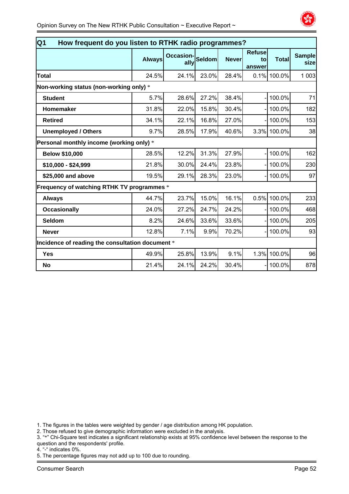

| $\overline{Q1}$<br>How frequent do you listen to RTHK radio programmes? |               |                          |               |              |                               |              |                       |
|-------------------------------------------------------------------------|---------------|--------------------------|---------------|--------------|-------------------------------|--------------|-----------------------|
|                                                                         | <b>Always</b> | <b>Occasion-</b><br>ally | <b>Seldom</b> | <b>Never</b> | <b>Refuse</b><br>to<br>answer | <b>Total</b> | <b>Sample</b><br>size |
| Total                                                                   | 24.5%         | 24.1%                    | 23.0%         | 28.4%        |                               | 0.1% 100.0%  | 1 0 0 3               |
| Non-working status (non-working only) *                                 |               |                          |               |              |                               |              |                       |
| <b>Student</b>                                                          | 5.7%          | 28.6%                    | 27.2%         | 38.4%        |                               | 100.0%       | 71                    |
| Homemaker                                                               | 31.8%         | 22.0%                    | 15.8%         | 30.4%        |                               | 100.0%       | 182                   |
| <b>Retired</b>                                                          | 34.1%         | 22.1%                    | 16.8%         | 27.0%        |                               | 100.0%       | 153                   |
| <b>Unemployed / Others</b>                                              | 9.7%          | 28.5%                    | 17.9%         | 40.6%        |                               | 3.3% 100.0%  | 38                    |
| Personal monthly income (working only) *                                |               |                          |               |              |                               |              |                       |
| <b>Below \$10,000</b>                                                   | 28.5%         | 12.2%                    | 31.3%         | 27.9%        |                               | 100.0%       | 162                   |
| \$10,000 - \$24,999                                                     | 21.8%         | 30.0%                    | 24.4%         | 23.8%        |                               | 100.0%       | 230                   |
| \$25,000 and above                                                      | 19.5%         | 29.1%                    | 28.3%         | 23.0%        |                               | 100.0%       | 97                    |
| Frequency of watching RTHK TV programmes *                              |               |                          |               |              |                               |              |                       |
| <b>Always</b>                                                           | 44.7%         | 23.7%                    | 15.0%         | 16.1%        | 0.5%                          | 100.0%       | 233                   |
| <b>Occasionally</b>                                                     | 24.0%         | 27.2%                    | 24.7%         | 24.2%        |                               | 100.0%       | 468                   |
| <b>Seldom</b>                                                           | 8.2%          | 24.6%                    | 33.6%         | 33.6%        |                               | 100.0%       | 205                   |
| <b>Never</b>                                                            | 12.8%         | 7.1%                     | 9.9%          | 70.2%        |                               | 100.0%       | 93                    |
| Incidence of reading the consultation document *                        |               |                          |               |              |                               |              |                       |
| <b>Yes</b>                                                              | 49.9%         | 25.8%                    | 13.9%         | 9.1%         | 1.3%                          | 100.0%       | 96                    |
| <b>No</b>                                                               | 21.4%         | 24.1%                    | 24.2%         | 30.4%        |                               | 100.0%       | 878                   |

2. Those refused to give demographic information were excluded in the analysis.

3. "\*" Chi-Square test indicates a significant relationship exists at 95% confidence level between the response to the question and the respondents' profile.

4. "-" indicates 0%.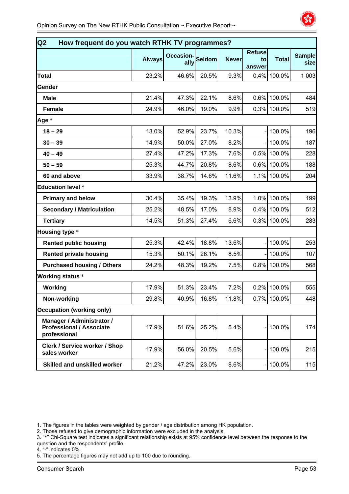

| Q2<br>How frequent do you watch RTHK TV programmes?                          |               |                          |               |              |                               |              |                       |
|------------------------------------------------------------------------------|---------------|--------------------------|---------------|--------------|-------------------------------|--------------|-----------------------|
|                                                                              | <b>Always</b> | <b>Occasion-</b><br>ally | <b>Seldom</b> | <b>Never</b> | <b>Refuse</b><br>to<br>answer | <b>Total</b> | <b>Sample</b><br>size |
| <b>Total</b>                                                                 | 23.2%         | 46.6%                    | 20.5%         | 9.3%         |                               | 0.4% 100.0%  | 1 0 0 3               |
| Gender                                                                       |               |                          |               |              |                               |              |                       |
| <b>Male</b>                                                                  | 21.4%         | 47.3%                    | 22.1%         | 8.6%         |                               | 0.6% 100.0%  | 484                   |
| <b>Female</b>                                                                | 24.9%         | 46.0%                    | 19.0%         | 9.9%         |                               | 0.3% 100.0%  | 519                   |
| Age *                                                                        |               |                          |               |              |                               |              |                       |
| $18 - 29$                                                                    | 13.0%         | 52.9%                    | 23.7%         | 10.3%        |                               | 100.0%       | 196                   |
| $30 - 39$                                                                    | 14.9%         | 50.0%                    | 27.0%         | 8.2%         |                               | 100.0%       | 187                   |
| $40 - 49$                                                                    | 27.4%         | 47.2%                    | 17.3%         | 7.6%         | 0.5%                          | 100.0%       | 228                   |
| $50 - 59$                                                                    | 25.3%         | 44.7%                    | 20.8%         | 8.6%         |                               | 0.6% 100.0%  | 188                   |
| 60 and above                                                                 | 33.9%         | 38.7%                    | 14.6%         | 11.6%        |                               | 1.1% 100.0%  | 204                   |
| <b>Education level *</b>                                                     |               |                          |               |              |                               |              |                       |
| <b>Primary and below</b>                                                     | 30.4%         | 35.4%                    | 19.3%         | 13.9%        | 1.0%                          | 100.0%       | 199                   |
| <b>Secondary / Matriculation</b>                                             | 25.2%         | 48.5%                    | 17.0%         | 8.9%         |                               | 0.4% 100.0%  | 512                   |
| <b>Tertiary</b>                                                              | 14.5%         | 51.3%                    | 27.4%         | 6.6%         |                               | 0.3% 100.0%  | 283                   |
| <b>Housing type *</b>                                                        |               |                          |               |              |                               |              |                       |
| <b>Rented public housing</b>                                                 | 25.3%         | 42.4%                    | 18.8%         | 13.6%        |                               | 100.0%       | 253                   |
| <b>Rented private housing</b>                                                | 15.3%         | 50.1%                    | 26.1%         | 8.5%         |                               | 100.0%       | 107                   |
| <b>Purchased housing / Others</b>                                            | 24.2%         | 48.3%                    | 19.2%         | 7.5%         |                               | 0.8% 100.0%  | 568                   |
| <b>Working status *</b>                                                      |               |                          |               |              |                               |              |                       |
| Working                                                                      | 17.9%         | 51.3%                    | 23.4%         | 7.2%         | 0.2%                          | 100.0%       | 555                   |
| Non-working                                                                  | 29.8%         | 40.9%                    | 16.8%         | 11.8%        |                               | 0.7% 100.0%  | 448                   |
| <b>Occupation (working only)</b>                                             |               |                          |               |              |                               |              |                       |
| Manager / Administrator /<br><b>Professional / Associate</b><br>professional | 17.9%         | 51.6%                    | 25.2%         | 5.4%         |                               | 100.0%       | 174                   |
| <b>Clerk / Service worker / Shop</b><br>sales worker                         | 17.9%         | 56.0%                    | 20.5%         | 5.6%         |                               | 100.0%       | 215                   |
| Skilled and unskilled worker                                                 | 21.2%         | 47.2%                    | 23.0%         | 8.6%         |                               | 100.0%       | 115                   |

- 2. Those refused to give demographic information were excluded in the analysis.
- 3. "\*" Chi-Square test indicates a significant relationship exists at 95% confidence level between the response to the question and the respondents' profile.
- 4. "-" indicates 0%.
- 5. The percentage figures may not add up to 100 due to rounding.

<sup>1.</sup> The figures in the tables were weighted by gender / age distribution among HK population.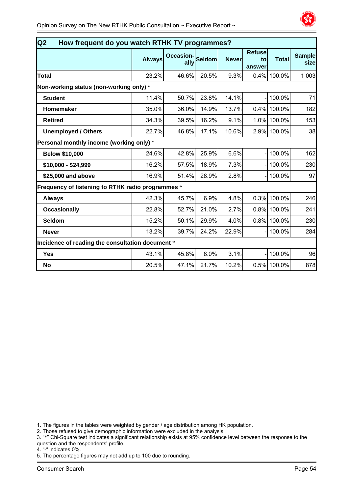

| Q <sub>2</sub><br>How frequent do you watch RTHK TV programmes? |               |                          |        |              |                               |              |                       |  |  |
|-----------------------------------------------------------------|---------------|--------------------------|--------|--------------|-------------------------------|--------------|-----------------------|--|--|
|                                                                 | <b>Always</b> | <b>Occasion-</b><br>ally | Seldom | <b>Never</b> | <b>Refuse</b><br>to<br>answer | <b>Total</b> | <b>Sample</b><br>size |  |  |
| <b>Total</b>                                                    | 23.2%         | 46.6%                    | 20.5%  | 9.3%         | 0.4%                          | 100.0%       | 1 0 0 3               |  |  |
| Non-working status (non-working only) *                         |               |                          |        |              |                               |              |                       |  |  |
| <b>Student</b>                                                  | 11.4%         | 50.7%                    | 23.8%  | 14.1%        |                               | 100.0%       | 71                    |  |  |
| <b>Homemaker</b>                                                | 35.0%         | 36.0%                    | 14.9%  | 13.7%        |                               | 0.4% 100.0%  | 182                   |  |  |
| <b>Retired</b>                                                  | 34.3%         | 39.5%                    | 16.2%  | 9.1%         |                               | 1.0% 100.0%  | 153                   |  |  |
| <b>Unemployed / Others</b>                                      | 22.7%         | 46.8%                    | 17.1%  | 10.6%        |                               | 2.9% 100.0%  | 38                    |  |  |
| Personal monthly income (working only) *                        |               |                          |        |              |                               |              |                       |  |  |
| <b>Below \$10,000</b>                                           | 24.6%         | 42.8%                    | 25.9%  | 6.6%         |                               | 100.0%       | 162                   |  |  |
| \$10,000 - \$24,999                                             | 16.2%         | 57.5%                    | 18.9%  | 7.3%         |                               | 100.0%       | 230                   |  |  |
| \$25,000 and above                                              | 16.9%         | 51.4%                    | 28.9%  | 2.8%         |                               | 100.0%       | 97                    |  |  |
| Frequency of listening to RTHK radio programmes *               |               |                          |        |              |                               |              |                       |  |  |
| <b>Always</b>                                                   | 42.3%         | 45.7%                    | 6.9%   | 4.8%         | 0.3%                          | 100.0%       | 246                   |  |  |
| <b>Occasionally</b>                                             | 22.8%         | 52.7%                    | 21.0%  | 2.7%         |                               | 0.8% 100.0%  | 241                   |  |  |
| <b>Seldom</b>                                                   | 15.2%         | 50.1%                    | 29.9%  | 4.0%         |                               | 0.8% 100.0%  | 230                   |  |  |
| <b>Never</b>                                                    | 13.2%         | 39.7%                    | 24.2%  | 22.9%        |                               | 100.0%       | 284                   |  |  |
| Incidence of reading the consultation document *                |               |                          |        |              |                               |              |                       |  |  |
| <b>Yes</b>                                                      | 43.1%         | 45.8%                    | 8.0%   | 3.1%         |                               | 100.0%       | 96                    |  |  |
| <b>No</b>                                                       | 20.5%         | 47.1%                    | 21.7%  | 10.2%        | 0.5%                          | 100.0%       | 878                   |  |  |

2. Those refused to give demographic information were excluded in the analysis.

3. "\*" Chi-Square test indicates a significant relationship exists at 95% confidence level between the response to the question and the respondents' profile.

4. "-" indicates 0%.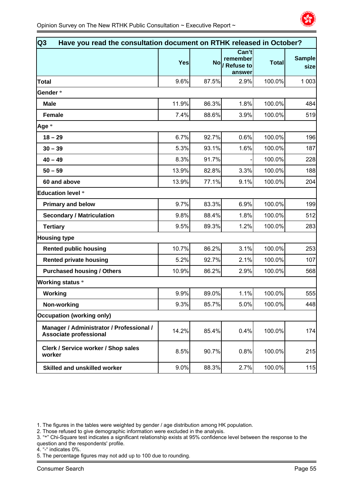

| Q3<br>Have you read the consultation document on RTHK released in October? |       |       |                                                          |              |                        |  |
|----------------------------------------------------------------------------|-------|-------|----------------------------------------------------------|--------------|------------------------|--|
|                                                                            | Yes   |       | Can't<br>remember<br>No <sub>/</sub> Refuse to<br>answer | <b>Total</b> | <b>Sample</b><br>sizel |  |
| <b>Total</b>                                                               | 9.6%  | 87.5% | 2.9%                                                     | 100.0%       | 1 0 0 3                |  |
| Gender *                                                                   |       |       |                                                          |              |                        |  |
| <b>Male</b>                                                                | 11.9% | 86.3% | 1.8%                                                     | 100.0%       | 484                    |  |
| <b>Female</b>                                                              | 7.4%  | 88.6% | 3.9%                                                     | 100.0%       | 519                    |  |
| Age *                                                                      |       |       |                                                          |              |                        |  |
| $18 - 29$                                                                  | 6.7%  | 92.7% | 0.6%                                                     | 100.0%       | 196                    |  |
| $30 - 39$                                                                  | 5.3%  | 93.1% | 1.6%                                                     | 100.0%       | 187                    |  |
| $40 - 49$                                                                  | 8.3%  | 91.7% |                                                          | 100.0%       | 228                    |  |
| $50 - 59$                                                                  | 13.9% | 82.8% | 3.3%                                                     | 100.0%       | 188                    |  |
| 60 and above                                                               | 13.9% | 77.1% | 9.1%                                                     | 100.0%       | 204                    |  |
| <b>Education level *</b>                                                   |       |       |                                                          |              |                        |  |
| <b>Primary and below</b>                                                   | 9.7%  | 83.3% | 6.9%                                                     | 100.0%       | 199                    |  |
| <b>Secondary / Matriculation</b>                                           | 9.8%  | 88.4% | 1.8%                                                     | 100.0%       | 512                    |  |
| <b>Tertiary</b>                                                            | 9.5%  | 89.3% | 1.2%                                                     | 100.0%       | 283                    |  |
| <b>Housing type</b>                                                        |       |       |                                                          |              |                        |  |
| <b>Rented public housing</b>                                               | 10.7% | 86.2% | 3.1%                                                     | 100.0%       | 253                    |  |
| <b>Rented private housing</b>                                              | 5.2%  | 92.7% | 2.1%                                                     | 100.0%       | 107                    |  |
| <b>Purchased housing / Others</b>                                          | 10.9% | 86.2% | 2.9%                                                     | 100.0%       | 568                    |  |
| <b>Working status *</b>                                                    |       |       |                                                          |              |                        |  |
| Working                                                                    | 9.9%  | 89.0% | 1.1%                                                     | 100.0%       | 555                    |  |
| Non-working                                                                | 9.3%  | 85.7% | 5.0%                                                     | 100.0%       | 448                    |  |
| <b>Occupation (working only)</b>                                           |       |       |                                                          |              |                        |  |
| Manager / Administrator / Professional /<br>Associate professional         | 14.2% | 85.4% | 0.4%                                                     | 100.0%       | 174                    |  |
| Clerk / Service worker / Shop sales<br>worker                              | 8.5%  | 90.7% | 0.8%                                                     | 100.0%       | 215                    |  |
| <b>Skilled and unskilled worker</b>                                        | 9.0%  | 88.3% | 2.7%                                                     | 100.0%       | 115                    |  |

- 3. "\*" Chi-Square test indicates a significant relationship exists at 95% confidence level between the response to the question and the respondents' profile.
- 4. "-" indicates 0%.
- 5. The percentage figures may not add up to 100 due to rounding.

<sup>1.</sup> The figures in the tables were weighted by gender / age distribution among HK population.

<sup>2.</sup> Those refused to give demographic information were excluded in the analysis.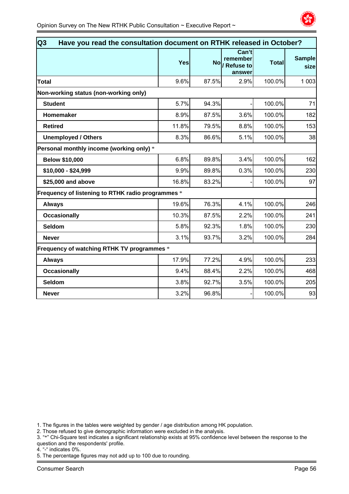

| Q <sub>3</sub><br>Have you read the consultation document on RTHK released in October? |       |       |                                                          |              |                       |  |
|----------------------------------------------------------------------------------------|-------|-------|----------------------------------------------------------|--------------|-----------------------|--|
|                                                                                        | Yes   |       | Can't<br>remember<br>No <sub>/</sub> Refuse to<br>answer | <b>Total</b> | <b>Sample</b><br>size |  |
| <b>Total</b>                                                                           | 9.6%  | 87.5% | 2.9%                                                     | 100.0%       | 1 0 0 3               |  |
| Non-working status (non-working only)                                                  |       |       |                                                          |              |                       |  |
| <b>Student</b>                                                                         | 5.7%  | 94.3% |                                                          | 100.0%       | 71                    |  |
| Homemaker                                                                              | 8.9%  | 87.5% | 3.6%                                                     | 100.0%       | 182                   |  |
| <b>Retired</b>                                                                         | 11.8% | 79.5% | 8.8%                                                     | 100.0%       | 153                   |  |
| <b>Unemployed / Others</b>                                                             | 8.3%  | 86.6% | 5.1%                                                     | 100.0%       | 38                    |  |
| Personal monthly income (working only) *                                               |       |       |                                                          |              |                       |  |
| <b>Below \$10,000</b>                                                                  | 6.8%  | 89.8% | 3.4%                                                     | 100.0%       | 162                   |  |
| \$10,000 - \$24,999                                                                    | 9.9%  | 89.8% | 0.3%                                                     | 100.0%       | 230                   |  |
| \$25,000 and above                                                                     | 16.8% | 83.2% |                                                          | 100.0%       | 97                    |  |
| Frequency of listening to RTHK radio programmes *                                      |       |       |                                                          |              |                       |  |
| <b>Always</b>                                                                          | 19.6% | 76.3% | 4.1%                                                     | 100.0%       | 246                   |  |
| <b>Occasionally</b>                                                                    | 10.3% | 87.5% | 2.2%                                                     | 100.0%       | 241                   |  |
| <b>Seldom</b>                                                                          | 5.8%  | 92.3% | 1.8%                                                     | 100.0%       | 230                   |  |
| <b>Never</b>                                                                           | 3.1%  | 93.7% | 3.2%                                                     | 100.0%       | 284                   |  |
| Frequency of watching RTHK TV programmes *                                             |       |       |                                                          |              |                       |  |
| <b>Always</b>                                                                          | 17.9% | 77.2% | 4.9%                                                     | 100.0%       | 233                   |  |
| <b>Occasionally</b>                                                                    | 9.4%  | 88.4% | 2.2%                                                     | 100.0%       | 468                   |  |
| <b>Seldom</b>                                                                          | 3.8%  | 92.7% | 3.5%                                                     | 100.0%       | 205                   |  |
| <b>Never</b>                                                                           | 3.2%  | 96.8% |                                                          | 100.0%       | 93                    |  |

2. Those refused to give demographic information were excluded in the analysis.

3. "\*" Chi-Square test indicates a significant relationship exists at 95% confidence level between the response to the question and the respondents' profile.

4. "-" indicates 0%.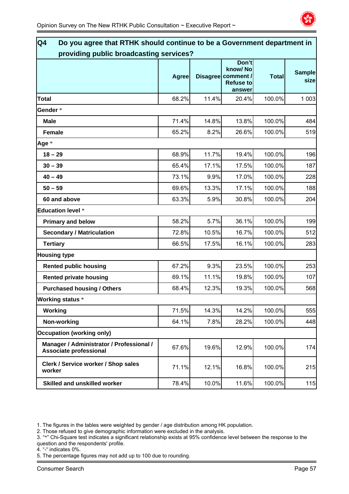

| Q4<br>Do you agree that RTHK should continue to be a Government department in<br>providing public broadcasting services? |              |       |                                                                      |              |                       |
|--------------------------------------------------------------------------------------------------------------------------|--------------|-------|----------------------------------------------------------------------|--------------|-----------------------|
|                                                                                                                          | <b>Agree</b> |       | Don't<br>know/No<br>Disagree comment /<br><b>Refuse to</b><br>answer | <b>Total</b> | <b>Sample</b><br>size |
| <b>Total</b>                                                                                                             | 68.2%        | 11.4% | 20.4%                                                                | 100.0%       | 1 0 0 3               |
| Gender *                                                                                                                 |              |       |                                                                      |              |                       |
| <b>Male</b>                                                                                                              | 71.4%        | 14.8% | 13.8%                                                                | 100.0%       | 484                   |
| <b>Female</b>                                                                                                            | 65.2%        | 8.2%  | 26.6%                                                                | 100.0%       | 519                   |
| Age *                                                                                                                    |              |       |                                                                      |              |                       |
| $18 - 29$                                                                                                                | 68.9%        | 11.7% | 19.4%                                                                | 100.0%       | 196                   |
| $30 - 39$                                                                                                                | 65.4%        | 17.1% | 17.5%                                                                | 100.0%       | 187                   |
| $40 - 49$                                                                                                                | 73.1%        | 9.9%  | 17.0%                                                                | 100.0%       | 228                   |
| $50 - 59$                                                                                                                | 69.6%        | 13.3% | 17.1%                                                                | 100.0%       | 188                   |
| 60 and above                                                                                                             | 63.3%        | 5.9%  | 30.8%                                                                | 100.0%       | 204                   |
| <b>Education level *</b>                                                                                                 |              |       |                                                                      |              |                       |
| <b>Primary and below</b>                                                                                                 | 58.2%        | 5.7%  | 36.1%                                                                | 100.0%       | 199                   |
| <b>Secondary / Matriculation</b>                                                                                         | 72.8%        | 10.5% | 16.7%                                                                | 100.0%       | 512                   |
| <b>Tertiary</b>                                                                                                          | 66.5%        | 17.5% | 16.1%                                                                | 100.0%       | 283                   |
| <b>Housing type</b>                                                                                                      |              |       |                                                                      |              |                       |
| <b>Rented public housing</b>                                                                                             | 67.2%        | 9.3%  | 23.5%                                                                | 100.0%       | 253                   |
| <b>Rented private housing</b>                                                                                            | 69.1%        | 11.1% | 19.8%                                                                | 100.0%       | 107                   |
| <b>Purchased housing / Others</b>                                                                                        | 68.4%        | 12.3% | 19.3%                                                                | 100.0%       | 568                   |
| <b>Working status *</b>                                                                                                  |              |       |                                                                      |              |                       |
| Working                                                                                                                  | 71.5%        | 14.3% | 14.2%                                                                | 100.0%       | 555                   |
| Non-working                                                                                                              | 64.1%        | 7.8%  | 28.2%                                                                | 100.0%       | 448                   |
| <b>Occupation (working only)</b>                                                                                         |              |       |                                                                      |              |                       |
| Manager / Administrator / Professional /<br><b>Associate professional</b>                                                | 67.6%        | 19.6% | 12.9%                                                                | 100.0%       | 174                   |
| Clerk / Service worker / Shop sales<br>worker                                                                            | 71.1%        | 12.1% | 16.8%                                                                | 100.0%       | 215                   |
| Skilled and unskilled worker                                                                                             | 78.4%        | 10.0% | 11.6%                                                                | 100.0%       | 115                   |

2. Those refused to give demographic information were excluded in the analysis.

4. "-" indicates 0%.

<sup>3. &</sup>quot;\*" Chi-Square test indicates a significant relationship exists at 95% confidence level between the response to the question and the respondents' profile.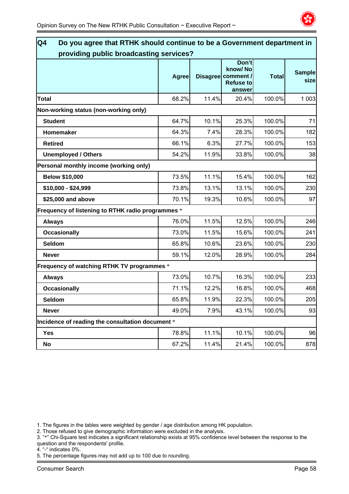

| providing public broadcasting services?           |       |       |                                                                      |              |                       |  |
|---------------------------------------------------|-------|-------|----------------------------------------------------------------------|--------------|-----------------------|--|
|                                                   | Agree |       | Don't<br>know/No<br>Disagree comment /<br><b>Refuse to</b><br>answer | <b>Total</b> | <b>Sample</b><br>size |  |
| <b>Total</b>                                      | 68.2% | 11.4% | 20.4%                                                                | 100.0%       | 1 0 0 3               |  |
| Non-working status (non-working only)             |       |       |                                                                      |              |                       |  |
| <b>Student</b>                                    | 64.7% | 10.1% | 25.3%                                                                | 100.0%       | 71                    |  |
| Homemaker                                         | 64.3% | 7.4%  | 28.3%                                                                | 100.0%       | 182                   |  |
| <b>Retired</b>                                    | 66.1% | 6.3%  | 27.7%                                                                | 100.0%       | 153                   |  |
| <b>Unemployed / Others</b>                        | 54.2% | 11.9% | 33.8%                                                                | 100.0%       | 38                    |  |
| Personal monthly income (working only)            |       |       |                                                                      |              |                       |  |
| <b>Below \$10,000</b>                             | 73.5% | 11.1% | 15.4%                                                                | 100.0%       | 162                   |  |
| \$10,000 - \$24,999                               | 73.8% | 13.1% | 13.1%                                                                | 100.0%       | 230                   |  |
| \$25,000 and above                                | 70.1% | 19.3% | 10.6%                                                                | 100.0%       | 97                    |  |
| Frequency of listening to RTHK radio programmes * |       |       |                                                                      |              |                       |  |
| <b>Always</b>                                     | 76.0% | 11.5% | 12.5%                                                                | 100.0%       | 246                   |  |
| <b>Occasionally</b>                               | 73.0% | 11.5% | 15.6%                                                                | 100.0%       | 241                   |  |
| <b>Seldom</b>                                     | 65.8% | 10.6% | 23.6%                                                                | 100.0%       | 230                   |  |
| <b>Never</b>                                      | 59.1% | 12.0% | 28.9%                                                                | 100.0%       | 284                   |  |
| Frequency of watching RTHK TV programmes *        |       |       |                                                                      |              |                       |  |
| <b>Always</b>                                     | 73.0% | 10.7% | 16.3%                                                                | 100.0%       | 233                   |  |
| <b>Occasionally</b>                               | 71.1% | 12.2% | 16.8%                                                                | 100.0%       | 468                   |  |
| Seldom                                            | 65.8% | 11.9% | 22.3%                                                                | 100.0%       | 205                   |  |
| <b>Never</b>                                      | 49.0% | 7.9%  | 43.1%                                                                | 100.0%       | 93                    |  |
| Incidence of reading the consultation document *  |       |       |                                                                      |              |                       |  |
| <b>Yes</b>                                        | 78.8% | 11.1% | 10.1%                                                                | 100.0%       | 96                    |  |
| No                                                | 67.2% | 11.4% | 21.4%                                                                | 100.0%       | 878                   |  |

2. Those refused to give demographic information were excluded in the analysis.

3. "\*" Chi-Square test indicates a significant relationship exists at 95% confidence level between the response to the question and the respondents' profile.

4. "-" indicates 0%.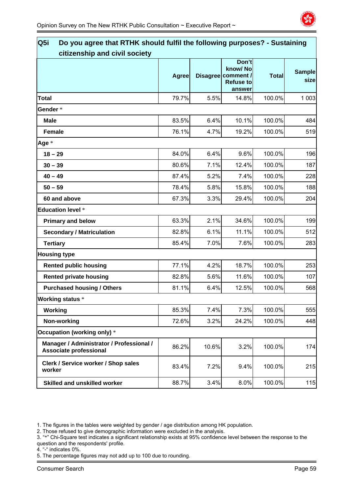

| Q <sub>5i</sub><br>Do you agree that RTHK should fulfil the following purposes? - Sustaining |              |       |                                        |              |               |
|----------------------------------------------------------------------------------------------|--------------|-------|----------------------------------------|--------------|---------------|
| citizenship and civil society                                                                | <b>Agree</b> |       | Don't<br>know/No<br>Disagree comment / | <b>Total</b> | <b>Sample</b> |
|                                                                                              |              |       | <b>Refuse to</b><br>answer             |              | size          |
| <b>Total</b>                                                                                 | 79.7%        | 5.5%  | 14.8%                                  | 100.0%       | 1 0 0 3       |
| Gender*                                                                                      |              |       |                                        |              |               |
| <b>Male</b>                                                                                  | 83.5%        | 6.4%  | 10.1%                                  | 100.0%       | 484           |
| <b>Female</b>                                                                                | 76.1%        | 4.7%  | 19.2%                                  | 100.0%       | 519           |
| Age *                                                                                        |              |       |                                        |              |               |
| $18 - 29$                                                                                    | 84.0%        | 6.4%  | 9.6%                                   | 100.0%       | 196           |
| $30 - 39$                                                                                    | 80.6%        | 7.1%  | 12.4%                                  | 100.0%       | 187           |
| $40 - 49$                                                                                    | 87.4%        | 5.2%  | 7.4%                                   | 100.0%       | 228           |
| $50 - 59$                                                                                    | 78.4%        | 5.8%  | 15.8%                                  | 100.0%       | 188           |
| 60 and above                                                                                 | 67.3%        | 3.3%  | 29.4%                                  | 100.0%       | 204           |
| <b>Education level *</b>                                                                     |              |       |                                        |              |               |
| <b>Primary and below</b>                                                                     | 63.3%        | 2.1%  | 34.6%                                  | 100.0%       | 199           |
| <b>Secondary / Matriculation</b>                                                             | 82.8%        | 6.1%  | 11.1%                                  | 100.0%       | 512           |
| <b>Tertiary</b>                                                                              | 85.4%        | 7.0%  | 7.6%                                   | 100.0%       | 283           |
| <b>Housing type</b>                                                                          |              |       |                                        |              |               |
| <b>Rented public housing</b>                                                                 | 77.1%        | 4.2%  | 18.7%                                  | 100.0%       | 253           |
| <b>Rented private housing</b>                                                                | 82.8%        | 5.6%  | 11.6%                                  | 100.0%       | 107           |
| <b>Purchased housing / Others</b>                                                            | 81.1%        | 6.4%  | 12.5%                                  | 100.0%       | 568           |
| <b>Working status *</b>                                                                      |              |       |                                        |              |               |
| Working                                                                                      | 85.3%        | 7.4%  | 7.3%                                   | 100.0%       | 555           |
| Non-working                                                                                  | 72.6%        | 3.2%  | 24.2%                                  | 100.0%       | 448           |
| Occupation (working only) *                                                                  |              |       |                                        |              |               |
| Manager / Administrator / Professional /<br><b>Associate professional</b>                    | 86.2%        | 10.6% | 3.2%                                   | 100.0%       | 174           |
| Clerk / Service worker / Shop sales<br>worker                                                | 83.4%        | 7.2%  | 9.4%                                   | 100.0%       | 215           |
| <b>Skilled and unskilled worker</b>                                                          | 88.7%        | 3.4%  | 8.0%                                   | 100.0%       | 115           |

2. Those refused to give demographic information were excluded in the analysis.

- 3. "\*" Chi-Square test indicates a significant relationship exists at 95% confidence level between the response to the question and the respondents' profile.
- 4. "-" indicates 0%.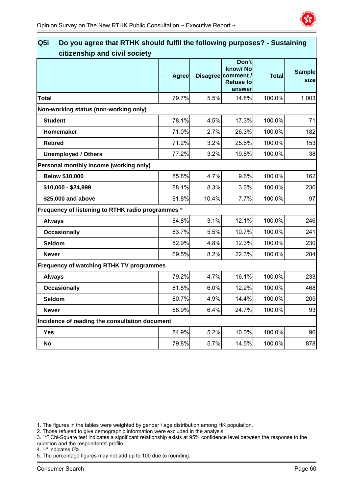

| Do you agree that RTHK should fulfil the following purposes? - Sustaining<br>Q <sub>5i</sub> |              |       |                                                                      |              |                       |
|----------------------------------------------------------------------------------------------|--------------|-------|----------------------------------------------------------------------|--------------|-----------------------|
| citizenship and civil society                                                                | <b>Agree</b> |       | Don't<br>know/No<br>Disagree comment /<br><b>Refuse to</b><br>answer | <b>Total</b> | <b>Sample</b><br>size |
| <b>Total</b>                                                                                 | 79.7%        | 5.5%  | 14.8%                                                                | 100.0%       | 1 0 0 3               |
| Non-working status (non-working only)                                                        |              |       |                                                                      |              |                       |
| <b>Student</b>                                                                               | 78.1%        | 4.5%  | 17.3%                                                                | 100.0%       | 71                    |
| Homemaker                                                                                    | 71.0%        | 2.7%  | 26.3%                                                                | 100.0%       | 182                   |
| <b>Retired</b>                                                                               | 71.2%        | 3.2%  | 25.6%                                                                | 100.0%       | 153                   |
| <b>Unemployed / Others</b>                                                                   | 77.2%        | 3.2%  | 19.6%                                                                | 100.0%       | 38                    |
| Personal monthly income (working only)                                                       |              |       |                                                                      |              |                       |
| <b>Below \$10,000</b>                                                                        | 85.8%        | 4.7%  | 9.6%                                                                 | 100.0%       | 162                   |
| \$10,000 - \$24,999                                                                          | 88.1%        | 8.3%  | 3.6%                                                                 | 100.0%       | 230                   |
| \$25,000 and above                                                                           | 81.8%        | 10.4% | 7.7%                                                                 | 100.0%       | 97                    |
| Frequency of listening to RTHK radio programmes *                                            |              |       |                                                                      |              |                       |
| <b>Always</b>                                                                                | 84.8%        | 3.1%  | 12.1%                                                                | 100.0%       | 246                   |
| <b>Occasionally</b>                                                                          | 83.7%        | 5.5%  | 10.7%                                                                | 100.0%       | 241                   |
| Seldom                                                                                       | 82.9%        | 4.8%  | 12.3%                                                                | 100.0%       | 230                   |
| <b>Never</b>                                                                                 | 69.5%        | 8.2%  | 22.3%                                                                | 100.0%       | 284                   |
| Frequency of watching RTHK TV programmes                                                     |              |       |                                                                      |              |                       |
| <b>Always</b>                                                                                | 79.2%        | 4.7%  | 16.1%                                                                | 100.0%       | 233                   |
| <b>Occasionally</b>                                                                          | 81.8%        | 6.0%  | 12.2%                                                                | 100.0%       | 468                   |
| Seldom                                                                                       | 80.7%        | 4.9%  | 14.4%                                                                | 100.0%       | 205                   |
| <b>Never</b>                                                                                 | 68.9%        | 6.4%  | 24.7%                                                                | 100.0%       | 93                    |
| Incidence of reading the consultation document                                               |              |       |                                                                      |              |                       |
| <b>Yes</b>                                                                                   | 84.9%        | 5.2%  | 10.0%                                                                | 100.0%       | 96                    |
| No                                                                                           | 79.8%        | 5.7%  | 14.5%                                                                | 100.0%       | 878                   |
|                                                                                              |              |       |                                                                      |              |                       |

2. Those refused to give demographic information were excluded in the analysis.

3. "\*" Chi-Square test indicates a significant relationship exists at 95% confidence level between the response to the question and the respondents' profile.

4. "-" indicates 0%.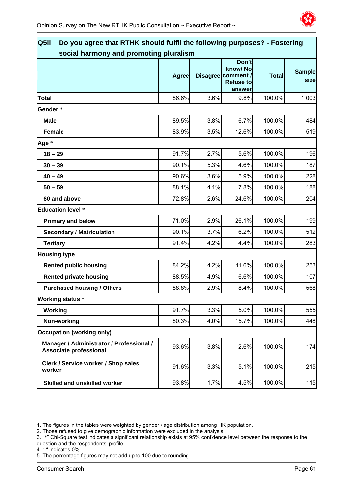

| Do you agree that RTHK should fulfil the following purposes? - Fostering<br>Q5ii |              |      |                                                                      |              |                       |  |
|----------------------------------------------------------------------------------|--------------|------|----------------------------------------------------------------------|--------------|-----------------------|--|
| social harmony and promoting pluralism                                           |              |      |                                                                      |              |                       |  |
|                                                                                  | <b>Agree</b> |      | Don't<br>know/No<br>Disagree comment /<br><b>Refuse to</b><br>answer | <b>Total</b> | <b>Sample</b><br>size |  |
| <b>Total</b>                                                                     | 86.6%        | 3.6% | 9.8%                                                                 | 100.0%       | 1 0 0 3               |  |
| Gender*                                                                          |              |      |                                                                      |              |                       |  |
| <b>Male</b>                                                                      | 89.5%        | 3.8% | 6.7%                                                                 | 100.0%       | 484                   |  |
| <b>Female</b>                                                                    | 83.9%        | 3.5% | 12.6%                                                                | 100.0%       | 519                   |  |
| Age *                                                                            |              |      |                                                                      |              |                       |  |
| $18 - 29$                                                                        | 91.7%        | 2.7% | 5.6%                                                                 | 100.0%       | 196                   |  |
| $30 - 39$                                                                        | 90.1%        | 5.3% | 4.6%                                                                 | 100.0%       | 187                   |  |
| $40 - 49$                                                                        | 90.6%        | 3.6% | 5.9%                                                                 | 100.0%       | 228                   |  |
| $50 - 59$                                                                        | 88.1%        | 4.1% | 7.8%                                                                 | 100.0%       | 188                   |  |
| 60 and above                                                                     | 72.8%        | 2.6% | 24.6%                                                                | 100.0%       | 204                   |  |
| <b>Education level *</b>                                                         |              |      |                                                                      |              |                       |  |
| <b>Primary and below</b>                                                         | 71.0%        | 2.9% | 26.1%                                                                | 100.0%       | 199                   |  |
| <b>Secondary / Matriculation</b>                                                 | 90.1%        | 3.7% | 6.2%                                                                 | 100.0%       | 512                   |  |
| <b>Tertiary</b>                                                                  | 91.4%        | 4.2% | 4.4%                                                                 | 100.0%       | 283                   |  |
| <b>Housing type</b>                                                              |              |      |                                                                      |              |                       |  |
| <b>Rented public housing</b>                                                     | 84.2%        | 4.2% | 11.6%                                                                | 100.0%       | 253                   |  |
| <b>Rented private housing</b>                                                    | 88.5%        | 4.9% | 6.6%                                                                 | 100.0%       | 107                   |  |
| <b>Purchased housing / Others</b>                                                | 88.8%        | 2.9% | 8.4%                                                                 | 100.0%       | 568                   |  |
| <b>Working status *</b>                                                          |              |      |                                                                      |              |                       |  |
| Working                                                                          | 91.7%        | 3.3% | 5.0%                                                                 | 100.0%       | 555                   |  |
| Non-working                                                                      | 80.3%        | 4.0% | 15.7%                                                                | 100.0%       | 448                   |  |
| <b>Occupation (working only)</b>                                                 |              |      |                                                                      |              |                       |  |
| Manager / Administrator / Professional /<br>Associate professional               | 93.6%        | 3.8% | 2.6%                                                                 | 100.0%       | 174                   |  |
| Clerk / Service worker / Shop sales<br>worker                                    | 91.6%        | 3.3% | 5.1%                                                                 | 100.0%       | 215                   |  |
| <b>Skilled and unskilled worker</b>                                              | 93.8%        | 1.7% | 4.5%                                                                 | 100.0%       | 115                   |  |

2. Those refused to give demographic information were excluded in the analysis.

4. "-" indicates 0%.

<sup>3. &</sup>quot;\*" Chi-Square test indicates a significant relationship exists at 95% confidence level between the response to the question and the respondents' profile.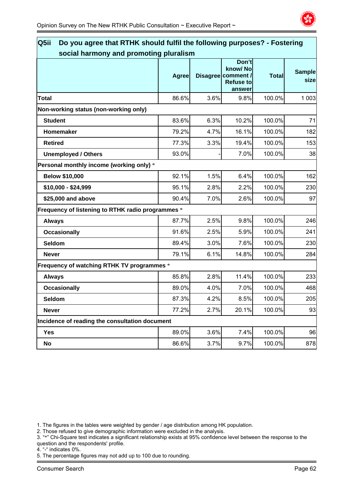

| Do you agree that RTHK should fulfil the following purposes? - Fostering<br>Q5ii<br>social harmony and promoting pluralism |              |      |                                                                      |              |                       |  |
|----------------------------------------------------------------------------------------------------------------------------|--------------|------|----------------------------------------------------------------------|--------------|-----------------------|--|
|                                                                                                                            | <b>Agree</b> |      | Don't<br>know/No<br>Disagree comment /<br><b>Refuse to</b><br>answer | <b>Total</b> | <b>Sample</b><br>size |  |
| <b>Total</b>                                                                                                               | 86.6%        | 3.6% | 9.8%                                                                 | 100.0%       | 1 0 0 3               |  |
| Non-working status (non-working only)                                                                                      |              |      |                                                                      |              |                       |  |
| <b>Student</b>                                                                                                             | 83.6%        | 6.3% | 10.2%                                                                | 100.0%       | 71                    |  |
| Homemaker                                                                                                                  | 79.2%        | 4.7% | 16.1%                                                                | 100.0%       | 182                   |  |
| <b>Retired</b>                                                                                                             | 77.3%        | 3.3% | 19.4%                                                                | 100.0%       | 153                   |  |
| <b>Unemployed / Others</b>                                                                                                 | 93.0%        |      | 7.0%                                                                 | 100.0%       | 38                    |  |
| Personal monthly income (working only) *                                                                                   |              |      |                                                                      |              |                       |  |
| <b>Below \$10,000</b>                                                                                                      | 92.1%        | 1.5% | 6.4%                                                                 | 100.0%       | 162                   |  |
| \$10,000 - \$24,999                                                                                                        | 95.1%        | 2.8% | 2.2%                                                                 | 100.0%       | 230                   |  |
| \$25,000 and above                                                                                                         | 90.4%        | 7.0% | 2.6%                                                                 | 100.0%       | 97                    |  |
| Frequency of listening to RTHK radio programmes *                                                                          |              |      |                                                                      |              |                       |  |
| <b>Always</b>                                                                                                              | 87.7%        | 2.5% | 9.8%                                                                 | 100.0%       | 246                   |  |
| <b>Occasionally</b>                                                                                                        | 91.6%        | 2.5% | 5.9%                                                                 | 100.0%       | 241                   |  |
| Seldom                                                                                                                     | 89.4%        | 3.0% | 7.6%                                                                 | 100.0%       | 230                   |  |
| <b>Never</b>                                                                                                               | 79.1%        | 6.1% | 14.8%                                                                | 100.0%       | 284                   |  |
| Frequency of watching RTHK TV programmes *                                                                                 |              |      |                                                                      |              |                       |  |
| <b>Always</b>                                                                                                              | 85.8%        | 2.8% | 11.4%                                                                | 100.0%       | 233                   |  |
| <b>Occasionally</b>                                                                                                        | 89.0%        | 4.0% | 7.0%                                                                 | 100.0%       | 468                   |  |
| <b>Seldom</b>                                                                                                              | 87.3%        | 4.2% | 8.5%                                                                 | 100.0%       | 205                   |  |
| <b>Never</b>                                                                                                               | 77.2%        | 2.7% | 20.1%                                                                | 100.0%       | 93                    |  |
| Incidence of reading the consultation document                                                                             |              |      |                                                                      |              |                       |  |
| <b>Yes</b>                                                                                                                 | 89.0%        | 3.6% | 7.4%                                                                 | 100.0%       | 96                    |  |
| No                                                                                                                         | 86.6%        | 3.7% | 9.7%                                                                 | 100.0%       | 878                   |  |

2. Those refused to give demographic information were excluded in the analysis.

3. "\*" Chi-Square test indicates a significant relationship exists at 95% confidence level between the response to the question and the respondents' profile.

4. "-" indicates 0%.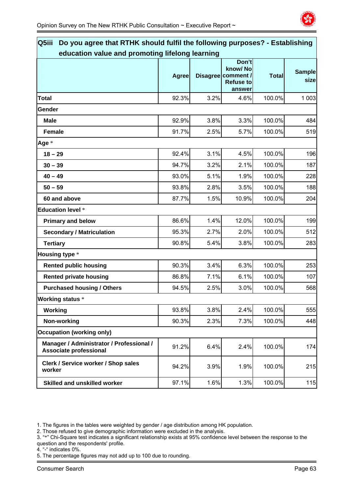

| Q5iii<br>Do you agree that RTHK should fulfil the following purposes? - Establishing |                                                 |      |                                                                      |              |                       |  |  |  |
|--------------------------------------------------------------------------------------|-------------------------------------------------|------|----------------------------------------------------------------------|--------------|-----------------------|--|--|--|
|                                                                                      | education value and promoting lifelong learning |      |                                                                      |              |                       |  |  |  |
|                                                                                      | <b>Agree</b>                                    |      | Don't<br>know/No<br>Disagree comment /<br><b>Refuse to</b><br>answer | <b>Total</b> | <b>Sample</b><br>size |  |  |  |
| <b>Total</b>                                                                         | 92.3%                                           | 3.2% | 4.6%                                                                 | 100.0%       | 1 0 0 3               |  |  |  |
| Gender                                                                               |                                                 |      |                                                                      |              |                       |  |  |  |
| <b>Male</b>                                                                          | 92.9%                                           | 3.8% | 3.3%                                                                 | 100.0%       | 484                   |  |  |  |
| <b>Female</b>                                                                        | 91.7%                                           | 2.5% | 5.7%                                                                 | 100.0%       | 519                   |  |  |  |
| Age *                                                                                |                                                 |      |                                                                      |              |                       |  |  |  |
| $18 - 29$                                                                            | 92.4%                                           | 3.1% | 4.5%                                                                 | 100.0%       | 196                   |  |  |  |
| $30 - 39$                                                                            | 94.7%                                           | 3.2% | 2.1%                                                                 | 100.0%       | 187                   |  |  |  |
| $40 - 49$                                                                            | 93.0%                                           | 5.1% | 1.9%                                                                 | 100.0%       | 228                   |  |  |  |
| $50 - 59$                                                                            | 93.8%                                           | 2.8% | 3.5%                                                                 | 100.0%       | 188                   |  |  |  |
| 60 and above                                                                         | 87.7%                                           | 1.5% | 10.9%                                                                | 100.0%       | 204                   |  |  |  |
| <b>Education level *</b>                                                             |                                                 |      |                                                                      |              |                       |  |  |  |
| <b>Primary and below</b>                                                             | 86.6%                                           | 1.4% | 12.0%                                                                | 100.0%       | 199                   |  |  |  |
| <b>Secondary / Matriculation</b>                                                     | 95.3%                                           | 2.7% | 2.0%                                                                 | 100.0%       | 512                   |  |  |  |
| <b>Tertiary</b>                                                                      | 90.8%                                           | 5.4% | 3.8%                                                                 | 100.0%       | 283                   |  |  |  |
| <b>Housing type *</b>                                                                |                                                 |      |                                                                      |              |                       |  |  |  |
| <b>Rented public housing</b>                                                         | 90.3%                                           | 3.4% | 6.3%                                                                 | 100.0%       | 253                   |  |  |  |
| <b>Rented private housing</b>                                                        | 86.8%                                           | 7.1% | 6.1%                                                                 | 100.0%       | 107                   |  |  |  |
| <b>Purchased housing / Others</b>                                                    | 94.5%                                           | 2.5% | 3.0%                                                                 | 100.0%       | 568                   |  |  |  |
| <b>Working status *</b>                                                              |                                                 |      |                                                                      |              |                       |  |  |  |
| Working                                                                              | 93.8%                                           | 3.8% | 2.4%                                                                 | 100.0%       | 555                   |  |  |  |
| Non-working                                                                          | 90.3%                                           | 2.3% | 7.3%                                                                 | 100.0%       | 448                   |  |  |  |
| <b>Occupation (working only)</b>                                                     |                                                 |      |                                                                      |              |                       |  |  |  |
| Manager / Administrator / Professional /<br>Associate professional                   | 91.2%                                           | 6.4% | 2.4%                                                                 | 100.0%       | 174                   |  |  |  |
| Clerk / Service worker / Shop sales<br>worker                                        | 94.2%                                           | 3.9% | 1.9%                                                                 | 100.0%       | 215                   |  |  |  |
| <b>Skilled and unskilled worker</b>                                                  | 97.1%                                           | 1.6% | 1.3%                                                                 | 100.0%       | 115                   |  |  |  |

2. Those refused to give demographic information were excluded in the analysis.

4. "-" indicates 0%.

<sup>3. &</sup>quot;\*" Chi-Square test indicates a significant relationship exists at 95% confidence level between the response to the question and the respondents' profile.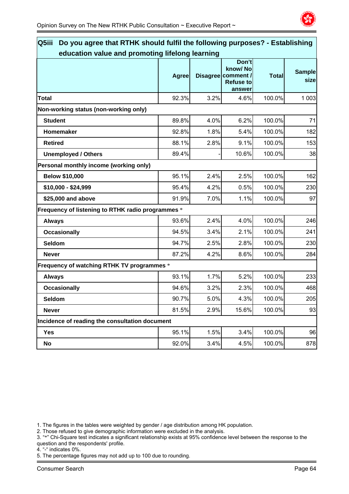

| Q5iii<br>Do you agree that RTHK should fulfil the following purposes? - Establishing |              |      |                                                                      |              |                       |
|--------------------------------------------------------------------------------------|--------------|------|----------------------------------------------------------------------|--------------|-----------------------|
| education value and promoting lifelong learning                                      |              |      |                                                                      |              |                       |
|                                                                                      | <b>Agree</b> |      | Don't<br>know/No<br>Disagree comment /<br><b>Refuse to</b><br>answer | <b>Total</b> | <b>Sample</b><br>size |
| <b>Total</b>                                                                         | 92.3%        | 3.2% | 4.6%                                                                 | 100.0%       | 1 0 0 3               |
| Non-working status (non-working only)                                                |              |      |                                                                      |              |                       |
| <b>Student</b>                                                                       | 89.8%        | 4.0% | 6.2%                                                                 | 100.0%       | 71                    |
| Homemaker                                                                            | 92.8%        | 1.8% | 5.4%                                                                 | 100.0%       | 182                   |
| <b>Retired</b>                                                                       | 88.1%        | 2.8% | 9.1%                                                                 | 100.0%       | 153                   |
| <b>Unemployed / Others</b>                                                           | 89.4%        |      | 10.6%                                                                | 100.0%       | 38                    |
| Personal monthly income (working only)                                               |              |      |                                                                      |              |                       |
| <b>Below \$10,000</b>                                                                | 95.1%        | 2.4% | 2.5%                                                                 | 100.0%       | 162                   |
| \$10,000 - \$24,999                                                                  | 95.4%        | 4.2% | 0.5%                                                                 | 100.0%       | 230                   |
| \$25,000 and above                                                                   | 91.9%        | 7.0% | 1.1%                                                                 | 100.0%       | 97                    |
| Frequency of listening to RTHK radio programmes *                                    |              |      |                                                                      |              |                       |
| <b>Always</b>                                                                        | 93.6%        | 2.4% | 4.0%                                                                 | 100.0%       | 246                   |
| <b>Occasionally</b>                                                                  | 94.5%        | 3.4% | 2.1%                                                                 | 100.0%       | 241                   |
| Seldom                                                                               | 94.7%        | 2.5% | 2.8%                                                                 | 100.0%       | 230                   |
| <b>Never</b>                                                                         | 87.2%        | 4.2% | 8.6%                                                                 | 100.0%       | 284                   |
| Frequency of watching RTHK TV programmes *                                           |              |      |                                                                      |              |                       |
| <b>Always</b>                                                                        | 93.1%        | 1.7% | 5.2%                                                                 | 100.0%       | 233                   |
| <b>Occasionally</b>                                                                  | 94.6%        | 3.2% | 2.3%                                                                 | 100.0%       | 468                   |
| Seldom                                                                               | 90.7%        | 5.0% | 4.3%                                                                 | 100.0%       | 205                   |
| <b>Never</b>                                                                         | 81.5%        | 2.9% | 15.6%                                                                | 100.0%       | 93                    |
| Incidence of reading the consultation document                                       |              |      |                                                                      |              |                       |
| <b>Yes</b>                                                                           | 95.1%        | 1.5% | 3.4%                                                                 | 100.0%       | 96                    |
| No                                                                                   | 92.0%        | 3.4% | 4.5%                                                                 | 100.0%       | 878                   |

2. Those refused to give demographic information were excluded in the analysis.

- 3. "\*" Chi-Square test indicates a significant relationship exists at 95% confidence level between the response to the question and the respondents' profile.
- 4. "-" indicates 0%.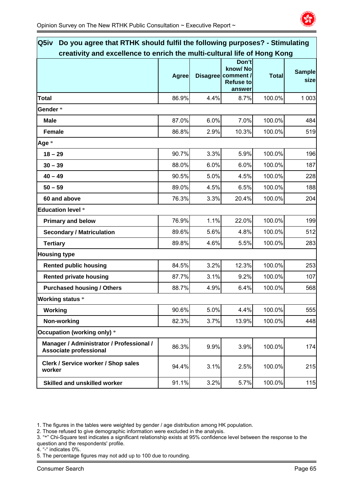

| Q5iv<br>Do you agree that RTHK should fulfil the following purposes? - Stimulating |              |      |                                                                      |              |                       |
|------------------------------------------------------------------------------------|--------------|------|----------------------------------------------------------------------|--------------|-----------------------|
| creativity and excellence to enrich the multi-cultural life of Hong Kong           |              |      |                                                                      |              |                       |
|                                                                                    | <b>Agree</b> |      | Don't<br>know/No<br>Disagree comment /<br><b>Refuse to</b><br>answer | <b>Total</b> | <b>Sample</b><br>size |
| <b>Total</b>                                                                       | 86.9%        | 4.4% | 8.7%                                                                 | 100.0%       | 1 0 0 3               |
| Gender*                                                                            |              |      |                                                                      |              |                       |
| <b>Male</b>                                                                        | 87.0%        | 6.0% | 7.0%                                                                 | 100.0%       | 484                   |
| <b>Female</b>                                                                      | 86.8%        | 2.9% | 10.3%                                                                | 100.0%       | 519                   |
| Age *                                                                              |              |      |                                                                      |              |                       |
| $18 - 29$                                                                          | 90.7%        | 3.3% | 5.9%                                                                 | 100.0%       | 196                   |
| $30 - 39$                                                                          | 88.0%        | 6.0% | 6.0%                                                                 | 100.0%       | 187                   |
| $40 - 49$                                                                          | 90.5%        | 5.0% | 4.5%                                                                 | 100.0%       | 228                   |
| $50 - 59$                                                                          | 89.0%        | 4.5% | 6.5%                                                                 | 100.0%       | 188                   |
| 60 and above                                                                       | 76.3%        | 3.3% | 20.4%                                                                | 100.0%       | 204                   |
| <b>Education level *</b>                                                           |              |      |                                                                      |              |                       |
| <b>Primary and below</b>                                                           | 76.9%        | 1.1% | 22.0%                                                                | 100.0%       | 199                   |
| <b>Secondary / Matriculation</b>                                                   | 89.6%        | 5.6% | 4.8%                                                                 | 100.0%       | 512                   |
| <b>Tertiary</b>                                                                    | 89.8%        | 4.6% | 5.5%                                                                 | 100.0%       | 283                   |
| <b>Housing type</b>                                                                |              |      |                                                                      |              |                       |
| <b>Rented public housing</b>                                                       | 84.5%        | 3.2% | 12.3%                                                                | 100.0%       | 253                   |
| <b>Rented private housing</b>                                                      | 87.7%        | 3.1% | 9.2%                                                                 | 100.0%       | 107                   |
| <b>Purchased housing / Others</b>                                                  | 88.7%        | 4.9% | 6.4%                                                                 | 100.0%       | 568                   |
| <b>Working status</b> *                                                            |              |      |                                                                      |              |                       |
| Working                                                                            | 90.6%        | 5.0% | 4.4%                                                                 | 100.0%       | 555                   |
| Non-working                                                                        | 82.3%        | 3.7% | 13.9%                                                                | 100.0%       | 448                   |
| Occupation (working only) *                                                        |              |      |                                                                      |              |                       |
| Manager / Administrator / Professional /<br>Associate professional                 | 86.3%        | 9.9% | 3.9%                                                                 | 100.0%       | 174                   |
| Clerk / Service worker / Shop sales<br>worker                                      | 94.4%        | 3.1% | 2.5%                                                                 | 100.0%       | 215                   |
| <b>Skilled and unskilled worker</b>                                                | 91.1%        | 3.2% | 5.7%                                                                 | 100.0%       | 115                   |

2. Those refused to give demographic information were excluded in the analysis.

- 3. "\*" Chi-Square test indicates a significant relationship exists at 95% confidence level between the response to the question and the respondents' profile.
- 4. "-" indicates 0%.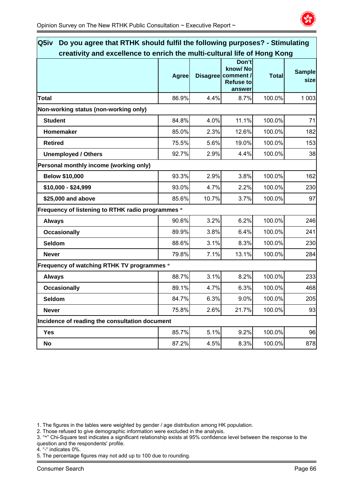

| Do you agree that RTHK should fulfil the following purposes? - Stimulating<br>Q5iv |              |       |                                                                      |              |                       |  |  |
|------------------------------------------------------------------------------------|--------------|-------|----------------------------------------------------------------------|--------------|-----------------------|--|--|
| creativity and excellence to enrich the multi-cultural life of Hong Kong           |              |       |                                                                      |              |                       |  |  |
|                                                                                    | <b>Agree</b> |       | Don't<br>know/No<br>Disagree comment /<br><b>Refuse to</b><br>answer | <b>Total</b> | <b>Sample</b><br>size |  |  |
| <b>Total</b>                                                                       | 86.9%        | 4.4%  | 8.7%                                                                 | 100.0%       | 1 0 0 3               |  |  |
| Non-working status (non-working only)                                              |              |       |                                                                      |              |                       |  |  |
| <b>Student</b>                                                                     | 84.8%        | 4.0%  | 11.1%                                                                | 100.0%       | 71                    |  |  |
| Homemaker                                                                          | 85.0%        | 2.3%  | 12.6%                                                                | 100.0%       | 182                   |  |  |
| <b>Retired</b>                                                                     | 75.5%        | 5.6%  | 19.0%                                                                | 100.0%       | 153                   |  |  |
| <b>Unemployed / Others</b>                                                         | 92.7%        | 2.9%  | 4.4%                                                                 | 100.0%       | 38                    |  |  |
| Personal monthly income (working only)                                             |              |       |                                                                      |              |                       |  |  |
| <b>Below \$10,000</b>                                                              | 93.3%        | 2.9%  | 3.8%                                                                 | 100.0%       | 162                   |  |  |
| \$10,000 - \$24,999                                                                | 93.0%        | 4.7%  | 2.2%                                                                 | 100.0%       | 230                   |  |  |
| \$25,000 and above                                                                 | 85.6%        | 10.7% | 3.7%                                                                 | 100.0%       | 97                    |  |  |
| Frequency of listening to RTHK radio programmes *                                  |              |       |                                                                      |              |                       |  |  |
| <b>Always</b>                                                                      | 90.6%        | 3.2%  | 6.2%                                                                 | 100.0%       | 246                   |  |  |
| <b>Occasionally</b>                                                                | 89.9%        | 3.8%  | 6.4%                                                                 | 100.0%       | 241                   |  |  |
| Seldom                                                                             | 88.6%        | 3.1%  | 8.3%                                                                 | 100.0%       | 230                   |  |  |
| <b>Never</b>                                                                       | 79.8%        | 7.1%  | 13.1%                                                                | 100.0%       | 284                   |  |  |
| Frequency of watching RTHK TV programmes *                                         |              |       |                                                                      |              |                       |  |  |
| <b>Always</b>                                                                      | 88.7%        | 3.1%  | 8.2%                                                                 | 100.0%       | 233                   |  |  |
| <b>Occasionally</b>                                                                | 89.1%        | 4.7%  | 6.3%                                                                 | 100.0%       | 468                   |  |  |
| Seldom                                                                             | 84.7%        | 6.3%  | 9.0%                                                                 | 100.0%       | 205                   |  |  |
| <b>Never</b>                                                                       | 75.8%        | 2.6%  | 21.7%                                                                | 100.0%       | 93                    |  |  |
| Incidence of reading the consultation document                                     |              |       |                                                                      |              |                       |  |  |
| <b>Yes</b>                                                                         | 85.7%        | 5.1%  | 9.2%                                                                 | 100.0%       | 96                    |  |  |
| No                                                                                 | 87.2%        | 4.5%  | 8.3%                                                                 | 100.0%       | 878                   |  |  |

2. Those refused to give demographic information were excluded in the analysis.

3. "\*" Chi-Square test indicates a significant relationship exists at 95% confidence level between the response to the question and the respondents' profile.

4. "-" indicates 0%.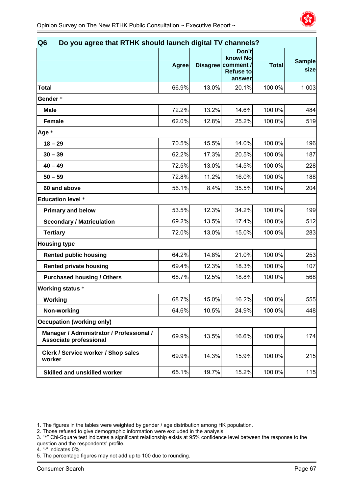

| Q <sub>6</sub><br>Do you agree that RTHK should launch digital TV channels? |              |       |                                                                      |              |                       |  |  |
|-----------------------------------------------------------------------------|--------------|-------|----------------------------------------------------------------------|--------------|-----------------------|--|--|
|                                                                             | <b>Agree</b> |       | Don't<br>know/No<br>Disagree comment /<br><b>Refuse to</b><br>answer | <b>Total</b> | <b>Sample</b><br>size |  |  |
| <b>Total</b>                                                                | 66.9%        | 13.0% | 20.1%                                                                | 100.0%       | 1 0 0 3               |  |  |
| Gender*                                                                     |              |       |                                                                      |              |                       |  |  |
| <b>Male</b>                                                                 | 72.2%        | 13.2% | 14.6%                                                                | 100.0%       | 484                   |  |  |
| <b>Female</b>                                                               | 62.0%        | 12.8% | 25.2%                                                                | 100.0%       | 519                   |  |  |
| Age *                                                                       |              |       |                                                                      |              |                       |  |  |
| $18 - 29$                                                                   | 70.5%        | 15.5% | 14.0%                                                                | 100.0%       | 196                   |  |  |
| $30 - 39$                                                                   | 62.2%        | 17.3% | 20.5%                                                                | 100.0%       | 187                   |  |  |
| $40 - 49$                                                                   | 72.5%        | 13.0% | 14.5%                                                                | 100.0%       | 228                   |  |  |
| $50 - 59$                                                                   | 72.8%        | 11.2% | 16.0%                                                                | 100.0%       | 188                   |  |  |
| 60 and above                                                                | 56.1%        | 8.4%  | 35.5%                                                                | 100.0%       | 204                   |  |  |
| <b>Education level *</b>                                                    |              |       |                                                                      |              |                       |  |  |
| <b>Primary and below</b>                                                    | 53.5%        | 12.3% | 34.2%                                                                | 100.0%       | 199                   |  |  |
| <b>Secondary / Matriculation</b>                                            | 69.2%        | 13.5% | 17.4%                                                                | 100.0%       | 512                   |  |  |
| <b>Tertiary</b>                                                             | 72.0%        | 13.0% | 15.0%                                                                | 100.0%       | 283                   |  |  |
| <b>Housing type</b>                                                         |              |       |                                                                      |              |                       |  |  |
| <b>Rented public housing</b>                                                | 64.2%        | 14.8% | 21.0%                                                                | 100.0%       | 253                   |  |  |
| <b>Rented private housing</b>                                               | 69.4%        | 12.3% | 18.3%                                                                | 100.0%       | 107                   |  |  |
| <b>Purchased housing / Others</b>                                           | 68.7%        | 12.5% | 18.8%                                                                | 100.0%       | 568                   |  |  |
| <b>Working status *</b>                                                     |              |       |                                                                      |              |                       |  |  |
| <b>Working</b>                                                              | 68.7%        | 15.0% | 16.2%                                                                | 100.0%       | 555                   |  |  |
| Non-working                                                                 | 64.6%        | 10.5% | 24.9%                                                                | 100.0%       | 448                   |  |  |
| <b>Occupation (working only)</b>                                            |              |       |                                                                      |              |                       |  |  |
| Manager / Administrator / Professional /<br><b>Associate professional</b>   | 69.9%        | 13.5% | 16.6%                                                                | 100.0%       | 174                   |  |  |
| Clerk / Service worker / Shop sales<br>worker                               | 69.9%        | 14.3% | 15.9%                                                                | 100.0%       | 215                   |  |  |
| Skilled and unskilled worker                                                | 65.1%        | 19.7% | 15.2%                                                                | 100.0%       | 115                   |  |  |

4. "-" indicates 0%.

<sup>1.</sup> The figures in the tables were weighted by gender / age distribution among HK population.

<sup>2.</sup> Those refused to give demographic information were excluded in the analysis.

<sup>3. &</sup>quot;\*" Chi-Square test indicates a significant relationship exists at 95% confidence level between the response to the question and the respondents' profile.

<sup>5.</sup> The percentage figures may not add up to 100 due to rounding.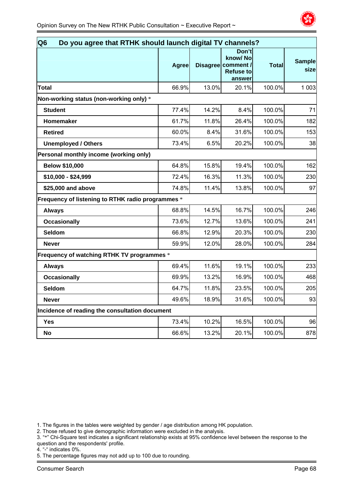

| Do you agree that RTHK should launch digital TV channels?<br>Q <sub>6</sub> |              |       |                                                                      |              |                       |  |
|-----------------------------------------------------------------------------|--------------|-------|----------------------------------------------------------------------|--------------|-----------------------|--|
|                                                                             | <b>Agree</b> |       | Don't<br>know/No<br>Disagree comment /<br><b>Refuse to</b><br>answer | <b>Total</b> | <b>Sample</b><br>size |  |
| <b>Total</b>                                                                | 66.9%        | 13.0% | 20.1%                                                                | 100.0%       | 1 0 0 3               |  |
| Non-working status (non-working only) *                                     |              |       |                                                                      |              |                       |  |
| <b>Student</b>                                                              | 77.4%        | 14.2% | 8.4%                                                                 | 100.0%       | 71                    |  |
| Homemaker                                                                   | 61.7%        | 11.8% | 26.4%                                                                | 100.0%       | 182                   |  |
| <b>Retired</b>                                                              | 60.0%        | 8.4%  | 31.6%                                                                | 100.0%       | 153                   |  |
| <b>Unemployed / Others</b>                                                  | 73.4%        | 6.5%  | 20.2%                                                                | 100.0%       | 38                    |  |
| Personal monthly income (working only)                                      |              |       |                                                                      |              |                       |  |
| <b>Below \$10,000</b>                                                       | 64.8%        | 15.8% | 19.4%                                                                | 100.0%       | 162                   |  |
| \$10,000 - \$24,999                                                         | 72.4%        | 16.3% | 11.3%                                                                | 100.0%       | 230                   |  |
| \$25,000 and above                                                          | 74.8%        | 11.4% | 13.8%                                                                | 100.0%       | 97                    |  |
| Frequency of listening to RTHK radio programmes *                           |              |       |                                                                      |              |                       |  |
| <b>Always</b>                                                               | 68.8%        | 14.5% | 16.7%                                                                | 100.0%       | 246                   |  |
| <b>Occasionally</b>                                                         | 73.6%        | 12.7% | 13.6%                                                                | 100.0%       | 241                   |  |
| Seldom                                                                      | 66.8%        | 12.9% | 20.3%                                                                | 100.0%       | 230                   |  |
| <b>Never</b>                                                                | 59.9%        | 12.0% | 28.0%                                                                | 100.0%       | 284                   |  |
| Frequency of watching RTHK TV programmes *                                  |              |       |                                                                      |              |                       |  |
| <b>Always</b>                                                               | 69.4%        | 11.6% | 19.1%                                                                | 100.0%       | 233                   |  |
| <b>Occasionally</b>                                                         | 69.9%        | 13.2% | 16.9%                                                                | 100.0%       | 468                   |  |
| Seldom                                                                      | 64.7%        | 11.8% | 23.5%                                                                | 100.0%       | 205                   |  |
| <b>Never</b>                                                                | 49.6%        | 18.9% | 31.6%                                                                | 100.0%       | 93                    |  |
| Incidence of reading the consultation document                              |              |       |                                                                      |              |                       |  |
| <b>Yes</b>                                                                  | 73.4%        | 10.2% | 16.5%                                                                | 100.0%       | 96                    |  |
| <b>No</b>                                                                   | 66.6%        | 13.2% | 20.1%                                                                | 100.0%       | 878                   |  |
|                                                                             |              |       |                                                                      |              |                       |  |

2. Those refused to give demographic information were excluded in the analysis.

3. "\*" Chi-Square test indicates a significant relationship exists at 95% confidence level between the response to the question and the respondents' profile.

4. "-" indicates 0%.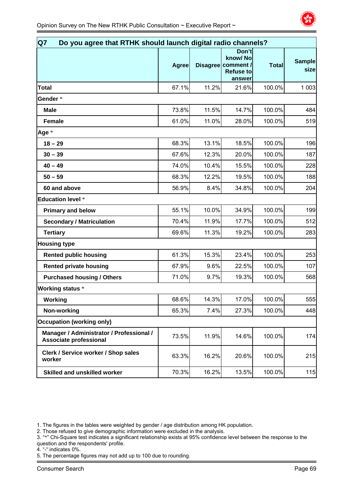| Q7<br>Do you agree that RTHK should launch digital radio channels? |              |       |                                                                      |              |                       |  |
|--------------------------------------------------------------------|--------------|-------|----------------------------------------------------------------------|--------------|-----------------------|--|
|                                                                    | <b>Agree</b> |       | Don't<br>know/No<br>Disagree comment /<br><b>Refuse to</b><br>answer | <b>Total</b> | <b>Sample</b><br>size |  |
| Total                                                              | 67.1%        | 11.2% | 21.6%                                                                | 100.0%       | 1 0 0 3               |  |
| Gender *                                                           |              |       |                                                                      |              |                       |  |
| <b>Male</b>                                                        | 73.8%        | 11.5% | 14.7%                                                                | 100.0%       | 484                   |  |
| <b>Female</b>                                                      | 61.0%        | 11.0% | 28.0%                                                                | 100.0%       | 519                   |  |
| Age $*$                                                            |              |       |                                                                      |              |                       |  |
| $18 - 29$                                                          | 68.3%        | 13.1% | 18.5%                                                                | 100.0%       | 196                   |  |
| $30 - 39$                                                          | 67.6%        | 12.3% | 20.0%                                                                | 100.0%       | 187                   |  |
| $40 - 49$                                                          | 74.0%        | 10.4% | 15.5%                                                                | 100.0%       | 228                   |  |
| $50 - 59$                                                          | 68.3%        | 12.2% | 19.5%                                                                | 100.0%       | 188                   |  |
| 60 and above                                                       | 56.9%        | 8.4%  | 34.8%                                                                | 100.0%       | 204                   |  |
| <b>Education level *</b>                                           |              |       |                                                                      |              |                       |  |
| <b>Primary and below</b>                                           | 55.1%        | 10.0% | 34.9%                                                                | 100.0%       | 199                   |  |
| <b>Secondary / Matriculation</b>                                   | 70.4%        | 11.9% | 17.7%                                                                | 100.0%       | 512                   |  |
| <b>Tertiary</b>                                                    | 69.6%        | 11.3% | 19.2%                                                                | 100.0%       | 283                   |  |
| <b>Housing type</b>                                                |              |       |                                                                      |              |                       |  |
| <b>Rented public housing</b>                                       | 61.3%        | 15.3% | 23.4%                                                                | 100.0%       | 253                   |  |
| <b>Rented private housing</b>                                      | 67.9%        | 9.6%  | 22.5%                                                                | 100.0%       | 107                   |  |
| <b>Purchased housing / Others</b>                                  | 71.0%        | 9.7%  | 19.3%                                                                | 100.0%       | 568                   |  |
| <b>Working status *</b>                                            |              |       |                                                                      |              |                       |  |
| Working                                                            | 68.6%        | 14.3% | 17.0%                                                                | 100.0%       | 555                   |  |
| Non-working                                                        | 65.3%        | 7.4%  | 27.3%                                                                | 100.0%       | 448                   |  |
| <b>Occupation (working only)</b>                                   |              |       |                                                                      |              |                       |  |
| Manager / Administrator / Professional /<br>Associate professional | 73.5%        | 11.9% | 14.6%                                                                | 100.0%       | 174                   |  |
| Clerk / Service worker / Shop sales<br>worker                      | 63.3%        | 16.2% | 20.6%                                                                | 100.0%       | 215                   |  |
| <b>Skilled and unskilled worker</b>                                | 70.3%        | 16.2% | 13.5%                                                                | 100.0%       | 115                   |  |

4. "-" indicates 0%.

<sup>1.</sup> The figures in the tables were weighted by gender / age distribution among HK population.

<sup>2.</sup> Those refused to give demographic information were excluded in the analysis.

<sup>3. &</sup>quot;\*" Chi-Square test indicates a significant relationship exists at 95% confidence level between the response to the question and the respondents' profile.

<sup>5.</sup> The percentage figures may not add up to 100 due to rounding.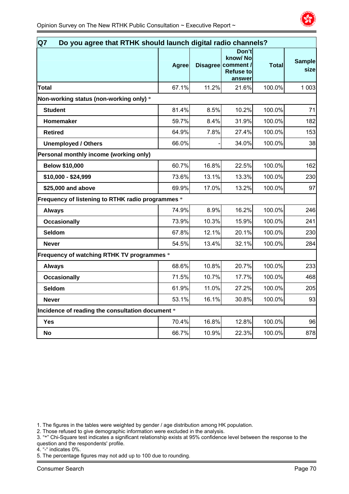

|                                                   | <b>Agree</b> |       | Don'tl<br>know/No<br>Disagree comment /<br><b>Refuse to</b><br>answer | <b>Total</b> | <b>Sample</b><br>size |
|---------------------------------------------------|--------------|-------|-----------------------------------------------------------------------|--------------|-----------------------|
| Total                                             | 67.1%        | 11.2% | 21.6%                                                                 | 100.0%       | 1 0 0 3               |
| Non-working status (non-working only) *           |              |       |                                                                       |              |                       |
| <b>Student</b>                                    | 81.4%        | 8.5%  | 10.2%                                                                 | 100.0%       | 71                    |
| Homemaker                                         | 59.7%        | 8.4%  | 31.9%                                                                 | 100.0%       | 182                   |
| <b>Retired</b>                                    | 64.9%        | 7.8%  | 27.4%                                                                 | 100.0%       | 153                   |
| <b>Unemployed / Others</b>                        | 66.0%        |       | 34.0%                                                                 | 100.0%       | 38                    |
| Personal monthly income (working only)            |              |       |                                                                       |              |                       |
| <b>Below \$10,000</b>                             | 60.7%        | 16.8% | 22.5%                                                                 | 100.0%       | 162                   |
| \$10,000 - \$24,999                               | 73.6%        | 13.1% | 13.3%                                                                 | 100.0%       | 230                   |
| \$25,000 and above                                | 69.9%        | 17.0% | 13.2%                                                                 | 100.0%       | 97                    |
| Frequency of listening to RTHK radio programmes * |              |       |                                                                       |              |                       |
| <b>Always</b>                                     | 74.9%        | 8.9%  | 16.2%                                                                 | 100.0%       | 246                   |
| <b>Occasionally</b>                               | 73.9%        | 10.3% | 15.9%                                                                 | 100.0%       | 241                   |
| Seldom                                            | 67.8%        | 12.1% | 20.1%                                                                 | 100.0%       | 230                   |
| <b>Never</b>                                      | 54.5%        | 13.4% | 32.1%                                                                 | 100.0%       | 284                   |
| Frequency of watching RTHK TV programmes *        |              |       |                                                                       |              |                       |
| <b>Always</b>                                     | 68.6%        | 10.8% | 20.7%                                                                 | 100.0%       | 233                   |
| <b>Occasionally</b>                               | 71.5%        | 10.7% | 17.7%                                                                 | 100.0%       | 468                   |
| Seldom                                            | 61.9%        | 11.0% | 27.2%                                                                 | 100.0%       | 205                   |
| <b>Never</b>                                      | 53.1%        | 16.1% | 30.8%                                                                 | 100.0%       | 93                    |
| Incidence of reading the consultation document *  |              |       |                                                                       |              |                       |
| Yes                                               | 70.4%        | 16.8% | 12.8%                                                                 | 100.0%       | 96                    |
| <b>No</b>                                         | 66.7%        | 10.9% | 22.3%                                                                 | 100.0%       | 878                   |

2. Those refused to give demographic information were excluded in the analysis.

3. "\*" Chi-Square test indicates a significant relationship exists at 95% confidence level between the response to the question and the respondents' profile.

4. "-" indicates 0%.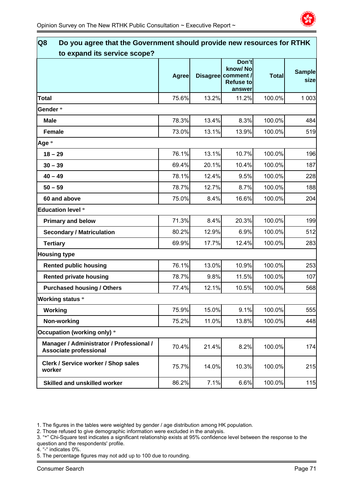

| Q8<br>Do you agree that the Government should provide new resources for RTHK |              |       |                                                                      |              |                       |
|------------------------------------------------------------------------------|--------------|-------|----------------------------------------------------------------------|--------------|-----------------------|
| to expand its service scope?                                                 |              |       |                                                                      |              |                       |
|                                                                              | <b>Agree</b> |       | Don't<br>know/No<br>Disagree comment /<br><b>Refuse to</b><br>answer | <b>Total</b> | <b>Sample</b><br>size |
| <b>Total</b>                                                                 | 75.6%        | 13.2% | 11.2%                                                                | 100.0%       | 1 0 0 3               |
| Gender*                                                                      |              |       |                                                                      |              |                       |
| Male                                                                         | 78.3%        | 13.4% | 8.3%                                                                 | 100.0%       | 484                   |
| <b>Female</b>                                                                | 73.0%        | 13.1% | 13.9%                                                                | 100.0%       | 519                   |
| Age *                                                                        |              |       |                                                                      |              |                       |
| $18 - 29$                                                                    | 76.1%        | 13.1% | 10.7%                                                                | 100.0%       | 196                   |
| $30 - 39$                                                                    | 69.4%        | 20.1% | 10.4%                                                                | 100.0%       | 187                   |
| $40 - 49$                                                                    | 78.1%        | 12.4% | 9.5%                                                                 | 100.0%       | 228                   |
| $50 - 59$                                                                    | 78.7%        | 12.7% | 8.7%                                                                 | 100.0%       | 188                   |
| 60 and above                                                                 | 75.0%        | 8.4%  | 16.6%                                                                | 100.0%       | 204                   |
| <b>Education level *</b>                                                     |              |       |                                                                      |              |                       |
| <b>Primary and below</b>                                                     | 71.3%        | 8.4%  | 20.3%                                                                | 100.0%       | 199                   |
| <b>Secondary / Matriculation</b>                                             | 80.2%        | 12.9% | 6.9%                                                                 | 100.0%       | 512                   |
| <b>Tertiary</b>                                                              | 69.9%        | 17.7% | 12.4%                                                                | 100.0%       | 283                   |
| <b>Housing type</b>                                                          |              |       |                                                                      |              |                       |
| <b>Rented public housing</b>                                                 | 76.1%        | 13.0% | 10.9%                                                                | 100.0%       | 253                   |
| <b>Rented private housing</b>                                                | 78.7%        | 9.8%  | 11.5%                                                                | 100.0%       | 107                   |
| <b>Purchased housing / Others</b>                                            | 77.4%        | 12.1% | 10.5%                                                                | 100.0%       | 568                   |
| <b>Working status *</b>                                                      |              |       |                                                                      |              |                       |
| Working                                                                      | 75.9%        | 15.0% | 9.1%                                                                 | 100.0%       | 555                   |
| Non-working                                                                  | 75.2%        | 11.0% | 13.8%                                                                | 100.0%       | 448                   |
| Occupation (working only) *                                                  |              |       |                                                                      |              |                       |
| Manager / Administrator / Professional /<br>Associate professional           | 70.4%        | 21.4% | 8.2%                                                                 | 100.0%       | 174                   |
| Clerk / Service worker / Shop sales<br>worker                                | 75.7%        | 14.0% | 10.3%                                                                | 100.0%       | 215                   |
| <b>Skilled and unskilled worker</b>                                          | 86.2%        | 7.1%  | 6.6%                                                                 | 100.0%       | 115                   |

2. Those refused to give demographic information were excluded in the analysis.

- 3. "\*" Chi-Square test indicates a significant relationship exists at 95% confidence level between the response to the question and the respondents' profile.
- 4. "-" indicates 0%.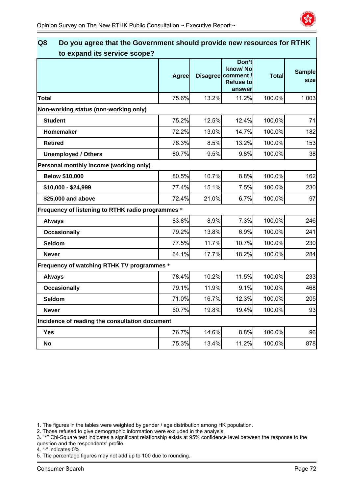

| <b>Agree</b> |                                                                                                                                                   | know/No<br><b>Refuse to</b><br>answer | <b>Total</b>                                                                                        | <b>Sample</b><br>sizel                                                          |
|--------------|---------------------------------------------------------------------------------------------------------------------------------------------------|---------------------------------------|-----------------------------------------------------------------------------------------------------|---------------------------------------------------------------------------------|
| 75.6%        |                                                                                                                                                   | 11.2%                                 | 100.0%                                                                                              | 1 0 0 3                                                                         |
|              |                                                                                                                                                   |                                       |                                                                                                     |                                                                                 |
| 75.2%        |                                                                                                                                                   | 12.4%                                 | 100.0%                                                                                              | 71                                                                              |
| 72.2%        | 13.0%                                                                                                                                             | 14.7%                                 | 100.0%                                                                                              | 182                                                                             |
| 78.3%        | 8.5%                                                                                                                                              | 13.2%                                 | 100.0%                                                                                              | 153                                                                             |
| 80.7%        | 9.5%                                                                                                                                              | 9.8%                                  | 100.0%                                                                                              | 38                                                                              |
|              |                                                                                                                                                   |                                       |                                                                                                     |                                                                                 |
| 80.5%        |                                                                                                                                                   | 8.8%                                  | 100.0%                                                                                              | 162                                                                             |
| 77.4%        | 15.1%                                                                                                                                             | 7.5%                                  | 100.0%                                                                                              | 230                                                                             |
| 72.4%        |                                                                                                                                                   | 6.7%                                  | 100.0%                                                                                              | 97                                                                              |
|              |                                                                                                                                                   |                                       |                                                                                                     |                                                                                 |
| 83.8%        | 8.9%                                                                                                                                              | 7.3%                                  | 100.0%                                                                                              | 246                                                                             |
| 79.2%        | 13.8%                                                                                                                                             | 6.9%                                  | 100.0%                                                                                              | 241                                                                             |
| 77.5%        | 11.7%                                                                                                                                             | 10.7%                                 | 100.0%                                                                                              | 230                                                                             |
| 64.1%        | 17.7%                                                                                                                                             | 18.2%                                 | 100.0%                                                                                              | 284                                                                             |
|              |                                                                                                                                                   |                                       |                                                                                                     |                                                                                 |
| 78.4%        |                                                                                                                                                   | 11.5%                                 | 100.0%                                                                                              | 233                                                                             |
| 79.1%        | 11.9%                                                                                                                                             | 9.1%                                  | 100.0%                                                                                              | 468                                                                             |
| 71.0%        |                                                                                                                                                   | 12.3%                                 | 100.0%                                                                                              | 205                                                                             |
| 60.7%        |                                                                                                                                                   | 19.4%                                 | 100.0%                                                                                              | 93                                                                              |
|              |                                                                                                                                                   |                                       |                                                                                                     |                                                                                 |
| 76.7%        |                                                                                                                                                   | 8.8%                                  | 100.0%                                                                                              | 96                                                                              |
| 75.3%        |                                                                                                                                                   | 11.2%                                 | 100.0%                                                                                              | 878                                                                             |
|              | Frequency of listening to RTHK radio programmes *<br>Frequency of watching RTHK TV programmes *<br>Incidence of reading the consultation document |                                       | Disagree comment /<br>13.2%<br>12.5%<br>10.7%<br>21.0%<br>10.2%<br>16.7%<br>19.8%<br>14.6%<br>13.4% | Do you agree that the Government should provide new resources for RTHK<br>Don't |

2. Those refused to give demographic information were excluded in the analysis.

3. "\*" Chi-Square test indicates a significant relationship exists at 95% confidence level between the response to the question and the respondents' profile.

4. "-" indicates 0%.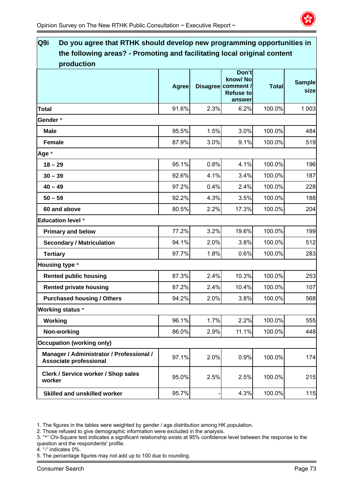

| Q9i<br>Do you agree that RTHK should develop new programming opportunities in          |              |      |                                                                      |              |                       |
|----------------------------------------------------------------------------------------|--------------|------|----------------------------------------------------------------------|--------------|-----------------------|
| the following areas? - Promoting and facilitating local original content<br>production |              |      |                                                                      |              |                       |
|                                                                                        | <b>Agree</b> |      | Don't<br>know/No<br>Disagree comment /<br><b>Refuse to</b><br>answer | <b>Total</b> | <b>Sample</b><br>size |
| <b>Total</b>                                                                           | 91.6%        | 2.3% | 6.2%                                                                 | 100.0%       | 1 0 0 3               |
| Gender*                                                                                |              |      |                                                                      |              |                       |
| <b>Male</b>                                                                            | 95.5%        | 1.5% | 3.0%                                                                 | 100.0%       | 484                   |
| <b>Female</b>                                                                          | 87.9%        | 3.0% | 9.1%                                                                 | 100.0%       | 519                   |
| Age *                                                                                  |              |      |                                                                      |              |                       |
| $18 - 29$                                                                              | 95.1%        | 0.8% | 4.1%                                                                 | 100.0%       | 196                   |
| $30 - 39$                                                                              | 92.6%        | 4.1% | 3.4%                                                                 | 100.0%       | 187                   |
| $40 - 49$                                                                              | 97.2%        | 0.4% | 2.4%                                                                 | 100.0%       | 228                   |
| $50 - 59$                                                                              | 92.2%        | 4.3% | 3.5%                                                                 | 100.0%       | 188                   |
| 60 and above                                                                           | 80.5%        | 2.2% | 17.3%                                                                | 100.0%       | 204                   |
| <b>Education level *</b>                                                               |              |      |                                                                      |              |                       |
| <b>Primary and below</b>                                                               | 77.2%        | 3.2% | 19.6%                                                                | 100.0%       | 199                   |
| <b>Secondary / Matriculation</b>                                                       | 94.1%        | 2.0% | 3.8%                                                                 | 100.0%       | 512                   |
| <b>Tertiary</b>                                                                        | 97.7%        | 1.8% | 0.6%                                                                 | 100.0%       | 283                   |
| <b>Housing type *</b>                                                                  |              |      |                                                                      |              |                       |
| <b>Rented public housing</b>                                                           | 87.3%        | 2.4% | 10.3%                                                                | 100.0%       | 253                   |
| <b>Rented private housing</b>                                                          | 87.2%        | 2.4% | 10.4%                                                                | 100.0%       | 107                   |
| <b>Purchased housing / Others</b>                                                      | 94.2%        | 2.0% | 3.8%                                                                 | 100.0%       | 568                   |
| <b>Working status *</b>                                                                |              |      |                                                                      |              |                       |
| Working                                                                                | 96.1%        | 1.7% | 2.2%                                                                 | 100.0%       | 555                   |
| Non-working                                                                            | 86.0%        | 2.9% | 11.1%                                                                | 100.0%       | 448                   |
| <b>Occupation (working only)</b>                                                       |              |      |                                                                      |              |                       |
| Manager / Administrator / Professional /<br><b>Associate professional</b>              | 97.1%        | 2.0% | 0.9%                                                                 | 100.0%       | 174                   |
| Clerk / Service worker / Shop sales<br>worker                                          | 95.0%        | 2.5% | 2.5%                                                                 | 100.0%       | 215                   |
| <b>Skilled and unskilled worker</b>                                                    | 95.7%        |      | 4.3%                                                                 | 100.0%       | 115                   |

2. Those refused to give demographic information were excluded in the analysis.

- 3. "\*" Chi-Square test indicates a significant relationship exists at 95% confidence level between the response to the question and the respondents' profile.
- 4. "-" indicates 0%.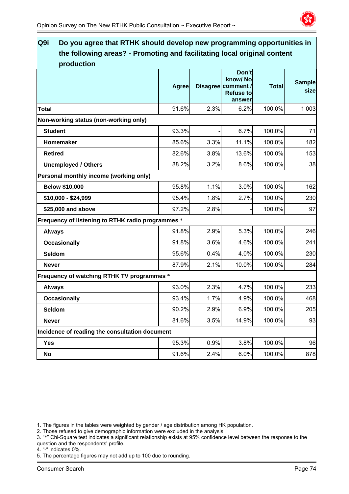

# **Q9i Do you agree that RTHK should develop new programming opportunities in the following areas? - Promoting and facilitating local original content production Agree Disagree Don't know/ No comment / Refuse to answer Total Sample size Total** 91.6% 2.3% 6.2% 100.0% 1 003 **Non-working status (non-working only) Student** 93.3% - 6.7% 100.0% 71 **Homemaker** 85.6% 3.3% 11.1% 100.0% 182 **Retired** 82.6% 3.8% 13.6% 100.0% 153 **Unemployed / Others**   $\begin{array}{|c|c|c|c|c|c|c|} \hline \text{88.2\%} & \text{3.2\%} & \text{8.6\%} & \text{100.0\%} & \text{38.3\%} \hline \end{array}$ **Personal monthly income (working only) Below \$10,000 1.1% 1.1%** 1.1% **100.0%** 100.0% 162 **\$10,000 - \$24,999** 95.4% 1.8% 2.7% 100.0% 230 **\$25.000 and above 97.2% 2.8% - 100.0% 97 Frequency of listening to RTHK radio programmes** \* **Always** 91.8% 2.9% 5.3% 100.0% 246 **Occasionally 1.6%** 100.0% 241 **Seldom** 95.6% 0.4% 4.0% 100.0% 230 **Never** 87.9% 2.1% 10.0% 100.0% 284 **Frequency of watching RTHK TV programmes** \* **Always** 93.0% 2.3% 4.7% 100.0% 233 **Occasionally 1.7% 1.7% 100.0% 468 Seldom** 90.2% 2.9% 6.9% 100.0% 205 **Never** 81.6% 3.5% 14.9% 100.0% 93 **Incidence of reading the consultation document Yes** 95.3% 0.9% 3.8% 100.0% 96 **No** 91.6% 2.4% 6.0% 100.0% 878

1. The figures in the tables were weighted by gender / age distribution among HK population.

2. Those refused to give demographic information were excluded in the analysis.

- 3. "\*" Chi-Square test indicates a significant relationship exists at 95% confidence level between the response to the question and the respondents' profile.
- 4. "-" indicates 0%.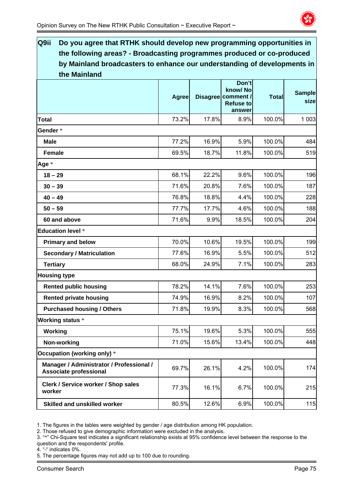

| Q9ii<br>Do you agree that RTHK should develop new programming opportunities in |              |       |                                                                      |              |                       |
|--------------------------------------------------------------------------------|--------------|-------|----------------------------------------------------------------------|--------------|-----------------------|
| the following areas? - Broadcasting programmes produced or co-produced         |              |       |                                                                      |              |                       |
| by Mainland broadcasters to enhance our understanding of developments in       |              |       |                                                                      |              |                       |
| the Mainland                                                                   |              |       |                                                                      |              |                       |
|                                                                                | <b>Agree</b> |       | Don't<br>know/No<br>Disagree comment /<br><b>Refuse to</b><br>answer | <b>Total</b> | <b>Sample</b><br>size |
| Total                                                                          | 73.2%        | 17.8% | 8.9%                                                                 | 100.0%       | 1 0 0 3               |
| Gender*                                                                        |              |       |                                                                      |              |                       |
| <b>Male</b>                                                                    | 77.2%        | 16.9% | 5.9%                                                                 | 100.0%       | 484                   |
| <b>Female</b>                                                                  | 69.5%        | 18.7% | 11.8%                                                                | 100.0%       | 519                   |
| Age *                                                                          |              |       |                                                                      |              |                       |
| $18 - 29$                                                                      | 68.1%        | 22.2% | 9.6%                                                                 | 100.0%       | 196                   |
| $30 - 39$                                                                      | 71.6%        | 20.8% | 7.6%                                                                 | 100.0%       | 187                   |
| $40 - 49$                                                                      | 76.8%        | 18.8% | 4.4%                                                                 | 100.0%       | 228                   |
| $50 - 59$                                                                      | 77.7%        | 17.7% | 4.6%                                                                 | 100.0%       | 188                   |
| 60 and above                                                                   | 71.6%        | 9.9%  | 18.5%                                                                | 100.0%       | 204                   |
| <b>Education level *</b>                                                       |              |       |                                                                      |              |                       |
| <b>Primary and below</b>                                                       | 70.0%        | 10.6% | 19.5%                                                                | 100.0%       | 199                   |
| <b>Secondary / Matriculation</b>                                               | 77.6%        | 16.9% | 5.5%                                                                 | 100.0%       | 512                   |
| <b>Tertiary</b>                                                                | 68.0%        | 24.9% | 7.1%                                                                 | 100.0%       | 283                   |
| <b>Housing type</b>                                                            |              |       |                                                                      |              |                       |
| <b>Rented public housing</b>                                                   | 78.2%        | 14.1% | 7.6%                                                                 | 100.0%       | 253                   |
| <b>Rented private housing</b>                                                  | 74.9%        | 16.9% | 8.2%                                                                 | 100.0%       | 107                   |
| <b>Purchased housing / Others</b>                                              | 71.8%        | 19.9% | 8.3%                                                                 | 100.0%       | 568                   |
| <b>Working status *</b>                                                        |              |       |                                                                      |              |                       |
| Working                                                                        | 75.1%        | 19.6% | 5.3%                                                                 | 100.0%       | 555                   |
| Non-working                                                                    | 71.0%        | 15.6% | 13.4%                                                                | 100.0%       | 448                   |
| Occupation (working only) *                                                    |              |       |                                                                      |              |                       |
| Manager / Administrator / Professional /<br><b>Associate professional</b>      | 69.7%        | 26.1% | 4.2%                                                                 | 100.0%       | 174                   |
| Clerk / Service worker / Shop sales<br>worker                                  | 77.3%        | 16.1% | 6.7%                                                                 | 100.0%       | 215                   |
| <b>Skilled and unskilled worker</b>                                            | 80.5%        | 12.6% | 6.9%                                                                 | 100.0%       | 115                   |

2. Those refused to give demographic information were excluded in the analysis.

3. "\*" Chi-Square test indicates a significant relationship exists at 95% confidence level between the response to the question and the respondents' profile.

4. "-" indicates 0%.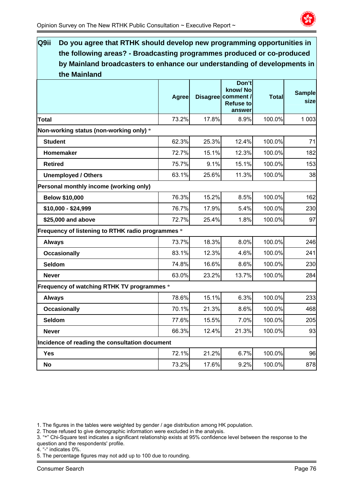

| Q9ii<br>Do you agree that RTHK should develop new programming opportunities in |              |       |                                                                      |              |                       |
|--------------------------------------------------------------------------------|--------------|-------|----------------------------------------------------------------------|--------------|-----------------------|
| the following areas? - Broadcasting programmes produced or co-produced         |              |       |                                                                      |              |                       |
| by Mainland broadcasters to enhance our understanding of developments in       |              |       |                                                                      |              |                       |
| the Mainland                                                                   |              |       |                                                                      |              |                       |
|                                                                                | <b>Agree</b> |       | Don't<br>know/No<br>Disagree comment /<br><b>Refuse to</b><br>answer | <b>Total</b> | <b>Sample</b><br>size |
| Total                                                                          | 73.2%        | 17.8% | 8.9%                                                                 | 100.0%       | 1 0 0 3               |
| Non-working status (non-working only) *                                        |              |       |                                                                      |              |                       |
| <b>Student</b>                                                                 | 62.3%        | 25.3% | 12.4%                                                                | 100.0%       | 71                    |
| Homemaker                                                                      | 72.7%        | 15.1% | 12.3%                                                                | 100.0%       | 182                   |
| <b>Retired</b>                                                                 | 75.7%        | 9.1%  | 15.1%                                                                | 100.0%       | 153                   |
| <b>Unemployed / Others</b>                                                     | 63.1%        | 25.6% | 11.3%                                                                | 100.0%       | 38                    |
| Personal monthly income (working only)                                         |              |       |                                                                      |              |                       |
| <b>Below \$10,000</b>                                                          | 76.3%        | 15.2% | 8.5%                                                                 | 100.0%       | 162                   |
| \$10,000 - \$24,999                                                            | 76.7%        | 17.9% | 5.4%                                                                 | 100.0%       | 230                   |
| \$25,000 and above                                                             | 72.7%        | 25.4% | 1.8%                                                                 | 100.0%       | 97                    |
| Frequency of listening to RTHK radio programmes *                              |              |       |                                                                      |              |                       |
| <b>Always</b>                                                                  | 73.7%        | 18.3% | 8.0%                                                                 | 100.0%       | 246                   |
| <b>Occasionally</b>                                                            | 83.1%        | 12.3% | 4.6%                                                                 | 100.0%       | 241                   |
| Seldom                                                                         | 74.8%        | 16.6% | 8.6%                                                                 | 100.0%       | 230                   |
| <b>Never</b>                                                                   | 63.0%        | 23.2% | 13.7%                                                                | 100.0%       | 284                   |
| Frequency of watching RTHK TV programmes *                                     |              |       |                                                                      |              |                       |
| <b>Always</b>                                                                  | 78.6%        | 15.1% | 6.3%                                                                 | 100.0%       | 233                   |
| <b>Occasionally</b>                                                            | 70.1%        | 21.3% | 8.6%                                                                 | 100.0%       | 468                   |
| Seldom                                                                         | 77.6%        | 15.5% | 7.0%                                                                 | 100.0%       | 205                   |
| <b>Never</b>                                                                   | 66.3%        | 12.4% | 21.3%                                                                | 100.0%       | 93                    |
| Incidence of reading the consultation document                                 |              |       |                                                                      |              |                       |
| Yes                                                                            | 72.1%        | 21.2% | 6.7%                                                                 | 100.0%       | 96                    |
| No                                                                             | 73.2%        | 17.6% | 9.2%                                                                 | 100.0%       | 878                   |

2. Those refused to give demographic information were excluded in the analysis.

- 3. "\*" Chi-Square test indicates a significant relationship exists at 95% confidence level between the response to the question and the respondents' profile.
- 4. "-" indicates 0%.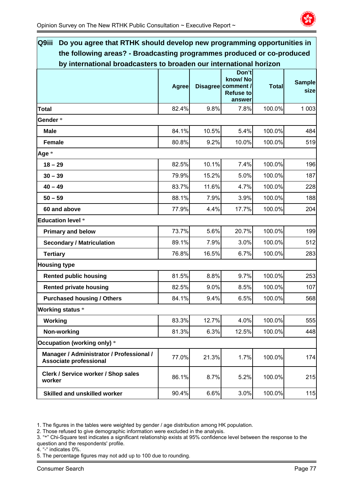

| Q9iii<br>Do you agree that RTHK should develop new programming opportunities in |              |       |                                                                      |              |                       |
|---------------------------------------------------------------------------------|--------------|-------|----------------------------------------------------------------------|--------------|-----------------------|
| the following areas? - Broadcasting programmes produced or co-produced          |              |       |                                                                      |              |                       |
| by international broadcasters to broaden our international horizon              | <b>Agree</b> |       | Don't<br>know/No<br>Disagree comment /<br><b>Refuse to</b><br>answer | <b>Total</b> | <b>Sample</b><br>size |
| <b>Total</b>                                                                    | 82.4%        | 9.8%  | 7.8%                                                                 | 100.0%       | 1 0 0 3               |
| Gender*                                                                         |              |       |                                                                      |              |                       |
| <b>Male</b>                                                                     | 84.1%        | 10.5% | 5.4%                                                                 | 100.0%       | 484                   |
| <b>Female</b>                                                                   | 80.8%        | 9.2%  | 10.0%                                                                | 100.0%       | 519                   |
| Age *                                                                           |              |       |                                                                      |              |                       |
| $18 - 29$                                                                       | 82.5%        | 10.1% | 7.4%                                                                 | 100.0%       | 196                   |
| $30 - 39$                                                                       | 79.9%        | 15.2% | 5.0%                                                                 | 100.0%       | 187                   |
| $40 - 49$                                                                       | 83.7%        | 11.6% | 4.7%                                                                 | 100.0%       | 228                   |
| $50 - 59$                                                                       | 88.1%        | 7.9%  | 3.9%                                                                 | 100.0%       | 188                   |
| 60 and above                                                                    | 77.9%        | 4.4%  | 17.7%                                                                | 100.0%       | 204                   |
| <b>Education level *</b>                                                        |              |       |                                                                      |              |                       |
| <b>Primary and below</b>                                                        | 73.7%        | 5.6%  | 20.7%                                                                | 100.0%       | 199                   |
| <b>Secondary / Matriculation</b>                                                | 89.1%        | 7.9%  | 3.0%                                                                 | 100.0%       | 512                   |
| <b>Tertiary</b>                                                                 | 76.8%        | 16.5% | 6.7%                                                                 | 100.0%       | 283                   |
| <b>Housing type</b>                                                             |              |       |                                                                      |              |                       |
| <b>Rented public housing</b>                                                    | 81.5%        | 8.8%  | 9.7%                                                                 | 100.0%       | 253                   |
| <b>Rented private housing</b>                                                   | 82.5%        | 9.0%  | 8.5%                                                                 | 100.0%       | 107                   |
| <b>Purchased housing / Others</b>                                               | 84.1%        | 9.4%  | 6.5%                                                                 | 100.0%       | 568                   |
| <b>Working status *</b>                                                         |              |       |                                                                      |              |                       |
| Working                                                                         | 83.3%        | 12.7% | 4.0%                                                                 | 100.0%       | 555                   |
| Non-working                                                                     | 81.3%        | 6.3%  | 12.5%                                                                | 100.0%       | 448                   |
| Occupation (working only) *                                                     |              |       |                                                                      |              |                       |
| Manager / Administrator / Professional /<br><b>Associate professional</b>       | 77.0%        | 21.3% | 1.7%                                                                 | 100.0%       | 174                   |
| Clerk / Service worker / Shop sales<br>worker                                   | 86.1%        | 8.7%  | 5.2%                                                                 | 100.0%       | 215                   |
| <b>Skilled and unskilled worker</b>                                             | 90.4%        | 6.6%  | 3.0%                                                                 | 100.0%       | 115                   |

2. Those refused to give demographic information were excluded in the analysis.

- 3. "\*" Chi-Square test indicates a significant relationship exists at 95% confidence level between the response to the question and the respondents' profile.
- 4. "-" indicates 0%.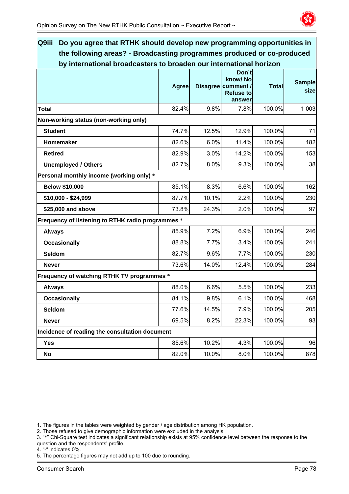

| Q9iii<br>Do you agree that RTHK should develop new programming opportunities in |              |       |                                                                      |              |                       |
|---------------------------------------------------------------------------------|--------------|-------|----------------------------------------------------------------------|--------------|-----------------------|
| the following areas? - Broadcasting programmes produced or co-produced          |              |       |                                                                      |              |                       |
| by international broadcasters to broaden our international horizon              |              |       |                                                                      |              |                       |
|                                                                                 | <b>Agree</b> |       | Don't<br>know/No<br>Disagree comment /<br><b>Refuse to</b><br>answer | <b>Total</b> | <b>Sample</b><br>size |
| <b>Total</b>                                                                    | 82.4%        | 9.8%  | 7.8%                                                                 | 100.0%       | 1 0 0 3               |
| Non-working status (non-working only)                                           |              |       |                                                                      |              |                       |
| <b>Student</b>                                                                  | 74.7%        | 12.5% | 12.9%                                                                | 100.0%       | 71                    |
| Homemaker                                                                       | 82.6%        | 6.0%  | 11.4%                                                                | 100.0%       | 182                   |
| <b>Retired</b>                                                                  | 82.9%        | 3.0%  | 14.2%                                                                | 100.0%       | 153                   |
| <b>Unemployed / Others</b>                                                      | 82.7%        | 8.0%  | 9.3%                                                                 | 100.0%       | 38                    |
| Personal monthly income (working only) *                                        |              |       |                                                                      |              |                       |
| <b>Below \$10,000</b>                                                           | 85.1%        | 8.3%  | 6.6%                                                                 | 100.0%       | 162                   |
| \$10,000 - \$24,999                                                             | 87.7%        | 10.1% | 2.2%                                                                 | 100.0%       | 230                   |
| \$25,000 and above                                                              | 73.8%        | 24.3% | 2.0%                                                                 | 100.0%       | 97                    |
| Frequency of listening to RTHK radio programmes *                               |              |       |                                                                      |              |                       |
| <b>Always</b>                                                                   | 85.9%        | 7.2%  | 6.9%                                                                 | 100.0%       | 246                   |
| <b>Occasionally</b>                                                             | 88.8%        | 7.7%  | 3.4%                                                                 | 100.0%       | 241                   |
| Seldom                                                                          | 82.7%        | 9.6%  | 7.7%                                                                 | 100.0%       | 230                   |
| <b>Never</b>                                                                    | 73.6%        | 14.0% | 12.4%                                                                | 100.0%       | 284                   |
| Frequency of watching RTHK TV programmes *                                      |              |       |                                                                      |              |                       |
| <b>Always</b>                                                                   | 88.0%        | 6.6%  | 5.5%                                                                 | 100.0%       | 233                   |
| <b>Occasionally</b>                                                             | 84.1%        | 9.8%  | 6.1%                                                                 | 100.0%       | 468                   |
| Seldom                                                                          | 77.6%        | 14.5% | 7.9%                                                                 | 100.0%       | 205                   |
| <b>Never</b>                                                                    | 69.5%        | 8.2%  | 22.3%                                                                | 100.0%       | 93                    |
| Incidence of reading the consultation document                                  |              |       |                                                                      |              |                       |
| Yes                                                                             | 85.6%        | 10.2% | 4.3%                                                                 | 100.0%       | 96                    |
| No                                                                              | 82.0%        | 10.0% | 8.0%                                                                 | 100.0%       | 878                   |

2. Those refused to give demographic information were excluded in the analysis.

- 3. "\*" Chi-Square test indicates a significant relationship exists at 95% confidence level between the response to the question and the respondents' profile.
- 4. "-" indicates 0%.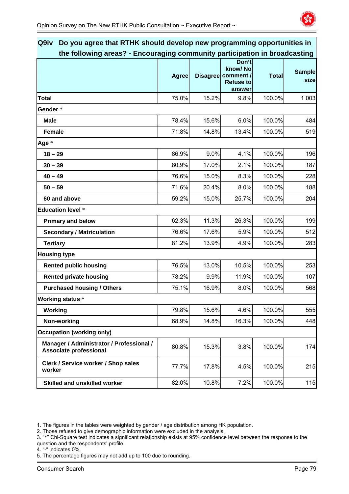

| Q9iv<br>Do you agree that RTHK should develop new programming opportunities in |              |       |                                                                      |              |                       |
|--------------------------------------------------------------------------------|--------------|-------|----------------------------------------------------------------------|--------------|-----------------------|
| the following areas? - Encouraging community participation in broadcasting     |              |       |                                                                      |              |                       |
|                                                                                | <b>Agree</b> |       | Don't<br>know/No<br>Disagree comment /<br><b>Refuse to</b><br>answer | <b>Total</b> | <b>Sample</b><br>size |
| <b>Total</b>                                                                   | 75.0%        | 15.2% | 9.8%                                                                 | 100.0%       | 1 0 0 3               |
| Gender *                                                                       |              |       |                                                                      |              |                       |
| <b>Male</b>                                                                    | 78.4%        | 15.6% | 6.0%                                                                 | 100.0%       | 484                   |
| <b>Female</b>                                                                  | 71.8%        | 14.8% | 13.4%                                                                | 100.0%       | 519                   |
| Age *                                                                          |              |       |                                                                      |              |                       |
| $18 - 29$                                                                      | 86.9%        | 9.0%  | 4.1%                                                                 | 100.0%       | 196                   |
| $30 - 39$                                                                      | 80.9%        | 17.0% | 2.1%                                                                 | 100.0%       | 187                   |
| $40 - 49$                                                                      | 76.6%        | 15.0% | 8.3%                                                                 | 100.0%       | 228                   |
| $50 - 59$                                                                      | 71.6%        | 20.4% | 8.0%                                                                 | 100.0%       | 188                   |
| 60 and above                                                                   | 59.2%        | 15.0% | 25.7%                                                                | 100.0%       | 204                   |
| <b>Education level *</b>                                                       |              |       |                                                                      |              |                       |
| <b>Primary and below</b>                                                       | 62.3%        | 11.3% | 26.3%                                                                | 100.0%       | 199                   |
| <b>Secondary / Matriculation</b>                                               | 76.6%        | 17.6% | 5.9%                                                                 | 100.0%       | 512                   |
| <b>Tertiary</b>                                                                | 81.2%        | 13.9% | 4.9%                                                                 | 100.0%       | 283                   |
| <b>Housing type</b>                                                            |              |       |                                                                      |              |                       |
| <b>Rented public housing</b>                                                   | 76.5%        | 13.0% | 10.5%                                                                | 100.0%       | 253                   |
| <b>Rented private housing</b>                                                  | 78.2%        | 9.9%  | 11.9%                                                                | 100.0%       | 107                   |
| <b>Purchased housing / Others</b>                                              | 75.1%        | 16.9% | 8.0%                                                                 | 100.0%       | 568                   |
| <b>Working status *</b>                                                        |              |       |                                                                      |              |                       |
| Working                                                                        | 79.8%        | 15.6% | 4.6%                                                                 | 100.0%       | 555                   |
| Non-working                                                                    | 68.9%        | 14.8% | 16.3%                                                                | 100.0%       | 448                   |
| <b>Occupation (working only)</b>                                               |              |       |                                                                      |              |                       |
| Manager / Administrator / Professional /<br>Associate professional             | 80.8%        | 15.3% | 3.8%                                                                 | 100.0%       | 174                   |
| Clerk / Service worker / Shop sales<br>worker                                  | 77.7%        | 17.8% | 4.5%                                                                 | 100.0%       | 215                   |
| Skilled and unskilled worker                                                   | 82.0%        | 10.8% | 7.2%                                                                 | 100.0%       | 115                   |

2. Those refused to give demographic information were excluded in the analysis.

- 3. "\*" Chi-Square test indicates a significant relationship exists at 95% confidence level between the response to the question and the respondents' profile.
- 4. "-" indicates 0%.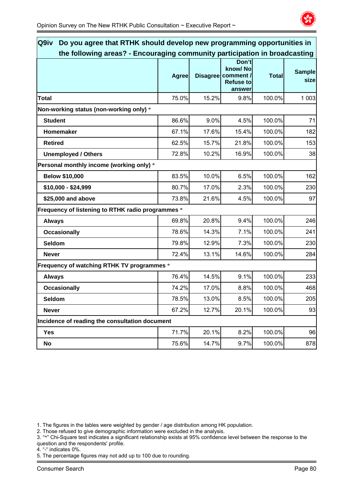

| Q9iv<br>Do you agree that RTHK should develop new programming opportunities in |              |       |                                                                      |              |                       |
|--------------------------------------------------------------------------------|--------------|-------|----------------------------------------------------------------------|--------------|-----------------------|
| the following areas? - Encouraging community participation in broadcasting     | <b>Agree</b> |       | Don't<br>know/No<br>Disagree comment /<br><b>Refuse to</b><br>answer | <b>Total</b> | <b>Sample</b><br>size |
| <b>Total</b>                                                                   | 75.0%        | 15.2% | 9.8%                                                                 | 100.0%       | 1 0 0 3               |
| Non-working status (non-working only) *                                        |              |       |                                                                      |              |                       |
| <b>Student</b>                                                                 | 86.6%        | 9.0%  | 4.5%                                                                 | 100.0%       | 71                    |
| Homemaker                                                                      | 67.1%        | 17.6% | 15.4%                                                                | 100.0%       | 182                   |
| <b>Retired</b>                                                                 | 62.5%        | 15.7% | 21.8%                                                                | 100.0%       | 153                   |
| <b>Unemployed / Others</b>                                                     | 72.8%        | 10.2% | 16.9%                                                                | 100.0%       | 38                    |
| Personal monthly income (working only) *                                       |              |       |                                                                      |              |                       |
| <b>Below \$10,000</b>                                                          | 83.5%        | 10.0% | 6.5%                                                                 | 100.0%       | 162                   |
| \$10,000 - \$24,999                                                            | 80.7%        | 17.0% | 2.3%                                                                 | 100.0%       | 230                   |
| \$25,000 and above                                                             | 73.8%        | 21.6% | 4.5%                                                                 | 100.0%       | 97                    |
| Frequency of listening to RTHK radio programmes *                              |              |       |                                                                      |              |                       |
| <b>Always</b>                                                                  | 69.8%        | 20.8% | 9.4%                                                                 | 100.0%       | 246                   |
| <b>Occasionally</b>                                                            | 78.6%        | 14.3% | 7.1%                                                                 | 100.0%       | 241                   |
| Seldom                                                                         | 79.8%        | 12.9% | 7.3%                                                                 | 100.0%       | 230                   |
| <b>Never</b>                                                                   | 72.4%        | 13.1% | 14.6%                                                                | 100.0%       | 284                   |
| Frequency of watching RTHK TV programmes *                                     |              |       |                                                                      |              |                       |
| <b>Always</b>                                                                  | 76.4%        | 14.5% | 9.1%                                                                 | 100.0%       | 233                   |
| <b>Occasionally</b>                                                            | 74.2%        | 17.0% | 8.8%                                                                 | 100.0%       | 468                   |
| <b>Seldom</b>                                                                  | 78.5%        | 13.0% | 8.5%                                                                 | 100.0%       | 205                   |
| <b>Never</b>                                                                   | 67.2%        | 12.7% | 20.1%                                                                | 100.0%       | 93                    |
| Incidence of reading the consultation document                                 |              |       |                                                                      |              |                       |
| Yes                                                                            | 71.7%        | 20.1% | 8.2%                                                                 | 100.0%       | 96                    |
| No                                                                             | 75.6%        | 14.7% | 9.7%                                                                 | 100.0%       | 878                   |

2. Those refused to give demographic information were excluded in the analysis.

- 3. "\*" Chi-Square test indicates a significant relationship exists at 95% confidence level between the response to the question and the respondents' profile.
- 4. "-" indicates 0%.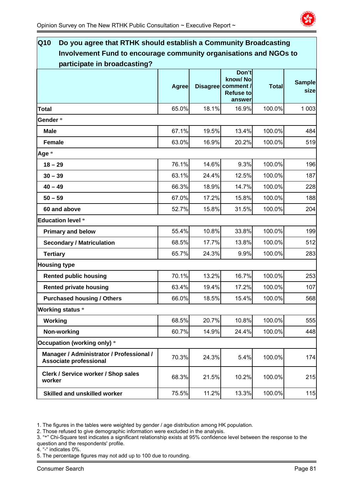

| $\overline{\mathbf{Q}}$ 10<br>Do you agree that RTHK should establish a Community Broadcasting |              |       |                                                                      |              |                       |
|------------------------------------------------------------------------------------------------|--------------|-------|----------------------------------------------------------------------|--------------|-----------------------|
| Involvement Fund to encourage community organisations and NGOs to                              |              |       |                                                                      |              |                       |
| participate in broadcasting?                                                                   |              |       |                                                                      |              |                       |
|                                                                                                | <b>Agree</b> |       | Don't<br>know/No<br>Disagree comment /<br><b>Refuse to</b><br>answer | <b>Total</b> | <b>Sample</b><br>size |
| <b>Total</b>                                                                                   | 65.0%        | 18.1% | 16.9%                                                                | 100.0%       | 1 0 0 3               |
| Gender*                                                                                        |              |       |                                                                      |              |                       |
| <b>Male</b>                                                                                    | 67.1%        | 19.5% | 13.4%                                                                | 100.0%       | 484                   |
| <b>Female</b>                                                                                  | 63.0%        | 16.9% | 20.2%                                                                | 100.0%       | 519                   |
| Age *                                                                                          |              |       |                                                                      |              |                       |
| $18 - 29$                                                                                      | 76.1%        | 14.6% | 9.3%                                                                 | 100.0%       | 196                   |
| $30 - 39$                                                                                      | 63.1%        | 24.4% | 12.5%                                                                | 100.0%       | 187                   |
| $40 - 49$                                                                                      | 66.3%        | 18.9% | 14.7%                                                                | 100.0%       | 228                   |
| $50 - 59$                                                                                      | 67.0%        | 17.2% | 15.8%                                                                | 100.0%       | 188                   |
| 60 and above                                                                                   | 52.7%        | 15.8% | 31.5%                                                                | 100.0%       | 204                   |
| <b>Education level *</b>                                                                       |              |       |                                                                      |              |                       |
| <b>Primary and below</b>                                                                       | 55.4%        | 10.8% | 33.8%                                                                | 100.0%       | 199                   |
| <b>Secondary / Matriculation</b>                                                               | 68.5%        | 17.7% | 13.8%                                                                | 100.0%       | 512                   |
| <b>Tertiary</b>                                                                                | 65.7%        | 24.3% | 9.9%                                                                 | 100.0%       | 283                   |
| <b>Housing type</b>                                                                            |              |       |                                                                      |              |                       |
| <b>Rented public housing</b>                                                                   | 70.1%        | 13.2% | 16.7%                                                                | 100.0%       | 253                   |
| <b>Rented private housing</b>                                                                  | 63.4%        | 19.4% | 17.2%                                                                | 100.0%       | 107                   |
| <b>Purchased housing / Others</b>                                                              | 66.0%        | 18.5% | 15.4%                                                                | 100.0%       | 568                   |
| <b>Working status *</b>                                                                        |              |       |                                                                      |              |                       |
| Working                                                                                        | 68.5%        | 20.7% | 10.8%                                                                | 100.0%       | 555                   |
| Non-working                                                                                    | 60.7%        | 14.9% | 24.4%                                                                | 100.0%       | 448                   |
| Occupation (working only) *                                                                    |              |       |                                                                      |              |                       |
| Manager / Administrator / Professional /<br><b>Associate professional</b>                      | 70.3%        | 24.3% | 5.4%                                                                 | 100.0%       | 174                   |
| Clerk / Service worker / Shop sales<br>worker                                                  | 68.3%        | 21.5% | 10.2%                                                                | 100.0%       | 215                   |
| <b>Skilled and unskilled worker</b>                                                            | 75.5%        | 11.2% | 13.3%                                                                | 100.0%       | 115                   |

2. Those refused to give demographic information were excluded in the analysis.

- 3. "\*" Chi-Square test indicates a significant relationship exists at 95% confidence level between the response to the question and the respondents' profile.
- 4. "-" indicates 0%.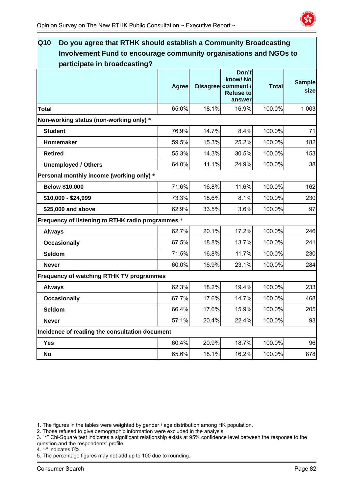

| Q10<br>Do you agree that RTHK should establish a Community Broadcasting |              |       |                                                                      |              |                       |
|-------------------------------------------------------------------------|--------------|-------|----------------------------------------------------------------------|--------------|-----------------------|
| Involvement Fund to encourage community organisations and NGOs to       |              |       |                                                                      |              |                       |
| participate in broadcasting?                                            |              |       |                                                                      |              |                       |
|                                                                         | <b>Agree</b> |       | Don't<br>know/No<br>Disagree comment /<br><b>Refuse to</b><br>answer | <b>Total</b> | <b>Sample</b><br>size |
| <b>Total</b>                                                            | 65.0%        | 18.1% | 16.9%                                                                | 100.0%       | 1 0 0 3               |
| Non-working status (non-working only) *                                 |              |       |                                                                      |              |                       |
| <b>Student</b>                                                          | 76.9%        | 14.7% | 8.4%                                                                 | 100.0%       | 71                    |
| Homemaker                                                               | 59.5%        | 15.3% | 25.2%                                                                | 100.0%       | 182                   |
| <b>Retired</b>                                                          | 55.3%        | 14.3% | 30.5%                                                                | 100.0%       | 153                   |
| <b>Unemployed / Others</b>                                              | 64.0%        | 11.1% | 24.9%                                                                | 100.0%       | 38                    |
| Personal monthly income (working only) *                                |              |       |                                                                      |              |                       |
| <b>Below \$10,000</b>                                                   | 71.6%        | 16.8% | 11.6%                                                                | 100.0%       | 162                   |
| \$10,000 - \$24,999                                                     | 73.3%        | 18.6% | 8.1%                                                                 | 100.0%       | 230                   |
| \$25,000 and above                                                      | 62.9%        | 33.5% | 3.6%                                                                 | 100.0%       | 97                    |
| Frequency of listening to RTHK radio programmes *                       |              |       |                                                                      |              |                       |
| <b>Always</b>                                                           | 62.7%        | 20.1% | 17.2%                                                                | 100.0%       | 246                   |
| <b>Occasionally</b>                                                     | 67.5%        | 18.8% | 13.7%                                                                | 100.0%       | 241                   |
| Seldom                                                                  | 71.5%        | 16.8% | 11.7%                                                                | 100.0%       | 230                   |
| <b>Never</b>                                                            | 60.0%        | 16.9% | 23.1%                                                                | 100.0%       | 284                   |
| Frequency of watching RTHK TV programmes                                |              |       |                                                                      |              |                       |
| <b>Always</b>                                                           | 62.3%        | 18.2% | 19.4%                                                                | 100.0%       | 233                   |
| <b>Occasionally</b>                                                     | 67.7%        | 17.6% | 14.7%                                                                | 100.0%       | 468                   |
| Seldom                                                                  | 66.4%        | 17.6% | 15.9%                                                                | 100.0%       | 205                   |
| <b>Never</b>                                                            | 57.1%        | 20.4% | 22.4%                                                                | 100.0%       | 93                    |
| Incidence of reading the consultation document                          |              |       |                                                                      |              |                       |
| <b>Yes</b>                                                              | 60.4%        | 20.9% | 18.7%                                                                | 100.0%       | 96                    |
| No                                                                      | 65.6%        | 18.1% | 16.2%                                                                | 100.0%       | 878                   |

2. Those refused to give demographic information were excluded in the analysis.

- 3. "\*" Chi-Square test indicates a significant relationship exists at 95% confidence level between the response to the question and the respondents' profile.
- 4. "-" indicates 0%.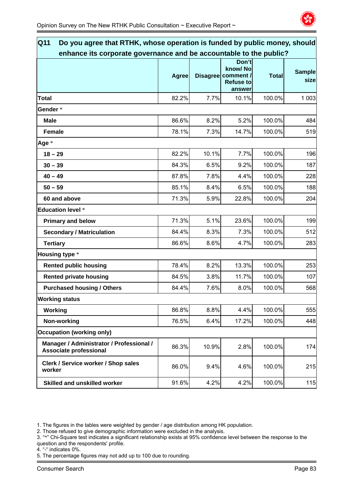

| Q11<br>Do you agree that RTHK, whose operation is funded by public money, should |              |       |                                                                      |              |                       |
|----------------------------------------------------------------------------------|--------------|-------|----------------------------------------------------------------------|--------------|-----------------------|
| enhance its corporate governance and be accountable to the public?               |              |       |                                                                      |              |                       |
|                                                                                  | <b>Agree</b> |       | Don't<br>know/No<br>Disagree comment /<br><b>Refuse to</b><br>answer | <b>Total</b> | <b>Sample</b><br>size |
| <b>Total</b>                                                                     | 82.2%        | 7.7%  | 10.1%                                                                | 100.0%       | 1 0 0 3               |
| Gender *                                                                         |              |       |                                                                      |              |                       |
| <b>Male</b>                                                                      | 86.6%        | 8.2%  | 5.2%                                                                 | 100.0%       | 484                   |
| <b>Female</b>                                                                    | 78.1%        | 7.3%  | 14.7%                                                                | 100.0%       | 519                   |
| Age *                                                                            |              |       |                                                                      |              |                       |
| $18 - 29$                                                                        | 82.2%        | 10.1% | 7.7%                                                                 | 100.0%       | 196                   |
| $30 - 39$                                                                        | 84.3%        | 6.5%  | 9.2%                                                                 | 100.0%       | 187                   |
| $40 - 49$                                                                        | 87.8%        | 7.8%  | 4.4%                                                                 | 100.0%       | 228                   |
| $50 - 59$                                                                        | 85.1%        | 8.4%  | 6.5%                                                                 | 100.0%       | 188                   |
| 60 and above                                                                     | 71.3%        | 5.9%  | 22.8%                                                                | 100.0%       | 204                   |
| <b>Education level *</b>                                                         |              |       |                                                                      |              |                       |
| <b>Primary and below</b>                                                         | 71.3%        | 5.1%  | 23.6%                                                                | 100.0%       | 199                   |
| <b>Secondary / Matriculation</b>                                                 | 84.4%        | 8.3%  | 7.3%                                                                 | 100.0%       | 512                   |
| <b>Tertiary</b>                                                                  | 86.6%        | 8.6%  | 4.7%                                                                 | 100.0%       | 283                   |
| <b>Housing type *</b>                                                            |              |       |                                                                      |              |                       |
| <b>Rented public housing</b>                                                     | 78.4%        | 8.2%  | 13.3%                                                                | 100.0%       | 253                   |
| <b>Rented private housing</b>                                                    | 84.5%        | 3.8%  | 11.7%                                                                | 100.0%       | 107                   |
| <b>Purchased housing / Others</b>                                                | 84.4%        | 7.6%  | 8.0%                                                                 | 100.0%       | 568                   |
| <b>Working status</b>                                                            |              |       |                                                                      |              |                       |
| Working                                                                          | 86.8%        | 8.8%  | 4.4%                                                                 | 100.0%       | 555                   |
| Non-working                                                                      | 76.5%        | 6.4%  | 17.2%                                                                | 100.0%       | 448                   |
| <b>Occupation (working only)</b>                                                 |              |       |                                                                      |              |                       |
| Manager / Administrator / Professional /<br><b>Associate professional</b>        | 86.3%        | 10.9% | 2.8%                                                                 | 100.0%       | 174                   |
| Clerk / Service worker / Shop sales<br>worker                                    | 86.0%        | 9.4%  | 4.6%                                                                 | 100.0%       | 215                   |
| Skilled and unskilled worker                                                     | 91.6%        | 4.2%  | 4.2%                                                                 | 100.0%       | 115                   |

2. Those refused to give demographic information were excluded in the analysis.

4. "-" indicates 0%.

<sup>3. &</sup>quot;\*" Chi-Square test indicates a significant relationship exists at 95% confidence level between the response to the question and the respondents' profile.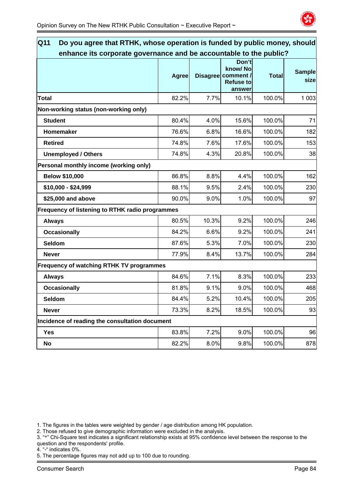

| Q11<br>Do you agree that RTHK, whose operation is funded by public money, should |              |       |                                                                      |              |                       |  |  |
|----------------------------------------------------------------------------------|--------------|-------|----------------------------------------------------------------------|--------------|-----------------------|--|--|
| enhance its corporate governance and be accountable to the public?               |              |       |                                                                      |              |                       |  |  |
|                                                                                  | <b>Agree</b> |       | Don't<br>know/No<br>Disagree comment /<br><b>Refuse to</b><br>answer | <b>Total</b> | <b>Sample</b><br>size |  |  |
| <b>Total</b>                                                                     | 82.2%        | 7.7%  | 10.1%                                                                | 100.0%       | 1 0 0 3               |  |  |
| Non-working status (non-working only)                                            |              |       |                                                                      |              |                       |  |  |
| <b>Student</b>                                                                   | 80.4%        | 4.0%  | 15.6%                                                                | 100.0%       | 71                    |  |  |
| Homemaker                                                                        | 76.6%        | 6.8%  | 16.6%                                                                | 100.0%       | 182                   |  |  |
| <b>Retired</b>                                                                   | 74.8%        | 7.6%  | 17.6%                                                                | 100.0%       | 153                   |  |  |
| <b>Unemployed / Others</b>                                                       | 74.8%        | 4.3%  | 20.8%                                                                | 100.0%       | 38                    |  |  |
| Personal monthly income (working only)                                           |              |       |                                                                      |              |                       |  |  |
| <b>Below \$10,000</b>                                                            | 86.8%        | 8.8%  | 4.4%                                                                 | 100.0%       | 162                   |  |  |
| \$10,000 - \$24,999                                                              | 88.1%        | 9.5%  | 2.4%                                                                 | 100.0%       | 230                   |  |  |
| \$25,000 and above                                                               | 90.0%        | 9.0%  | 1.0%                                                                 | 100.0%       | 97                    |  |  |
| Frequency of listening to RTHK radio programmes                                  |              |       |                                                                      |              |                       |  |  |
| <b>Always</b>                                                                    | 80.5%        | 10.3% | 9.2%                                                                 | 100.0%       | 246                   |  |  |
| <b>Occasionally</b>                                                              | 84.2%        | 6.6%  | 9.2%                                                                 | 100.0%       | 241                   |  |  |
| Seldom                                                                           | 87.6%        | 5.3%  | 7.0%                                                                 | 100.0%       | 230                   |  |  |
| <b>Never</b>                                                                     | 77.9%        | 8.4%  | 13.7%                                                                | 100.0%       | 284                   |  |  |
| Frequency of watching RTHK TV programmes                                         |              |       |                                                                      |              |                       |  |  |
| <b>Always</b>                                                                    | 84.6%        | 7.1%  | 8.3%                                                                 | 100.0%       | 233                   |  |  |
| <b>Occasionally</b>                                                              | 81.8%        | 9.1%  | 9.0%                                                                 | 100.0%       | 468                   |  |  |
| <b>Seldom</b>                                                                    | 84.4%        | 5.2%  | 10.4%                                                                | 100.0%       | 205                   |  |  |
| <b>Never</b>                                                                     | 73.3%        | 8.2%  | 18.5%                                                                | 100.0%       | 93                    |  |  |
| Incidence of reading the consultation document                                   |              |       |                                                                      |              |                       |  |  |
| <b>Yes</b>                                                                       | 83.8%        | 7.2%  | 9.0%                                                                 | 100.0%       | 96                    |  |  |
| No                                                                               | 82.2%        | 8.0%  | 9.8%                                                                 | 100.0%       | 878                   |  |  |

2. Those refused to give demographic information were excluded in the analysis.

3. "\*" Chi-Square test indicates a significant relationship exists at 95% confidence level between the response to the question and the respondents' profile.

4. "-" indicates 0%.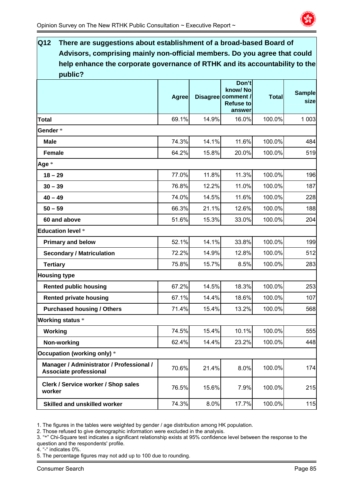

| $\overline{\text{Q}}$ 12<br>There are suggestions about establishment of a broad-based Board of |       |       |                                        |              |               |
|-------------------------------------------------------------------------------------------------|-------|-------|----------------------------------------|--------------|---------------|
| Advisors, comprising mainly non-official members. Do you agree that could                       |       |       |                                        |              |               |
| help enhance the corporate governance of RTHK and its accountability to the                     |       |       |                                        |              |               |
| public?                                                                                         |       |       |                                        |              |               |
|                                                                                                 |       |       | Don't<br>know/No                       |              | <b>Sample</b> |
|                                                                                                 | Agree |       | Disagree comment /<br><b>Refuse to</b> | <b>Total</b> | size          |
|                                                                                                 |       |       | answer                                 |              |               |
| Total                                                                                           | 69.1% | 14.9% | 16.0%                                  | 100.0%       | 1 0 0 3       |
| Gender*                                                                                         |       |       |                                        |              |               |
| <b>Male</b>                                                                                     | 74.3% | 14.1% | 11.6%                                  | 100.0%       | 484           |
| <b>Female</b>                                                                                   | 64.2% | 15.8% | 20.0%                                  | 100.0%       | 519           |
| Age *                                                                                           |       |       |                                        |              |               |
| $18 - 29$                                                                                       | 77.0% | 11.8% | 11.3%                                  | 100.0%       | 196           |
| $30 - 39$                                                                                       | 76.8% | 12.2% | 11.0%                                  | 100.0%       | 187           |
| $40 - 49$                                                                                       | 74.0% | 14.5% | 11.6%                                  | 100.0%       | 228           |
| $50 - 59$                                                                                       | 66.3% | 21.1% | 12.6%                                  | 100.0%       | 188           |
| 60 and above                                                                                    | 51.6% | 15.3% | 33.0%                                  | 100.0%       | 204           |
| <b>Education level *</b>                                                                        |       |       |                                        |              |               |
| <b>Primary and below</b>                                                                        | 52.1% | 14.1% | 33.8%                                  | 100.0%       | 199           |
| <b>Secondary / Matriculation</b>                                                                | 72.2% | 14.9% | 12.8%                                  | 100.0%       | 512           |
| <b>Tertiary</b>                                                                                 | 75.8% | 15.7% | 8.5%                                   | 100.0%       | 283           |
| <b>Housing type</b>                                                                             |       |       |                                        |              |               |
| <b>Rented public housing</b>                                                                    | 67.2% | 14.5% | 18.3%                                  | 100.0%       | 253           |
| <b>Rented private housing</b>                                                                   | 67.1% | 14.4% | 18.6%                                  | 100.0%       | 107           |
| <b>Purchased housing / Others</b>                                                               | 71.4% | 15.4% | 13.2%                                  | 100.0%       | 568           |
| <b>Working status *</b>                                                                         |       |       |                                        |              |               |
| Working                                                                                         | 74.5% | 15.4% | 10.1%                                  | 100.0%       | 555           |
| Non-working                                                                                     | 62.4% | 14.4% | 23.2%                                  | 100.0%       | 448           |
| Occupation (working only) *                                                                     |       |       |                                        |              |               |
| Manager / Administrator / Professional /<br>Associate professional                              | 70.6% | 21.4% | 8.0%                                   | 100.0%       | 174           |
| Clerk / Service worker / Shop sales<br>worker                                                   | 76.5% | 15.6% | 7.9%                                   | 100.0%       | 215           |
| <b>Skilled and unskilled worker</b>                                                             | 74.3% | 8.0%  | 17.7%                                  | 100.0%       | 115           |

2. Those refused to give demographic information were excluded in the analysis.

3. "\*" Chi-Square test indicates a significant relationship exists at 95% confidence level between the response to the question and the respondents' profile.

4. "-" indicates 0%.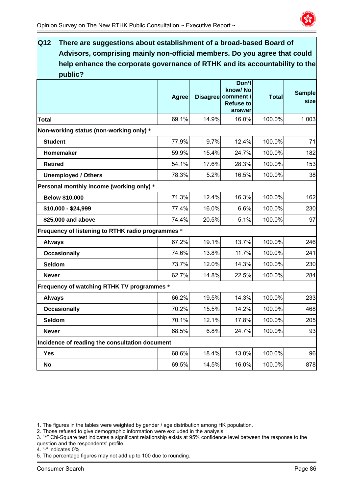

| $\overline{\mathsf{Q}}$ 12<br>There are suggestions about establishment of a broad-based Board of |              |       |                                                             |              |                       |
|---------------------------------------------------------------------------------------------------|--------------|-------|-------------------------------------------------------------|--------------|-----------------------|
| Advisors, comprising mainly non-official members. Do you agree that could                         |              |       |                                                             |              |                       |
| help enhance the corporate governance of RTHK and its accountability to the                       |              |       |                                                             |              |                       |
| public?                                                                                           |              |       | Don't                                                       |              |                       |
|                                                                                                   | <b>Agree</b> |       | know/No<br>Disagree comment /<br><b>Refuse to</b><br>answer | <b>Total</b> | <b>Sample</b><br>size |
| <b>Total</b>                                                                                      | 69.1%        | 14.9% | 16.0%                                                       | 100.0%       | 1 0 0 3               |
| Non-working status (non-working only) *                                                           |              |       |                                                             |              |                       |
| <b>Student</b>                                                                                    | 77.9%        | 9.7%  | 12.4%                                                       | 100.0%       | 71                    |
| Homemaker                                                                                         | 59.9%        | 15.4% | 24.7%                                                       | 100.0%       | 182                   |
| <b>Retired</b>                                                                                    | 54.1%        | 17.6% | 28.3%                                                       | 100.0%       | 153                   |
| <b>Unemployed / Others</b>                                                                        | 78.3%        | 5.2%  | 16.5%                                                       | 100.0%       | 38                    |
| Personal monthly income (working only) *                                                          |              |       |                                                             |              |                       |
| <b>Below \$10,000</b>                                                                             | 71.3%        | 12.4% | 16.3%                                                       | 100.0%       | 162                   |
| \$10,000 - \$24,999                                                                               | 77.4%        | 16.0% | 6.6%                                                        | 100.0%       | 230                   |
| \$25,000 and above                                                                                | 74.4%        | 20.5% | 5.1%                                                        | 100.0%       | 97                    |
| Frequency of listening to RTHK radio programmes *                                                 |              |       |                                                             |              |                       |
| <b>Always</b>                                                                                     | 67.2%        | 19.1% | 13.7%                                                       | 100.0%       | 246                   |
| <b>Occasionally</b>                                                                               | 74.6%        | 13.8% | 11.7%                                                       | 100.0%       | 241                   |
| <b>Seldom</b>                                                                                     | 73.7%        | 12.0% | 14.3%                                                       | 100.0%       | 230                   |
| <b>Never</b>                                                                                      | 62.7%        | 14.8% | 22.5%                                                       | 100.0%       | 284                   |
| Frequency of watching RTHK TV programmes *                                                        |              |       |                                                             |              |                       |
| <b>Always</b>                                                                                     | 66.2%        | 19.5% | 14.3%                                                       | 100.0%       | 233                   |
| <b>Occasionally</b>                                                                               | 70.2%        | 15.5% | 14.2%                                                       | 100.0%       | 468                   |
| Seldom                                                                                            | 70.1%        | 12.1% | 17.8%                                                       | 100.0%       | 205                   |
| <b>Never</b>                                                                                      | 68.5%        | 6.8%  | 24.7%                                                       | 100.0%       | 93                    |
| Incidence of reading the consultation document                                                    |              |       |                                                             |              |                       |
| Yes                                                                                               | 68.6%        | 18.4% | 13.0%                                                       | 100.0%       | 96                    |
| No                                                                                                | 69.5%        | 14.5% | 16.0%                                                       | 100.0%       | 878                   |

2. Those refused to give demographic information were excluded in the analysis.

- 3. "\*" Chi-Square test indicates a significant relationship exists at 95% confidence level between the response to the question and the respondents' profile.
- 4. "-" indicates 0%.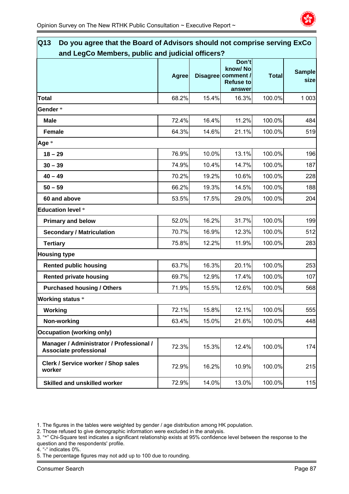

| $\overline{\mathsf{Q}}$ 13<br>Do you agree that the Board of Advisors should not comprise serving ExCo |              |       |                                                                      |              |                       |
|--------------------------------------------------------------------------------------------------------|--------------|-------|----------------------------------------------------------------------|--------------|-----------------------|
| and LegCo Members, public and judicial officers?                                                       |              |       |                                                                      |              |                       |
|                                                                                                        | <b>Agree</b> |       | Don't<br>know/No<br>Disagree comment /<br><b>Refuse to</b><br>answer | <b>Total</b> | <b>Sample</b><br>size |
| <b>Total</b>                                                                                           | 68.2%        | 15.4% | 16.3%                                                                | 100.0%       | 1 0 0 3               |
| Gender*                                                                                                |              |       |                                                                      |              |                       |
| <b>Male</b>                                                                                            | 72.4%        | 16.4% | 11.2%                                                                | 100.0%       | 484                   |
| <b>Female</b>                                                                                          | 64.3%        | 14.6% | 21.1%                                                                | 100.0%       | 519                   |
| Age *                                                                                                  |              |       |                                                                      |              |                       |
| $18 - 29$                                                                                              | 76.9%        | 10.0% | 13.1%                                                                | 100.0%       | 196                   |
| $30 - 39$                                                                                              | 74.9%        | 10.4% | 14.7%                                                                | 100.0%       | 187                   |
| $40 - 49$                                                                                              | 70.2%        | 19.2% | 10.6%                                                                | 100.0%       | 228                   |
| $50 - 59$                                                                                              | 66.2%        | 19.3% | 14.5%                                                                | 100.0%       | 188                   |
| 60 and above                                                                                           | 53.5%        | 17.5% | 29.0%                                                                | 100.0%       | 204                   |
| <b>Education level *</b>                                                                               |              |       |                                                                      |              |                       |
| <b>Primary and below</b>                                                                               | 52.0%        | 16.2% | 31.7%                                                                | 100.0%       | 199                   |
| <b>Secondary / Matriculation</b>                                                                       | 70.7%        | 16.9% | 12.3%                                                                | 100.0%       | 512                   |
| <b>Tertiary</b>                                                                                        | 75.8%        | 12.2% | 11.9%                                                                | 100.0%       | 283                   |
| <b>Housing type</b>                                                                                    |              |       |                                                                      |              |                       |
| <b>Rented public housing</b>                                                                           | 63.7%        | 16.3% | 20.1%                                                                | 100.0%       | 253                   |
| <b>Rented private housing</b>                                                                          | 69.7%        | 12.9% | 17.4%                                                                | 100.0%       | 107                   |
| <b>Purchased housing / Others</b>                                                                      | 71.9%        | 15.5% | 12.6%                                                                | 100.0%       | 568                   |
| <b>Working status</b> *                                                                                |              |       |                                                                      |              |                       |
| Working                                                                                                | 72.1%        | 15.8% | 12.1%                                                                | 100.0%       | 555                   |
| Non-working                                                                                            | 63.4%        | 15.0% | 21.6%                                                                | 100.0%       | 448                   |
| <b>Occupation (working only)</b>                                                                       |              |       |                                                                      |              |                       |
| Manager / Administrator / Professional /<br><b>Associate professional</b>                              | 72.3%        | 15.3% | 12.4%                                                                | 100.0%       | 174                   |
| <b>Clerk / Service worker / Shop sales</b><br>worker                                                   | 72.9%        | 16.2% | 10.9%                                                                | 100.0%       | 215                   |
| <b>Skilled and unskilled worker</b>                                                                    | 72.9%        | 14.0% | 13.0%                                                                | 100.0%       | 115                   |

2. Those refused to give demographic information were excluded in the analysis.

4. "-" indicates 0%.

<sup>3. &</sup>quot;\*" Chi-Square test indicates a significant relationship exists at 95% confidence level between the response to the question and the respondents' profile.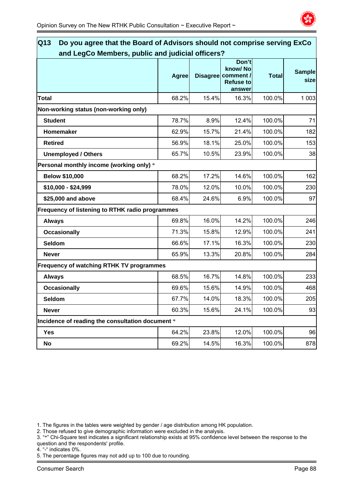

| $\overline{\mathsf{Q}}$ 13<br>Do you agree that the Board of Advisors should not comprise serving ExCo<br>and LegCo Members, public and judicial officers? |              |       |                                                                      |              |                       |  |  |
|------------------------------------------------------------------------------------------------------------------------------------------------------------|--------------|-------|----------------------------------------------------------------------|--------------|-----------------------|--|--|
|                                                                                                                                                            | <b>Agree</b> |       | Don't<br>know/No<br>Disagree comment /<br><b>Refuse to</b><br>answer | <b>Total</b> | <b>Sample</b><br>size |  |  |
| <b>Total</b>                                                                                                                                               | 68.2%        | 15.4% | 16.3%                                                                | 100.0%       | 1 0 0 3               |  |  |
| Non-working status (non-working only)                                                                                                                      |              |       |                                                                      |              |                       |  |  |
| <b>Student</b>                                                                                                                                             | 78.7%        | 8.9%  | 12.4%                                                                | 100.0%       | 71                    |  |  |
| Homemaker                                                                                                                                                  | 62.9%        | 15.7% | 21.4%                                                                | 100.0%       | 182                   |  |  |
| <b>Retired</b>                                                                                                                                             | 56.9%        | 18.1% | 25.0%                                                                | 100.0%       | 153                   |  |  |
| <b>Unemployed / Others</b>                                                                                                                                 | 65.7%        | 10.5% | 23.9%                                                                | 100.0%       | 38                    |  |  |
| Personal monthly income (working only) *                                                                                                                   |              |       |                                                                      |              |                       |  |  |
| <b>Below \$10,000</b>                                                                                                                                      | 68.2%        | 17.2% | 14.6%                                                                | 100.0%       | 162                   |  |  |
| \$10,000 - \$24,999                                                                                                                                        | 78.0%        | 12.0% | 10.0%                                                                | 100.0%       | 230                   |  |  |
| \$25,000 and above                                                                                                                                         | 68.4%        | 24.6% | 6.9%                                                                 | 100.0%       | 97                    |  |  |
| Frequency of listening to RTHK radio programmes                                                                                                            |              |       |                                                                      |              |                       |  |  |
| <b>Always</b>                                                                                                                                              | 69.8%        | 16.0% | 14.2%                                                                | 100.0%       | 246                   |  |  |
| <b>Occasionally</b>                                                                                                                                        | 71.3%        | 15.8% | 12.9%                                                                | 100.0%       | 241                   |  |  |
| <b>Seldom</b>                                                                                                                                              | 66.6%        | 17.1% | 16.3%                                                                | 100.0%       | 230                   |  |  |
| <b>Never</b>                                                                                                                                               | 65.9%        | 13.3% | 20.8%                                                                | 100.0%       | 284                   |  |  |
| <b>Frequency of watching RTHK TV programmes</b>                                                                                                            |              |       |                                                                      |              |                       |  |  |
| <b>Always</b>                                                                                                                                              | 68.5%        | 16.7% | 14.8%                                                                | 100.0%       | 233                   |  |  |
| <b>Occasionally</b>                                                                                                                                        | 69.6%        | 15.6% | 14.9%                                                                | 100.0%       | 468                   |  |  |
| <b>Seldom</b>                                                                                                                                              | 67.7%        | 14.0% | 18.3%                                                                | 100.0%       | 205                   |  |  |
| <b>Never</b>                                                                                                                                               | 60.3%        | 15.6% | 24.1%                                                                | 100.0%       | 93                    |  |  |
| Incidence of reading the consultation document *                                                                                                           |              |       |                                                                      |              |                       |  |  |
| Yes                                                                                                                                                        | 64.2%        | 23.8% | 12.0%                                                                | 100.0%       | 96                    |  |  |
| No                                                                                                                                                         | 69.2%        | 14.5% | 16.3%                                                                | 100.0%       | 878                   |  |  |

2. Those refused to give demographic information were excluded in the analysis.

3. "\*" Chi-Square test indicates a significant relationship exists at 95% confidence level between the response to the question and the respondents' profile.

4. "-" indicates 0%.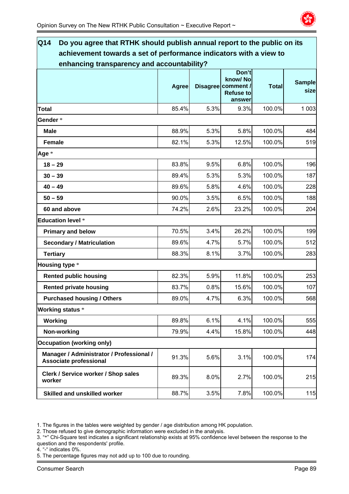

| $\overline{\mathsf{Q}}$ 14<br>Do you agree that RTHK should publish annual report to the public on its |              |      |                                                                      |              |                       |
|--------------------------------------------------------------------------------------------------------|--------------|------|----------------------------------------------------------------------|--------------|-----------------------|
| achievement towards a set of performance indicators with a view to                                     |              |      |                                                                      |              |                       |
| enhancing transparency and accountability?                                                             | <b>Agree</b> |      | Don't<br>know/No<br>Disagree comment /<br><b>Refuse to</b><br>answer | <b>Total</b> | <b>Sample</b><br>size |
| Total                                                                                                  | 85.4%        | 5.3% | 9.3%                                                                 | 100.0%       | 1 0 0 3               |
| Gender*                                                                                                |              |      |                                                                      |              |                       |
| <b>Male</b>                                                                                            | 88.9%        | 5.3% | 5.8%                                                                 | 100.0%       | 484                   |
| <b>Female</b>                                                                                          | 82.1%        | 5.3% | 12.5%                                                                | 100.0%       | 519                   |
| Age *                                                                                                  |              |      |                                                                      |              |                       |
| $18 - 29$                                                                                              | 83.8%        | 9.5% | 6.8%                                                                 | 100.0%       | 196                   |
| $30 - 39$                                                                                              | 89.4%        | 5.3% | 5.3%                                                                 | 100.0%       | 187                   |
| $40 - 49$                                                                                              | 89.6%        | 5.8% | 4.6%                                                                 | 100.0%       | 228                   |
| $50 - 59$                                                                                              | 90.0%        | 3.5% | 6.5%                                                                 | 100.0%       | 188                   |
| 60 and above                                                                                           | 74.2%        | 2.6% | 23.2%                                                                | 100.0%       | 204                   |
| <b>Education level *</b>                                                                               |              |      |                                                                      |              |                       |
| <b>Primary and below</b>                                                                               | 70.5%        | 3.4% | 26.2%                                                                | 100.0%       | 199                   |
| <b>Secondary / Matriculation</b>                                                                       | 89.6%        | 4.7% | 5.7%                                                                 | 100.0%       | 512                   |
| <b>Tertiary</b>                                                                                        | 88.3%        | 8.1% | 3.7%                                                                 | 100.0%       | 283                   |
| <b>Housing type *</b>                                                                                  |              |      |                                                                      |              |                       |
| <b>Rented public housing</b>                                                                           | 82.3%        | 5.9% | 11.8%                                                                | 100.0%       | 253                   |
| <b>Rented private housing</b>                                                                          | 83.7%        | 0.8% | 15.6%                                                                | 100.0%       | 107                   |
| <b>Purchased housing / Others</b>                                                                      | 89.0%        | 4.7% | 6.3%                                                                 | 100.0%       | 568                   |
| <b>Working status *</b>                                                                                |              |      |                                                                      |              |                       |
| Working                                                                                                | 89.8%        | 6.1% | 4.1%                                                                 | 100.0%       | 555                   |
| Non-working                                                                                            | 79.9%        | 4.4% | 15.8%                                                                | 100.0%       | 448                   |
| <b>Occupation (working only)</b>                                                                       |              |      |                                                                      |              |                       |
| Manager / Administrator / Professional /<br><b>Associate professional</b>                              | 91.3%        | 5.6% | 3.1%                                                                 | 100.0%       | 174                   |
| Clerk / Service worker / Shop sales<br>worker                                                          | 89.3%        | 8.0% | 2.7%                                                                 | 100.0%       | 215                   |
| <b>Skilled and unskilled worker</b>                                                                    | 88.7%        | 3.5% | 7.8%                                                                 | 100.0%       | 115                   |

2. Those refused to give demographic information were excluded in the analysis.

- 3. "\*" Chi-Square test indicates a significant relationship exists at 95% confidence level between the response to the question and the respondents' profile.
- 4. "-" indicates 0%.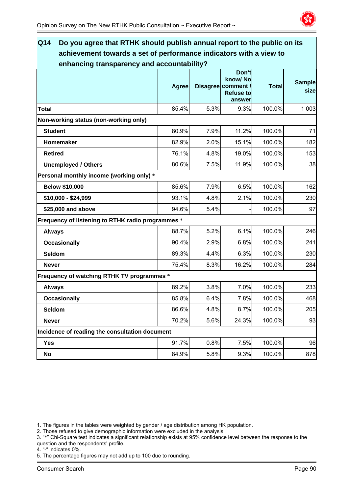

| Q14<br>Do you agree that RTHK should publish annual report to the public on its |              |      |                                                                      |              |                       |
|---------------------------------------------------------------------------------|--------------|------|----------------------------------------------------------------------|--------------|-----------------------|
| achievement towards a set of performance indicators with a view to              |              |      |                                                                      |              |                       |
| enhancing transparency and accountability?                                      |              |      |                                                                      |              |                       |
|                                                                                 | <b>Agree</b> |      | Don't<br>know/No<br>Disagree comment /<br><b>Refuse to</b><br>answer | <b>Total</b> | <b>Sample</b><br>size |
| <b>Total</b>                                                                    | 85.4%        | 5.3% | 9.3%                                                                 | 100.0%       | 1 0 0 3               |
| Non-working status (non-working only)                                           |              |      |                                                                      |              |                       |
| <b>Student</b>                                                                  | 80.9%        | 7.9% | 11.2%                                                                | 100.0%       | 71                    |
| Homemaker                                                                       | 82.9%        | 2.0% | 15.1%                                                                | 100.0%       | 182                   |
| <b>Retired</b>                                                                  | 76.1%        | 4.8% | 19.0%                                                                | 100.0%       | 153                   |
| <b>Unemployed / Others</b>                                                      | 80.6%        | 7.5% | 11.9%                                                                | 100.0%       | 38                    |
| Personal monthly income (working only) *                                        |              |      |                                                                      |              |                       |
| <b>Below \$10,000</b>                                                           | 85.6%        | 7.9% | 6.5%                                                                 | 100.0%       | 162                   |
| \$10,000 - \$24,999                                                             | 93.1%        | 4.8% | 2.1%                                                                 | 100.0%       | 230                   |
| \$25,000 and above                                                              | 94.6%        | 5.4% |                                                                      | 100.0%       | 97                    |
| Frequency of listening to RTHK radio programmes *                               |              |      |                                                                      |              |                       |
| <b>Always</b>                                                                   | 88.7%        | 5.2% | 6.1%                                                                 | 100.0%       | 246                   |
| <b>Occasionally</b>                                                             | 90.4%        | 2.9% | 6.8%                                                                 | 100.0%       | 241                   |
| Seldom                                                                          | 89.3%        | 4.4% | 6.3%                                                                 | 100.0%       | 230                   |
| <b>Never</b>                                                                    | 75.4%        | 8.3% | 16.2%                                                                | 100.0%       | 284                   |
| Frequency of watching RTHK TV programmes *                                      |              |      |                                                                      |              |                       |
| <b>Always</b>                                                                   | 89.2%        | 3.8% | 7.0%                                                                 | 100.0%       | 233                   |
| <b>Occasionally</b>                                                             | 85.8%        | 6.4% | 7.8%                                                                 | 100.0%       | 468                   |
| Seldom                                                                          | 86.6%        | 4.8% | 8.7%                                                                 | 100.0%       | 205                   |
| <b>Never</b>                                                                    | 70.2%        | 5.6% | 24.3%                                                                | 100.0%       | 93                    |
| Incidence of reading the consultation document                                  |              |      |                                                                      |              |                       |
| Yes                                                                             | 91.7%        | 0.8% | 7.5%                                                                 | 100.0%       | 96                    |
| No                                                                              | 84.9%        | 5.8% | 9.3%                                                                 | 100.0%       | 878                   |

2. Those refused to give demographic information were excluded in the analysis.

- 3. "\*" Chi-Square test indicates a significant relationship exists at 95% confidence level between the response to the question and the respondents' profile.
- 4. "-" indicates 0%.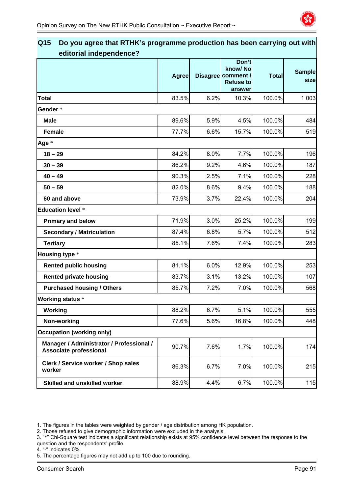

| Do you agree that RTHK's programme production has been carrying out with<br>$\overline{\mathsf{Q}}$ 15<br>editorial independence? |              |      |                                                                      |              |                       |
|-----------------------------------------------------------------------------------------------------------------------------------|--------------|------|----------------------------------------------------------------------|--------------|-----------------------|
|                                                                                                                                   | <b>Agree</b> |      | Don't<br>know/No<br>Disagree comment /<br><b>Refuse to</b><br>answer | <b>Total</b> | <b>Sample</b><br>size |
| Total                                                                                                                             | 83.5%        | 6.2% | 10.3%                                                                | 100.0%       | 1 0 0 3               |
| Gender*                                                                                                                           |              |      |                                                                      |              |                       |
| <b>Male</b>                                                                                                                       | 89.6%        | 5.9% | 4.5%                                                                 | 100.0%       | 484                   |
| <b>Female</b>                                                                                                                     | 77.7%        | 6.6% | 15.7%                                                                | 100.0%       | 519                   |
| Age *                                                                                                                             |              |      |                                                                      |              |                       |
| $18 - 29$                                                                                                                         | 84.2%        | 8.0% | 7.7%                                                                 | 100.0%       | 196                   |
| $30 - 39$                                                                                                                         | 86.2%        | 9.2% | 4.6%                                                                 | 100.0%       | 187                   |
| $40 - 49$                                                                                                                         | 90.3%        | 2.5% | 7.1%                                                                 | 100.0%       | 228                   |
| $50 - 59$                                                                                                                         | 82.0%        | 8.6% | 9.4%                                                                 | 100.0%       | 188                   |
| 60 and above                                                                                                                      | 73.9%        | 3.7% | 22.4%                                                                | 100.0%       | 204                   |
| <b>Education level *</b>                                                                                                          |              |      |                                                                      |              |                       |
| <b>Primary and below</b>                                                                                                          | 71.9%        | 3.0% | 25.2%                                                                | 100.0%       | 199                   |
| <b>Secondary / Matriculation</b>                                                                                                  | 87.4%        | 6.8% | 5.7%                                                                 | 100.0%       | 512                   |
| <b>Tertiary</b>                                                                                                                   | 85.1%        | 7.6% | 7.4%                                                                 | 100.0%       | 283                   |
| <b>Housing type *</b>                                                                                                             |              |      |                                                                      |              |                       |
| <b>Rented public housing</b>                                                                                                      | 81.1%        | 6.0% | 12.9%                                                                | 100.0%       | 253                   |
| <b>Rented private housing</b>                                                                                                     | 83.7%        | 3.1% | 13.2%                                                                | 100.0%       | 107                   |
| <b>Purchased housing / Others</b>                                                                                                 | 85.7%        | 7.2% | 7.0%                                                                 | 100.0%       | 568                   |
| <b>Working status *</b>                                                                                                           |              |      |                                                                      |              |                       |
| Working                                                                                                                           | 88.2%        | 6.7% | 5.1%                                                                 | 100.0%       | 555                   |
| Non-working                                                                                                                       | 77.6%        | 5.6% | 16.8%                                                                | 100.0%       | 448                   |
| <b>Occupation (working only)</b>                                                                                                  |              |      |                                                                      |              |                       |
| Manager / Administrator / Professional /<br><b>Associate professional</b>                                                         | 90.7%        | 7.6% | 1.7%                                                                 | 100.0%       | 174                   |
| Clerk / Service worker / Shop sales<br>worker                                                                                     | 86.3%        | 6.7% | 7.0%                                                                 | 100.0%       | 215                   |
| <b>Skilled and unskilled worker</b>                                                                                               | 88.9%        | 4.4% | 6.7%                                                                 | 100.0%       | 115                   |

2. Those refused to give demographic information were excluded in the analysis.

4. "-" indicates 0%.

<sup>3. &</sup>quot;\*" Chi-Square test indicates a significant relationship exists at 95% confidence level between the response to the question and the respondents' profile.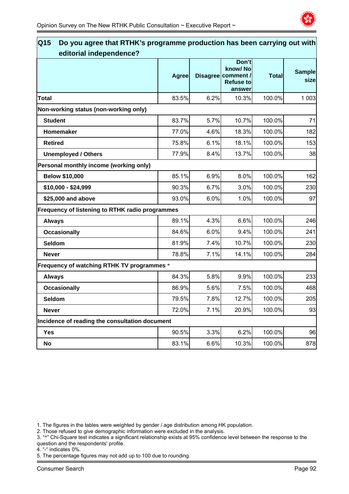

| Q <sub>15</sub><br>Do you agree that RTHK's programme production has been carrying out with<br>editorial independence? |              |      |                                                                      |              |                       |
|------------------------------------------------------------------------------------------------------------------------|--------------|------|----------------------------------------------------------------------|--------------|-----------------------|
|                                                                                                                        | <b>Agree</b> |      | Don't<br>know/No<br>Disagree comment /<br><b>Refuse to</b><br>answer | <b>Total</b> | <b>Sample</b><br>size |
| <b>Total</b>                                                                                                           | 83.5%        | 6.2% | 10.3%                                                                | 100.0%       | 1 0 0 3               |
| Non-working status (non-working only)                                                                                  |              |      |                                                                      |              |                       |
| <b>Student</b>                                                                                                         | 83.7%        | 5.7% | 10.7%                                                                | 100.0%       | 71                    |
| Homemaker                                                                                                              | 77.0%        | 4.6% | 18.3%                                                                | 100.0%       | 182                   |
| <b>Retired</b>                                                                                                         | 75.8%        | 6.1% | 18.1%                                                                | 100.0%       | 153                   |
| <b>Unemployed / Others</b>                                                                                             | 77.9%        | 8.4% | 13.7%                                                                | 100.0%       | 38                    |
| Personal monthly income (working only)                                                                                 |              |      |                                                                      |              |                       |
| <b>Below \$10,000</b>                                                                                                  | 85.1%        | 6.9% | 8.0%                                                                 | 100.0%       | 162                   |
| \$10,000 - \$24,999                                                                                                    | 90.3%        | 6.7% | 3.0%                                                                 | 100.0%       | 230                   |
| \$25,000 and above                                                                                                     | 93.0%        | 6.0% | 1.0%                                                                 | 100.0%       | 97                    |
| Frequency of listening to RTHK radio programmes                                                                        |              |      |                                                                      |              |                       |
| <b>Always</b>                                                                                                          | 89.1%        | 4.3% | 6.6%                                                                 | 100.0%       | 246                   |
| <b>Occasionally</b>                                                                                                    | 84.6%        | 6.0% | 9.4%                                                                 | 100.0%       | 241                   |
| Seldom                                                                                                                 | 81.9%        | 7.4% | 10.7%                                                                | 100.0%       | 230                   |
| <b>Never</b>                                                                                                           | 78.8%        | 7.1% | 14.1%                                                                | 100.0%       | 284                   |
| Frequency of watching RTHK TV programmes *                                                                             |              |      |                                                                      |              |                       |
| <b>Always</b>                                                                                                          | 84.3%        | 5.8% | 9.9%                                                                 | 100.0%       | 233                   |
| <b>Occasionally</b>                                                                                                    | 86.9%        | 5.6% | 7.5%                                                                 | 100.0%       | 468                   |
| Seldom                                                                                                                 | 79.5%        | 7.8% | 12.7%                                                                | 100.0%       | 205                   |
| <b>Never</b>                                                                                                           | 72.0%        | 7.1% | 20.9%                                                                | 100.0%       | 93                    |
| Incidence of reading the consultation document                                                                         |              |      |                                                                      |              |                       |
| <b>Yes</b>                                                                                                             | 90.5%        | 3.3% | 6.2%                                                                 | 100.0%       | 96                    |
| No                                                                                                                     | 83.1%        | 6.6% | 10.3%                                                                | 100.0%       | 878                   |

2. Those refused to give demographic information were excluded in the analysis.

3. "\*" Chi-Square test indicates a significant relationship exists at 95% confidence level between the response to the question and the respondents' profile.

4. "-" indicates 0%.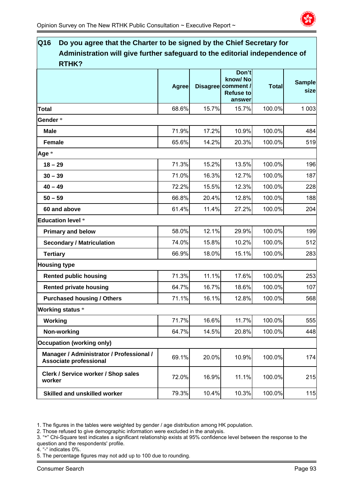

| Q16<br>Do you agree that the Charter to be signed by the Chief Secretary for<br>Administration will give further safeguard to the editorial independence of<br><b>RTHK?</b> |              |       |                                                                      |              |                       |  |
|-----------------------------------------------------------------------------------------------------------------------------------------------------------------------------|--------------|-------|----------------------------------------------------------------------|--------------|-----------------------|--|
|                                                                                                                                                                             | <b>Agree</b> |       | Don't<br>know/No<br>Disagree comment /<br><b>Refuse to</b><br>answer | <b>Total</b> | <b>Sample</b><br>size |  |
| <b>Total</b>                                                                                                                                                                | 68.6%        | 15.7% | 15.7%                                                                | 100.0%       | 1 0 0 3               |  |
| Gender*                                                                                                                                                                     |              |       |                                                                      |              |                       |  |
| <b>Male</b>                                                                                                                                                                 | 71.9%        | 17.2% | 10.9%                                                                | 100.0%       | 484                   |  |
| <b>Female</b>                                                                                                                                                               | 65.6%        | 14.2% | 20.3%                                                                | 100.0%       | 519                   |  |
| Age *                                                                                                                                                                       |              |       |                                                                      |              |                       |  |
| $18 - 29$                                                                                                                                                                   | 71.3%        | 15.2% | 13.5%                                                                | 100.0%       | 196                   |  |
| $30 - 39$                                                                                                                                                                   | 71.0%        | 16.3% | 12.7%                                                                | 100.0%       | 187                   |  |
| $40 - 49$                                                                                                                                                                   | 72.2%        | 15.5% | 12.3%                                                                | 100.0%       | 228                   |  |
| $50 - 59$                                                                                                                                                                   | 66.8%        | 20.4% | 12.8%                                                                | 100.0%       | 188                   |  |
| 60 and above                                                                                                                                                                | 61.4%        | 11.4% | 27.2%                                                                | 100.0%       | 204                   |  |
| <b>Education level *</b>                                                                                                                                                    |              |       |                                                                      |              |                       |  |
| <b>Primary and below</b>                                                                                                                                                    | 58.0%        | 12.1% | 29.9%                                                                | 100.0%       | 199                   |  |
| <b>Secondary / Matriculation</b>                                                                                                                                            | 74.0%        | 15.8% | 10.2%                                                                | 100.0%       | 512                   |  |
| <b>Tertiary</b>                                                                                                                                                             | 66.9%        | 18.0% | 15.1%                                                                | 100.0%       | 283                   |  |
| <b>Housing type</b>                                                                                                                                                         |              |       |                                                                      |              |                       |  |
| <b>Rented public housing</b>                                                                                                                                                | 71.3%        | 11.1% | 17.6%                                                                | 100.0%       | 253                   |  |
| <b>Rented private housing</b>                                                                                                                                               | 64.7%        | 16.7% | 18.6%                                                                | 100.0%       | 107                   |  |
| <b>Purchased housing / Others</b>                                                                                                                                           | 71.1%        | 16.1% | 12.8%                                                                | 100.0%       | 568                   |  |
| <b>Working status *</b>                                                                                                                                                     |              |       |                                                                      |              |                       |  |
| Working                                                                                                                                                                     | 71.7%        | 16.6% | 11.7%                                                                | 100.0%       | 555                   |  |
| Non-working                                                                                                                                                                 | 64.7%        | 14.5% | 20.8%                                                                | 100.0%       | 448                   |  |
| <b>Occupation (working only)</b>                                                                                                                                            |              |       |                                                                      |              |                       |  |
| Manager / Administrator / Professional /<br><b>Associate professional</b>                                                                                                   | 69.1%        | 20.0% | 10.9%                                                                | 100.0%       | 174                   |  |
| Clerk / Service worker / Shop sales<br>worker                                                                                                                               | 72.0%        | 16.9% | 11.1%                                                                | 100.0%       | 215                   |  |
| <b>Skilled and unskilled worker</b>                                                                                                                                         | 79.3%        | 10.4% | 10.3%                                                                | 100.0%       | 115                   |  |

2. Those refused to give demographic information were excluded in the analysis.

- 3. "\*" Chi-Square test indicates a significant relationship exists at 95% confidence level between the response to the question and the respondents' profile.
- 4. "-" indicates 0%.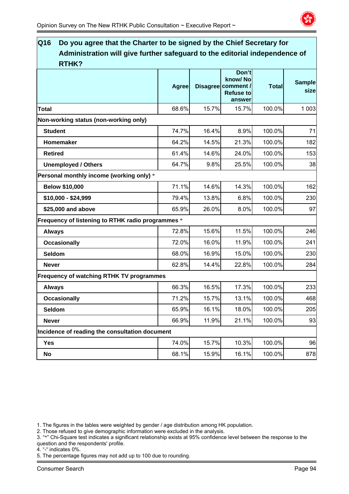

# **Q16 Do you agree that the Charter to be signed by the Chief Secretary for Administration will give further safeguard to the editorial independence of RTHK? Agree Disagree Don't know/ No comment / Refuse to answer Total Sample size Total** 68.6% 15.7% 15.7% 100.0% 1 003 **Non-working status (non-working only) Student** 74.7% 16.4% 8.9% 100.0% 71 **Homemaker** 64.2% 14.5% 21.3% 100.0% 182 **Retired** 61.4% 14.6% 24.0% 100.0% 153 **Unemployed / Others**  1 1 25.5% **25.5% 100.0%** 38 **Personal monthly income (working only)** \* **Below \$10,000 14.6%** 14.6% 14.3% 162 **\$10,000 - \$24,999** 79.4% 13.8% 6.8% 100.0% 230 **\$25.000 and above**  65.9% 26.0% 8.0% 100.0% 97 **Frequency of listening to RTHK radio programmes** \* **Always** 72.8% 15.6% 11.5% 100.0% 246 **Occasionally** 72.0% 16.0% 11.9% 100.0% 241 **Seldom** 68.0% 16.9% 15.0% 100.0% 230 **Never** 62.8% 14.4% 22.8% 100.0% 284 **Frequency of watching RTHK TV programmes Always** 66.3% 16.5% 17.3% 100.0% 233 **Occasionally 15.7%** 15.7% 13.1% 100.0% 168 **Seldom** 65.9% 16.1% 18.0% 100.0% 205 **Never** 66.9% 11.9% 21.1% 100.0% 93 **Incidence of reading the consultation document Yes 74.0%| 15.7%| 10.3%| 100.0%| 96 No** 68.1% 15.9% 16.1% 100.0% 878

1. The figures in the tables were weighted by gender / age distribution among HK population.

2. Those refused to give demographic information were excluded in the analysis.

- 3. "\*" Chi-Square test indicates a significant relationship exists at 95% confidence level between the response to the question and the respondents' profile.
- 4. "-" indicates 0%.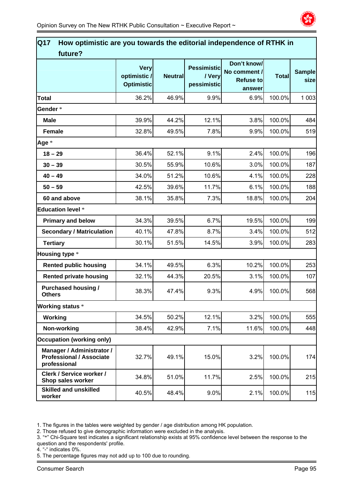

| Q17<br>How optimistic are you towards the editorial independence of RTHK in<br>future? |                                                 |                |                                             |                                                           |              |                       |
|----------------------------------------------------------------------------------------|-------------------------------------------------|----------------|---------------------------------------------|-----------------------------------------------------------|--------------|-----------------------|
|                                                                                        | <b>Very</b><br>optimistic/<br><b>Optimistic</b> | <b>Neutral</b> | <b>Pessimistic</b><br>/ Very<br>pessimistic | Don't know/<br>No comment /<br><b>Refuse to</b><br>answer | <b>Total</b> | <b>Sample</b><br>size |
| <b>Total</b>                                                                           | 36.2%                                           | 46.9%          | 9.9%                                        | 6.9%                                                      | 100.0%       | 1 0 0 3               |
| Gender *                                                                               |                                                 |                |                                             |                                                           |              |                       |
| <b>Male</b>                                                                            | 39.9%                                           | 44.2%          | 12.1%                                       | 3.8%                                                      | 100.0%       | 484                   |
| <b>Female</b>                                                                          | 32.8%                                           | 49.5%          | 7.8%                                        | 9.9%                                                      | 100.0%       | 519                   |
| Age *                                                                                  |                                                 |                |                                             |                                                           |              |                       |
| $18 - 29$                                                                              | 36.4%                                           | 52.1%          | 9.1%                                        | 2.4%                                                      | 100.0%       | 196                   |
| $30 - 39$                                                                              | 30.5%                                           | 55.9%          | 10.6%                                       | 3.0%                                                      | 100.0%       | 187                   |
| $40 - 49$                                                                              | 34.0%                                           | 51.2%          | 10.6%                                       | 4.1%                                                      | 100.0%       | 228                   |
| $50 - 59$                                                                              | 42.5%                                           | 39.6%          | 11.7%                                       | 6.1%                                                      | 100.0%       | 188                   |
| 60 and above                                                                           | 38.1%                                           | 35.8%          | 7.3%                                        | 18.8%                                                     | 100.0%       | 204                   |
| <b>Education level *</b>                                                               |                                                 |                |                                             |                                                           |              |                       |
| <b>Primary and below</b>                                                               | 34.3%                                           | 39.5%          | 6.7%                                        | 19.5%                                                     | 100.0%       | 199                   |
| <b>Secondary / Matriculation</b>                                                       | 40.1%                                           | 47.8%          | 8.7%                                        | 3.4%                                                      | 100.0%       | 512                   |
| <b>Tertiary</b>                                                                        | 30.1%                                           | 51.5%          | 14.5%                                       | 3.9%                                                      | 100.0%       | 283                   |
| Housing type *                                                                         |                                                 |                |                                             |                                                           |              |                       |
| <b>Rented public housing</b>                                                           | 34.1%                                           | 49.5%          | 6.3%                                        | 10.2%                                                     | 100.0%       | 253                   |
| <b>Rented private housing</b>                                                          | 32.1%                                           | 44.3%          | 20.5%                                       | 3.1%                                                      | 100.0%       | 107                   |
| <b>Purchased housing /</b><br><b>Others</b>                                            | 38.3%                                           | 47.4%          | 9.3%                                        | 4.9%                                                      | 100.0%       | 568                   |
| <b>Working status *</b>                                                                |                                                 |                |                                             |                                                           |              |                       |
| Working                                                                                | 34.5%                                           | 50.2%          | 12.1%                                       | 3.2%                                                      | 100.0%       | 555                   |
| Non-working                                                                            | 38.4%                                           | 42.9%          | 7.1%                                        | 11.6%                                                     | 100.0%       | 448                   |
| <b>Occupation (working only)</b>                                                       |                                                 |                |                                             |                                                           |              |                       |
| Manager / Administrator /<br><b>Professional / Associate</b><br>professional           | 32.7%                                           | 49.1%          | 15.0%                                       | 3.2%                                                      | 100.0%       | 174                   |
| Clerk / Service worker /<br>Shop sales worker                                          | 34.8%                                           | 51.0%          | 11.7%                                       | 2.5%                                                      | 100.0%       | 215                   |
| <b>Skilled and unskilled</b><br>worker                                                 | 40.5%                                           | 48.4%          | 9.0%                                        | 2.1%                                                      | 100.0%       | 115                   |

2. Those refused to give demographic information were excluded in the analysis.

- 3. "\*" Chi-Square test indicates a significant relationship exists at 95% confidence level between the response to the question and the respondents' profile.
- 4. "-" indicates 0%.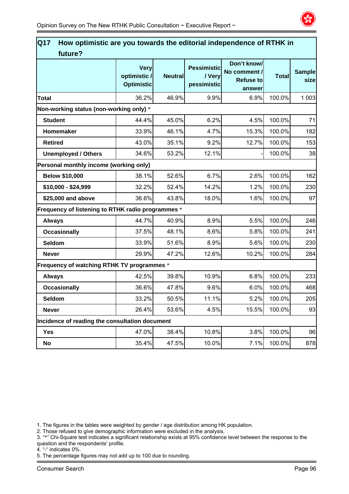

| Q17<br>How optimistic are you towards the editorial independence of RTHK in<br>future? |                                                 |                |                                             |                                                           |              |                       |
|----------------------------------------------------------------------------------------|-------------------------------------------------|----------------|---------------------------------------------|-----------------------------------------------------------|--------------|-----------------------|
|                                                                                        | <b>Very</b><br>optimistic/<br><b>Optimistic</b> | <b>Neutral</b> | <b>Pessimistic</b><br>/ Very<br>pessimistic | Don't know/<br>No comment /<br><b>Refuse to</b><br>answer | <b>Total</b> | <b>Sample</b><br>size |
| <b>Total</b>                                                                           | 36.2%                                           | 46.9%          | 9.9%                                        | 6.9%                                                      | 100.0%       | 1 0 0 3               |
| Non-working status (non-working only) *                                                |                                                 |                |                                             |                                                           |              |                       |
| <b>Student</b>                                                                         | 44.4%                                           | 45.0%          | 6.2%                                        | 4.5%                                                      | 100.0%       | 71                    |
| Homemaker                                                                              | 33.9%                                           | 46.1%          | 4.7%                                        | 15.3%                                                     | 100.0%       | 182                   |
| <b>Retired</b>                                                                         | 43.0%                                           | 35.1%          | 9.2%                                        | 12.7%                                                     | 100.0%       | 153                   |
| <b>Unemployed / Others</b>                                                             | 34.6%                                           | 53.2%          | 12.1%                                       |                                                           | 100.0%       | 38                    |
| Personal monthly income (working only)                                                 |                                                 |                |                                             |                                                           |              |                       |
| <b>Below \$10,000</b>                                                                  | 38.1%                                           | 52.6%          | 6.7%                                        | 2.6%                                                      | 100.0%       | 162                   |
| \$10,000 - \$24,999                                                                    | 32.2%                                           | 52.4%          | 14.2%                                       | 1.2%                                                      | 100.0%       | 230                   |
| \$25,000 and above                                                                     | 36.6%                                           | 43.8%          | 18.0%                                       | 1.6%                                                      | 100.0%       | 97                    |
| Frequency of listening to RTHK radio programmes *                                      |                                                 |                |                                             |                                                           |              |                       |
| <b>Always</b>                                                                          | 44.7%                                           | 40.9%          | 8.9%                                        | 5.5%                                                      | 100.0%       | 246                   |
| <b>Occasionally</b>                                                                    | 37.5%                                           | 48.1%          | 8.6%                                        | 5.8%                                                      | 100.0%       | 241                   |
| <b>Seldom</b>                                                                          | 33.9%                                           | 51.6%          | 8.9%                                        | 5.6%                                                      | 100.0%       | 230                   |
| <b>Never</b>                                                                           | 29.9%                                           | 47.2%          | 12.6%                                       | 10.2%                                                     | 100.0%       | 284                   |
| Frequency of watching RTHK TV programmes *                                             |                                                 |                |                                             |                                                           |              |                       |
| <b>Always</b>                                                                          | 42.5%                                           | 39.8%          | 10.9%                                       | 6.8%                                                      | 100.0%       | 233                   |
| <b>Occasionally</b>                                                                    | 36.6%                                           | 47.8%          | 9.6%                                        | 6.0%                                                      | 100.0%       | 468                   |
| <b>Seldom</b>                                                                          | 33.2%                                           | 50.5%          | 11.1%                                       | 5.2%                                                      | 100.0%       | 205                   |
| <b>Never</b>                                                                           | 26.4%                                           | 53.6%          | 4.5%                                        | 15.5%                                                     | 100.0%       | 93                    |
| Incidence of reading the consultation document                                         |                                                 |                |                                             |                                                           |              |                       |
| <b>Yes</b>                                                                             | 47.0%                                           | 38.4%          | 10.8%                                       | 3.8%                                                      | 100.0%       | 96                    |
| No                                                                                     | 35.4%                                           | 47.5%          | 10.0%                                       | 7.1%                                                      | 100.0%       | 878                   |

2. Those refused to give demographic information were excluded in the analysis.

3. "\*" Chi-Square test indicates a significant relationship exists at 95% confidence level between the response to the question and the respondents' profile.

4. "-" indicates 0%.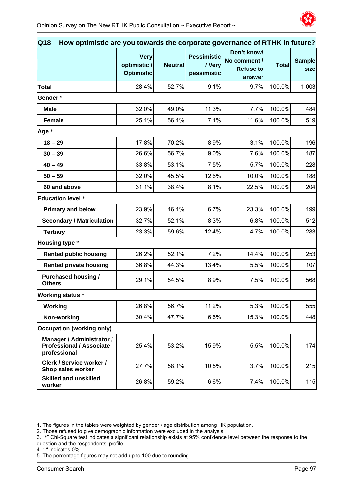

| Q18<br>How optimistic are you towards the corporate governance of RTHK in future? |                                           |                |                                             |                                                           |              |                       |
|-----------------------------------------------------------------------------------|-------------------------------------------|----------------|---------------------------------------------|-----------------------------------------------------------|--------------|-----------------------|
|                                                                                   | Very<br>optimistic /<br><b>Optimistic</b> | <b>Neutral</b> | <b>Pessimistic</b><br>/ Very<br>pessimistic | Don't know/<br>No comment /<br><b>Refuse to</b><br>answer | <b>Total</b> | <b>Sample</b><br>size |
| <b>Total</b>                                                                      | 28.4%                                     | 52.7%          | 9.1%                                        | 9.7%                                                      | 100.0%       | 1 0 0 3               |
| Gender *                                                                          |                                           |                |                                             |                                                           |              |                       |
| <b>Male</b>                                                                       | 32.0%                                     | 49.0%          | 11.3%                                       | 7.7%                                                      | 100.0%       | 484                   |
| <b>Female</b>                                                                     | 25.1%                                     | 56.1%          | 7.1%                                        | 11.6%                                                     | 100.0%       | 519                   |
| Age *                                                                             |                                           |                |                                             |                                                           |              |                       |
| $18 - 29$                                                                         | 17.8%                                     | 70.2%          | 8.9%                                        | 3.1%                                                      | 100.0%       | 196                   |
| $30 - 39$                                                                         | 26.6%                                     | 56.7%          | 9.0%                                        | 7.6%                                                      | 100.0%       | 187                   |
| $40 - 49$                                                                         | 33.8%                                     | 53.1%          | 7.5%                                        | 5.7%                                                      | 100.0%       | 228                   |
| $50 - 59$                                                                         | 32.0%                                     | 45.5%          | 12.6%                                       | 10.0%                                                     | 100.0%       | 188                   |
| 60 and above                                                                      | 31.1%                                     | 38.4%          | 8.1%                                        | 22.5%                                                     | 100.0%       | 204                   |
| <b>Education level *</b>                                                          |                                           |                |                                             |                                                           |              |                       |
| <b>Primary and below</b>                                                          | 23.9%                                     | 46.1%          | 6.7%                                        | 23.3%                                                     | 100.0%       | 199                   |
| <b>Secondary / Matriculation</b>                                                  | 32.7%                                     | 52.1%          | 8.3%                                        | 6.8%                                                      | 100.0%       | 512                   |
| <b>Tertiary</b>                                                                   | 23.3%                                     | 59.6%          | 12.4%                                       | 4.7%                                                      | 100.0%       | 283                   |
| Housing type *                                                                    |                                           |                |                                             |                                                           |              |                       |
| <b>Rented public housing</b>                                                      | 26.2%                                     | 52.1%          | 7.2%                                        | 14.4%                                                     | 100.0%       | 253                   |
| <b>Rented private housing</b>                                                     | 36.8%                                     | 44.3%          | 13.4%                                       | 5.5%                                                      | 100.0%       | 107                   |
| <b>Purchased housing /</b><br><b>Others</b>                                       | 29.1%                                     | 54.5%          | 8.9%                                        | 7.5%                                                      | 100.0%       | 568                   |
| <b>Working status *</b>                                                           |                                           |                |                                             |                                                           |              |                       |
| Working                                                                           | 26.8%                                     | 56.7%          | 11.2%                                       | 5.3%                                                      | 100.0%       | 555                   |
| Non-working                                                                       | 30.4%                                     | 47.7%          | 6.6%                                        | 15.3%                                                     | 100.0%       | 448                   |
| <b>Occupation (working only)</b>                                                  |                                           |                |                                             |                                                           |              |                       |
| Manager / Administrator /<br><b>Professional / Associate</b><br>professional      | 25.4%                                     | 53.2%          | 15.9%                                       | 5.5%                                                      | 100.0%       | 174                   |
| Clerk / Service worker /<br>Shop sales worker                                     | 27.7%                                     | 58.1%          | 10.5%                                       | 3.7%                                                      | 100.0%       | 215                   |
| <b>Skilled and unskilled</b><br>worker                                            | 26.8%                                     | 59.2%          | 6.6%                                        | 7.4%                                                      | 100.0%       | 115                   |

2. Those refused to give demographic information were excluded in the analysis.

- 3. "\*" Chi-Square test indicates a significant relationship exists at 95% confidence level between the response to the question and the respondents' profile.
- 4. "-" indicates 0%.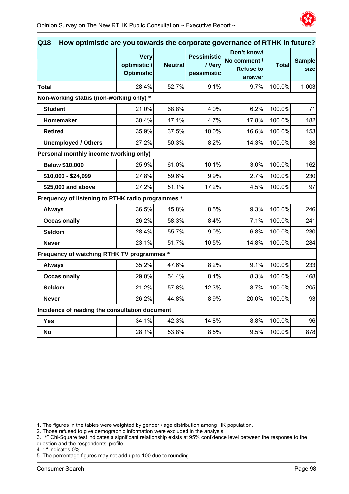

| How optimistic are you towards the corporate governance of RTHK in future?<br>Q18 |                                                 |                 |                                             |                                                           |              |                       |  |
|-----------------------------------------------------------------------------------|-------------------------------------------------|-----------------|---------------------------------------------|-----------------------------------------------------------|--------------|-----------------------|--|
|                                                                                   | <b>Very</b><br>optimistic/<br><b>Optimistic</b> | <b>Neutrall</b> | <b>Pessimistic</b><br>/ Very<br>pessimistic | Don't know/<br>No comment /<br><b>Refuse to</b><br>answer | <b>Total</b> | <b>Sample</b><br>size |  |
| <b>Total</b>                                                                      | 28.4%                                           | 52.7%           | 9.1%                                        | 9.7%                                                      | 100.0%       | 1 0 0 3               |  |
|                                                                                   | Non-working status (non-working only) *         |                 |                                             |                                                           |              |                       |  |
| <b>Student</b>                                                                    | 21.0%                                           | 68.8%           | 4.0%                                        | 6.2%                                                      | 100.0%       | 71                    |  |
| Homemaker                                                                         | 30.4%                                           | 47.1%           | 4.7%                                        | 17.8%                                                     | 100.0%       | 182                   |  |
| <b>Retired</b>                                                                    | 35.9%                                           | 37.5%           | 10.0%                                       | 16.6%                                                     | 100.0%       | 153                   |  |
| <b>Unemployed / Others</b>                                                        | 27.2%                                           | 50.3%           | 8.2%                                        | 14.3%                                                     | 100.0%       | 38                    |  |
| Personal monthly income (working only)                                            |                                                 |                 |                                             |                                                           |              |                       |  |
| <b>Below \$10,000</b>                                                             | 25.9%                                           | 61.0%           | 10.1%                                       | 3.0%                                                      | 100.0%       | 162                   |  |
| \$10,000 - \$24,999                                                               | 27.8%                                           | 59.6%           | 9.9%                                        | 2.7%                                                      | 100.0%       | 230                   |  |
| \$25,000 and above                                                                | 27.2%                                           | 51.1%           | 17.2%                                       | 4.5%                                                      | 100.0%       | 97                    |  |
| Frequency of listening to RTHK radio programmes *                                 |                                                 |                 |                                             |                                                           |              |                       |  |
| <b>Always</b>                                                                     | 36.5%                                           | 45.8%           | 8.5%                                        | 9.3%                                                      | 100.0%       | 246                   |  |
| <b>Occasionally</b>                                                               | 26.2%                                           | 58.3%           | 8.4%                                        | 7.1%                                                      | 100.0%       | 241                   |  |
| <b>Seldom</b>                                                                     | 28.4%                                           | 55.7%           | 9.0%                                        | 6.8%                                                      | 100.0%       | 230                   |  |
| <b>Never</b>                                                                      | 23.1%                                           | 51.7%           | 10.5%                                       | 14.8%                                                     | 100.0%       | 284                   |  |
| Frequency of watching RTHK TV programmes *                                        |                                                 |                 |                                             |                                                           |              |                       |  |
| <b>Always</b>                                                                     | 35.2%                                           | 47.6%           | 8.2%                                        | 9.1%                                                      | 100.0%       | 233                   |  |
| <b>Occasionally</b>                                                               | 29.0%                                           | 54.4%           | 8.4%                                        | 8.3%                                                      | 100.0%       | 468                   |  |
| <b>Seldom</b>                                                                     | 21.2%                                           | 57.8%           | 12.3%                                       | 8.7%                                                      | 100.0%       | 205                   |  |
| <b>Never</b>                                                                      | 26.2%                                           | 44.8%           | 8.9%                                        | 20.0%                                                     | 100.0%       | 93                    |  |
| Incidence of reading the consultation document                                    |                                                 |                 |                                             |                                                           |              |                       |  |
| <b>Yes</b>                                                                        | 34.1%                                           | 42.3%           | 14.8%                                       | 8.8%                                                      | 100.0%       | 96                    |  |
| <b>No</b>                                                                         | 28.1%                                           | 53.8%           | 8.5%                                        | 9.5%                                                      | 100.0%       | 878                   |  |

2. Those refused to give demographic information were excluded in the analysis.

3. "\*" Chi-Square test indicates a significant relationship exists at 95% confidence level between the response to the question and the respondents' profile.

4. "-" indicates 0%.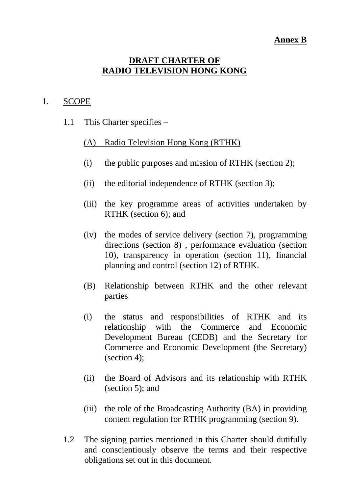# **Annex B**

# **DRAFT CHARTER OF RADIO TELEVISION HONG KONG**

#### 1. SCOPE

1.1 This Charter specifies –

# (A) Radio Television Hong Kong (RTHK)

- (i) the public purposes and mission of RTHK (section 2);
- (ii) the editorial independence of RTHK (section 3);
- (iii) the key programme areas of activities undertaken by RTHK (section 6); and
- (iv) the modes of service delivery (section 7), programming directions (section 8) , performance evaluation (section 10), transparency in operation (section 11), financial planning and control (section 12) of RTHK.
- (B) Relationship between RTHK and the other relevant parties
- (i) the status and responsibilities of RTHK and its relationship with the Commerce and Economic Development Bureau (CEDB) and the Secretary for Commerce and Economic Development (the Secretary) (section 4);
- (ii) the Board of Advisors and its relationship with RTHK (section 5); and
- (iii) the role of the Broadcasting Authority (BA) in providing content regulation for RTHK programming (section 9).
- 1.2 The signing parties mentioned in this Charter should dutifully and conscientiously observe the terms and their respective obligations set out in this document.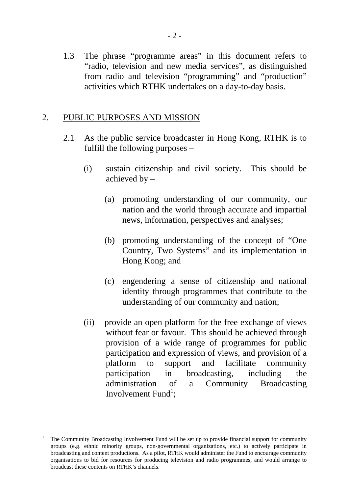1.3 The phrase "programme areas" in this document refers to "radio, television and new media services", as distinguished from radio and television "programming" and "production" activities which RTHK undertakes on a day-to-day basis.

# 2. PUBLIC PURPOSES AND MISSION

- 2.1 As the public service broadcaster in Hong Kong, RTHK is to fulfill the following purposes –
	- (i) sustain citizenship and civil society. This should be achieved by –
		- (a) promoting understanding of our community, our nation and the world through accurate and impartial news, information, perspectives and analyses;
		- (b) promoting understanding of the concept of "One Country, Two Systems" and its implementation in Hong Kong; and
		- (c) engendering a sense of citizenship and national identity through programmes that contribute to the understanding of our community and nation;
	- (ii) provide an open platform for the free exchange of views without fear or favour. This should be achieved through provision of a wide range of programmes for public participation and expression of views, and provision of a platform to support and facilitate community participation in broadcasting, including the administration of a Community Broadcasting Involvement Fund<sup>1</sup>;

-

<sup>1</sup> The Community Broadcasting Involvement Fund will be set up to provide financial support for community groups (e.g. ethnic minority groups, non-governmental organizations, etc.) to actively participate in broadcasting and content productions. As a pilot, RTHK would administer the Fund to encourage community organisations to bid for resources for producing television and radio programmes, and would arrange to broadcast these contents on RTHK's channels.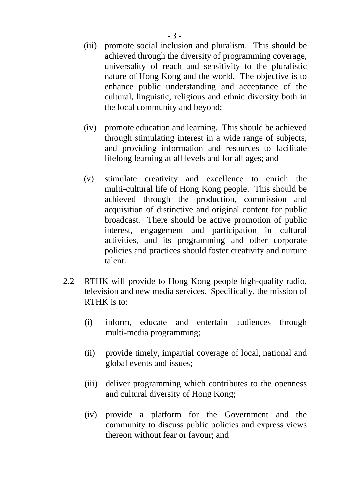- (iii) promote social inclusion and pluralism. This should be achieved through the diversity of programming coverage, universality of reach and sensitivity to the pluralistic nature of Hong Kong and the world. The objective is to enhance public understanding and acceptance of the cultural, linguistic, religious and ethnic diversity both in the local community and beyond;
- (iv) promote education and learning. This should be achieved through stimulating interest in a wide range of subjects, and providing information and resources to facilitate lifelong learning at all levels and for all ages; and
- (v) stimulate creativity and excellence to enrich the multi-cultural life of Hong Kong people. This should be achieved through the production, commission and acquisition of distinctive and original content for public broadcast. There should be active promotion of public interest, engagement and participation in cultural activities, and its programming and other corporate policies and practices should foster creativity and nurture talent.
- 2.2 RTHK will provide to Hong Kong people high-quality radio, television and new media services. Specifically, the mission of RTHK is to:
	- (i) inform, educate and entertain audiences through multi-media programming;
	- (ii) provide timely, impartial coverage of local, national and global events and issues;
	- (iii) deliver programming which contributes to the openness and cultural diversity of Hong Kong;
	- (iv) provide a platform for the Government and the community to discuss public policies and express views thereon without fear or favour; and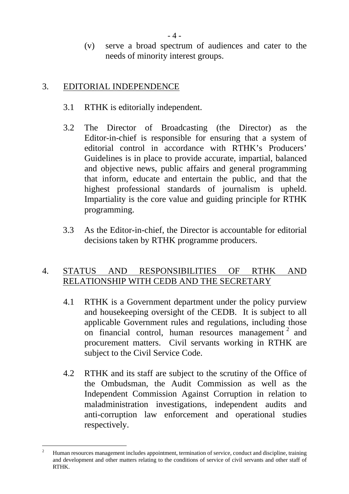(v) serve a broad spectrum of audiences and cater to the needs of minority interest groups.

# 3. EDITORIAL INDEPENDENCE

- 3.1 RTHK is editorially independent.
- 3.2 The Director of Broadcasting (the Director) as the Editor-in-chief is responsible for ensuring that a system of editorial control in accordance with RTHK's Producers' Guidelines is in place to provide accurate, impartial, balanced and objective news, public affairs and general programming that inform, educate and entertain the public, and that the highest professional standards of journalism is upheld. Impartiality is the core value and guiding principle for RTHK programming.
- 3.3 As the Editor-in-chief, the Director is accountable for editorial decisions taken by RTHK programme producers.

# 4. STATUS AND RESPONSIBILITIES OF RTHK AND RELATIONSHIP WITH CEDB AND THE SECRETARY

- 4.1 RTHK is a Government department under the policy purview and housekeeping oversight of the CEDB. It is subject to all applicable Government rules and regulations, including those on financial control, human resources management 2 and procurement matters. Civil servants working in RTHK are subject to the Civil Service Code.
- 4.2 RTHK and its staff are subject to the scrutiny of the Office of the Ombudsman, the Audit Commission as well as the Independent Commission Against Corruption in relation to maladministration investigations, independent audits and anti-corruption law enforcement and operational studies respectively.

 $\overline{a}$ 2 Human resources management includes appointment, termination of service, conduct and discipline, training and development and other matters relating to the conditions of service of civil servants and other staff of RTHK.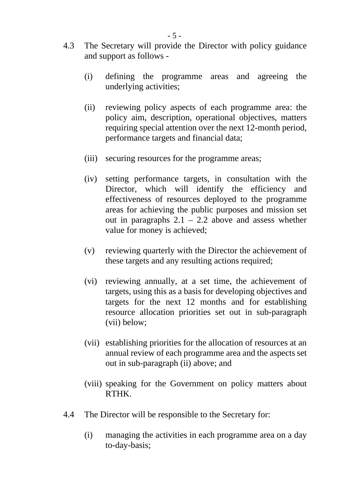- 4.3 The Secretary will provide the Director with policy guidance and support as follows -
	- (i) defining the programme areas and agreeing the underlying activities;
	- (ii) reviewing policy aspects of each programme area: the policy aim, description, operational objectives, matters requiring special attention over the next 12-month period, performance targets and financial data;
	- (iii) securing resources for the programme areas;
	- (iv) setting performance targets, in consultation with the Director, which will identify the efficiency and effectiveness of resources deployed to the programme areas for achieving the public purposes and mission set out in paragraphs  $2.1 - 2.2$  above and assess whether value for money is achieved;
	- (v) reviewing quarterly with the Director the achievement of these targets and any resulting actions required;
	- (vi) reviewing annually, at a set time, the achievement of targets, using this as a basis for developing objectives and targets for the next 12 months and for establishing resource allocation priorities set out in sub-paragraph (vii) below;
	- (vii) establishing priorities for the allocation of resources at an annual review of each programme area and the aspects set out in sub-paragraph (ii) above; and
	- (viii) speaking for the Government on policy matters about RTHK.
- 4.4 The Director will be responsible to the Secretary for:
	- (i) managing the activities in each programme area on a day to-day-basis;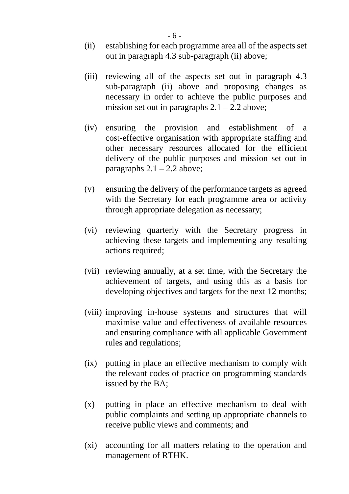- (ii) establishing for each programme area all of the aspects set out in paragraph 4.3 sub-paragraph (ii) above;
- (iii) reviewing all of the aspects set out in paragraph 4.3 sub-paragraph (ii) above and proposing changes as necessary in order to achieve the public purposes and mission set out in paragraphs  $2.1 - 2.2$  above;
- (iv) ensuring the provision and establishment of a cost-effective organisation with appropriate staffing and other necessary resources allocated for the efficient delivery of the public purposes and mission set out in paragraphs  $2.1 - 2.2$  above;
- (v) ensuring the delivery of the performance targets as agreed with the Secretary for each programme area or activity through appropriate delegation as necessary;
- (vi) reviewing quarterly with the Secretary progress in achieving these targets and implementing any resulting actions required;
- (vii) reviewing annually, at a set time, with the Secretary the achievement of targets, and using this as a basis for developing objectives and targets for the next 12 months;
- (viii) improving in-house systems and structures that will maximise value and effectiveness of available resources and ensuring compliance with all applicable Government rules and regulations;
- (ix) putting in place an effective mechanism to comply with the relevant codes of practice on programming standards issued by the BA;
- (x) putting in place an effective mechanism to deal with public complaints and setting up appropriate channels to receive public views and comments; and
- (xi) accounting for all matters relating to the operation and management of RTHK.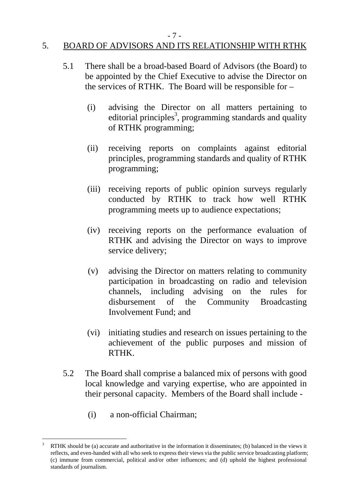#### - 7 -

## 5. BOARD OF ADVISORS AND ITS RELATIONSHIP WITH RTHK

- 5.1 There shall be a broad-based Board of Advisors (the Board) to be appointed by the Chief Executive to advise the Director on the services of RTHK. The Board will be responsible for –
	- (i) advising the Director on all matters pertaining to editorial principles<sup>3</sup>, programming standards and quality of RTHK programming;
	- (ii) receiving reports on complaints against editorial principles, programming standards and quality of RTHK programming;
	- (iii) receiving reports of public opinion surveys regularly conducted by RTHK to track how well RTHK programming meets up to audience expectations;
	- (iv) receiving reports on the performance evaluation of RTHK and advising the Director on ways to improve service delivery;
	- (v) advising the Director on matters relating to community participation in broadcasting on radio and television channels, including advising on the rules for disbursement of the Community Broadcasting Involvement Fund; and
	- (vi) initiating studies and research on issues pertaining to the achievement of the public purposes and mission of RTHK.
- 5.2 The Board shall comprise a balanced mix of persons with good local knowledge and varying expertise, who are appointed in their personal capacity. Members of the Board shall include -
	- (i) a non-official Chairman;

 $\overline{a}$ 

<sup>3</sup> RTHK should be (a) accurate and authoritative in the information it disseminates; (b) balanced in the views it reflects, and even-handed with all who seek to express their views via the public service broadcasting platform; (c) immune from commercial, political and/or other influences; and (d) uphold the highest professional standards of journalism.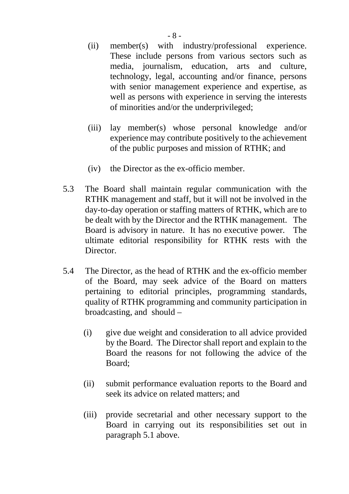- (ii) member(s) with industry/professional experience. These include persons from various sectors such as media, journalism, education, arts and culture, technology, legal, accounting and/or finance, persons with senior management experience and expertise, as well as persons with experience in serving the interests of minorities and/or the underprivileged;
- (iii) lay member(s) whose personal knowledge and/or experience may contribute positively to the achievement of the public purposes and mission of RTHK; and
- (iv) the Director as the ex-officio member.
- 5.3 The Board shall maintain regular communication with the RTHK management and staff, but it will not be involved in the day-to-day operation or staffing matters of RTHK, which are to be dealt with by the Director and the RTHK management. The Board is advisory in nature. It has no executive power. The ultimate editorial responsibility for RTHK rests with the Director.
- 5.4 The Director, as the head of RTHK and the ex-officio member of the Board, may seek advice of the Board on matters pertaining to editorial principles, programming standards, quality of RTHK programming and community participation in broadcasting, and should –
	- (i) give due weight and consideration to all advice provided by the Board. The Director shall report and explain to the Board the reasons for not following the advice of the Board;
	- (ii) submit performance evaluation reports to the Board and seek its advice on related matters; and
	- (iii) provide secretarial and other necessary support to the Board in carrying out its responsibilities set out in paragraph 5.1 above.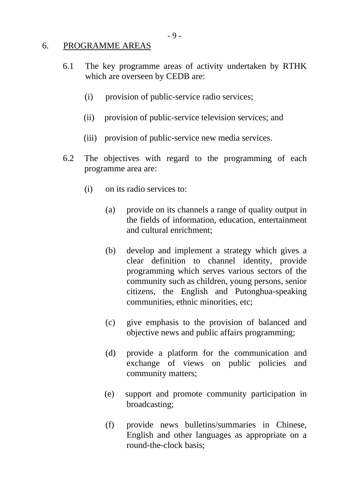#### 6. PROGRAMME AREAS

- 6.1 The key programme areas of activity undertaken by RTHK which are overseen by CEDB are:
	- (i) provision of public-service radio services;
	- (ii) provision of public-service television services; and
	- (iii) provision of public-service new media services.
- 6.2 The objectives with regard to the programming of each programme area are:
	- (i) on its radio services to:
		- (a) provide on its channels a range of quality output in the fields of information, education, entertainment and cultural enrichment;
		- (b) develop and implement a strategy which gives a clear definition to channel identity, provide programming which serves various sectors of the community such as children, young persons, senior citizens, the English and Putonghua-speaking communities, ethnic minorities, etc;
		- (c) give emphasis to the provision of balanced and objective news and public affairs programming;
		- (d) provide a platform for the communication and exchange of views on public policies and community matters;
		- (e) support and promote community participation in broadcasting;
		- (f) provide news bulletins/summaries in Chinese, English and other languages as appropriate on a round-the-clock basis;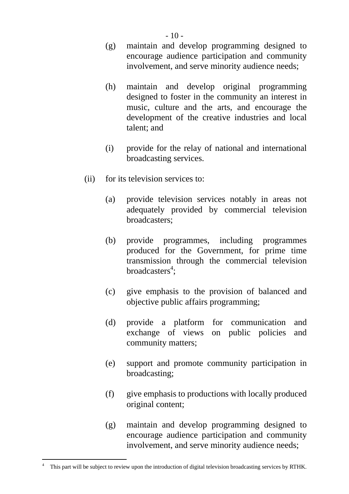- (g) maintain and develop programming designed to encourage audience participation and community involvement, and serve minority audience needs;
- (h) maintain and develop original programming designed to foster in the community an interest in music, culture and the arts, and encourage the development of the creative industries and local talent; and
- (i) provide for the relay of national and international broadcasting services.
- (ii) for its television services to:
	- (a) provide television services notably in areas not adequately provided by commercial television broadcasters;
	- (b) provide programmes, including programmes produced for the Government, for prime time transmission through the commercial television broadcasters<sup>4</sup>;
	- (c) give emphasis to the provision of balanced and objective public affairs programming;
	- (d) provide a platform for communication and exchange of views on public policies and community matters;
	- (e) support and promote community participation in broadcasting;
	- (f) give emphasis to productions with locally produced original content;
	- (g) maintain and develop programming designed to encourage audience participation and community involvement, and serve minority audience needs;

-

<sup>4</sup> This part will be subject to review upon the introduction of digital television broadcasting services by RTHK.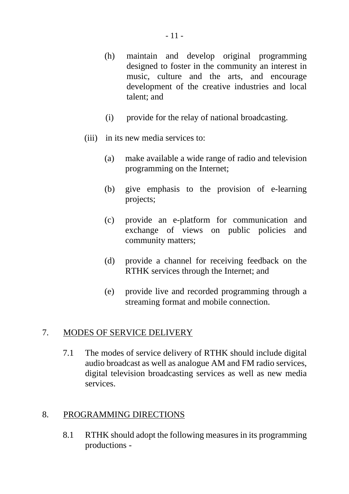- (h) maintain and develop original programming designed to foster in the community an interest in music, culture and the arts, and encourage development of the creative industries and local talent; and
- (i) provide for the relay of national broadcasting.
- (iii) in its new media services to:
	- (a) make available a wide range of radio and television programming on the Internet;
	- (b) give emphasis to the provision of e-learning projects;
	- (c) provide an e-platform for communication and exchange of views on public policies and community matters;
	- (d) provide a channel for receiving feedback on the RTHK services through the Internet; and
	- (e) provide live and recorded programming through a streaming format and mobile connection.

## 7. MODES OF SERVICE DELIVERY

7.1 The modes of service delivery of RTHK should include digital audio broadcast as well as analogue AM and FM radio services, digital television broadcasting services as well as new media services.

## 8. PROGRAMMING DIRECTIONS

8.1 RTHK should adopt the following measures in its programming productions -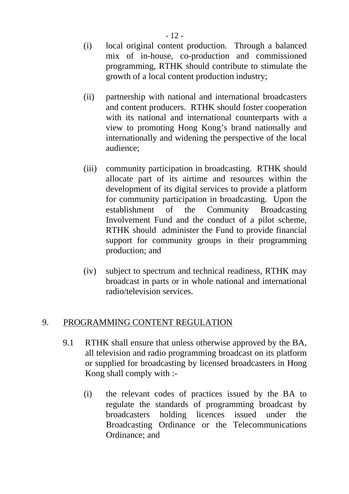- (i) local original content production. Through a balanced mix of in-house, co-production and commissioned programming, RTHK should contribute to stimulate the growth of a local content production industry;
- (ii) partnership with national and international broadcasters and content producers. RTHK should foster cooperation with its national and international counterparts with a view to promoting Hong Kong's brand nationally and internationally and widening the perspective of the local audience;
- (iii) community participation in broadcasting. RTHK should allocate part of its airtime and resources within the development of its digital services to provide a platform for community participation in broadcasting. Upon the establishment of the Community Broadcasting Involvement Fund and the conduct of a pilot scheme, RTHK should administer the Fund to provide financial support for community groups in their programming production; and
- (iv) subject to spectrum and technical readiness, RTHK may broadcast in parts or in whole national and international radio/television services.

## 9. PROGRAMMING CONTENT REGULATION

- 9.1 RTHK shall ensure that unless otherwise approved by the BA, all television and radio programming broadcast on its platform or supplied for broadcasting by licensed broadcasters in Hong Kong shall comply with :-
	- (i) the relevant codes of practices issued by the BA to regulate the standards of programming broadcast by broadcasters holding licences issued under the Broadcasting Ordinance or the Telecommunications Ordinance; and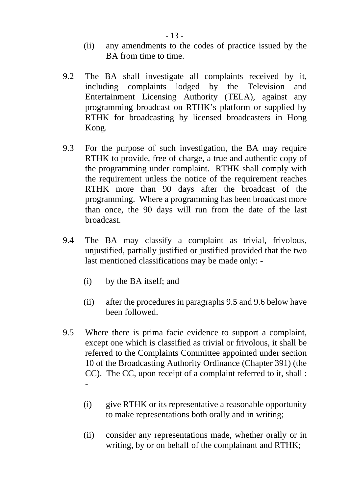- (ii) any amendments to the codes of practice issued by the BA from time to time.
- 9.2 The BA shall investigate all complaints received by it, including complaints lodged by the Television and Entertainment Licensing Authority (TELA), against any programming broadcast on RTHK's platform or supplied by RTHK for broadcasting by licensed broadcasters in Hong Kong.
- 9.3 For the purpose of such investigation, the BA may require RTHK to provide, free of charge, a true and authentic copy of the programming under complaint. RTHK shall comply with the requirement unless the notice of the requirement reaches RTHK more than 90 days after the broadcast of the programming. Where a programming has been broadcast more than once, the 90 days will run from the date of the last broadcast.
- 9.4 The BA may classify a complaint as trivial, frivolous, unjustified, partially justified or justified provided that the two last mentioned classifications may be made only: -
	- (i) by the BA itself; and
	- (ii) after the procedures in paragraphs 9.5 and 9.6 below have been followed.
- 9.5 Where there is prima facie evidence to support a complaint, except one which is classified as trivial or frivolous, it shall be referred to the Complaints Committee appointed under section 10 of the Broadcasting Authority Ordinance (Chapter 391) (the CC). The CC, upon receipt of a complaint referred to it, shall : -
	- (i) give RTHK or its representative a reasonable opportunity to make representations both orally and in writing;
	- (ii) consider any representations made, whether orally or in writing, by or on behalf of the complainant and RTHK;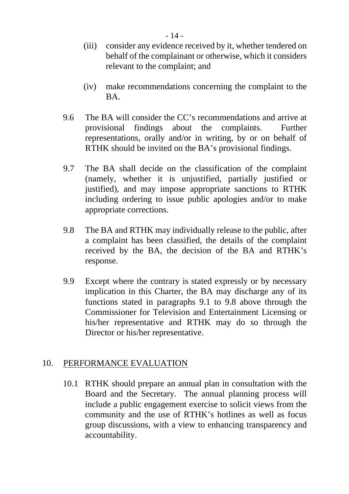- (iii) consider any evidence received by it, whether tendered on behalf of the complainant or otherwise, which it considers relevant to the complaint; and
- (iv) make recommendations concerning the complaint to the BA.
- 9.6 The BA will consider the CC's recommendations and arrive at provisional findings about the complaints. Further representations, orally and/or in writing, by or on behalf of RTHK should be invited on the BA's provisional findings.
- 9.7 The BA shall decide on the classification of the complaint (namely, whether it is unjustified, partially justified or justified), and may impose appropriate sanctions to RTHK including ordering to issue public apologies and/or to make appropriate corrections.
- 9.8 The BA and RTHK may individually release to the public, after a complaint has been classified, the details of the complaint received by the BA, the decision of the BA and RTHK's response.
- 9.9 Except where the contrary is stated expressly or by necessary implication in this Charter, the BA may discharge any of its functions stated in paragraphs 9.1 to 9.8 above through the Commissioner for Television and Entertainment Licensing or his/her representative and RTHK may do so through the Director or his/her representative.

# 10. PERFORMANCE EVALUATION

10.1 RTHK should prepare an annual plan in consultation with the Board and the Secretary. The annual planning process will include a public engagement exercise to solicit views from the community and the use of RTHK's hotlines as well as focus group discussions, with a view to enhancing transparency and accountability.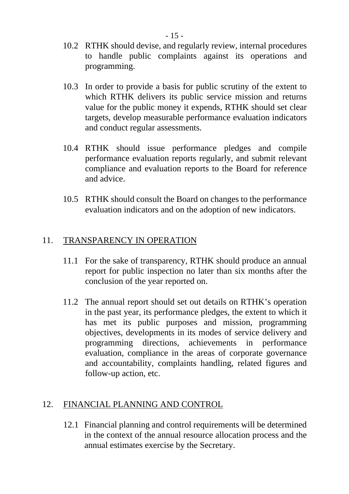- 10.2 RTHK should devise, and regularly review, internal procedures to handle public complaints against its operations and programming.
- 10.3 In order to provide a basis for public scrutiny of the extent to which RTHK delivers its public service mission and returns value for the public money it expends, RTHK should set clear targets, develop measurable performance evaluation indicators and conduct regular assessments.
- 10.4 RTHK should issue performance pledges and compile performance evaluation reports regularly, and submit relevant compliance and evaluation reports to the Board for reference and advice.
- 10.5 RTHK should consult the Board on changes to the performance evaluation indicators and on the adoption of new indicators.

## 11. TRANSPARENCY IN OPERATION

- 11.1 For the sake of transparency, RTHK should produce an annual report for public inspection no later than six months after the conclusion of the year reported on.
- 11.2 The annual report should set out details on RTHK's operation in the past year, its performance pledges, the extent to which it has met its public purposes and mission, programming objectives, developments in its modes of service delivery and programming directions, achievements in performance evaluation, compliance in the areas of corporate governance and accountability, complaints handling, related figures and follow-up action, etc.

## 12. FINANCIAL PLANNING AND CONTROL

 12.1 Financial planning and control requirements will be determined in the context of the annual resource allocation process and the annual estimates exercise by the Secretary.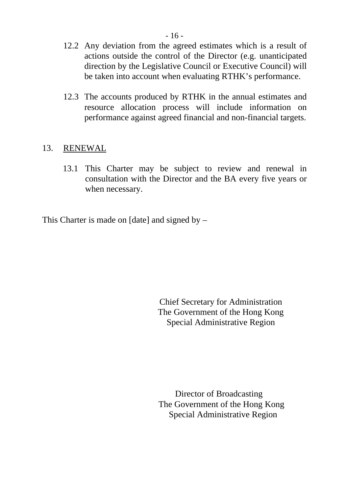- 12.2 Any deviation from the agreed estimates which is a result of actions outside the control of the Director (e.g. unanticipated direction by the Legislative Council or Executive Council) will be taken into account when evaluating RTHK's performance.
- 12.3 The accounts produced by RTHK in the annual estimates and resource allocation process will include information on performance against agreed financial and non-financial targets.

## 13. RENEWAL

13.1 This Charter may be subject to review and renewal in consultation with the Director and the BA every five years or when necessary.

This Charter is made on [date] and signed by –

 Chief Secretary for Administration The Government of the Hong Kong Special Administrative Region

 Director of Broadcasting The Government of the Hong Kong Special Administrative Region